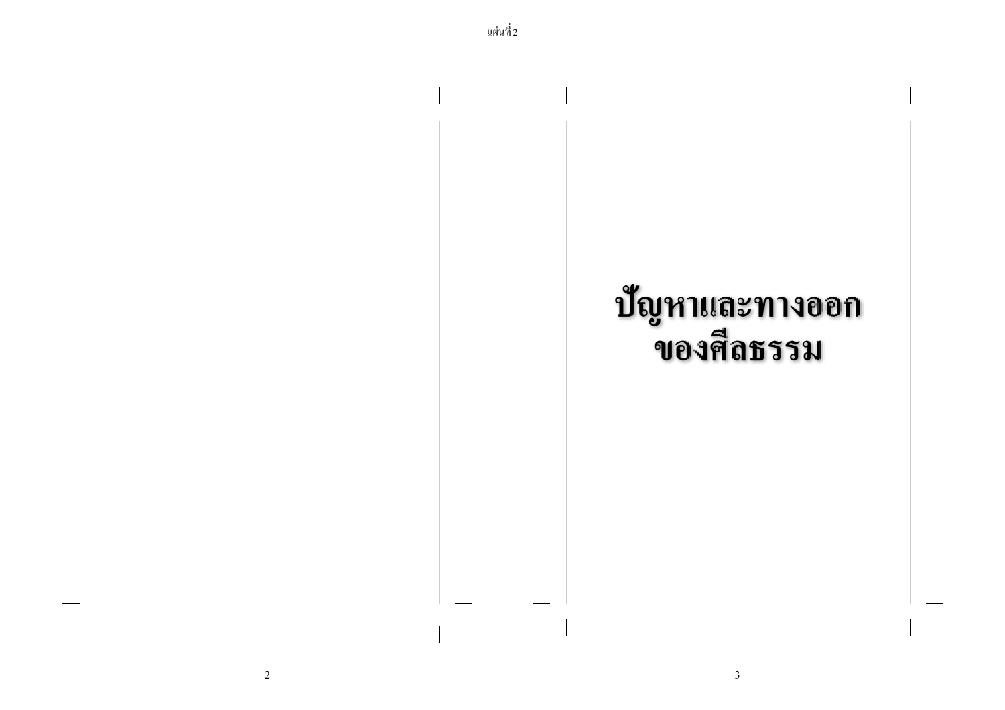

2  $\sim$  3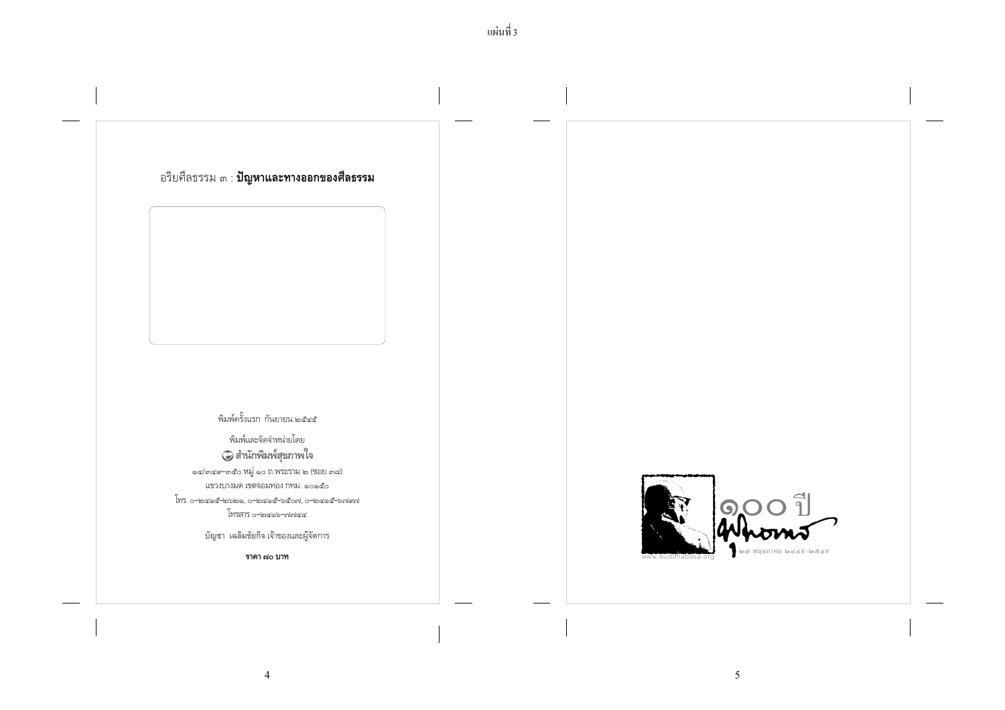

 $\overline{4}$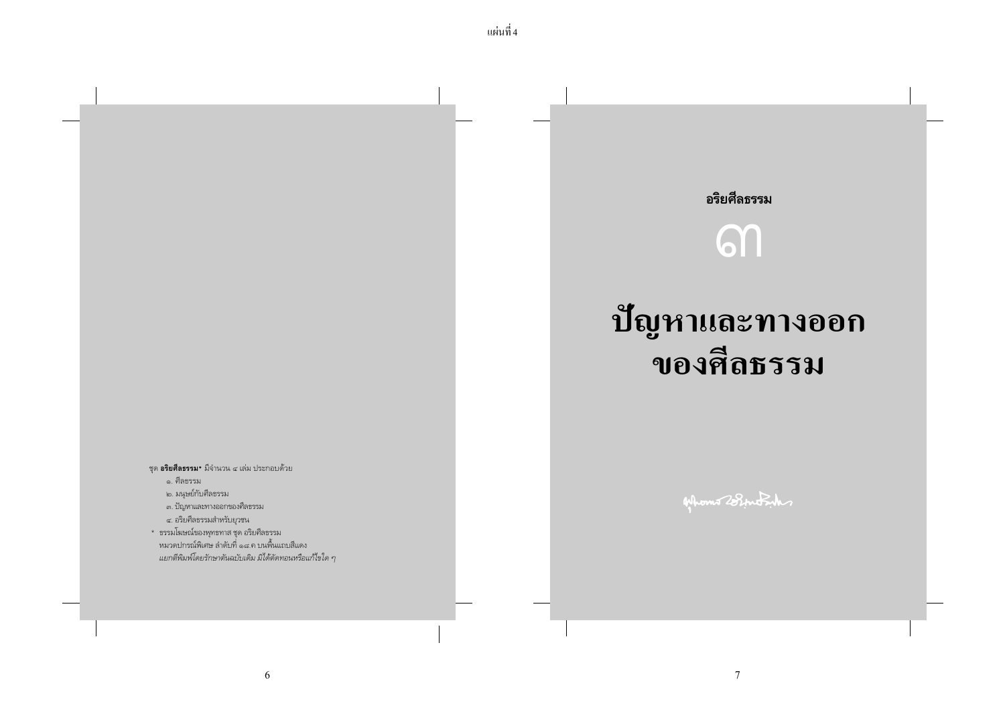## อริยศีลธรรม

# **611**

## ปัญหาและทางออก ของศีลธรรม

ชุด **อริยศีลธรรม\*** มีจำนวน ๔ เล่ม ประกอบด้วย

๑. ศีลธรรม

๒. มนุษย์กับศีลธรรม

... ปัญหาและทางออกของศีลธรรม

๔. อริยศีลธรรมสำหรับยุวชน

\* ธรรมโฆษณ์ของพุทธทาส ชุด อริยศีลธรรม หมวดปกรณ์พิเศษ ลำดับที่ ๑๘.ค บนพื้นแถบสีแดง แยกตีพิมพ์โดยรักษาตันฉบับเดิม มิได้ตัดทอนหรือแก้ไขใด ๆ Afhons 28 intrih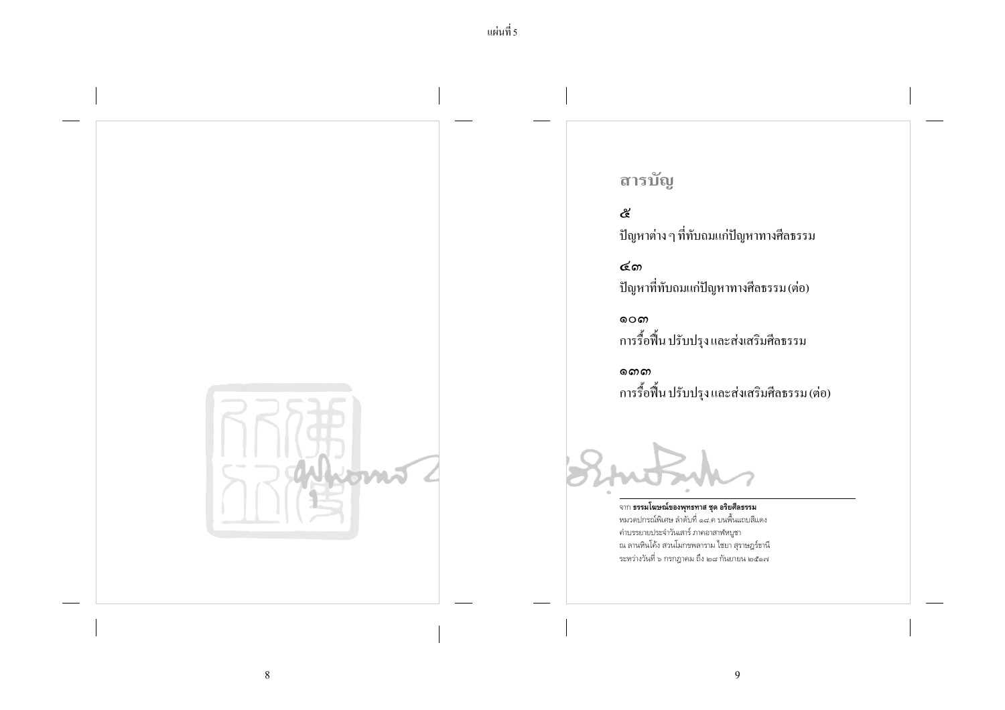

## สารบัญ

ද් ปัญหาต่าง ๆ ที่ทับถมแก่ปัญหาทางศีลธรรม

๔෨ ปัญหาที่ทับถมแก่ปัญหาทางศีลธรรม (ต่อ)

റെക การรื้อฟื้น ปรับปรุง และส่งเสริมศีลธรรม

നൈ การรื้อฟื้น ปรับปรุง และส่งเสริมศีลธรรม (ต่อ)

จาก ธรรมโฆษณ์ของพุทธทาส ชุด อริยศีลธรรม หมวดปกรณ์พิเศษ ลำดับที่ ๑๘.ค บนพื้นแถบสีแดง คำบรรยายประจำวันเสาร์ ภาคอาสาฬหบูชา ณ ลานหินโค้ง สวนโมกขพลาราม ไชยา สุราษฎร์ธานี ระหว่างวันที่ ๖ กรกฎาคม ถึง ๒๘ กันยายน ๒๕๑๗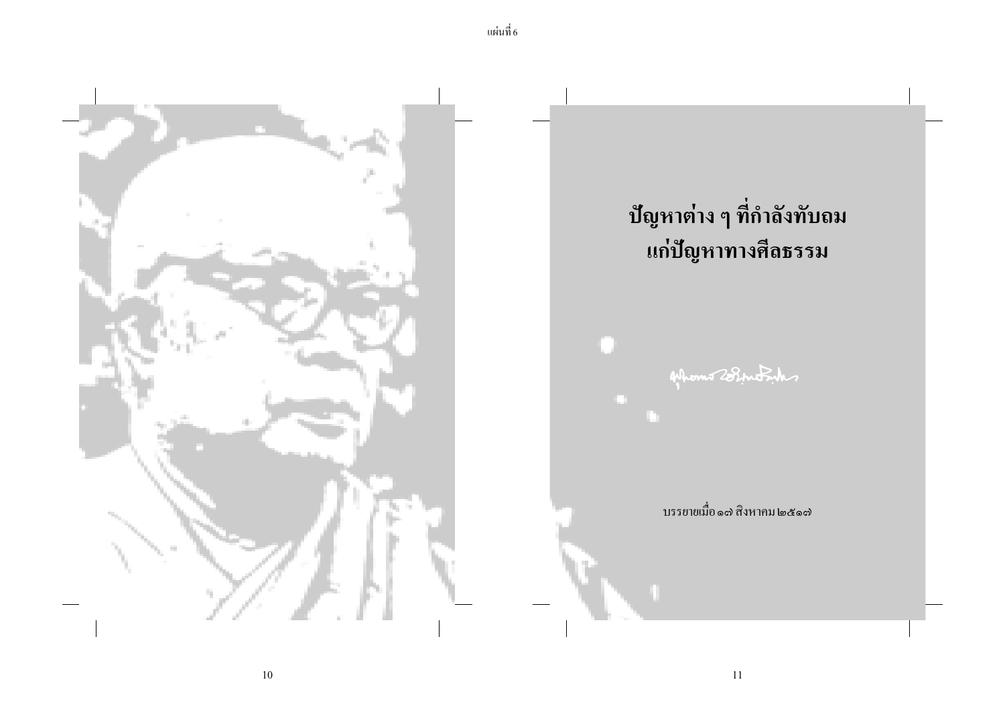

 $10\,$ 

11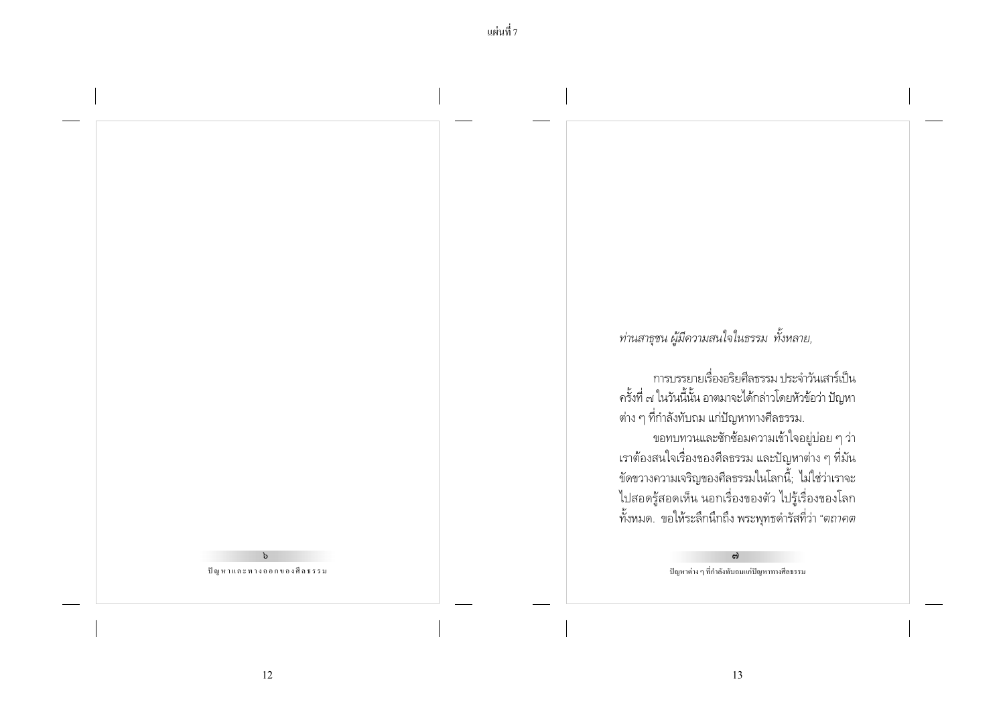#### $\mathbf{b}$ ปัญหาและทางออกของศีลธรรม

ท่านสาธุชน ผู้มีความสนใจในธรรม ทั้งหลาย,

การบรรยายเรื่องอริยศีลธรรม ประจำวันเสาร์เป็น ครั้งที่ ๗ ในวันนี้นั้น อาตมาจะได้กล่าวโดยหัวข้อว่า ปัญหา ต่าง ๆ ที่กำลังทับถม แก่ปัญหาทางศีลธรรม. ขอทบทวนและชักช้อมความเข้าใจอยู่บ่อย ๆ ว่า เราต้องสนใจเรื่องของศีลธรรม และปัญหาต่าง ๆ ที่มัน ขัดขวางความเจริญของศีลธรรมในโลกนี้; ไม่ใช่ว่าเราจะ ไปสอดรู้สอดเห็น นอกเรื่องของตัว ไปรู้เรื่องของโลก ์ทั้งหมด. ขอให้ระลึกนึกถึง พระพุทธดำรัสที่ว่า "*ตถาคต* 

> ຕົ ปัญหาต่าง ๆ ที่กำลังทับถมแก่ปัญหาทางศีลธรรม

12

้แผ่นที่ 7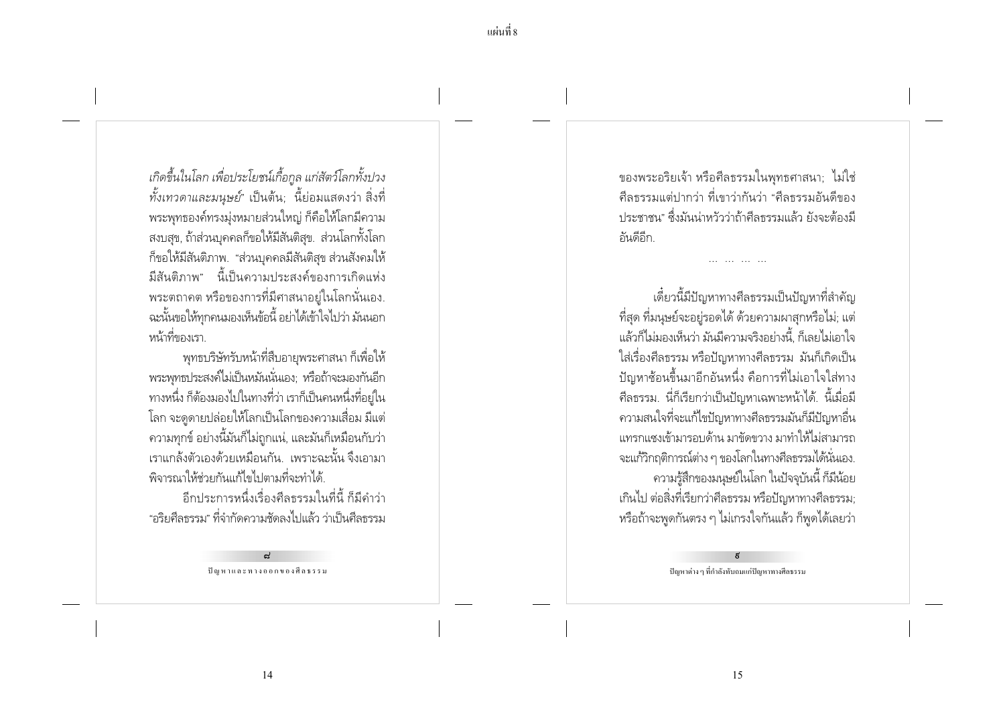เกิดขึ้นในโลก เพื่อประโยชน์เกื้อกูล แก่สัตว์โลกทั้งปวง *ทั้งเทวดาและมนุษย์*" เป็นต้น; นี้ย่อมแสดงว่า สิ่งที่ ้พระพุทธองค์ทรงมุ่งหมายส่วนใหญ่ ก็คือให้โลกมีความ ้ สงบสข. ถ้าส่วนบุคคลก็ขอให้มีสันติสข. ส่วนโลกทั้งโลก ก็ขอให้มีสันติภาพ. "ส่วนบุคคลมีสันติสุข ส่วนสังคมให้ ้มีสันติภาพ" นี้เป็นความประสงค์ของการเกิดแห่ง ี พระตถาคต หรือของการที่มีศาสนาอยู่ในโลกนั่นเอง. ฉะนั้นขอให้ทกคนมองเห็นข้อนี้ อย่าได้เข้าใจไปว่า มันนอก หน้าที่ของเรา

พทธบริษัทรับหน้าที่สืบอายพระศาสนา ก็เพื่อให้ ้พระพุทธประสงค์ไม่เป็นหมันนั่นเอง; หรือถ้าจะมองกันอีก ้ทางหนึ่ง ก็ต้องมองไปในทางที่ว่า เราก็เป็นคนหนึ่งที่อยู่ใน โลก จะดูดายปล่อยให้โลกเป็นโลกของความเสื่อม มีแต่ ่ ความทุกข์ อย่างนี้มันก็ไม่ถูกแน่, และมันก็เหมือนกับว่า ้เราแกล้งตัวเองด้วยเหมือนกัน...เพราะฉะนั้น จึงเอามา พิจารณาให้ช่วยกันแก้ไขไปตามที่จะทำได้

อีกประการหนึ่งเรื่องศีลธรรมในที่นี้ ก็มีคำว่า "อริยศีลธรรม" ที่จำกัดความชัดลงไปแล้ว ว่าเป็นศีลธรรม

ปัญหาและทางออกของศีลธรรม

ของพระอริยเจ้า หรือศีลธรรมในพุทธศาสนา; ไม่ใช่ ้ศีลธรรมแต่ปากว่า ที่เขาว่ากันว่า "ศีลธรรมคันดีของ ้ ประชาชน" ซึ่งมันน่าหวัวว่าถ้าศีลธรรมแล้ว ยังจะต้องมี ถันดีอีก

้เดี๋ยวนี้มีปัญหาทางศีลธรรมเป็นปัญหาที่สำคัญ ้ ที่สด ที่มนษย์จะอย่รอดได้ ด้วยความผาสกหรือไม่; แต่ แล้วก็ไม่มองเห็นว่า มันมีความจริงอย่างนี้ ก็เลยไม่เอาใจ ใส่เรื่องศีลธรรม หรือปัญหาทางศีลธรรม มันก็เกิดเป็น ้ ปัญหาซ้อนขึ้นมาอีกอันหนึ่ง คือการที่ไม่เอาใจใส่ทาง ้ศีลธรรม. นี่ก็เรียกว่าเป็นปัญหาเฉพาะหน้าได้. นี้เมื่อมี ิ ความสนใจที่จะแก้ไขปัญหาทางศีลธรรมมันก็มีปัญหาอื่น แทรกแซงเข้ามารอบด้าน มาขัดขวาง มาทำให้ไม่สามารถ ้จะแก้วิกฤติการณ์ต่าง ๆ ของโลกในทางศีลธรรมได้นั่นเอง. ้ ความรู้สึกของมนุษย์ในโลก ในปัจจุบันนี้ ก็มีน้อย เกินไป ต่อสิ่งที่เรียกว่าศีลธรรม หรือปัญหาทางศีลธรรม; หรือถ้าจะพูดกันตรง ๆ ไม่เกรงใจกันแล้ว ก็พูดได้เลยว่า

ปัญหาต่าง ๆ ที่กำลังทับถมแก่ปัญหาทางศีลธรรม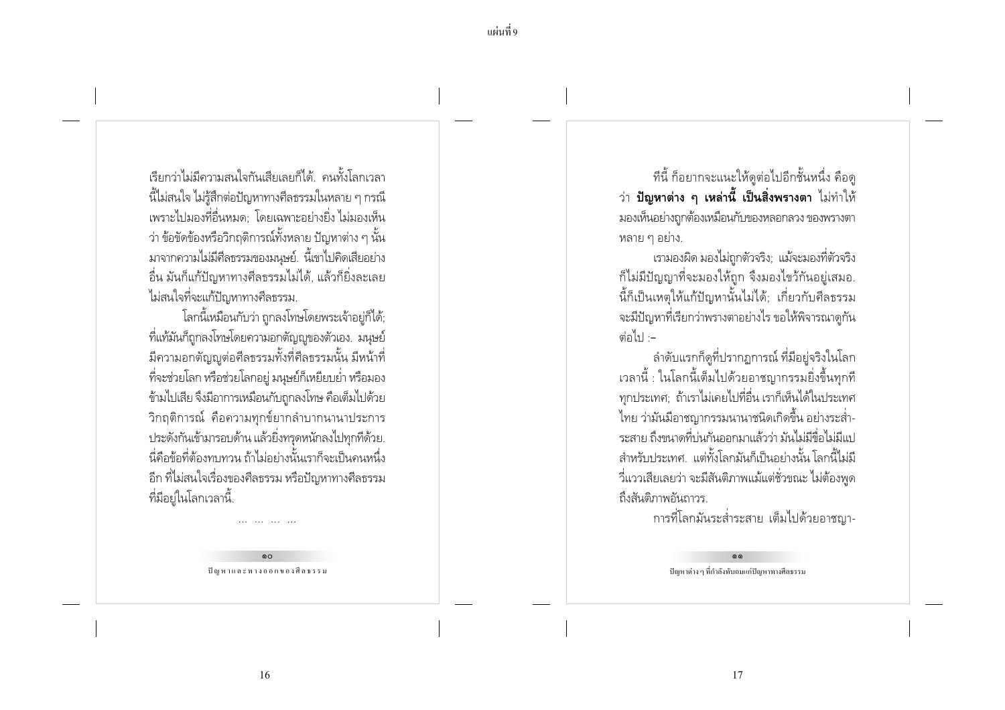เรียกว่าไม่มีความสนใจกันเสียเลยก็ได้. คนทั้งโลกเวลา ้ นี้ไม่สนใจ ไม่รู้สึกต่อปัญหาทางศีลธรรมในหลาย ๆ กรณี เพราะไปมองที่อื่นหมด: โดยเฉพาะอย่างยิ่ง ไม่มองเห็น ว่า ข้อขัดข้องหรือวิกถติการณ์ทั้งหลาย ปัญหาต่าง ๆ นั้น มาจากความไม่มีศีลธรรมของมนุษย์. นี้เขาไปคิดเสียอย่าง ้อื่น มันก็แก้ปัญหาทางศีลธรรมไม่ได้, แล้วก็ยิ่งละเลย ไม่สนใจที่จะแก้ปัญหาทางศีลธรรม.

โลกนี้เหมือนกับว่า ถกลงโทษโดยพระเจ้าอย่ก็ได้: ้ที่แท้มันก็ถูกลงโทษโดยความอกตัญญูของตัวเอง. มนุษย์ ้มีความอกตัญญูต่อศีลธรรมทั้งที่ศีลธรรมนั้น มีหน้าที่ ้ ที่จะช่วยโลก หรือช่วยโลกอยู่ มนุษย์ก็เหยียบย่ำ หรือมอง ข้ามไปเสีย จึงมีอาการเหมือนกับถูกลงโทษ คือเต็มไปด้วย ีวิกฤติการณ์ คือความทุกข์ยากลำบากนานาประการ ประดังกันเข้ามารอบด้าน แล้วยิ่งทรุดหนักลงไปทุกที่ด้วย. นี่คือข้อที่ต้องทบทวน ถ้าไม่อย่างนั้นเราก็จะเป็นคนหนึ่ง ้อีก ที่ไม่สนใจเรื่องของศีลธรรม หรือปัญหาทางศีลธรรม ู ที่มีอยู่ในโลกเวลานี้.

> $\circ$ ปัญหาและทางออกของศีลธรรม

ทีนี้ ก็อยากจะแนะให้ดูต่อไปอีกชั้นหนึ่ง คือดู ี ว่า **ปัญหาต่าง ๆ เหล่านี้ เป็นสิ่งพรางตา** ไม่ทำให้ ้มองเห็นอย่างถูกต้องเหมือนกับของหลอกลวง ของพรางตา หลาย ๆ อย่าง.

เรามองผิด มองไม่ถูกตัวจริง; แม้จะมองที่ตัวจริง ก็ไม่มีปัญญาที่จะมองให้ถูก จึงมองไขว้กันอยู่เสมอ. นี้ก็เป็นเหตุให้แก้ปัญหานั้นไม่ได้; เกี่ยวกับศีลธรรม ้ จะมีปัญหาที่เรียกว่าพรางตาอย่างไร ขอให้พิจารณาดกัน ต่อไป --

ลำดับแรกก็ดูที่ปรากฏการณ์ ที่มีอยู่จริงในโลก เวลานี้ : ในโลกนี้เต็มไปด้วยอาชญากรรมยิ่งขึ้นทุกที ทุกประเทศ; ถ้าเราไม่เคยไปที่อื่น เราก็เห็นได้ในประเทศ ไทย ว่ามันมีอาชญากรรมนานาชนิดเกิดขึ้น อย่างระส่ำ-ระสาย ถึงขนาดที่บ่นกันออกมาแล้วว่า มันไม่มีขื่อไม่มีแป ้สำหรับประเทศ แต่ทั้งโลกมันก็เป็นอย่างนั้นโลกนี้ไม่มี ้วี่แววเสียเลยว่า จะมีสันติภาพแม้แต่ชั่วขณะ ไม่ต้องพูด ถึงสันติภาพกันถาวร

การที่โลกมันระส่ำระสาย เต็มไปด้วยอาชญา-

ปัญหาต่าง ๆ ที่กำลังทับถมแก่ปัญหาทางศีลธรรม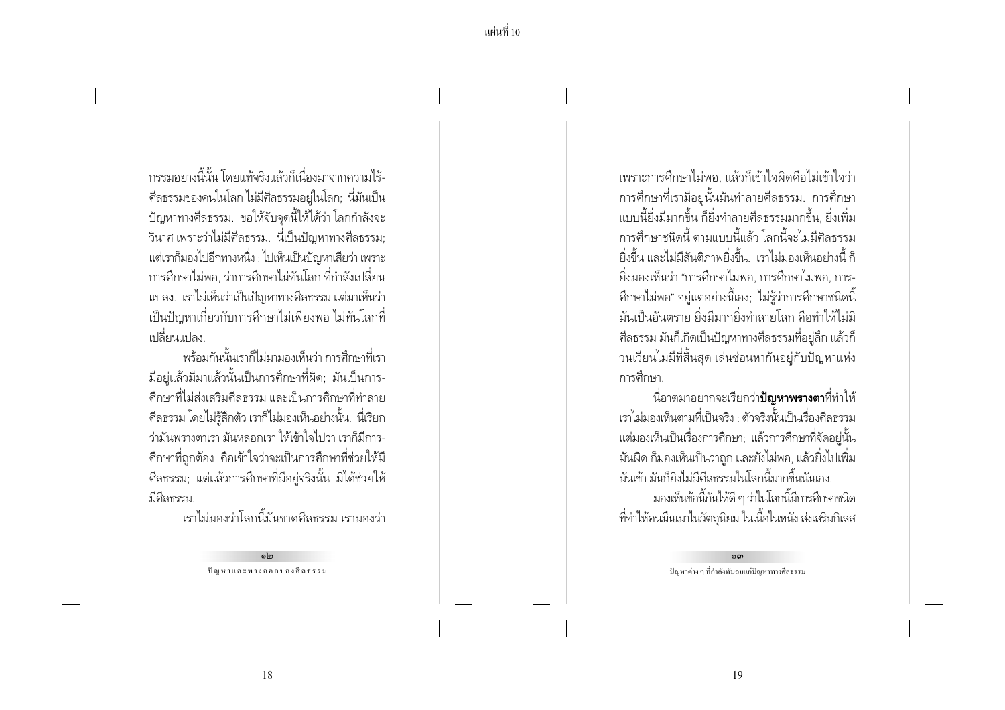้<br>กรรมอย่างนี้นับ โดยแท้จริงแล้วก็เนื่องมาจากดาวมไร้-่ ศีลธรรมของคนในโลก ไม่มีศีลธรรมอยู่ในโลก; นี่มันเป็น ปัญหาทางศีลธรรม. ขอให้จับจุดนี้ให้ได้ว่า โลกกำลังจะ ้วินาศ เพราะว่าไม่มีศีลธรรม. นี่เป็นปัญหาทางศีลธรรม: แต่เราก็มองไปอีกทางหนึ่ง : ไปเห็นเป็นปัญหาเสียว่า เพราะ ่ การศึกษาไม่พอ. ว่าการศึกษาไม่ทันโลก ที่กำลังเปลี่ยน ่ แปลง. เราไม่เห็นว่าเป็นปัญหาทางศีลธรรม แต่มาเห็นว่า ้ เป็นปัญหาเกี่ยวกับการศึกษาไม่เพียงพอ ไม่ทันโลกที่ ้เปลี่ยนแปลง

้พร้อมกันนั้นเราก็ไม่มามองเห็นว่า การศึกษาที่เรา ้มีอยู่แล้วมีมาแล้วนั้นเป็นการศึกษาที่ผิด; มันเป็นการ-้ศึกษาที่ไม่ส่งเสริมศีลธรรม และเป็นการศึกษาที่ทำลาย ์ ศีลธรรม โดยไม่รู้สึกตัว เราก็ไม่มองเห็นอย่างนั้น. นี่เรียก ว่ามันพรางตาเรา มันหลอกเรา ให้เข้าใจไปว่า เราก็มีการ-้ศึกษาที่ถกต้อง คือเข้าใจว่าจะเป็นการศึกษาที่ช่วยให้มี ้ศีลธรรม; แต่แล้วการศึกษาที่มีอยู่จริงนั้น มิได้ช่วยให้ มีศีลธรรม.

้าราไม่มลงว่าโลกนี้มันขาดศีลธรรม เรามลงว่า

പ്പി<sub>ബ</sub> ปัญหาและทางออกของศีลธรรม

้ เพราะการศึกษาไม่พอ แล้วก็เข้าใจผิดคือไม่เข้าใจว่า ิการศึกษาที่เรามีอยู่นั้นมันทำลายศีลธรรม. การศึกษา แบบนี้ยิ่งมีมากขึ้น ก็ยิ่งทำลายศีลธรรมมากขึ้น. ยิ่งเพิ่ม การศึกษาชนิดนี้ ตามแบบนี้แล้ว โลกนี้จะไม่มีศีลธรรม ้ยิ่งขึ้น และไม่มีสันติภาพยิ่งขึ้น. เราไม่มองเห็นอย่างนี้ ก็ ยิ่งมองเห็นว่า "การศึกษาไม่พอ. การศึกษาไม่พอ. การ-่ ศึกษาไม่พอ" อยู่แต่อย่างนี้เอง; ไม่รู้ว่าการศึกษาชนิดนี้ ้มันเป็นอันตราย ยิ่งมีมากยิ่งทำลายโลก คือทำให้ไม่มี ้ศีลธรรม มันก็เกิดเป็นปัญหาทางศีลธรรมที่อยู่ลึก แล้วก็ ้วนเวียนไม่มีที่สิ้นสุด เล่นซ่อนหากันอยู่กับปัญหาแห่ง การศึกษา

้ นื่อาตมาอยากจะเรียกว่า**ปัญหาพรางตา**ที่ทำให้ เราไม่มองเห็นตามที่เป็นจริง · ตัวจริงนั้นเป็นเรื่องศีลธรรม แต่มองเห็นเป็นเรื่องการศึกษา; แล้วการศึกษาที่จัดอยู่นั้น ้มันผิด ก็มองเห็นเป็นว่าถก และยังไม่พอ, แล้วยิ่งไปเพิ่ม มันเข้า มันก็ยิ่งไม่มีศีลธรรมในโลกนี้มากขึ้นนั่นเอง. มองเห็นข้อนี้กันให้ดี ๆ ว่าในโลกนี้มีการศึกษาชนิด

้ที่ทำให้คนมึนเมาในวัตถุนิยม ในเนื้อในหนัง ส่งเสริมกิเลส

നെ ปัญหาต่าง ๆ ที่กำลังทับถมแก่ปัญหาทางศีลธรรม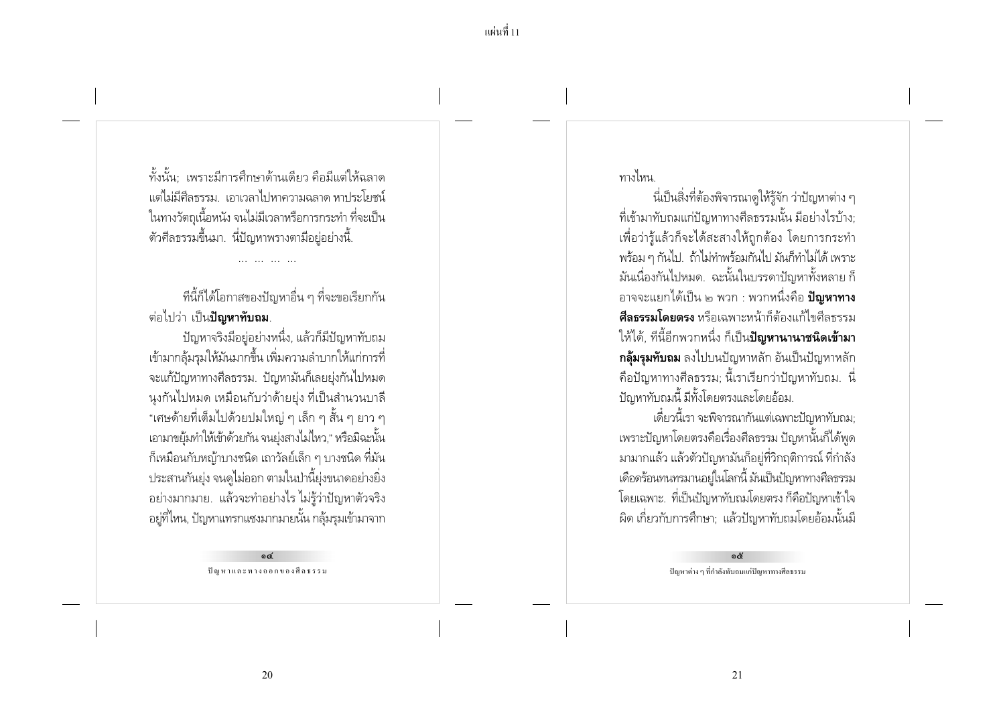้ทั้งนั้น: เพราะมีการศึกษาด้านเดียว คือมีแต่ให้ฉลาด แต่ไม่มีศีลธรรม เอาเวลาไปหาความฉลาด หาประโยชน์ ในทางวัตถเนื้อหนัง จนไม่มีเวลาหรือการกระทำ ที่จะเป็น ์ ตัวศีลธรรมขึ้นมา. นี่ปัญหาพรางตามีอย่อย่างนี้.

ที่นี้ก็ได้โอกาสของปัญหาอื่น ๆ ที่จะขอเรียกกัน ี่ ต่อไปว่า เป็น**ปัฌหาทับถม**.

้ปัญหาจริงมือยู่อย่างหนึ่ง, แล้วก็มีปัญหาทับถม เข้ามากล้มรมให้มันมากขึ้น เพิ่มความลำบากให้แก่การที่ ้จะแก้ปัญหาทางศีลธรรม. ปัญหามันก็เลยยุ่งกันไปหมด ้นงกันไปหมด เหมือนกับว่าด้ายยุ่ง ที่เป็นสำนวนบาลี "เศษด้ายที่เต็มไปด้วยปมใหญ่ ๆ เล็ก ๆ สั้น ๆ ยาว ๆ เอามาขยุ้มทำให้เข้าด้วยกัน จนยุ่งสางไม่ไหว," หรือมิฉะนั้น ้ก็เหมือนกับหญ้าบางชนิด เถาวัลย์เล็ก ๆ บางชนิด ที่มัน ิ ประสานกันยุ่ง จนดูไม่ออก ตามในป่านี้ยุ่งขนาดอย่างยิ่ง ้อย่างมากมาย. แล้วจะทำอย่างไร ไม่รู้ว่าปัญหาตัวจริง ้อยู่ที่ไหน, ปัญหาแทรกแซงมากมายนั้น กลุ้มรุมเข้ามาจาก

> ക് ปัญหาและทางออกของศีลธรรม

ทางไหน

้ นี่เป็นสิ่งที่ต้องพิจารณาดูให้รู้จัก ว่าปัญหาต่าง ๆ ที่เข้ามาทับถมแก่ปัญหาทางศีลธรรมนั้น มีอย่างไรบ้าง: เพื่อว่าร้แล้วก็จะได้สะสางให้ถกต้อง โดยการกระทำ พร้อม ๆ กันไป. ถ้าไม่ทำพร้อมกันไป มันก็ทำไม่ได้ เพราะ ้มันเนื่องกันไปหมด. ฉะนั้นในบรรดาปัญหาทั้งหลาย ก็ ้อาจจะแยกได้เป็น ๒ พวก : พวกหนึ่งคือ **ปัญหาทาง ศีลธรรมโดยตรง** หรือเฉพาะหน้าก็ต้องแก้ไขศีลธรรม ให้ได้, ทีนี้อีกพวกหนึ่ง ก็เป็น**ปัญหานานาชนิดเข้ามา ึกล้มรมทับถม** ลงไปบนปัญหาหลัก อันเป็นปัญหาหลัก ้คือปัญหาทางศีลธรรม; นี้เราเรียกว่าปัญหาทับถม. นี่ ปัญหาทับถมนี้ มีทั้งโดยตรงและโดยอ้อม.

เดี๋ยวนี้เรา จะพิจารณากันแต่เฉพาะปัญหาทับถม: เพราะปัญหาโดยตรงคือเรื่องศีลธรรม ปัญหานั้นก็ได้พูด ้มามากแล้ว แล้วตัวปัญหามันก็อยู่ที่วิกฤติการณ์ ที่กำลัง เดือดร้อนทนทรมานอยู่ในโลกนี้ มันเป็นปัญหาทางศีลธรรม โดยเฉพาะ. ที่เป็นปัญหาทับถมโดยตรง ก็คือปัญหาเข้าใจ ้ผิด เกี่ยวกับการศึกษา; แล้วปัญหาทับถมโดยอ้อมนั้นมี

> දේ ปัญหาต่าง ๆ ที่กำลังทับถมแก่ปัญหาทางศีลธรรม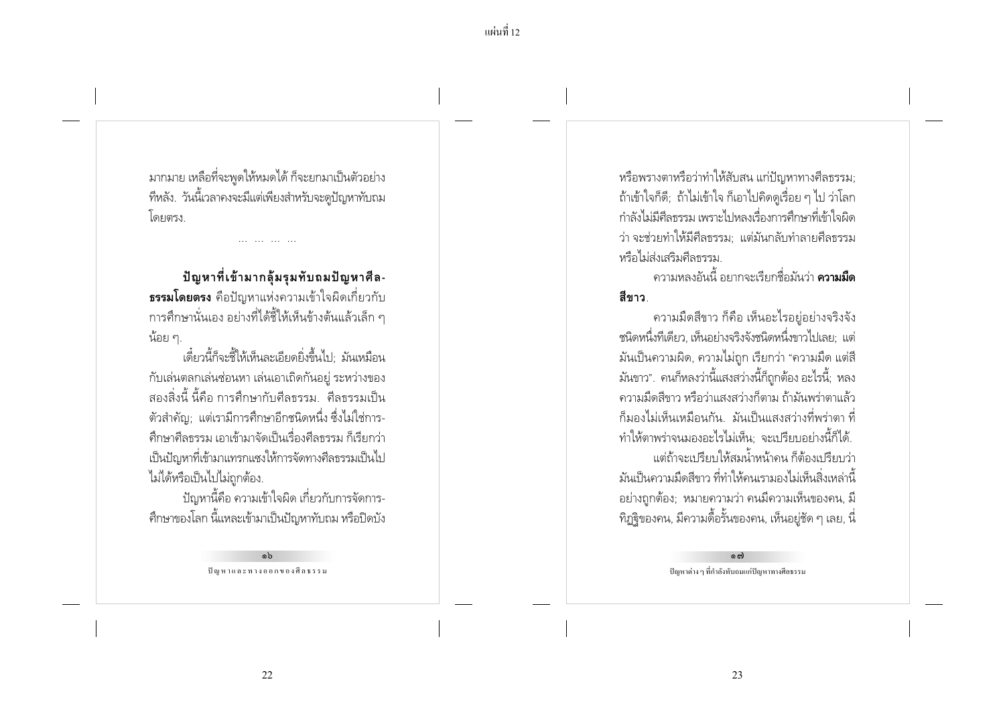มากมาย เหลือที่จะพูดให้หมดได้ ก็จะยกมาเป็นตัวอย่าง ที่หลัง. วันนี้เวลาคงจะมีแต่เพียงสำหรับจะดูปัญหาทับถม โดยตรง

้ปัญหาที่เข้ามากลุ้มรุมทับถมปัญหาศีล-**ธรรมโดยตรง** คือปัญหาแห่งความเข้าใจผิดเกี่ยวกับ การศึกษานั่นเอง อย่างที่ได้ชี้ให้เห็นข้างต้นแล้วเล็ก ๆ น้อย ๆ.

เดี๋ยวนี้ก็จะชี้ให้เห็นละเอียดยิ่งขึ้นไป มันเหมือน ้กับเล่นตลกเล่นช่อนหา เล่นเอาเถิดกันอยู่ ระหว่างของ ้สองสิ่งนี้ นี้คือ การศึกษากับศีลธรรม. ศีลธรรมเป็น ์ ตัวสำคัญ: แต่เรามีการศึกษาอีกชนิดหนึ่ง ซึ่งไม่ใช่การ-้ศึกษาศีลธรรม เอาเข้ามาจัดเป็นเรื่องศีลธรรม ก็เรียกว่า เป็นปัญหาที่เข้ามาแทรกแซงให้การจัดทางศีลธรรมเป็นไป ไม่ได้หรือเป็นไปไม่ถูกต้อง.

ปัญหานี้คือ ความเข้าใจผิด เกี่ยวกับการจัดการ-้ศึกษาของโลก นี้แหละเข้ามาเป็นปัญหาทับถม หรือปิดบัง

> a<sub>b</sub> ปัญหาและทางออกของศีลธรรม

หรือพรางตาหรือว่าทำให้สับสน แก่ปัญหาทางศีลธรรม: ้ถ้าเข้าใจก็ดี; ถ้าไม่เข้าใจ ก็เอาไปคิดดูเรื่อย ๆ ไป ว่าโลก กำลังไม่มีศีลธรรม เพราะไปหลงเรื่องการศึกษาที่เข้าใจผิด ว่า จะช่วยทำให้มีศีลธรรม แต่มันกลับทำลายศีลธรรม หรือไม่ส่งเสริมศีลธรรม

์ ดาาบหลงอันนี้ อยากจะเรียกชื่อมันว่า **ดวามมืด** สีขาว

้ความมืดสีขาว ก็คือ เห็นอะไรอย่อย่างจริงจัง ้ชนิดหนึ่งทีเดียว. เห็นอย่างจริงจังชนิดหนึ่งขาวไปเลย: แต่ ้มันเป็นความผิด, ความไม่ถก เรียกว่า "ความมืด แต่สี ้มันขาว". คนก็หลงว่านี้แสงสว่างนี้ก็ถูกต้อง อะไรนี้; หลง ้ ความมืดสีขาว หรือว่าแสงสว่างก็ตาม ถ้ามันพร่าตาแล้ว ้ก็มองไม่เห็นเหมือนกัน. มันเป็นแสงสว่างที่พร่าตา ที่ ทำให้ตาพร่าจนมองอะไรไม่เห็น; จะเปรียบอย่างนี้ก็ได้. ้แต่ถ้าจะเบรียบให้สมน้ำหน้าคน ก็ต้องเปรียบว่า ้มันเป็นความมืดสีขาว ที่ทำให้คนเรามองไม่เห็นสิ่งเหล่านี้ ้อย่างถูกต้อง; หมายความว่า คนมีความเห็นของคน, มี ี ทิฏจิของคน, มีความดื้อรั้นของคน, เห็นอยู่ชัด ๆ เลย, นี่

> ග ශ ปัญหาต่าง ๆ ที่กำลังทับถมแก่ปัญหาทางศีลธรรม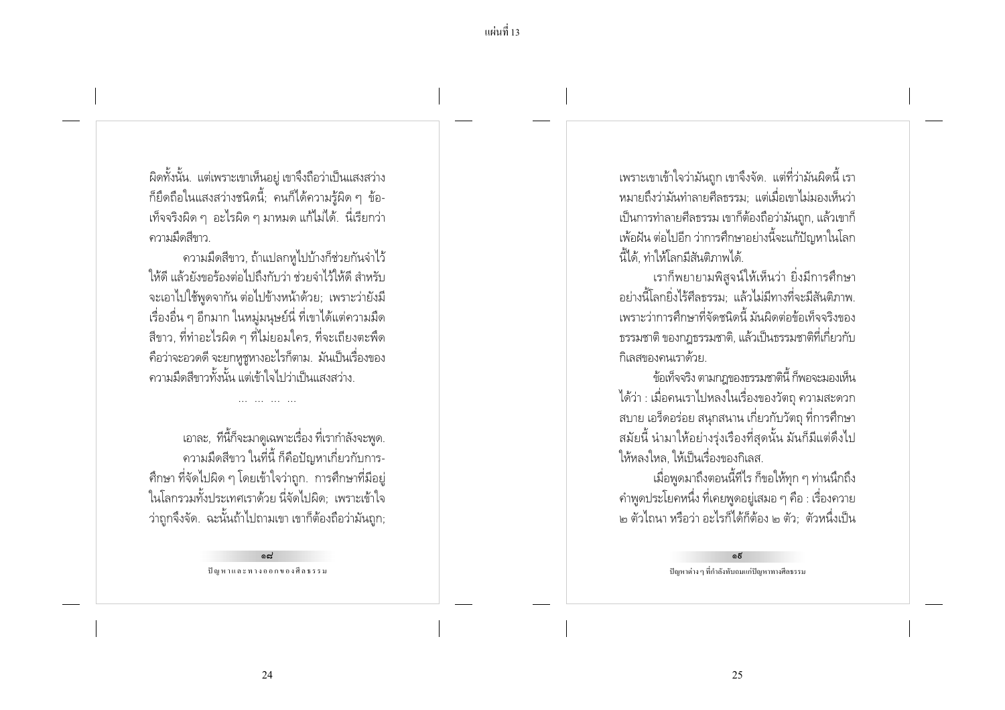้ผิดทั้งนั้น. แต่เพราะเขาเห็นอยู่ เขาจึงถือว่าเป็นแสงสว่าง ้ก็ยึดถือในแสงสว่างชนิดนี้; คนก็ได้ความรู้ผิด ๆ ข้อ-เท็จจริงผิด ๆ อะไรผิด ๆ มาหมด แก้ไม่ได้. นี่เรียกว่า ดวามมืดสีขาว

้ความมืดสีขาว, ถ้าแปลกหูไปบ้างก็ช่วยกันจำไว้ ให้ดี แล้วยังขอร้องต่อไปถึงกับว่า ช่วยจำไว้ให้ดี สำหรับ จะเอาไปใช้พูดจากัน ต่อไปข้างหน้าด้วย; เพราะว่ายังมี เรื่องอื่น ๆ อีกมาก ในหมู่มนุษย์นี่ ที่เขาได้แต่ความมืด ้สีขาว, ที่ทำอะไรผิด ๆ ที่ไม่ยอมใคร, ที่จะเถียงตะพืด ้คือว่าจะอวดดี จะยกหชหางอะไรก็ตาม. มันเป็นเรื่องของ ้ ความมืดสีขาวทั้งนั้น แต่เข้าใจไปว่าเป็นแสงสว่าง

เอาละ, ที่นี้ก็จะมาดูเฉพาะเรื่อง ที่เรากำลังจะพูด. ้ความมืดสีขาว ในที่นี้ ก็คือปัญหาเกี่ยวกับการ-่ ศึกษา ที่จัดไปผิด ๆ โดยเข้าใจว่าถูก. การศึกษาที่มีอยู่ ในโลกรวมทั้งประเทศเราด้วย นี่จัดไปผิด; เพราะเข้าใจ ว่าถูกจึงจัด. ฉะนั้นถ้าไปถามเขา เขาก็ต้องถือว่ามันถูก;

> لمم ปัญหาและทางออกของศีลธรรม

เพราะเขาเข้าใจว่ามันถูก เขาจึงจัด. แต่ที่ว่ามันผิดนี้ เรา ่ หมายถึงว่ามันทำลายศีลธรรม: แต่เมื่อเขาไม่มองเห็นว่า เป็นการทำลายศีลธรรม เขาก็ต้องถือว่ามันถูก, แล้วเขาก็ ่ เพ้อฝัน ต่อไปอีก ว่าการศึกษาอย่างนี้จะแก้ปัญหาในโลก นี้ได้. ทำให้โลกมีสันติภาพได้.

เราก็พยายามพิสจน์ให้เห็นว่า ยิ่งมีการศึกษา ้อย่างนี้โลกยิ่งไร้ศีลธรรม: แล้วไม่มีทางที่จะมีสันติภาพ. เพราะว่าการศึกษาที่จัดชนิดนี้ มันผิดต่อข้อเท็จจริงของ ิธรรมชาติ ของกฎธรรมชาติ, แล้วเป็นธรรมชาติที่เกี่ยวกับ กิเลสของคนเราด้วย

ข้อเท็จจริง ตามกฎของธรรมชาตินี้ ก็พอจะมองเห็น ได้ว่า : เมื่อคนเราไปหลงในเรื่องของวัตถุ ความสะดวก ิสบาย เอร็ดอร่อย สนุกสนาน เกี่ยวกับวัตถุ ที่การศึกษา ้สมัยนี้ นำมาให้อย่างรุ่งเรื่องที่สุดนั้น มันก็มีแต่ดึงไป ให้หลงใหล ให้เป็นเรื่องของกิเลส

เมื่อพูดมาถึงตอนนี้ทีไร ก็ขอให้ทุก ๆ ท่านนึกถึง ้ คำพูดประโยคหนึ่ง ที่เคยพูดอยู่เสมอ ๆ คือ : เรื่องควาย ิ ๒ ตัวไถนา หรือว่า อะไรก็ได้ก็ต้อง ๒ ตัว: ตัวหนึ่งเป็น

> بم ปัญหาต่าง ๆ ที่กำลังทับถมแก่ปัญหาทางศีลธรรม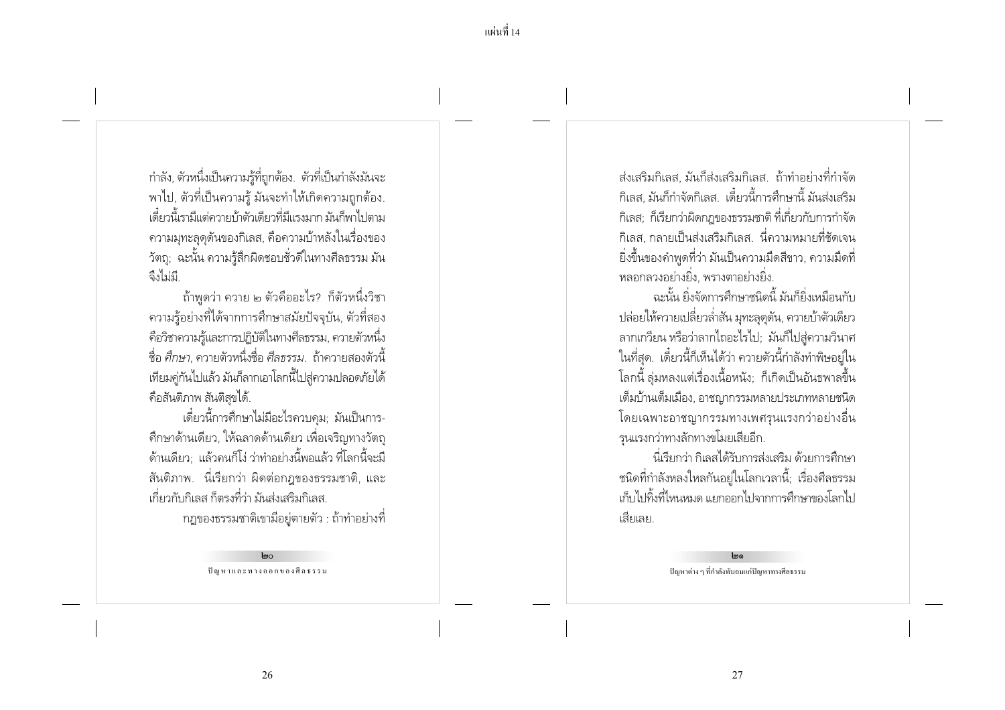ี แผ่นที่ 14

กำลัง, ตัวหนึ่งเป็นความรู้ที่ถูกต้อง. ตัวที่เป็นกำลังมันจะ พาไป, ตัวที่เป็นความรู้ มันจะทำให้เกิดความถูกต้อง. เดี๋ยวนี้เรามีแต่ควายบ้าตัวเดียวที่มีแรงมาก มันก็พาไปตาม ้ ความมุทะลดดันของกิเลส, คือความบ้าหลังในเรื่องของ ้ วัตถุ; ฉะนั้น ความรู้สึกผิดชอบชั่วดีในทางศีลธรรม มัน ลึงไม่มี

้ถ้าพูดว่า ควาย ๒ ตัวคืออะไร? ก็ตัวหนึ่งวิชา ่ ความร้อย่างที่ได้จากการศึกษาสมัยปัจจบัน, ตัวที่สอง ้คือวิชาความรู้และการปฏิบัติในทางศีลธรรม, ควายตัวหนึ่ง ู ชื่อ ศึกษา ดวายตัวหนึ่งชื่อ ศึลธรรม ถ้าดวายสองตัวนี้ ่ เทียมคู่กันไปแล้ว มันก็ลากเอาโลกนี้ไปสู่ความปลอดภัยได้ คือสันติภาพ สันติสุขได้.

เดี๋ยวนี้การศึกษาไม่มีอะไรควบคม: มันเป็นการ-่ ศึกษาด้านเดียว, ให้ฉลาดด้านเดียว เพื่อเจริญทางวัตถุ ้ด้านเดียว: แล้วคนก็โง่ ว่าทำอย่างนี้พอแล้ว ที่โลกนี้จะมี ี สันติภาพ. - นี่เรียกว่า ผิดต่อกฎของธรรมชาติ, และ ้เกี่ยวกับกิเลส ก็ตรงที่ว่า มันส่งเสริมกิเลส

ึกฎของธรรมชาติเขามีอยู่ตายตัว : ถ้าทำอย่างที่

 $Im<sub>o</sub>$ ปัญหาและทางออกของศีลธรรม

้ส่งเสริมกิเลส มันก็ส่งเสริมกิเลส ถ้าทำอย่างที่กำจัด ้กิเลส. มันก็กำจัดกิเลส. เดี๋ยวนี้การศึกษานี้ มันส่งเสริม ้กิเลส: ก็เรียกว่าผิดกฎของธรรมชาติ ที่เกี่ยวกับการกำจัด ้กิเลส กลายเป็นส่งเสริมกิเลส นี่ความหมายที่ชัดเจน ้ยิ่งขึ้นของคำพูดที่ว่า มันเป็นความมืดสีขาว, ความมืดที่ หลอกลวงอย่างยิ่ง. พรางตาอย่างยิ่ง.

ฉะนั้น ยิ่งจัดการศึกษาชนิดนี้ มันก็ยิ่งเหมือนกับ ปล่อยให้ควายเปลี่ยวล่ำสัน มุทะลุดูดัน, ควายบ้าตัวเดียว ลากเกวียน หรือว่าลากไถอะไรไป; มันก็ไปสู่ความวินาศ ในที่สุด. เดี๋ยวนี้ก็เห็นได้ว่า ควายตัวนี้กำลังทำพิษอยู่ใน โลกนี้ ลุ่มหลงแต่เรื่องเนื้อหนัง; ก็เกิดเป็นอันธพาลขึ้น เต็มบ้านเต็มเมือง, อาชญากรรมหลายประเภทหลายชนิด โดยเฉพาะอาชญากรรมทางเพศรุนแรงกว่าอย่างอื่น รุนแรงกว่าทางลักทางขโมยเสียอีก.

นี่เรียกว่า กิเลสได้รับการส่งเสริม ด้วยการศึกษา ้ชนิดที่กำลังหลงใหลกันอยู่ในโลกเวลานี้; เรื่องศีลธรรม เก็บไปทิ้งที่ไหนหมด แยกออกไปจากการศึกษาของโลกไป เสียเลย

ปัญหาต่าง ๆ ที่กำลังทับถมแก่ปัญหาทางศีลธรรม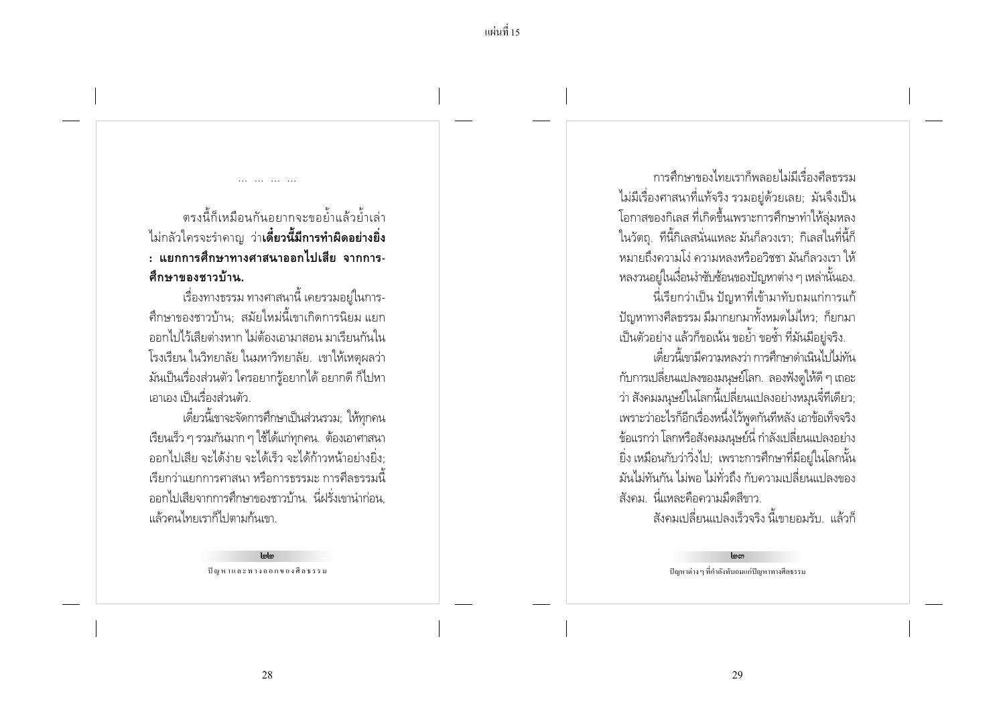ตรงนี้ก็เหมือนกันอยากจะขอย้ำแล้วย้ำเล่า ไม่กลัวใครจะรำคาญ ว่า**เดี๋ยวนี้มีการทำผิดอย่างยิ่ง** : แยกการศึกษาทางศาสนาออกไปเสีย จากการ-ดึกษาของชาวบ้าน.

เรื่องทางธรรม ทางศาสนานี้ เคยรวมอยู่ในการ-้ศึกษาของชาวบ้าน: สมัยใหม่นี้เขาเกิดการนิยม แยก ้ออกไปไว้เสียต่างหาก ไม่ต้องเอามาสอน มาเรียนกันใน โรงเรียน ในวิทยาลัย ในมหาวิทยาลัย. เขาให้เหตุผลว่า ้มันเป็นเรื่องส่วนตัว ใครอยากรู้อยากได้ อยากดี ก็ไปหา เอาเอง เป็นเรื่องส่วนตัว

เดี๋ยวนี้เขาจะจัดการศึกษาเป็นส่วนรวม; ให้ทุกคน ้เรียนเร็ว ๆ รวมกันมาก ๆ ใช้ได้แก่ทุกคน. ต้องเอาศาสนา ออกไปเสีย จะได้ง่าย จะได้เร็ว จะได้ก้าวหน้าอย่างยิ่ง: ้เรียกว่าแยกการศาสนา หรือการธรรมะ การศีลธรรมนี้ ้ออกไปเสียจากการศึกษาของชาวบ้าน. นี่ฝรั่งเขานำก่อน. แล้วดนไทยเราก็ไปตามกันเขา

ปัญหาและทางออกของศีลธรรม

การศึกษาของไทยเราก็พลอยไปปีเรื่องศีลธรรบ ไม่มีเรื่องศาสนาที่แท้จริง รวมอยู่ด้วยเลย; มันจึงเป็น โอกาสของกิเลส ที่เกิดขึ้นเพราะการศึกษาทำให้ลุ่มหลง ในวัตถ. ที่นี้กิเลสนั่นแหละ มันก็ลวงเรา: กิเลสในที่นี้ก็ ้หมายถึงความโง่ ความหลงหรืออวิชชา มันก็ลวงเรา ให้ ิ หลงวนอย์ในเงื่อนงำซับซ้อนของปัญหาต่าง ๆ เหล่านั้นเอง. ้ นี่เรียกว่าเป็น ปัญหาที่เข้ามาทับถมแก่การแก้ ้ ปัญหาทางศีลธรรม มีมากยกมาทั้งหมดไม่ไหว; ก็ยกมา เป็นตัวอย่าง แล้วก็ขอเน้น ขอย้ำ ขอช้ำ ที่มันมีอยู่จริง. เดี๋ยวนี้เขามีความหลงว่า การศึกษาดำเนินไปไม่ทัน ้กับการเปลี่ยนแปลงของมนุษย์โลก. ลองฟังดูให้ดี ๆ เถอะ ว่า สังคมมนุษย์ในโลกนี้เปลี่ยนแปลงอย่างหมุนจี๋ทีเดียว; เพราะว่าอะไรก็อีกเรื่องหนึ่งไว้พูดกันทีหลัง เอาข้อเท็จจริง ข้อแรกว่า โลกหรือสังคมมนุษย์นี่ กำลังเปลี่ยนแปลงอย่าง ยิ่ง เหมือนกับว่าวิ่งไป; เพราะการศึกษาที่มีอยู่ในโลกนั้น มันไม่ทันกัน ไม่พอ ไม่ทั่วถึง กับความเปลี่ยนแปลงของ ้สังคม นี่แหละคือความมืดสีขาว.

้สังคมเปลี่ยนแปลงเร็วจริง นี้เขายอมรับ แล้วก็

 $lm<sub>m</sub>$ ปัญหาต่าง ๆ ที่กำลังทับถมแก่ปัญหาทางศีลธรรม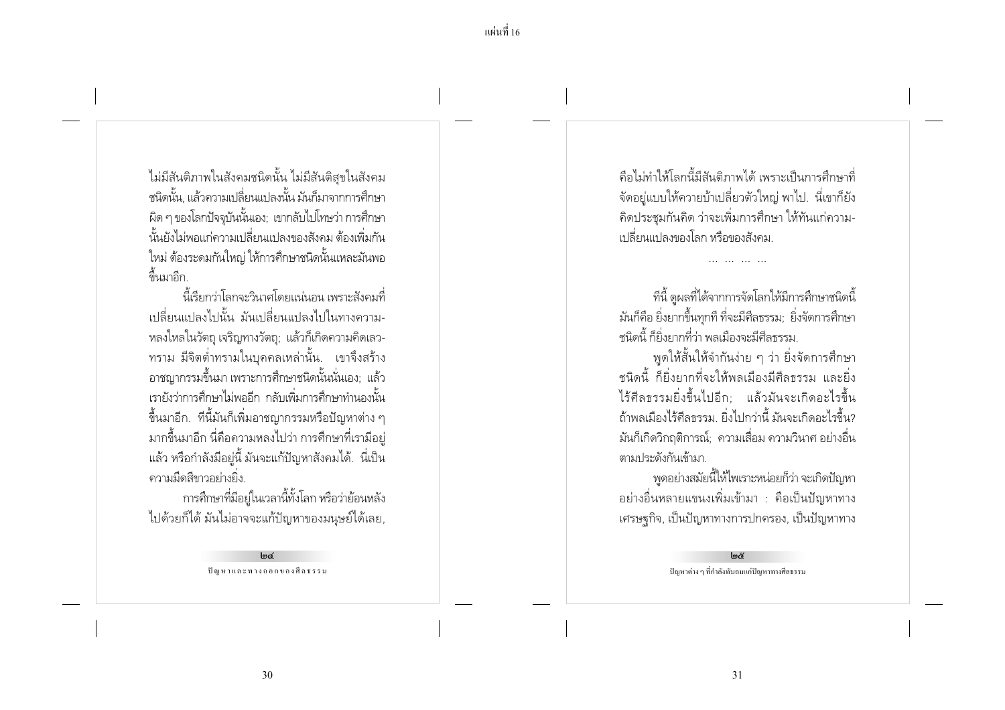ไม่มีสันติภาพในสังคมชนิดนั้น ไม่มีสันติสุขในสังคม ิชนิดนั้น. แล้วความเปลี่ยนแปลงนั้น มันก็มาจากการศึกษา ้ ผิด ๆ ของโลกปัจจุบันนั้นเอง; เขากลับไปโทษว่า การศึกษา นั้นยังไม่พอแก่ความเปลี่ยนแปลงของสังคม ต้องเพิ่มกัน ใหม่ ต้องระดมกันใหญ่ ให้การศึกษาชนิดนั้นแหละมันพอ ล้ำนมาอีก

นี้เรียกว่าโลกจะวินาศโดยแน่นอน เพราะสังคมที่ เปลี่ยนแปลงไปนั้น มันเปลี่ยนแปลงไปในทางความ-หลงใหลในวัตถุ เจริญทางวัตถุ; แล้วก็เกิดความคิดเลว-ิทราม มีจิตต่ำทรามในบคคลเหล่านั้น. เขาจึงสร้าง ้อาชฌากรรมขึ้นมา เพราะการศึกษาชนิดนั้นนั่นเอง: แล้ว เรายังว่าการศึกษาไม่พออีก กลับเพิ่มการศึกษาทำนองนั้น ์ขึ้นมาอีก. ทีนี้มันก็เพิ่มอาชญากรรมหรือปัญหาต่าง ๆ ้มากขึ้นมาอีก นี่คือความหลงไปว่า การศึกษาที่เรามีอยู่ แล้ว หรือกำลังมีอยู่นี้ มันจะแก้ปัญหาสังคมได้. นี่เป็น ้ ความมืดสีขาวอย่างยิ่ง.

การศึกษาที่มีอยู่ในเวลานี้ทั้งโลก หรือว่าย้อนหลัง ไปด้วยก็ได้ มันไม่อาจจะแก้ปัญหาของมนุษย์ได้เลย,

> $Im\epsilon$ ปัญหาและทางออกของศีลธรรม

้คือไม่ทำให้โลกนี้มีสันติภาพได้ เพราะเป็นการศึกษาที่ ี จัดอยู่แบบให้ควายบ้าเปลี่ยวตัวใหญ่ พาไป. นี่เขาก็ยัง ้คิดประชุมกันคิด ว่าจะเพิ่มการศึกษา ให้ทันแก่ความ-้เปลี่ยนแปลงของโลก หรือของสังคม

้ที่นี้ ดูผลที่ได้จากการจัดโลกให้มีการศึกษาชนิดนี้ มันก็คือ ยิ่งยากขึ้นทกที ที่จะมีศีลธรรม: ยิ่งจัดการศึกษา ชนิดนี้ ก็ยิ่งยากที่ว่า พลเมืองจะมีศีลธรรม

พูดให้สั้นให้จำกันง่าย ๆ ว่า ยิ่งจัดการศึกษา ้ ชนิดนี้ ก็ยิ่งยากที่จะให้พลเมืองมีศีลธรรม และยิ่ง ไร้ศีลธรรมยิ่งขึ้นไปอีก; แล้วมันจะเกิดอะไรขึ้น ้ถ้าพลเมืองไร้ศีลธรรม ยิ่งไปกว่านี้ มันจะเกิดอะไรขึ้น? ้มันก็เกิดวิกฤติการณ์; ความเสื่อม ความวินาศ อย่างอื่น ตามา |ระดังกันเข้ามา

้พูดอย่างสมัยนี้ให้ไพเราะหน่อยก็ว่า จะเกิดปัญหา ้อย่างอื่นหลายแขนงเพิ่มเข้ามา : คือเป็นปัญหาทาง ้เศรษจุกิจ, เป็นปัญหาทางการปกครอง, เป็นปัญหาทาง

> $Im\mathcal{E}$ ปัญหาต่าง ๆ ที่กำลังทับถมแก่ปัญหาทางศีลธรรม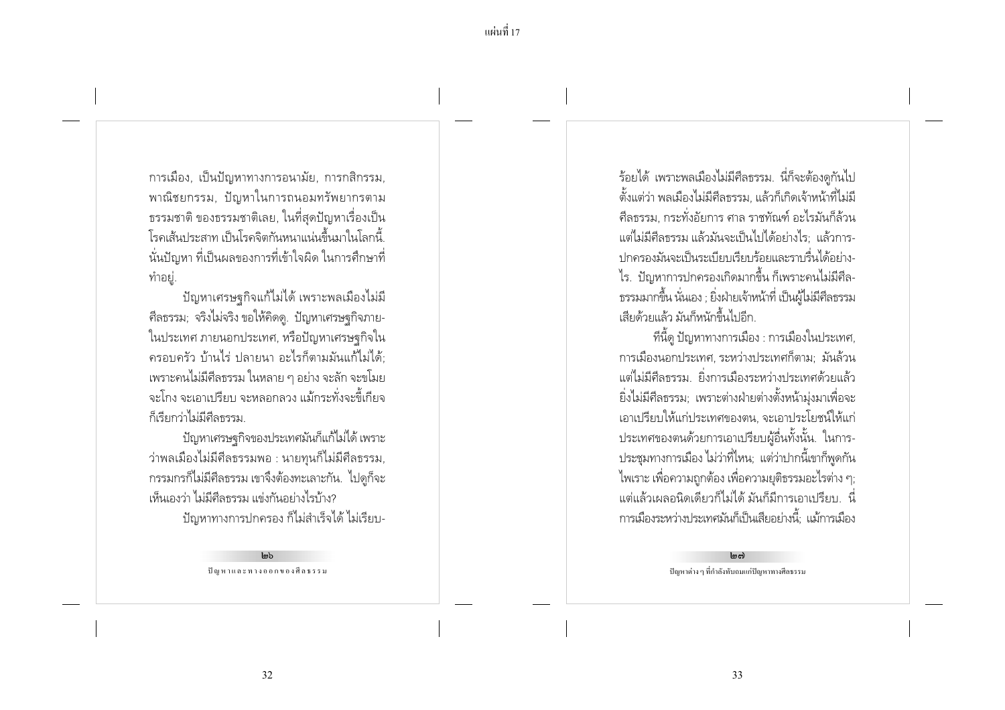การเมือง, เป็นปัญหาทางการอนามัย, การกสิกรรม, พาณิชยกรรม, ปัญหาในการถนอมทรัพยากรตาม ุธรรมชาติ ของธรรมชาติเลย, ในที่สุดปัญหาเรื่องเป็น โรคเส้นประสาท เป็นโรคจิตกันหนาแน่นขึ้นมาในโลกนี้ ้นั่นปัญหา ที่เป็นผลของการที่เข้าใจผิด ในการศึกษาที่ ทำอย่.

้ปัญหาเศรษฐกิจแก้ไม่ได้ เพราะพลเมืองไม่มี ้ศีลธรรม; จริงไม่จริง ขอให้คิดดู. ปัญหาเศรษฐกิจภาย-ในประเทศ ภายนอกประเทศ, หรือปัญหาเศรษฐกิจใน ้ครอบครัว บ้านไร่ ปลายนา อะไรก็ตามมันแก้ไม่ได้: ้ เพราะคนไม่มีศีลธรรม ในหลาย ๆ อย่าง จะลัก จะขโมย ้ จะโกง จะเอาเปรียบ จะหลอกลวง แม้กระทั่งจะขี้เกียจ ก็เรียกว่าไม่มีศีลธรรม

ปัญหาเศรษฐกิจของประเทศมันก็แก้ไม่ได้ เพราะ ว่าพลเมืองไม่มีศีลธรรมพอ : นายทุนก็ไม่มีศีลธรรม, ้ กรรมกรก็ไม่มีศีลธรรม เขาจึงต้องทะเลาะกัน. ไปดูก็จะ เห็นเองว่า ไม่มีศีลธรรม แข่งกันอย่างไรบ้าง? ปัญหาทางการปกครอง ก็ไม่สำเร็จได้ ไม่เรียบ-

> $lm<sub>b</sub>$ ปัญหาและทางออกของศีลธรรม

ร้อยได้ เพราะพลเมืองไม่มีศีลธรรม. นี่ก็จะต้องดูกันไป ์ตั้งแต่ว่า พลเมืองไม่มีศีลธรรม. แล้วก็เกิดเจ้าหน้าที่ไม่มี ้ศีลธรรม. กระทั่งอัยการ ศาล ราชทัณฑ์ อะไรมันก็ล้วน แต่ไม่มีศีลธรรม แล้วมันจะเป็นไปได้อย่างไร: แล้วการ-ปกครองมันจะเป็นระเบียบเรียบร้อยและราบรื่นได้อย่าง-ไร. ปัญหาการปกครองเกิดมากขึ้น ก็เพราะคนไม่มีศีล-ธรรมมากขึ้น นั่นเอง ; ยิ่งฝ่ายเจ้าหน้าที่ เป็นผู้ไม่มีศีลธรรม เสียด้วยแล้ว มันก็หนักขึ้นไปอีก

้ที่นี้ดู ปัญหาทางการเมือง : การเมืองในประเทศ, การเมืองนอกประเทศ ระหว่างประเทศก็ตาม: มันล้วน แต่ไม่มีศีลธรรม ยิ่งการเมืองระหว่างประเทศด้วยแล้ว ยิ่งไม่มีศีลธรรม; เพราะต่างฝ่ายต่างตั้งหน้ามุ่งมาเพื่อจะ เอาเปรียบให้แก่ประเทศของตน. จะเอาประโยชน์ให้แก่ ประเทศของตนด้วยการเอาเปรียบผู้อื่นทั้งนั้น. ในการ-ประชุมทางการเมือง ไม่ว่าที่ไหน; แต่ว่าปากนี้เขาก็พูดกัน ไพเราะ เพื่อความถูกต้อง เพื่อความยุติธรรมอะไรต่าง ๆ; ่ แต่แล้วเผลอนิดเดียวก็ไม่ได้ มันก็มีการเอาเปรียบ. นี่ ่ การเมืองระหว่างประเทศมันก็เป็นเสียอย่างนี้: แม้การเมือง

> $\log$ ปัญหาต่าง ๆ ที่กำลังทับถมแก่ปัญหาทางศีลธรรม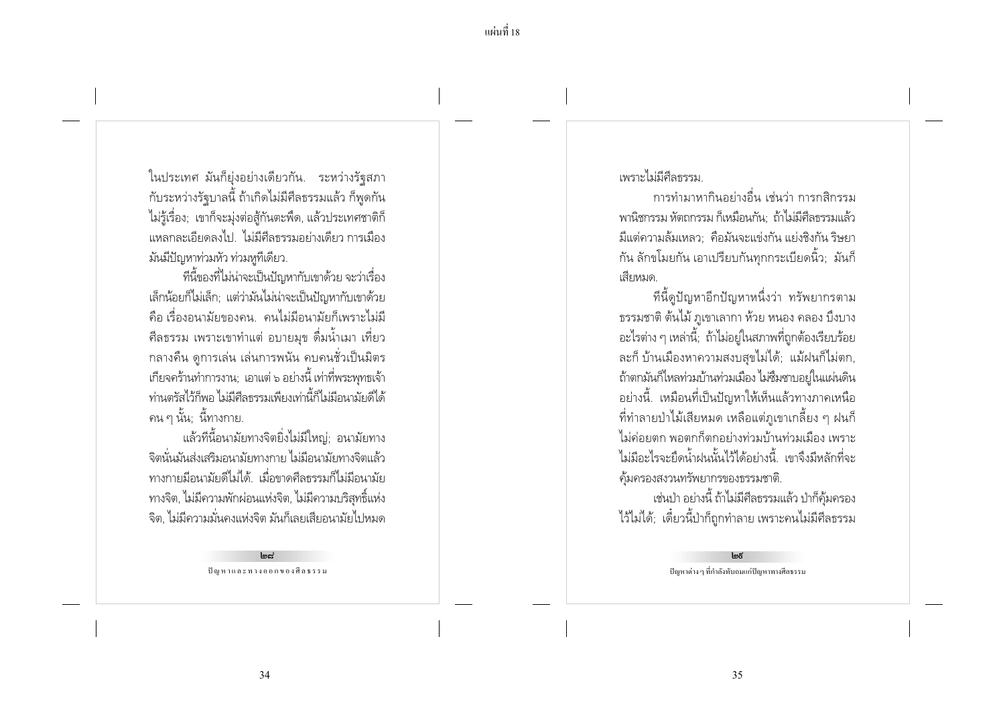ในประเทศ มันก็ยุ่งอย่างเดียวกัน. ระหว่างรัฐสภา กับระหว่างรัฐบาลนี้ ถ้าเกิดไม่มีศีลธรรมแล้ว ก็พูดกัน ไม่รู้เรื่อง; เขาก็จะมุ่งต่อสู้กันตะพืด, แล้วประเทศชาติก็ แหลกละเอียดลงไป ไม่มีศีลธรรมอย่างเดียว การเมือง มันมีปัญหาท่วมหัว ท่วมหูที่เดียว.

ที่นี้ของที่ไม่น่าจะเป็นปัญหากับเขาด้วย จะว่าเรื่อง เล็กน้อยก็ไม่เล็ก; แต่ว่ามันไม่น่าจะเป็นปัญหากับเขาด้วย ู้คือ เรื่องอนามัยของคน คนไม่มีอนามัยก็เพราะไม่มี ้ศีลธรรม เพราะเขาทำแต่ อบายมุข ดื่มน้ำเมา เที่ยว ึกลางคืน ดการเล่น เล่นการพนัน คบคนชั่วเป็นมิตร เกียจคร้านทำการงาน; เอาแต่ ๖ อย่างนี้ เท่าที่พระพุทธเจ้า ท่านตรัสไว้ก็พอ ไม่มีศีลธรรมเพียงเท่านี้ก็ไม่มีอนามัยดีได้ ิ คน ๆ นั้น: นี้ทางกาย.

แล้วที่นี้อนามัยทางจิตยิ่งไม่มีใหญ่; อนามัยทาง ้จิตนั่นมันส่งเสริมอนามัยทางกาย ไม่มีอนามัยทางจิตแล้ว ้ทางกายมือนามัยดีไม่ได้. เมื่อขาดศีลธรรมก็ไม่มือนามัย ิ ทางจิต, ไม่มีความพักผ่อนแห่งจิต, ไม่มีความบริสุทธิ์แห่ง จิต, ไม่มีความมั่นคงแห่งจิต มันก็เลยเสียอนามัยไปหมด

> $Imc<sub>z</sub>$ ปัญหาและทางออกของศีลธรรม

เพราะไม่มีศีลธรรม

่ การทำมาหากินอย่างอื่น เช่นว่า การกสิกรรม พานิชกรรม หัตถกรรม ก็เหมือนกัน: ถ้าไม่มีศีลธรรมแล้ว ้มีแต่ความล้มเหลว - คือมันจะแข่งกัน แย่งชิงกัน ริษยา ้กัน ลักขโมยกัน เอาเปรียบกันทุกกระเบียดนิ้ว; มันก็ เสียหมด

้ที่นี้ดูปัญหาอีกปัญหาหนึ่งว่า ทรัพยากรตาม ธรรมชาติ ต้นไม้ ภูเขาเลากา ห้วย หนอง คลอง บึงบาง ้อะไรต่าง ๆ เหล่านี้; ถ้าไม่อยู่ในสภาพที่ถูกต้องเรียบร้อย ละก็ บ้านเมืองหาความสงบสขไม่ได้; แม้ฝนก็ไม่ตก, ถ้าตกมันก็ไหลท่วมบ้านท่วมเมือง ไม่ซึมซาบอยู่ในแผ่นดิน ้อย่างนี้. เหมือนที่เป็นปัญหาให้เห็นแล้วทางภาคเหนือ ์ ที่ทำลายป่าไม้เสียหมด เหลือแต่ภูเขาเกลี้ยง ๆ ฝนก็ ไม่ค่อยตก พอตกก็ตกอย่างท่วมบ้านท่วมเมือง เพราะ ไม่มีอะไรจะยึดน้ำฝนนั้นไว้ได้อย่างนี้ เขาจึงมีหลักที่จะ คุ้มครองสงวนทรัพยากรของธรรมชาติ.

เช่นป่า อย่างนี้ ถ้าไม่มีศีลธรรมแล้ว ป่าก็คุ้มครอง ไว้ไม่ได้; เดี๋ยวนี้ป่าก็ถูกทำลาย เพราะคนไม่มีศีลธรรม

ปัญหาต่าง ๆ ที่กำลังทับถมแก่ปัญหาทางศีลธรรม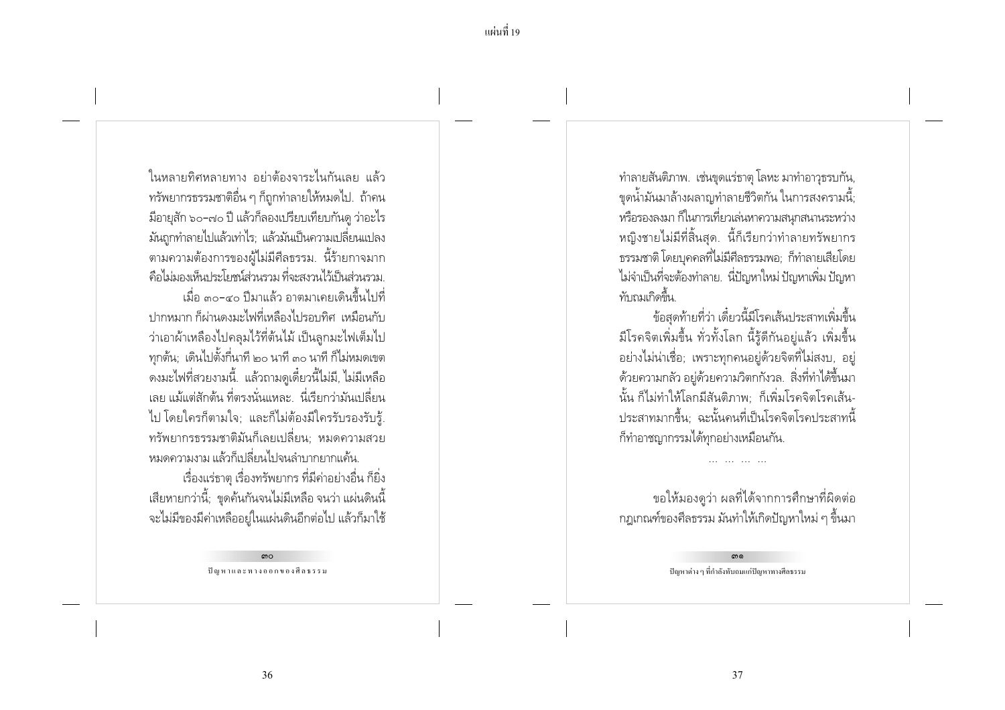ในหลายทิศหลายทาง อย่าต้องจาระไนกันเลย แล้ว ้ทรัพยากรธรรมชาติอื่น ๆ ก็ถูกทำลายให้หมดไป. ถ้าคน ้มีอายุสัก ๖๐-๗๐ ปี แล้วก็ลองเปรียบเทียบกันดู ว่าอะไร ้มันถกทำลายไปแล้วเท่าไร: แล้วมันเป็นความเปลี่ยนแปลง ตามความต้องการของผู้ไม่มีศีลธรรม. นี้ร้ายกาจมาก ้คือไม่มองเห็นบระโยชน์ส่วนรวม ที่จะสงวนไว้เป็นส่วนรวม เมื่อ ๓๐-๔๐ ปีมาแล้ว อาตมาเคยเดินขึ้นไปที่ ำ|ากหมาก ก็ผ่านดงมะไฟที่เหลืองไปรอบทิศ เหมือนกับ ว่าเอาผ้าเหลืองไปคลุมไว้ที่ต้นไม้ เป็นลูกมะไฟเต็มไป ทุกต้น; เดินไปตั้งกี่นาที ๒๐ นาที ๓๐ นาที ก็ไม่หมดเขต ้ ดงมะไฟที่สวยงามนี้. แล้วถามดูเดี๋ยวนี้ไม่มี, ไม่มีเหลือ เลย แม้แต่สักต้น ที่ตรงนั่นแหละ นี่เรียกว่ามันเปลี่ยน ไป โดยใครก็ตามใจ; และก็ไม่ต้องมีใครรับรองรับรู้. ้ทรัพยากรธรรมชาติมันก็เลยเปลี่ยน: หมดความสวย หมดความงาม แล้วก็เปลี่ยนไปจนลำบากยากแค้น

เรื่องแร่ธาตุ เรื่องทรัพยากร ที่มีค่าอย่างอื่น ก็ยิ่ง ้ เสียหายกว่านี้; ขุดค้นกันจนไม่มีเหลือ จนว่า แผ่นดินนี้ ้จะไม่มีของมีค่าเหลืออยู่ในแผ่นดินอีกต่อไป แล้วก็มาใช้

> ഩ൦ ปัญหาและทางออกของศีลธรรม

ทำลายสันติภาพ. เช่นขุดแร่ธาตุ โลหะ มาทำอาวุธรบกัน, ้ขุดน้ำมันมาล้างผลาญทำลายชีวิตกัน ในการสงครามนี้; หรือรองลงมา ก็ในการเที่ยวเล่นหาความสนุกสนานระหว่าง หญิงชายไม่มีที่สิ้นสด. นี้ก็เรียกว่าทำลายทรัพยากร ิธรรมชาติ โดยบุคคลที่ไม่มีศีลธรรมพอ; ก็ทำลายเสียโดย ไม่จำเป็นที่จะต้องทำลาย. นี่ปัญหาใหม่ ปัญหาเพิ่ม ปัญหา ทับกมเกิดขึ้น

ข้อสดท้ายที่ว่า เดี๋ยวนี้มีโรคเส้นประสาทเพิ่มขึ้น ้มีโรคจิตเพิ่มขึ้น ทั่วทั้งโลก นี้รู้ดีกันอยู่แล้ว เพิ่มขึ้น ้อย่างไม่น่าเชื่อ; เพราะทุกคนอยู่ด้วยจิตที่ไม่สงบ, อยู่ ้ด้วยความกลัว อยู่ด้วยความวิตกกังวล. สิ่งที่ทำได้ขึ้นมา ้นั้น ก็ไม่ทำให้โลกมีสันติภาพ: ก็เพิ่มโรคจิตโรคเส้น-ประสาทมากขึ้น: ฉะนั้นคนที่เป็นโรคจิตโรคประสาทนี้ ้ก็ทำอาชญากรรมได้ทุกอย่างเหมือนกัน.

ขอให้มองดูว่า ผลที่ได้จากการศึกษาที่ผิดต่อ ิ กฎเกณฑ์ของศีลธรรม มันทำให้เกิดปัญหาใหม่ ๆ ขึ้นมา

> ഩ൭ ปัญหาต่าง ๆ ที่กำลังทับถมแก่ปัญหาทางศีลธรรม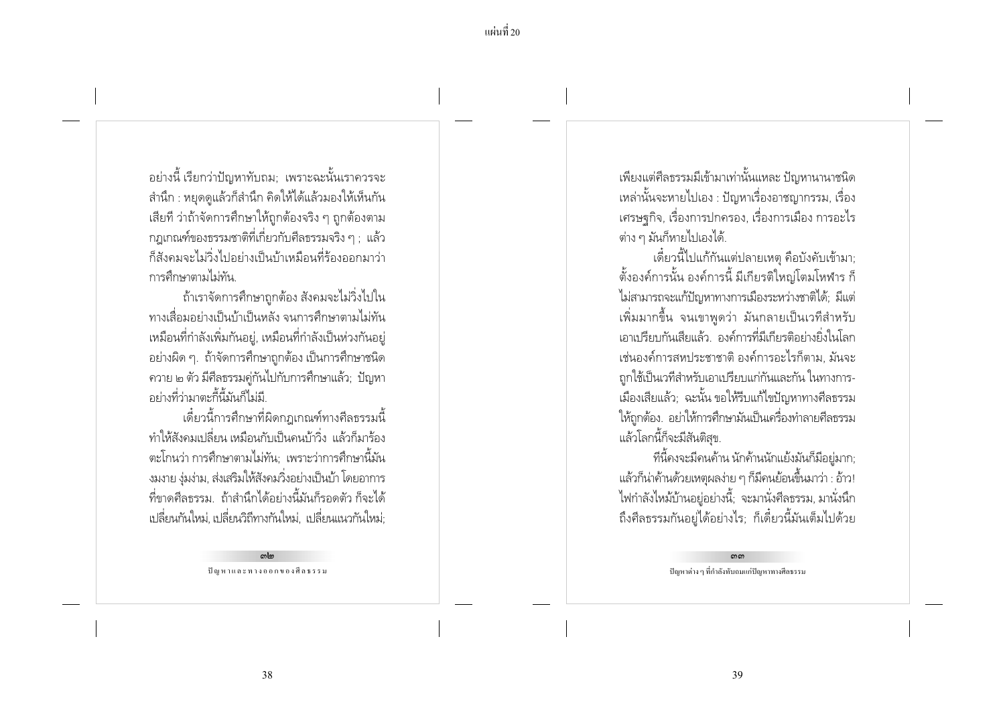ี แผ่นที่ 20

้อย่างนี้ เรียกว่าปัญหาทับถม: เพราะฉะนั้นเราควรจะ ้สำนึก : หยุดดูแล้วก็สำนึก คิดให้ได้แล้วมองให้เห็นกัน เสียที่ ว่าถ้าจัดการศึกษาให้ถูกต้องจริง ๆ ถูกต้องตาม าภเกณฑ์ของธรรมชาติที่เกี่ยวกับศีลธรรมจริง ๆ : แล้ว ก็สังคมจะไม่วิ่งไปอย่างเป็นบ้าเหมือนที่ร้องออกมาว่า การศึกษาตาบไปทับ

้ถ้าเราจัดการศึกษาถูกต้อง สังคมจะไม่วิ่งไปใน ้ทางเสื่อมอย่างเป็นบ้าเป็นหลัง จนการศึกษาตามไม่ทัน เหมือนที่กำลังเพิ่มกันอยู่, เหมือนที่กำลังเป็นห่วงกันอยู่ ้อย่างผิด ๆ. ถ้าจัดการศึกษาถกต้อง เป็นการศึกษาชนิด ้ ควาย ๒ ตัว มีศีลธรรมคู่กันไปกับการศึกษาแล้ว; ปัญหา ้อย่างที่ว่ามาตะกี้นี้มันก็ไม่มี

้เดี๋ยวนี้การศึกษาที่ผิดกฎเกณฑ์ทางศีลธรรมนี้ ทำให้สังคมเปลี่ยน เหมือนกับเป็นคนบ้าวิ่ง แล้วก็มาร้อง ิตะโกนว่า การศึกษาตามไม่ทัน: เพราะว่าการศึกษานี้มัน ึงมงาย งุ่มง่าม, ส่งเสริมให้สังคมวิ่งอย่างเป็นบ้า โดยอาการ ้ที่ขาดศีลธรรม ถ้าสำนึกได้อย่างนี้มันก็รอดตัว ก็จะได้ ้เปลี่ยนกันใหม่, เปลี่ยนวิถีทางกันใหม่, เปลี่ยนแนวกันใหม่;

> $m<sub>cm</sub>$ ปัญหาและทางออกของศีลธรรม

เพียงแต่ศีลธรรมมีเข้ามาเท่านั้นแหละ ปัญหานานาชนิด ่ เหล่านั้นจะหายไปเอง : ปัญหาเรื่องอาชญากรรม, เรื่อง ้ เศรษจุกิจ, เรื่องการปกครอง, เรื่องการเมือง การอะไร ้ต่าง ๆ มันก็หายไปเองได้.

้เดี๋ยวนี้ไปแก้กันแต่ปลายเหตุ คือบังคับเข้ามา; ์ตั้งองค์การนั้น องค์การนี้ มีเกียรติใหญ่โตมโหฬาร ก็ ไม่สามารถจะแก้ปัญหาทางการเมืองระหว่างชาติได้; มีแต่ เพิ่มมากขึ้น จนเขาพดว่า มันกลายเป็นเวทีสำหรับ เอาเปรียบกันเสียแล้ว องค์การที่มีเกียรติอย่างยิ่งในโลก เช่นองค์การสหประชาชาติ องค์การอะไรก็ตาม มันจะ ถกใช้เป็นเวทีสำหรับเอาเปรียบแก่กันและกัน ในทางการ-้เมืองเสียแล้ว; ฉะนั้น ขอให้รีบแก้ไขปัญหาทางศีลธรรม ให้ถูกต้อง. อย่าให้การศึกษามันเป็นเครื่องทำลายศีลธรรม แล้วโลกนี้ก็จะมีสันติสุข.

้ที่นี้คงจะมีคนค้าน นักค้านนักแย้งมันก็มีอย่มาก: ้แล้วก็น่าค้านด้วยเหตุผลง่าย ๆ ก็มีคนย้อนขึ้นมาว่า : อ้าว! ไฟกำลังไหม้บ้านอยู่อย่างนี้; จะมานั่งศีลธรรม, มานั่งนึก ถึงศีลธรรมกันอยู่ได้อย่างไร; ก็เดี๋ยวนี้มันเต็มไปด้วย

> ഩഩ ปัญหาต่าง ๆ ที่กำลังทับถมแก่ปัญหาทางศีลธรรม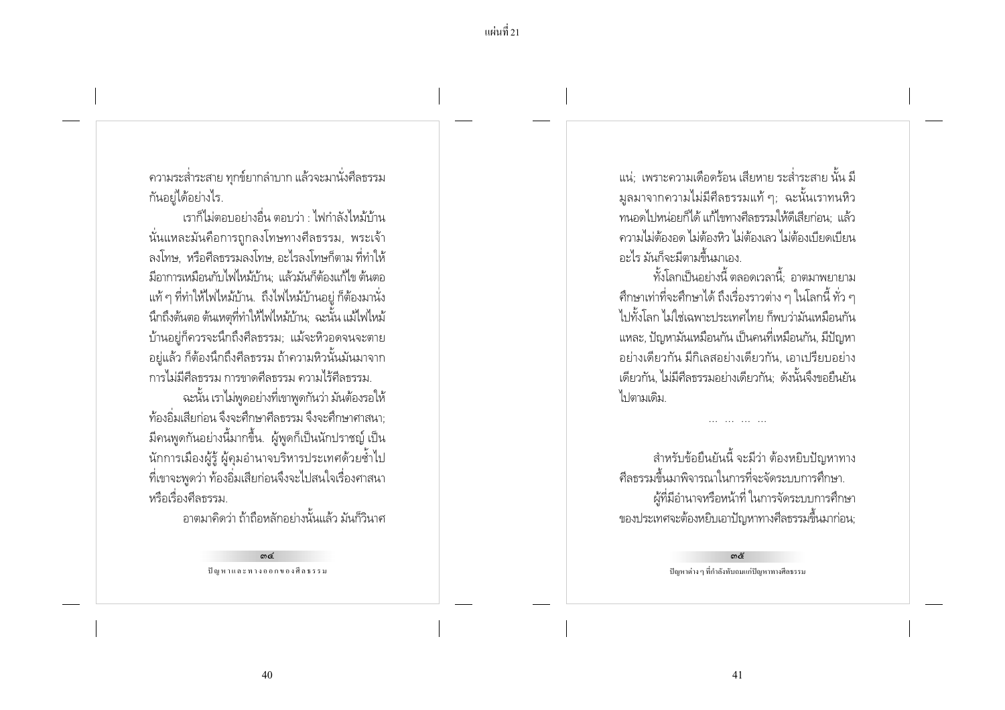ิ ความระส่ำระสาย ทุกข์ยากลำบาก แล้วจะมานั่งศีลธรรม กันอยู่ได้อย่างไร.

เราก็ไม่ตอบอย่างอื่น ตอบว่า · ไฟกำลังไหม้บ้าน ้นั่นแหละมันคือการถกลงโทษทางศีลธรรม. พระเจ้า ิลงโทษ. หรือศีลธรรมลงโทษ. อะไรลงโทษก็ตาม ที่ทำให้ ้มีอาการเหมือนกับไฟไหม้บ้าน แล้วมันก็ต้องแก้ไข ต้นตอ แท้ ๆ ที่ทำให้ไฟไหม้บ้าน. ถึงไฟไหม้บ้านอยู่ ก็ต้องมานั่ง ้นึกถึงต้นตอ ต้นเหตุที่ทำให้ไฟไหม้บ้าน: ฉะนั้น แม้ไฟไหม้ บ้านอยู่ก็ควรจะนึกถึงศีลธรรม; แม้จะหิวอดจนจะตาย ้อย่แล้ว ก็ต้องนึกถึงศีลธรรม ถ้าความหิวนั้นมันมาจาก การไม่มีศีลธรรม การขาดศีลธรรม ความไร้ศีลธรรม

ฉะนั้น เราไม่พูดอย่างที่เขาพูดกันว่า มันต้องรอให้ ท้องอิ่มเสียก่อน จึงจะศึกษาศีลธรรม จึงจะศึกษาศาสนา: มีคนพูดกันอย่างนี้มากขึ้น. ผู้พูดก็เป็นนักปราชญ์ เป็น ้นักการเมืองผู้รู้ ผู้คุมอำนาจบริหารประเทศด้วยซ้ำไป ้ ที่เขาจะพูดว่า ท้องอิ่มเสียก่อนจึงจะไปสนใจเรื่องศาสนา หรือเรื่องศีลธรรม

์<br>ภาตบาดิดว่า ก้ากือหลักอย่างบั้นแล้ว บันก็วินาศ

ഩ๔ ปัญหาและทางออกของศีลธรรม

แน่: เพราะความเดือดร้อน เสียหาย ระส่ำระสาย นั้น มี ้มูลมาจากความไม่มีศีลธรรมแท้ ๆ; ฉะนั้นเราทนหิว ้ทนอดไปหน่อยก็ได้ แก้ไขทางศีลธรรมให้ดีเสียก่อน: แล้ว ้ ความไม่ต้องอด ไม่ต้องหิว ไม่ต้องเลว ไม่ต้องเบียดเบียน ้อะไร มันก็จะมีตามขึ้นมาเอง

ทั้งโลกเป็นอย่างนี้ ตลอดเวลานี้: อาตมาพยายาม ่ ศึกษาเท่าที่จะศึกษาได้ ถึงเรื่องราวต่าง ๆ ในโลกนี้ ทั่ว ๆ ไปทั้งโลก ไม่ใช่เฉพาะประเทศไทย ก็พบว่ามันเหมือนกัน แหละ, ปัญหามันเหมือนกัน เป็นคนที่เหมือนกัน, มีปัญหา ้อย่างเดียวกัน มีกิเลสอย่างเดียวกัน, เอาเปรียบอย่าง เดียวกัน, ไม่มีศีลธรรมอย่างเดียวกัน; ดังนั้นจึงขอยืนยัน ไง ไตามเดิม

สำหรับข้อยืนยันนี้ จะมีว่า ต้องหยิบปัญหาทาง ้ศีลธรรมขึ้นมาพิจารณาในการที่จะจัดระบบการศึกษา. ผู้ที่มีอำนาจหรือหน้าที่ ในการจัดระบบการศึกษา ของประเทศจะต้องหยิบเอาปัญหาทางศีลธรรมขึ้นมาก่อน;

> ഩ๕ ปัญหาต่าง ๆ ที่กำลังทับถมแก่ปัญหาทางศีลธรรม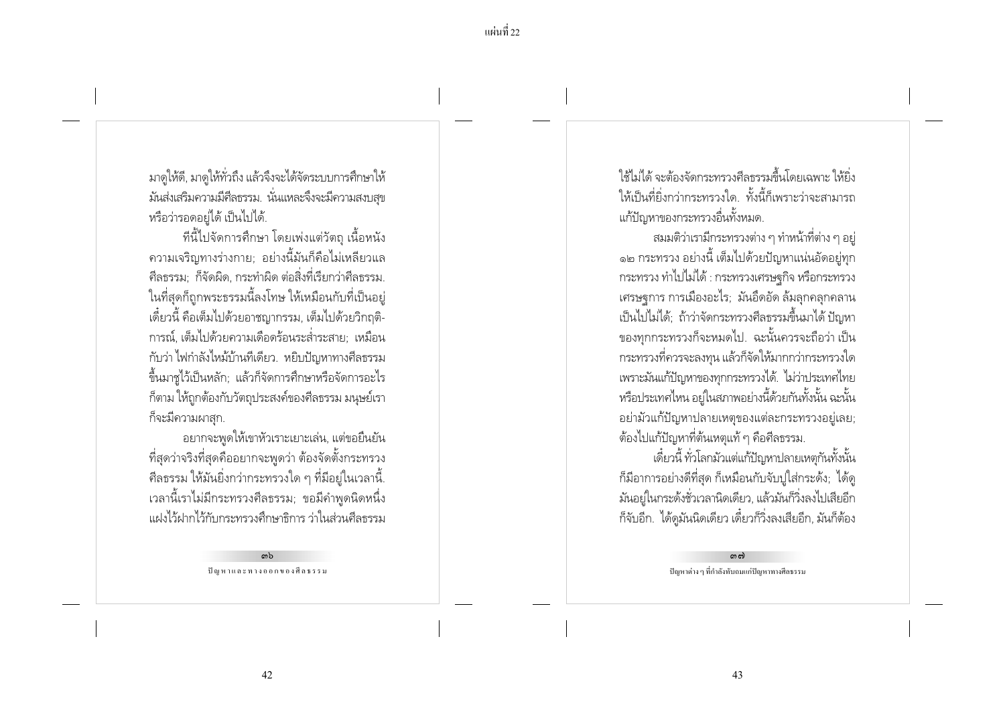้แผ่บที่ 22

มาดูให้ดี, มาดูให้ทั่วถึง แล้วจึงจะได้จัดระบบการศึกษาให้ ้มันส่งเสริมความมีศีลธรรม. นั่นแหละจึงจะมีความสงบสุข หรือว่ารอดอยู่ได้ เป็นไปได้.

ทีนี้ไปจัดการศึกษา โดยเพ่งแต่วัตถ เนื้อหนัง ์ ความเจริญทางร่างกาย; อย่างนี้มันก็คือไม่เหลี่ยวแล ้ศีลธรรม: ก็จัดผิด, กระทำผิด ต่อสิ่งที่เรียกว่าศีลธรรม. ในที่สุดก็ถูกพระธรรมนี้ลงโทษ ให้เหมือนกับที่เป็นอยู่ เดี๋ยวนี้ คือเต็มไปด้วยอาชฌากรรม, เต็มไปด้วยวิกถติ-่ การณ์. เต็มไปด้วยความเดือดร้อนระส่ำระสาย: เหมือน กับว่า ไฟกำลังไหม้บ้านที่เดียว. หยิบปัญหาทางศีลธรรม ์ขึ้นมาขู่ไว้เป็นหลัก; แล้วก็จัดการศึกษาหรือจัดการอะไร ้ก็ตาม ให้ถูกต้องกับวัตถุประสงค์ของศีลธรรม มนุษย์เรา ก็จะมีความผาสก.

้อยากจะพูดให้เขาหัวเราะเยาะเล่น, แต่ขอยืนยัน ้ ที่สุดว่าจริงที่สุดคืออยากจะพูดว่า ต้องจัดตั้งกระทรวง ่ ศีลธรรม ให้มันยิ่งกว่ากระทรวงใด ๆ ที่มีอยู่ในเวลานี้. ้เวลานี้เราไม่มีกระทรวงศีลธรรม; ขอมีคำพูดนิดหนึ่ง แฝงไว้ฝากไว้กับกระทรวงศึกษาธิการ ว่าในส่วนศีลธรรม

> ດາໄ ปัญหาและทางออกของศีลธรรม

ใช้ไม่ได้ จะต้องจัดกระทรางศีลธรรมตื้นโดยเฉพาะ ให้ยิง ให้เป็นที่ยิ่งกว่ากระทรวงใด. ทั้งนี้ก็เพราะว่าจะสามารถ แก้ปัญหาของกระทรวงอื่นทั้งหมด.

ิสมมติว่าเรามีกระทรวงต่าง ๆ ทำหน้าที่ต่าง ๆ อย่ ๑๒ กระทรวง อย่างนี้ เต็มไปด้วยปัญหาแน่นอัดอยู่ทุก กระทรวง ทำไปไม่ได้ : กระทรวงเศรษจกิจ หรือกระทรวง เศรษฐการ การเมืองอะไร; มันอึดอัด ล้มลุกคลุกคลาน เป็นไปไม่ได้; ถ้าว่าจัดกระทรวงศีลธรรมขึ้นมาได้ ปัญหา ของทุกกระทรวงก็จะหมดไป. ฉะนั้นควรจะถือว่า เป็น ิกระทรวงที่ควรจะลงทุน แล้วก็จัดให้มากกว่ากระทรวงใด เพราะมันแก้ปัญหาของทุกกระทรวงได้. ไม่ว่าประเทศไทย หรือประเทศไหน อยู่ในสภาพอย่างนี้ด้วยกันทั้งนั้น ฉะนั้น ้อย่ามัวแก้ปัญหาปลายเหตุของแต่ละกระทรวงอย่เลย: ้ต้องไปแก้ปัญหาที่ต้นเหตุแท้ ๆ คือศีลธรรม.

เดี๋ยวนี้ ทั่วโลกม้วแต่แก้ปัญหาปลายเหตกันทั้งนั้น ้ก็มีอาการอย่างดีที่สุด ก็เหมือนกับจับปูใส่กระด้ง; ได้ดู ้มันอยู่ในกระดังชั่วเวลานิดเดียว, แล้วมันก็วิ่งลงไปเสียอีก ก็จับอีก. ได้ดูมันนิดเดียว เดี๋ยวก็วิ่งลงเสียอีก, มันก็ต้อง

> നി ปัญหาต่าง ๆ ที่กำลังทับถมแก่ปัญหาทางศีลธรรม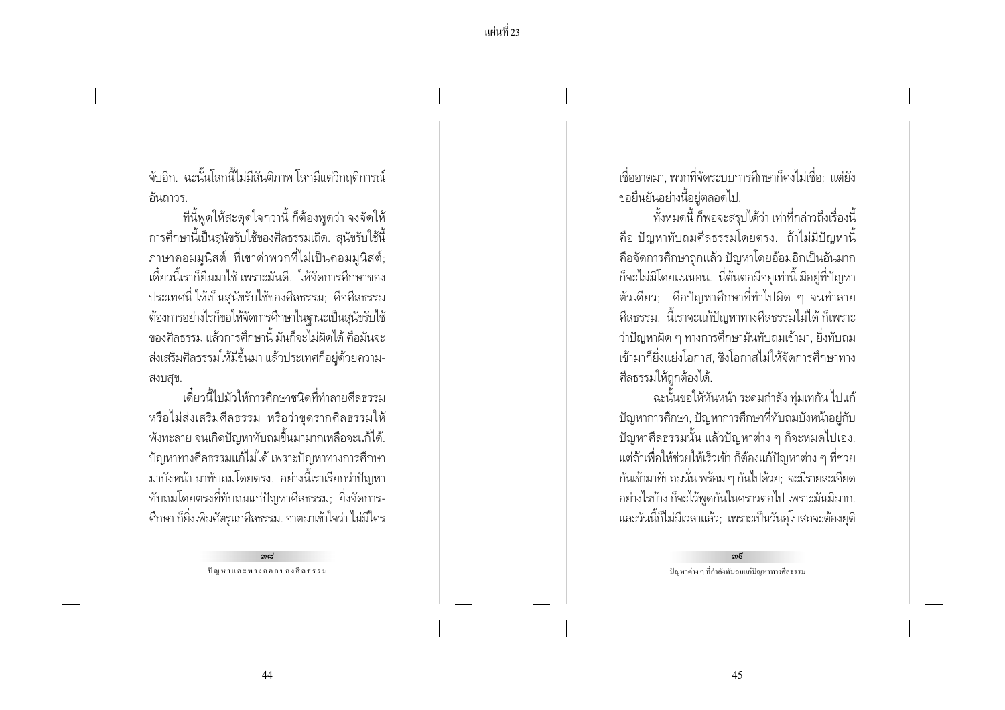้จับอีก. ฉะนั้นโลกนี้ไม่มีสันติภาพ โลกมีแต่วิกฤติการณ์ ์ คันถาวร.

ทีนี้พูดให้สะดุดใจกว่านี้ ก็ต้องพูดว่า จงจัดให้ การศึกษานี้เป็นสนัขรับใช้ของศีลธรรมเถิด. สนัขรับใช้นี้ ้ภาษาคอมมูนิสต์ ที่เขาด่าพวกที่ไม่เป็นคอมมูนิสต์; เดี๋ยวนี้เราก็ยืมมาใช้ เพราะมันดี ให้จัดการศึกษาของ ิ ประเทศนี่ ให้เป็นสุนัขรับใช้ของศีลธรรม; คือศีลธรรม ต้องการอย่างไรก็ขอให้จัดการศึกษาในฐานะเป็นสุนัขรับใช้ ๆคงศีลธรรม แล้วการศึกษานี้ มันก็จะไม่ผิดได้ คือมันจะ ้ส่งเสริมศีลธรรมให้มีขึ้นมา แล้วประเทศก็อยู่ด้วยความ-สงบสข.

เดี๋ยวนี้ไปม้าให้การศึกษาชนิดที่ทำลายศีลธรรม หรือไม่ส่งเสริมศึลธรรม หรือว่าขุดรากศึลธรรมให้ ้พังทะลาย จนเกิดปัญหาทับถมขึ้นมามากเหลือจะแก้ได้. ้ ปัญหาทางศีลธรรมแก้ไม่ได้ เพราะปัญหาทางการศึกษา ้มาบังหน้า มาทับถมโดยตรง. อย่างนี้เราเรียกว่าปัญหา ้ทับถมโดยตรงที่ทับถมแก่ปัญหาศีลธรรม; ยิ่งจัดการ-้ศึกษา ก็ยิ่งเพิ่มศัตรูแก่ศีลธรรม. อาตมาเข้าใจว่า ไม่มีใคร

> കപ്പ ปัญหาและทางออกของศีลธรรม

เชื่ออาตมา พวกที่จัดระบบการศึกษาก็คงไม่เชื่อ: แต่ยัง ขอยืนยันอย่างนี้อย่ตลอดไป.

้ทั้งหมดนี้ ก็พอจะสรปได้ว่า เท่าที่กล่าวถึงเรื่องนี้ ี คือ ปัญหาทับถมศีลธรรมโดยตรง. ถ้าไม่มีปัญหานี้ คือจัดการศึกษาถูกแล้ว ปัญหาโดยอ้อมอีกเป็นอันมาก ้ก็จะไม่มีโดยแน่นอน. นี่ต้นตอมีอยู่เท่านี้ มีอยู่ที่ปัญหา ์ตัวเดียว; คือปัญหาศึกษาที่ทำไปผิด ๆ จนทำลาย ้ศีลธรรม. นี้เราจะแก้ปัญหาทางศีลธรรมไม่ได้ ก็เพราะ ว่าปัญหาผิด ๆ ทางการศึกษามันทับถมเข้ามา, ยิ่งทับถม เข้ามาก็ยิ่งแย่งโอกาส. ซิงโอกาสไม่ให้จัดการศึกษาทาง ศีลธรรมให้ถกต้องได้.

ฉะนั้นขอให้หันหน้า ระดมกำลัง ทุ่มเทกัน ไปแก้ ้ปัญหาการศึกษา, ปัญหาการศึกษาที่ทับถมบังหน้าอยู่กับ ้ ปัญหาศีลธรรมนั้น แล้วปัญหาต่าง ๆ ก็จะหมดไปเอง. แต่ถ้าเพื่อให้ช่วยให้เร็วเข้า ก็ต้องแก้ปัญหาต่าง ๆ ที่ช่วย ้กันเข้ามาทับถมนั่น พร้อม ๆ กันไปด้วย; จะมีรายละเอียด ้อย่างไรบ้าง ก็จะไว้พูดกันในคราวต่อไป เพราะมันมีมาก. และวันนี้ก็ไม่มีเวลาแล้ว; เพราะเป็นวันอุโบสถจะต้องยุติ

> ഩ൳ ปัญหาต่าง ๆ ที่กำลังทับถมแก่ปัญหาทางศีลธรรม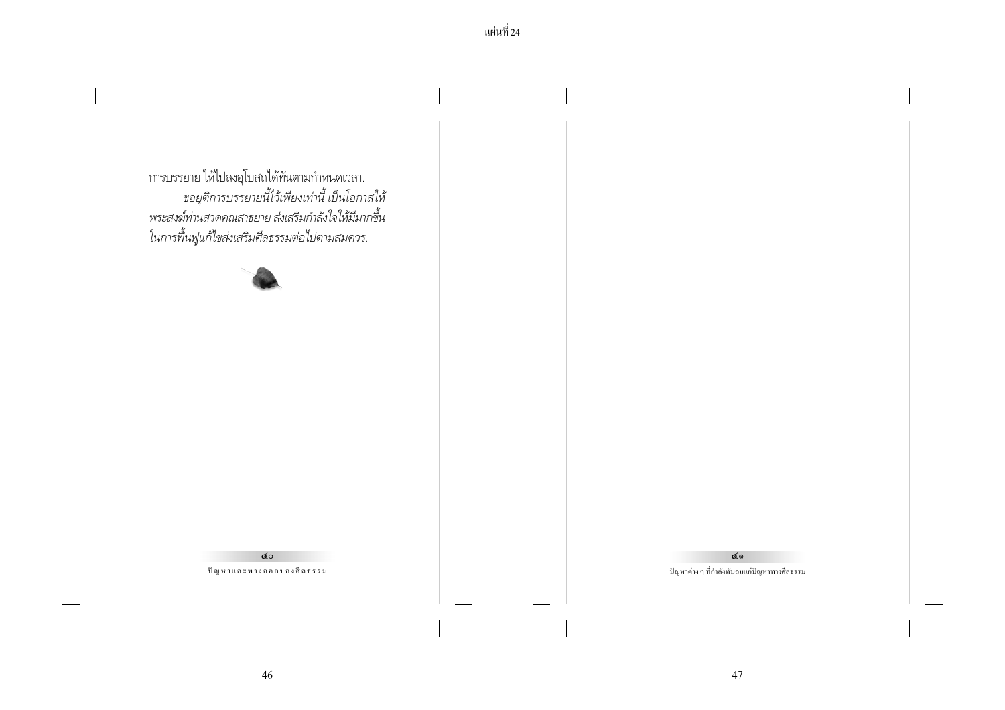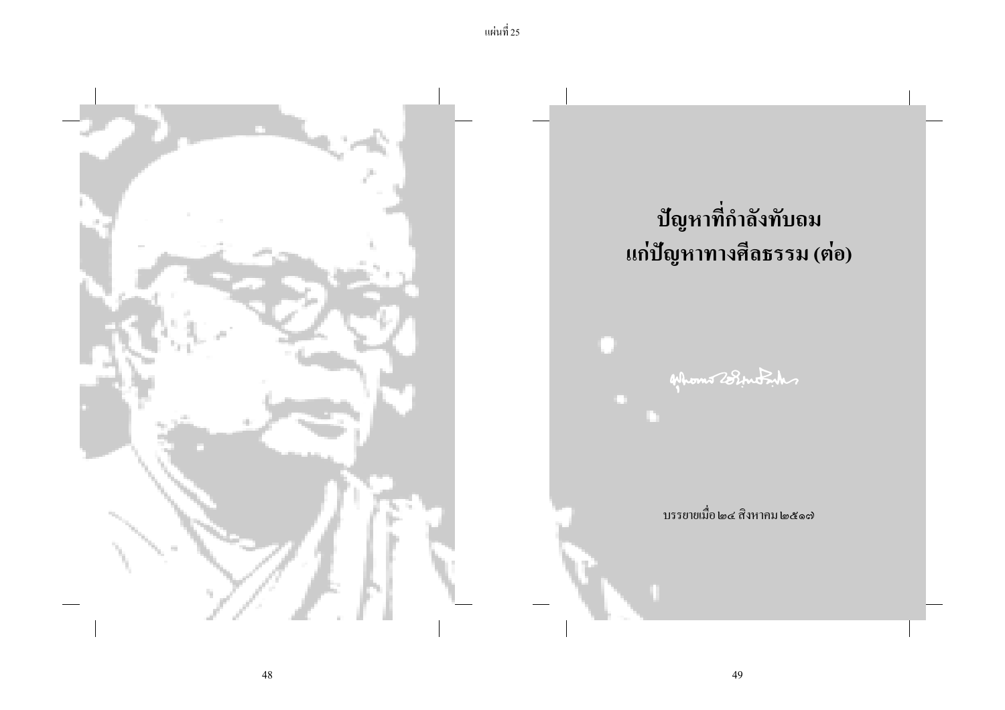

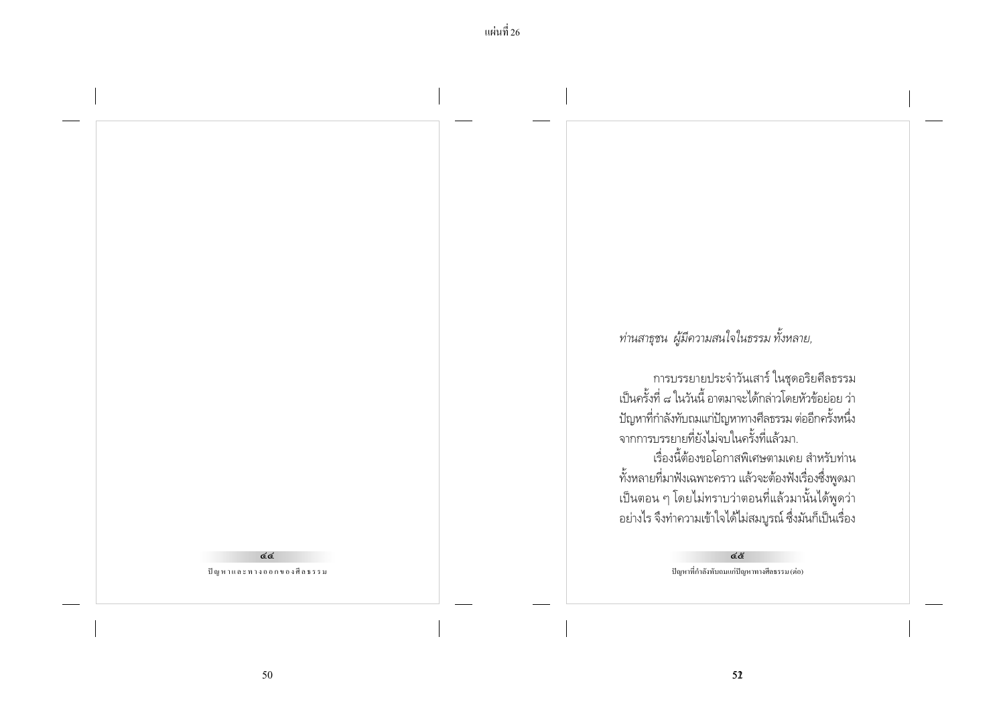### ፈረ ปัญหาและทางออกของศีลธรรม

## ท่านสาธุชน ผู้มีความสนใจในธรรม ทั้งหลาย,

การบรรยายประจำวันเสาร์ ในชุดอริยศีลธรรม<br>เป็นครั้งที่ ๘ ในวันนี้ อาตมาจะได้กล่าวโดยหัวข้อย่อย ว่า ปัญหาที่กำลังทับถมแก่ปัญหาทางศีลธรรม ต่ออีกครั้งหนึ่ง ์จากการบรรยายที่ยังไม่จบในครั้งที่แล้วมา.

เรื่องนี้ต้องขอโอกาสพิเศษตามเคย สำหรับท่าน ทั้งหลายที่มาฟังเฉพาะคราว แล้วจะต้องฟังเรื่องซึ่งพูดมา เป็นตอน ๆ โดยไม่ทราบว่าตอนที่แล้วมานั้นได้พู<sup>้</sup>ดว่า อย่างไร จึงทำความเข้าใจได้ไม่สมบูรณ์ ซึ่งมันก็เป็นเรื่อง

> ፈ& ปัญหาที่กำลังทับถมแก่ปัญหาทางศีลธรรม (ต่อ)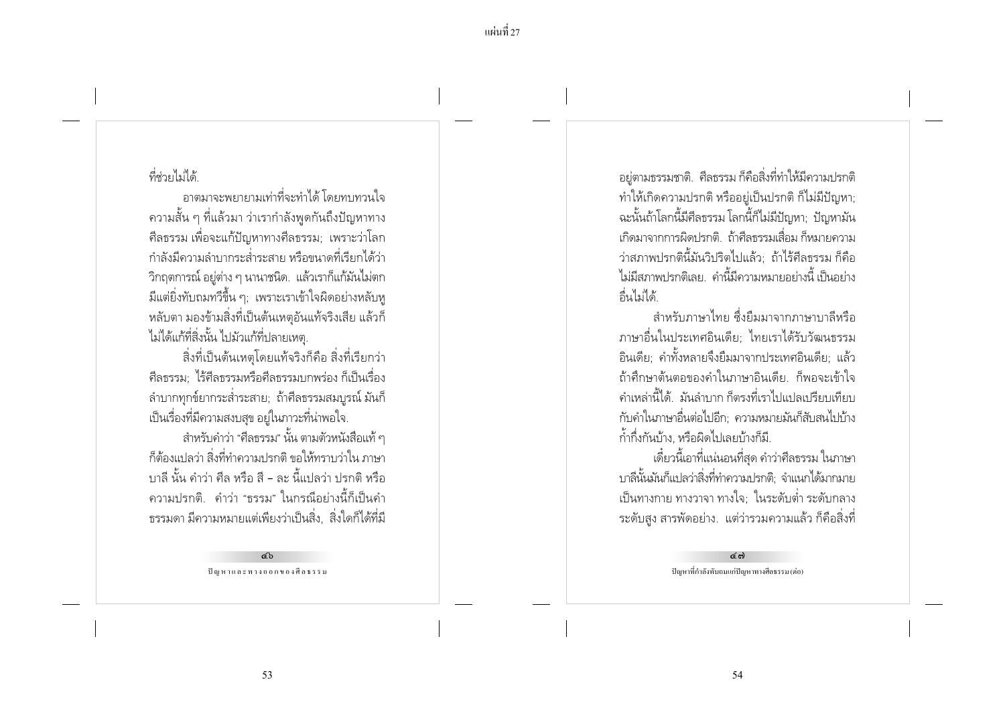ี แผ่นที่ 27

## ที่ช่ายไม่ได้

้อาตมาจะพยายามเท่าที่จะทำได้ โดยทบทวนใจ ่ ความสั้น ๆ ที่แล้วมา ว่าเรากำลังพูดกันถึงปัญหาทาง ้ ศีลธรรม เพื่อจะแก้ปัญหาทางศีลธรรม: เพราะว่าโลก ้ กำลังมีความลำบากระส่ำระสาย หรือขนาดที่เรียกได้ว่า ้วิกฤตการณ์ อยู่ต่าง ๆ นานาชนิด. แล้วเราก็แก้มันไม่ตก ้ มีแต่ยิ่งทับถมทวีขึ้น ๆ; เพราะเราเข้าใจผิดอย่างหลับทู หลับตา มองข้ามสิ่งที่เป็นต้นเหตอันแท้จริงเสีย แล้วก็ ไม่ได้แก้ที่สิ่งนั้น ไปม้วแก้ที่ปลายเหตุ.

สิ่งที่เป็นต้นเหตุโดยแท้จริงก็คือ สิ่งที่เรียกว่า ้ศีลธรรม ไร้ศีลธรรมหรือศีลธรรมบกพร่อง ก็เป็นเรื่อง ี ลำบากทุกข์ยากระส่ำระสาย; ถ้าศีลธรรมสมบูรณ์ มันก็ เป็นเรื่องที่มีความสงบสุข อยู่ในภาวะที่น่าพอใจ.

้สำหรับคำว่า "ศีลธรรม" นั้น ตามตัวหนังสือแท้ ๆ ้ก็ต้องแปลว่า สิ่งที่ทำความปรกติ ขอให้ทราบว่าใน ภาษา ้ บาลี นั้น คำว่า ศีล หรือ สี - ละ นี้แปลว่า ปรกติ หรือ ิ ความปรกติ. คำว่า "ธรรม" ในกรณีอย่างนี้ก็เป็นคำ ่ ธรรมดา มีความหมายแต่เพียงว่าเป็นสิ่ง... สิ่งใดก็ได้ที่มี

> сb ปัญหาและทางออกของศีลธรรม

้อยู่ตามธรรมชาติ. ศีลธรรม ก็คือสิ่งที่ทำให้มีความปรกติ ทำให้เกิดความปรกติ หรืออยู่เป็นปรกติ ก็ไม่มีปัญหา; ฉะนั้นถ้าโลกนี้มีศีลธรรม โลกนี้ก็ไม่มีปัญหา; ปัญหามัน เกิดมาจากการผิดปรกติ ถ้าศีลธรรมเสื่อม ก็หมายความ ว่าสภาพปรกตินี้มันวิปริตไปแล้ว: ถ้าไร้ศีลธรรม ก็คือ ไม่มีสภาพปรกติเลย คำนี้มีความหมายอย่างนี้ เป็นอย่าง ลื่นไม่ได้

้สำหรับภาษาไทย ซึ่งยืมมาจากภาษาบาลีหรือ ภาษาอื่นในประเทศอินเดีย: ไทยเราได้รับวัฒนธรรม ้อินเดีย: คำทั้งหลายจึงยืมมาจากประเทศอินเดีย: แล้ว ้ถ้าศึกษาต้นตอของคำในภาษาอินเดีย ก็พอจะเข้าใจ ้ คำเหล่านี้ได้ มันลำบาก ก็ตรงที่เราไปแปลเปรียบเทียบ ้กับคำในภาษาอื่นต่อไปอีก: ความหมายมันก็สับสนไปบ้าง ก้ำกึ่งกันบ้าง. หรือผิดไปเลยบ้างก็มี.

้ เดี๋ยวนี้เอาที่แน่นอนที่สุด คำว่าศีลธรรม ในภาษา บาลีนั้นมันก็แปลว่าสิ่งที่ทำความปรกติ; จำแนกได้มากมาย เป็นทางกาย ทางวาจา ทางใจ; ในระดับต่ำ ระดับกลาง ี ระดับสูง สารพัดอย่าง. แต่ว่ารวมความแล้ว ก็คือสิ่งที่

> ල් බ ปัญหาที่กำลังทับถมแก่ปัญหาทางศีลธรรม (ต่อ)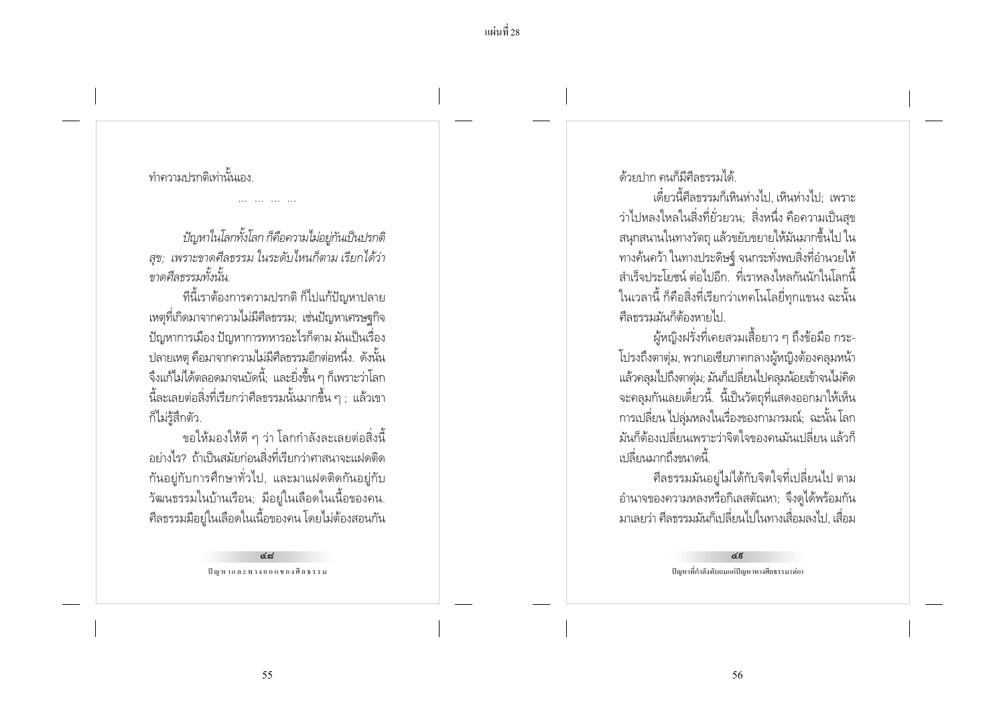## ทำความปรกติเท่านั้นเลง

ปัญหาในโลกทั้งโลก ก็คือความไม่อย่กันเป็นปรกติ สุข; เพราะขาดศีลธรรม ในระดับไหนก็ตาม เรียกได้ว่า ขาดศีลกรรมทั้งนั้น

ที่นี้เราต้องการความปรกติ ก็ไปแก้ปัญหาปลาย เหตุที่เกิดมาจากความไม่มีศีลธรรม: เช่นปัญหาเศรษฐกิจ ้ ปัญหาการเมือง ปัญหาการทหารอะไรก็ตาม มันเป็นเรื่อง ปลายเหตฺ คือมาจากความไม่มีศีลธรรมอีกต่อหนึ่ง. ดังนั้น ้จึงแก้ไม่ได้ตลอดมาจนบัดนี้: และยิ่งขึ้น ๆ ก็เพราะว่าโลก ้นี้ละเลยต่อสิ่งที่เรียกว่าศีลธรรมนั้นมากขึ้น ๆ ; แล้วเขา ก็ไม่ร้สึกตัว.

ขอให้มองให้ดี ๆ ว่า โลกกำลังละเลยต่อสิ่งนี้ ้อย่างไร? ถ้าเป็นสมัยก่อนสิ่งที่เรียกว่าศาสนาจะแฝดติด ้กันอยู่กับการศึกษาทั่วไป, และมาแฝดติดกันอยู่กับ ้วัฒนธรรมในบ้านเรือน; มีอยู่ในเลือดในเนื้อของคน. ้ศีลธรรมมีอยู่ในเลือดในเนื้อของคน โดยไม่ต้องสอนกัน

> ھ جا ปัญหาและทางออกของศีลธรรม

ด้ายปาก ดนก็มีศีลธรรมได้

เดี๋ยวนี้ศีลธรรมก็เหินห่างไป. เหินห่างไป: เพราะ ว่าไปหลงใหลในสิ่งที่ยั่วยวน: สิ่งหนึ่ง คือความเป็นสข ้สนุกสนานในทางวัตถุ แล้วขยับขยายให้มันมากขึ้นไป ใน ทางค้นคว้า ในทางประดิษฐ์ จนกระทั่งพบสิ่งที่อำนวยให้ ้สำเร็จประโยชน์ ต่อไปอีก. ที่เราหลงใหลกันนักในโลกนี้ ในเวลานี้ ก็คือสิ่งที่เรียกว่าเทคโนโลยี่ทุกแขนง ฉะนั้น ดีลธรรมมันก็ต้องหายไป

ผู้หญิงฝรั่งที่เคยสวมเสื้อยาว ๆ ถึงข้อมือ กระ-โปรงถึงตาต่ม, พวกเอเซียภาคกลางผ้หญิงต้องคลมหน้า แล้วคลุมไปถึงตาตุ่ม; มันก็เปลี่ยนไปคลุมน้อยเข้าจนไม่คิด ้จะคลุมกันเลยเดี๋ยวนี้. นี้เป็นวัตถุที่แสดงออกมาให้เห็น ิการเปลี่ยน ไปลุ่มหลงในเรื่องของกามารมณ์; ฉะนั้น โลก ้มันก็ต้องเปลี่ยนเพราะว่าจิตใจของคนมันเปลี่ยน แล้วก็ เปลี่ยนมากถึงขนาดนี้

้ศีลธรรมมันอยู่ไม่ได้กับจิตใจที่เปลี่ยนไป ตาม ้อำนาจของความหลงหรือกิเลสตัณหา; จึงดูได้พร้อมกัน ้มาเลยว่า ศีลธรรมมันก็เปลี่ยนไปในทางเสื่อมลงไป. เสื่อม

> <u>දේ</u> ปัญหาที่กำลังทับถมแก่ปัญหาทางศีลธรรม (ต่อ)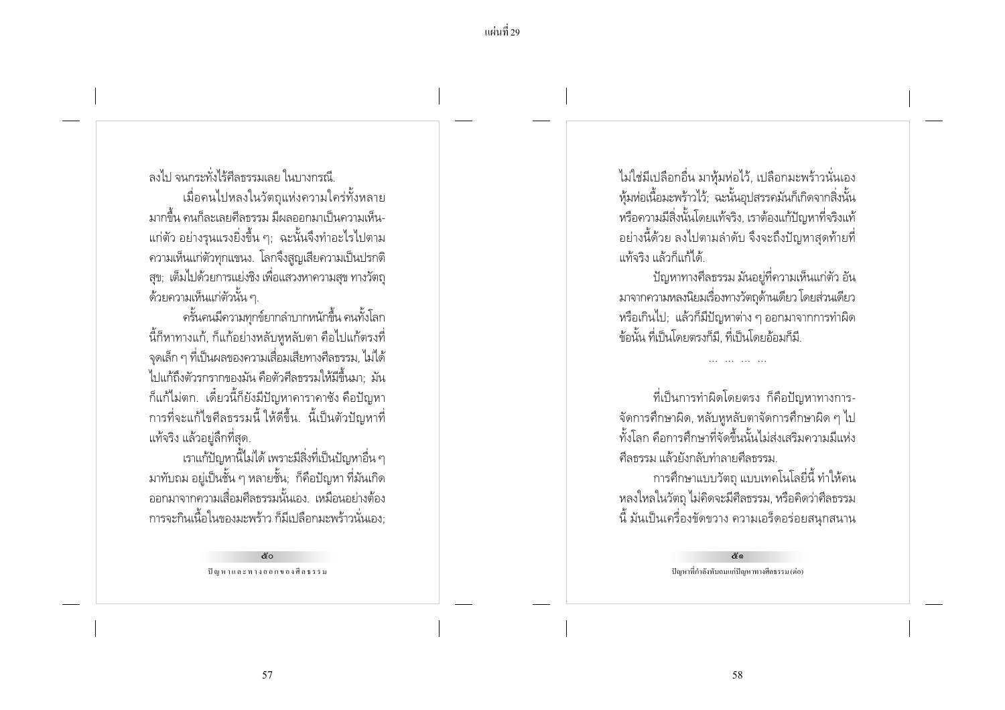้แผ่บที่ 29

่องไป จนกระทั่งไร้ศีลธรรมเลย ในบางกรณี เมื่อคนไปหลงในวัตถุแห่งความใคร่ทั้งหลาย ้ มากขึ้น คนก็ละเลยศีลธรรม มีผลออกมาเป็นความเห็น-แก่ตัว อย่างรนแรงยิ่งขึ้น ๆ: ฉะนั้นจึงทำอะไรไปตาม ้ความเห็นแก่ตัวทุกแขนง. โลกจึงสูญเสียความเป็นปรกติ ิสข: เต็มไปด้วยการแย่งชิง เพื่อแสวงหาความสข ทางวัตถ ้ด้วยความเห็นแก่ตัวนั้น ๆ.

ครั้นคนมีความทกข์ยากลำบากหนักขึ้น คนทั้งโลก ้นี้ก็หาทางแก้, ก็แก้อย่างหลับหูหลับตา คือไปแก้ตรงที่ ิจดเล็ก ๆ ที่เป็นผลของความเสื่อมเสียทางศีลธรรม, ไม่ได้ ไปแก้ถึงตัวรกรากของมัน คือตัวศีลธรรมให้มีขึ้นมา: มัน ้ก็แก้ไม่ตก. เดี๋ยวนี้ก็ยังมีปัญหาคาราคาซัง คือปัญหา การที่จะแก้ไขศีลธรรมนี้ ให้ดีขึ้น. นี้เป็นตัวปัญหาที่ แท้จริง แล้วอยู่ลึกที่สุด.

เราแก้ปัญหานี้ไม่ได้ เพราะมีสิ่งที่เป็นปัญหาอื่น ๆ ้มาทับถม อยู่เป็นชั้น ๆ หลายชั้น; ก็คือปัญหา ที่มันเกิด ้ออกมาจากความเสื่อมศีลธรรมนั้นเอง เหมือนอย่างต้อง ่ การจะกินเนื้อในของมะพร้าว ก็มีเปลือกมะพร้าวนั่นเอง

> ៥០ ปัญหาและทางออกของศีลธรรม

ไม่ใช่มีเปลือกอื่น มาห้มห่อไว้, เปลือกมะพร้าวนั่นเอง หุ้มห่อเนื้อมะพร้าวไว้; ฉะนั้นอุปสรรคมันก็เกิดจากสิ่งนั้น หรือความมีสิ่งนั้นโดยแท้จริง, เราต้องแก้ปัญหาที่จริงแท้ ้อย่างนี้ด้วย ลงไปตามลำดับ จึงจะถึงปัญหาสดท้ายที่ แท้จริง แล้วก็แก้ได้

้ ปัญหาทางศีลธรรม มันอย่ที่ความเห็นแก่ตัว อัน มาจากความหลงนิยมเรื่องทางวัตถุด้านเดียว โดยส่วนเดียว หรือเกินไป: แล้วก็มีปัญหาต่าง ๆ ออกมาจากการทำผิด ข้อนั้น ที่เป็นโดยตรงก็มี. ที่เป็นโดยอ้อมก็มี.

ที่เป็นการทำผิดโดยตรง ก็คือปัญหาทางการ-้จัดการศึกษาผิด, หลับหูหลับตาจัดการศึกษาผิด ๆ ไป ์ทั้งโลก คือการศึกษาที่จัดขึ้นนั้นไม่ส่งเสริมความมีแห่ง ดีลธรรม แล้วยังกลับทำลายดีลธรรม

การศึกษาแบบวัตถุ แบบเทคโนโลยี่นี้ ทำให้คน หลงใหลในวัตถุ ไม่คิดจะมีศีลธรรม, หรือคิดว่าศีลธรรม ์นี้ มันเป็นเครื่องขัดขวาง ความเอร็ดอร่อยสนุกสนาน

> අං ปัญหาที่กำลังทับถมแก่ปัญหาทางศีลธรรม (ต่อ)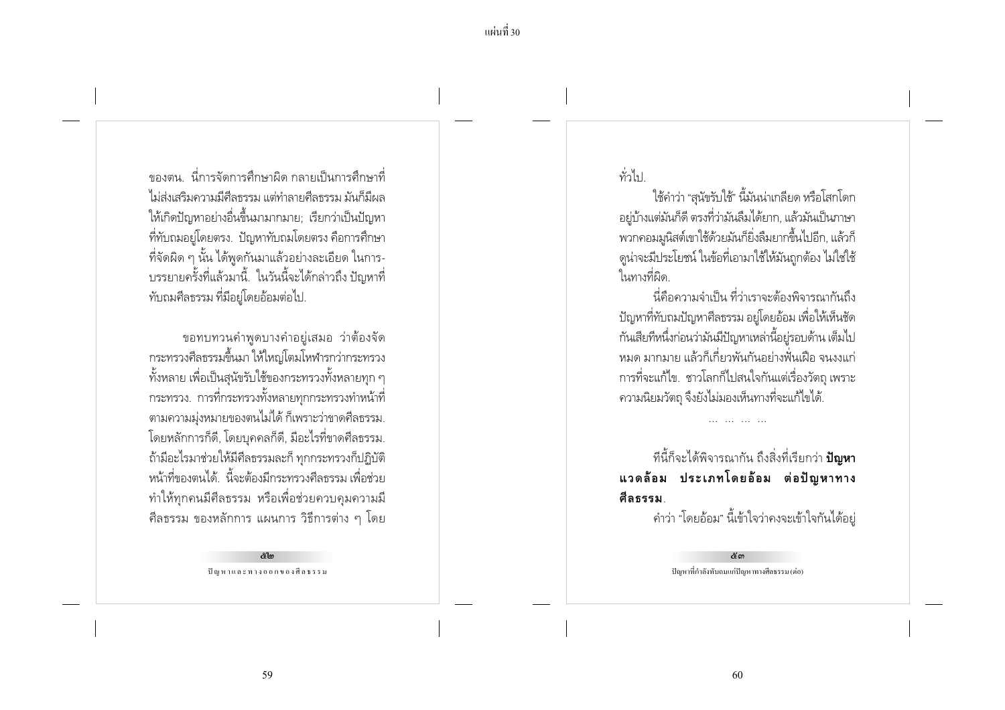์ ของตน - นี่การจัดการศึกษาผิด กลายเป็นการศึกษาที่ ไม่ส่งเสริมความมีศีลธรรม แต่ทำลายศีลธรรม มันก็มีผล ให้เกิดปัญหาอย่างอื่นขึ้นมามากมาย: เรียกว่าเป็นปัญหา ้ที่ทับถมอย่โดยตรง. ปัญหาทับถมโดยตรง คือการศึกษา ที่จัดผิด ๆ นั้น ได้พูดกันมาแล้วอย่างละเอียด ในการ-้บรรยายครั้งที่แล้วมานี้. ในวันนี้จะได้กล่าวถึง ปัญหาที่ ทับถมศีลธรรม ที่มีอยู่โดยอ้อมต่อไป.

ขอทบทวนคำพูดบางคำอยู่เสมอ ว่าต้องจัด ิกระทรวงศีลธรรมขึ้นมา ให้ใหญ่โตมโหฬารกว่ากระทรวง ์ ทั้งหลาย เพื่อเป็นสุนัขรับใช้ของกระทรวงทั้งหลายทุก ๆ กระทรวง. การที่กระทรวงทั้งหลายทุกกระทรวงทำหน้าที่ ิตามความม่งหมายของตนไม่ได้ ก็เพราะว่าขาดศีลธรรม. โดยหลักการก็ดี, โดยบุคคลก็ดี, มีอะไรที่ขาดศีลธรรม. ถ้ามีอะไรมาช่วยให้มีศีลธรรมละก็ ทกกระทรวงก็ปฏิบัติ หน้าที่ของตนได้. นี้จะต้องมีกระทรวงศีลธรรม เพื่อช่วย ทำให้ทุกคนมีศีลธรรม หรือเพื่อช่วยควบคุมความมี ์ ศีลธรรม ของหลักการ แผนการ วิธีการต่าง ๆ โดย

> $\approx$ lm ปัญหาและทางออกของศีลธรรม

ทั่วไป

ใช้คำว่า "สนัขรับใช้" นี้มันน่าเกลียด หรือโสกโดก ้อย่บ้างแต่มันก็ดี ตรงที่ว่ามันลืมได้ยาก, แล้วมันเป็นภาษา ้ พวกคอมมนิสต์เขาใช้ด้วยมันก็ยิ่งลืมยากขึ้นไปอีก. แล้วก็ ้ดูน่าจะมีประโยชน์ ในข้อที่เอามาใช้ให้มันถูกต้อง ไม่ใช่ใช้ ในทางที่ผิด

้นี่คือความจำเป็น ที่ว่าเราจะต้องพิจารณากันถึง ้ปัญหาที่ทับถมปัญหาศีลธรรม อย่โดยอ้อม เพื่อให้เห็นชัด กันเสียที่หนึ่งก่อนว่ามันมีปัญหาเหล่านี้อยู่รอบด้าน เต็มไป ่ หมด มากมาย แล้วก็เกี่ยวพันกันอย่างฟั่นเฝือ จนงงแก่ ิการที่จะแก้ไข. ชาวโลกก็ไปสนใจกันแต่เรื่องวัตถุ เพราะ ้ ความนิยมวัตถุ จึงยังไม่มองเห็นทางที่จะแก้ไขได้.

ทีนี้ก็จะได้พิจารณากัน ถึงสิ่งที่เรียกว่า **ปัญหา** แวดล้อม ประเภทโดยอ้อม ต่อปัญหาทาง ศีลธรรม

้คำว่า "โดยอ้อม" นี้เข้าใจว่าคงจะเข้าใจกันได้อยู่

ഭ്ത ปัญหาที่กำลังทับถมแก่ปัญหาทางศีลธรรม (ต่อ)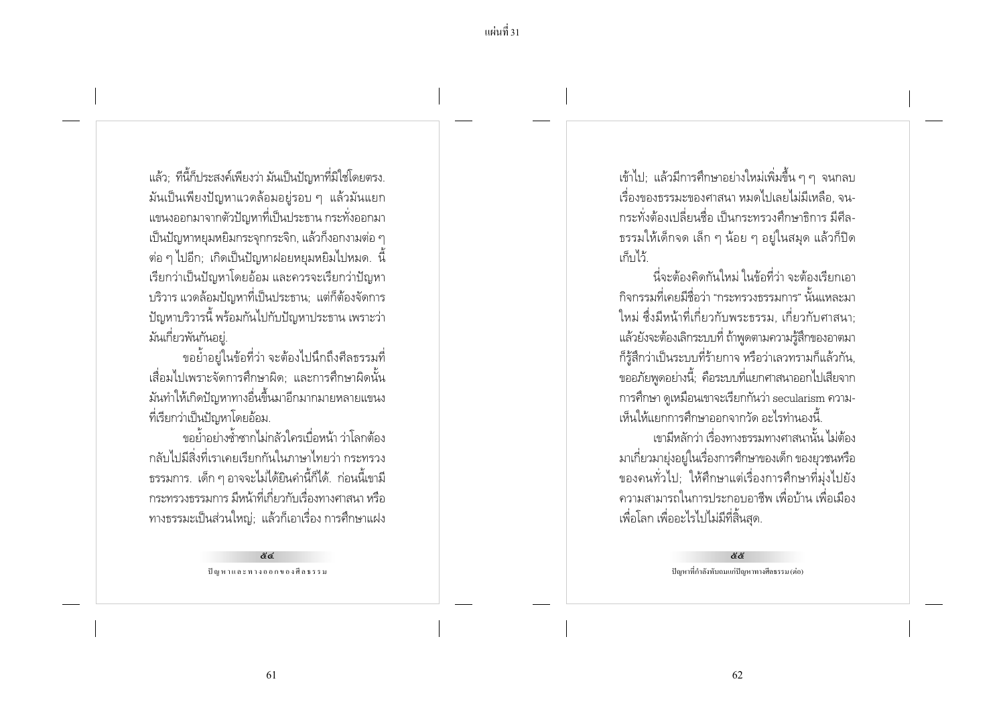แล้ว: ที่นี้ก็ประสงค์เพียงว่า มันเป็นปัญหาที่มิใช่โดยตรง. ้มันเป็นเพียงปัญหาแวดล้อมอยู่รอบ ๆ แล้วมันแยก ี แขนงออกมาจากตัวปัญหาที่เป็นประธาน กระทั่งออกมา ้เป็นปัญหาหยมหยิมกระจกกระจิก. แล้วก็งอกงามต่อ ๆ ี่ ต่อ ๆ ไปอีก; เกิดเป็นปัญหาฝอยหยุมหยิมไปหมด. นี้ เรียกว่าเป็นปัญหาโดยอ้อม และควรจะเรียกว่าปัญหา บริวาร แวดล้อมปัญหาที่เป็นประธาน; แต่ก็ต้องจัดการ ้ ปัญหาบริวารนี้ พร้อมกันไปกับปัญหาประธาน เพราะว่า มันเกี่ยวพันกันอย่.

ขอย้ำอย่ในข้อที่ว่า จะต้องไปนึกถึงศีลธรรมที่ เสื่อมไปเพราะจัดการศึกษาผิด: และการศึกษาผิดนั้น มันทำให้เกิดปัญหาทางอื่นขึ้นมาอีกมากมายหลายแขนง ที่เรียกว่าเป็นปัญหาโดยอ้อม.

ขอย้ำอย่างซ้ำซากไม่กลัวใครเบื่อหน้า ว่าโลกต้อง ึกลับไปมีสิ่งที่เราเคยเรียกกันในภาษาไทยว่า กระทรวง ่ ธรรมการ. เด็ก ๆ อาจจะไม่ได้ยินคำนี้ก็ได้. ก่อนนี้เขามี ้กระทรวงธรรมการ มีหน้าที่เกี่ยวกับเรื่องทางศาสนา หรือ ทางธรรมะเป็นส่วนใหญ่; แล้วก็เอาเรื่อง การศึกษาแฝง

> <u>&៤</u> ปัญหาและทางออกของศีลธรรม

เข้าไป; แล้วมีการศึกษาอย่างใหม่เพิ่มขึ้น ๆ ๆ จนกลบ ้เรื่องของธรรมะของศาสนา หมดไปเลยไม่มีเหลือ. จน-้กระทั่งต้องเปลี่ยนชื่อ เป็นกระทรวงศึกษาธิการ มีศีล-ิธรรมให้เด็กจด เล็ก ๆ น้อย ๆ อย่ในสมด แล้วก็ปิด เก็บไว้

นี่จะต้องคิดกันใหม่ ในข้อที่ว่า จะต้องเรียกเอา ้กิจกรรมที่เคยมีชื่อว่า "กระทรวงธรรมการ" นั้นแหละมา ใหม่ ซึ่งมีหน้าที่เกี่ยวกับพระธรรม. เกี่ยวกับศาสนา: แล้วยังจะต้องเลิกระบบที่ ถ้าพูดตามความรู้สึกของอาตมา ้ก็ร้สึกว่าเป็นระบบที่ร้ายกาจ หรือว่าเลวทรามก็แล้วกัน. ขออภัยพูดอย่างนี้; คือระบบที่แยกศาสนาออกไปเสียจาก การศึกษา ดูเหมือนเขาจะเรียกกันว่า secularism ความ-เห็นให้แยกการศึกษาออกจากวัด อะไรทำนองนี้

เขามีหลักว่า เรื่องทางธรรมทางศาสนานั้น ไม่ต้อง ้มาเกี่ยวมายุ่งอยู่ในเรื่องการศึกษาของเด็ก ของยุวชนหรือ ของคนทั่วไป; ให้ศึกษาแต่เรื่องการศึกษาที่มุ่งไปยัง ้ ความสามารถในการประกอบอาชีพ เพื่อบ้าน เพื่อเมือง เพื่อโลก เพื่ออะไรไปไม่มีที่สิ้นสุด.

> 88 ปัญหาที่กำลังทับถมแก่ปัญหาทางศีลธรรม (ต่อ)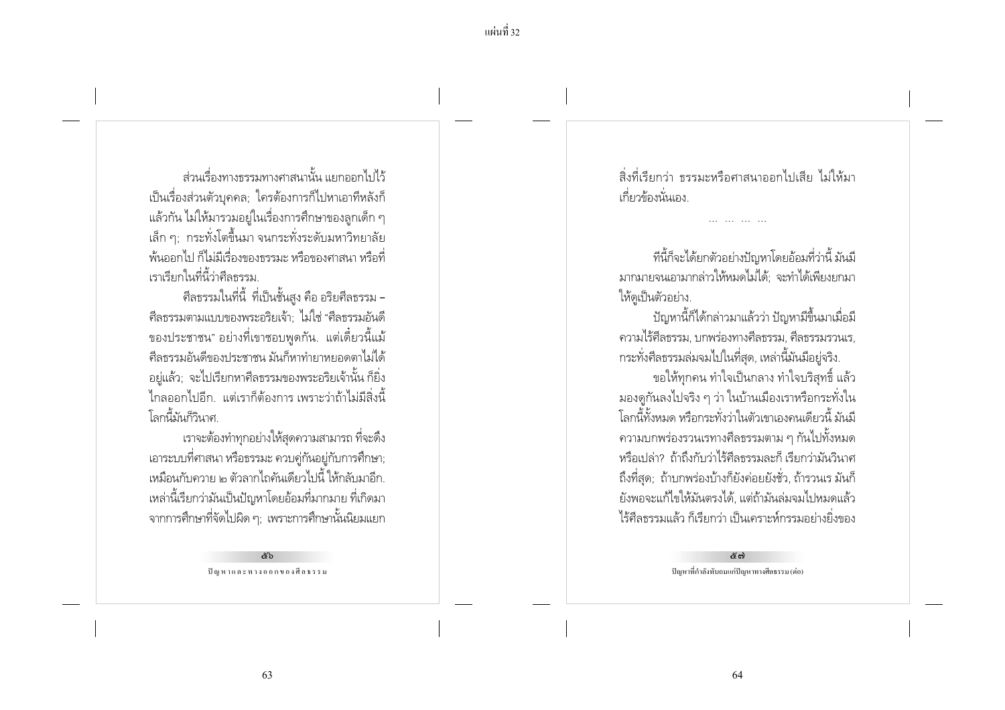ี แผ่นที่ 32

ส่วนเรื่องทางธรรมทางศาสนานั้น แยกออกไปไว้ ้เป็นเรื่องส่วนตัวบุคคล; ใครต้องการก็ไปหาเอาทีหลังก็ แล้วกัน ไม่ให้มารวมอยู่ในเรื่องการศึกษาของลูกเด็ก ๆ เล็ก ๆ: กระทั่งโตขึ้นมา จนกระทั่งระดับมหาวิทยาลัย ้พ้นออกไป ก็ไม่มีเรื่องของธรรมะ หรือของศาสนา หรือที่ เราเรียกในที่นี้ว่าศีลธรรม

้ศีลธรรมในที่นี้ ที่เป็นชั้นสูง คือ อริยศีลธรรม -้ศีลธรรมตามแบบของพระอริยเจ้า: ไม่ใช่ "ศีลธรรมอันดี ของประชาชน" อย่างที่เขาชอบพูดกัน. แต่เดี๋ยวนี้แม้ ้ศีลธรรมอันดีของประชาชน มันก็หาทำยาหยอดตาไม่ได้ ้อยู่แล้ว; จะไปเรียกหาศีลธรรมของพระอริยเจ้านั้น ก็ยิ่ง ไกลออกไปอีก แต่เราก็ต้องการเพราะว่าถ้าไม่มีสิ่งนี้ โลกนี้มันก็วินาศ

เราจะต้องทำทุกอย่างให้สุดความสามารถ ที่จะดึง เอาระบบที่ศาสนา หรือธรรมะ ควบคู่กันอยู่กับการศึกษา; เหมือนกับควาย ๒ ตัวลากไถคันเดียวไปนี้ ให้กลับมาอีก. ่ เหล่านี้เรียกว่ามันเป็นปัญหาโดยอ้อมที่มากมาย ที่เกิดมา ิจากการศึกษาที่จัดไปผิด ๆ; เพราะการศึกษานั้นนิยมแยก

> ๕๖ ปัญหาและทางออกของศีลธรรม

สิ่งที่เรียกว่า ธรรมะหรือศาสนาออกไปเสีย ไม่ให้มา ้เกี่ยวข้องนั่นเอง

ทีนี้ก็จะได้ยกตัวอย่างปัญหาโดยอ้อมที่ว่านี้ มันมี มากมายจนเอามากล่าวให้หมดไม่ได้: จะทำได้เพียงยกมา ให้ดูเป็นตัวอย่าง.

้ปัญหานี้ก็ได้กล่าวมาแล้วว่า ปัญหามีขึ้นมาเมื่อมี ้ความไร้ศีลธรรม. บกพร่องทางศีลธรรม. ศีลธรรมรวนเร. กระทั่งศีลธรรมล่มจมไปในที่สุด, เหล่านี้มันมีอยู่จริง.

ขอให้ทุกคน ทำใจเป็นกลาง ทำใจบริสุทธิ์ แล้ว ้มองดูกันลงไปจริง ๆ ว่า ในบ้านเมืองเราหรือกระทั่งใน โลกนี้ทั้งหมด หรือกระทั่งว่าในตัวเขาเองคนเดียวนี้ มันมี ้ ความบกพร่องรวนเรทางศีลธรรมตาม ๆ กันไปทั้งหมด หรือเปล่า? ถ้าถึงกับว่าไร้ศีลธรรมละก็ เรียกว่ามันวินาศ ้ถึงที่สุด; ถ้าบกพร่องบ้างก็ยังค่อยยังชั่ว, ถ้ารวนเร มันก็ ยังพอจะแก้ไขให้มันตรงได้, แต่ถ้ามันล่มจมไปหมดแล้ว ไร้ศีลธรรมแล้ว ก็เรียกว่า เป็นเคราะห์กรรมอย่างยิ่งของ

> ලි සා ปัญหาที่กำลังทับถมแก่ปัญหาทางศีลธรรม (ต่อ)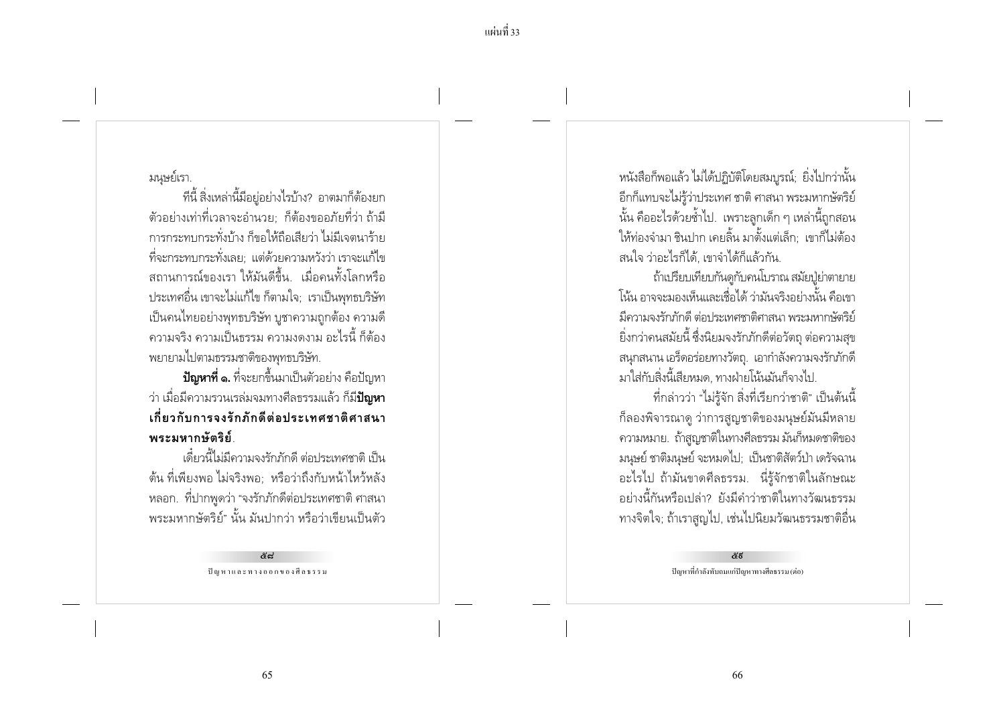### มนษย์เรา.

้ ที่นี้ สิ่งเหล่านี้มีอยู่อย่างไรบ้าง? อาตมาก็ต้องยก ่ ตัวอย่างเท่าที่เวลาจะอำนวย: ก็ต้องขออภัยที่ว่า ถ้ามี ้การกระทบกระทั้งบ้าง ก็ขอให้กือเสียว่า ไม่มีเจตนาร้าย ที่จะกระทบกระทั่งเลย: แต่ด้วยความหวังว่า เราจะแก้ไข ิสถานการณ์ของเรา ให้มันดีขึ้น เมื่อคนทั้งโลกหรือ ประเทศอื่น เขาจะไม่แก้ไข ก็ตามใจ; เราเป็นพุทธบริษัท ้เป็นคนไทยอย่างพุทธบริษัท บูชาความถูกต้อง ความดี ิ ความจริง ความเป็นธรรม ความงดงาม อะไรนี้ ก็ต้อง พยายามไปตามธรรมชาติของพทธบริษัท.

**ปัญหาที่ ๑.** ที่จะยกขึ้นมาเป็นตัวอย่าง คือปัญหา ว่า เมื่อมีความรวนเรล่มจมทางศีลธรรมแล้ว ก็มี**ปัญหา** ้เกี่ยวกับการจงรักภักดีต่อประเทศชาติศาสนา พระมหากษัตริย์

เดี๋ยวนี้ไม่มีความจงรักภักดี ต่อประเทศชาติ เป็น ้ต้น ที่เพียงพอ ไม่จริงพอ: หรือว่าถึงกับหน้าไหว้หลัง ่ หลอก. ที่ปากพูดว่า "จงรักภักดีต่อประเทศชาติ ศาสนา ้พระมหากษัตริย์" นั้น มันปากว่า หรือว่าเขียนเป็นตัว

> ليميم ปัญหาและทางออกของศีลธรรม

หนังสือก็พอแล้ว ไม่ได้ปฏิบัติโดยสมบูรณ์; ยิ่งไปกว่านั้น อีกก็แทบจะไม่รู้ว่าประเทศ ชาติ ศาสนา พระมหากษัตริย์ ้นั้น คืออะไรด้วยซ้ำไป. เพราะลูกเด็ก ๆ เหล่านี้ถูกสอน ให้ท่องจำมา ชินปาก เคยลิ้น มาตั้งแต่เล็ก : เขาก็ไม่ต้อง สนใจ ว่าอะไรก็ได้. เขาจำได้ก็แล้วกัน.

ถ้าเปรียบเทียบกันดูกับคนโบราณ สมัยปู่ย่าตายาย โน้น อาจจะมองเห็นและเชื่อได้ ว่ามันจริงอย่างนั้น คือเขา ้มีความจงรักภักดี ต่อประเทศชาติศาสนา พระมหากษัตริย์ ยิ่งกว่าคนสมัยนี้ ซึ่งนิยมจงรักภักดีต่อวัตถุ ต่อความสุข ิสนกสนาน เอร็ดอร่อยทางวัตถ. เอากำลังความจงรักภักดี มาใส่กับสิ่งนี้เสียหมด ทางฝ่ายโน้นมันก็จางไป

้ที่กล่าวว่า "ไม่รู้จัก สิ่งที่เรียกว่าชาติ" เป็นต้นนี้ ้ก็ลองพิจารณาดู ว่าการสูญชาติของมนุษย์มันมีหลาย ้ความหมาย. ถ้าสูญชาติในทางศีลธรรม มันก็หมดชาติของ มนุษย์ ชาติมนุษย์ จะหมดไป; เป็นชาติสัตว์ป่า เดรัจฉาน ้อะไรไป ถ้ามันขาดศีลธรรม. นี่รู้จักชาติในลักษณะ ้อย่างนี้กันหรือเปล่า? ยังมีคำว่าชาติในทางวัฒนธรรม ทางจิตใจ; ถ้าเราสูญไป, เช่นไปนิยมวัฒนธรรมชาติอื่น

> ಕೆಕೆ ปัญหาที่กำลังทับถมแก่ปัญหาทางศีลธรรม (ต่อ)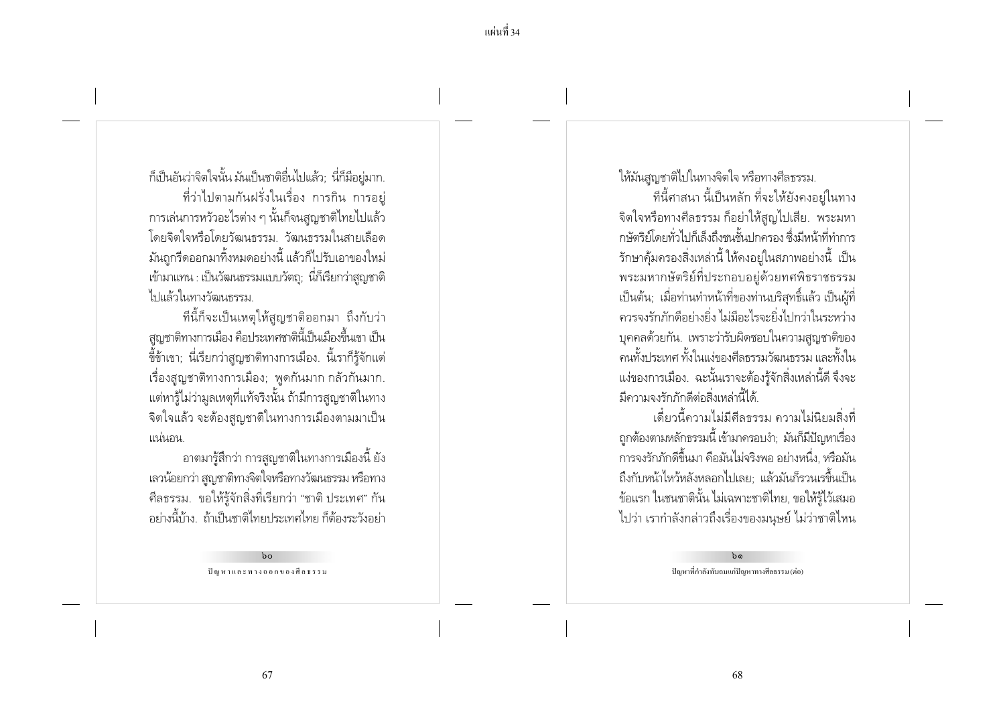ี แผ่นที่ 34

ก็เป็นอันว่าจิตใจนั้น มันเป็นชาติอื่นไปแล้ว; นี่ก็มีอยู่มาก. ้ ที่ว่าไปตามกันฝรั่งในเรื่อง การกิน การอยู่ ่ การเล่นการหวัวอะไรต่าง ๆ นั้นก็จนสูญชาติไทยไปแล้ว โดยจิตใจหรือโดยวัฒนธรรม วัฒนธรรมในสายเลือด ้มันถูกรีดออกมาทิ้งหมดอย่างนี้ แล้วก็ไปรับเอาของใหม่ เข้ามาแทน : เป็นวัฒนธรรมแบบวัตถุ; นี่ก็เรียกว่าสูญชาติ ไปแล้วในทางวัฒนธรรม

ที่นี้ก็จะเป็นเหตุให้สญชาติออกมา ถึงกับว่า ิสูญชาติทางการเมือง คือประเทศชาตินี้เป็นเมืองขึ้นเขา เป็น ้ขี้ข้าเขา; นี่เรียกว่าสูญชาติทางการเมือง. นี้เราก็รู้จักแต่ ้เรื่องสูญชาติทางการเมือง; พูดกันมาก กลัวกันมาก. แต่หารู้ไม่ว่ามูลเหตุที่แท้จริงนั้น ถ้ามีการสูญชาติในทาง ้จิตใจแล้ว จะต้องสูญชาติในทางการเมืองตามมาเป็น แน่นอน

้อาตมารู้สึกว่า การสูญชาติในทางการเมืองนี้ ยัง เลวน้อยกว่า สูญชาติทางจิตใจหรือทางวัฒนธรรม หรือทาง ้ศีลธรรม. ขอให้รู้จักสิ่งที่เรียกว่า "ชาติ ประเทศ" กัน ้อย่างนี้บ้าง ถ้าเป็นชาติไทยประเทศไทย ก็ต้องระวังอย่า

> $b^{\circ}$ ปัญหาและทางออกของศีลธรรม

ให้มันสูญชาติไปในทางจิตใจ หรือทางศีลธรรม.

ทีนี้ศาสนา นี้เป็นหลัก ที่จะให้ยังคงอยู่ในทาง จิตใจหรือทางศีลธรรม ก็อย่าให้สูญไปเสีย. พระมหา กษัตริย์โดยทั่วไปก็เล็งถึงชนชั้นปกครอง ซึ่งมีหน้าที่ทำการ ้รักษาคุ้มครองสิ่งเหล่านี้ ให้คงอยู่ในสภาพอย่างนี้ เป็น พระมหากษัตริย์ที่ประกอบอย่ด้วยทศพิธราชธรรม เป็นต้น; เมื่อท่านทำหน้าที่ของท่านบริสุทธิ์แล้ว เป็นผู้ที่ ้ดวรจงรักภักดีอย่างยิ่ง ไม่มีอะไรจะยิ่งไปกว่าในระหว่าง บุคคลด้วยกัน. เพราะว่ารับผิดชอบในความสูญชาติของ ้ดนทั้งประเทศ ทั้งในแง่ของศีลธรรมวัฒนธรรม และทั้งใน แง่ของการเมือง. ฉะนั้นเราจะต้องรู้จักสิ่งเหล่านี้ดี จึงจะ มีความจงรักภักดีต่อสิ่งเหล่านี้ได้

เดี๋ยวนี้ความไม่มีศีลธรรม ความไม่นิยมสิ่งที่ ถูกต้องตามหลักธรรมนี้ เข้ามาครอบงำ; มันก็มีปัญหาเรื่อง การจงรักภักดีขึ้นมา คือมันไม่จริงพอ อย่างหนึ่ง. หรือมัน ถึงกับหน้าไหว้หลังหลอกไปเลย: แล้วมันก็รวนเรขึ้นเป็น ข้อแรก ในชนชาตินั้น ไม่เฉพาะชาติไทย, ขอให้รู้ไว้เสมอ ไปว่า เรากำลังกล่าวถึงเรื่องของมนุษย์ ไม่ว่าชาติไหน

> $b$ ปัญหาที่กำลังทับถมแก่ปัญหาทางศีลธรรม (ต่อ)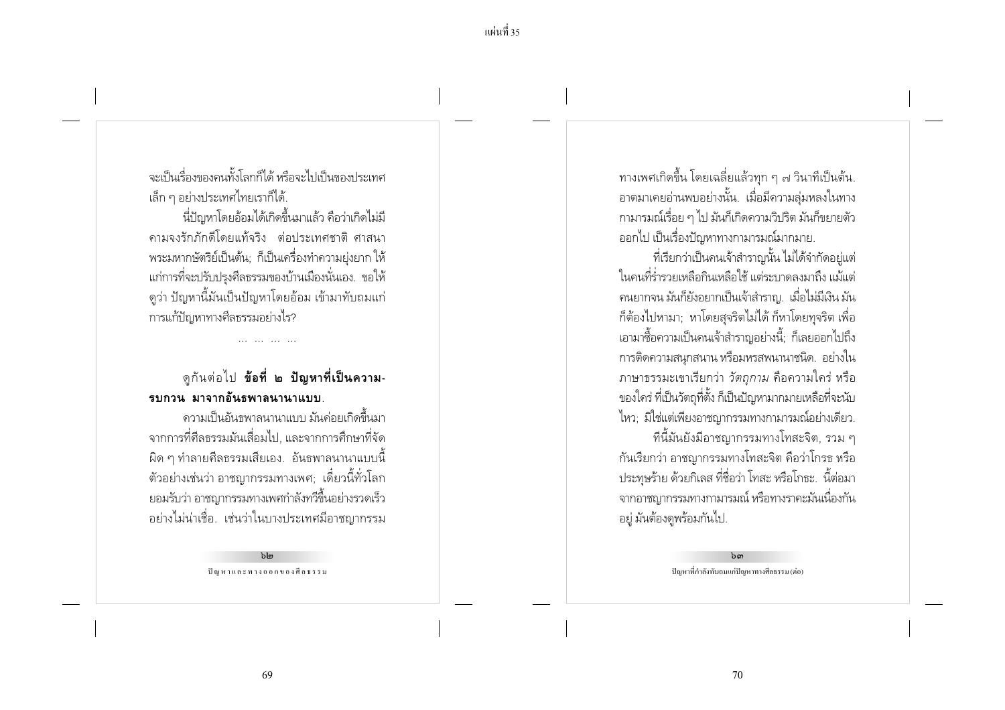้จะเป็นเรื่องของคนทั้งโลกก็ได้ หรือจะไปเป็นของประเทศ ้ เล็ก ๆ อย่างประเทศไทยเราก็ได้.

นี่ปัญหาโดยอ้อมได้เกิดขึ้นมาแล้ว คือว่าเกิดไม่มี ิ คามจงรักภักดีโดยแท้จริง ต่อประเทศชาติ ศาสนา ิ พระมหากษัตริย์เป็นต้น; ก็เป็นเครื่องทำความย่งยาก ให้ แก่การที่จะปรับปรุงศีลธรรมของบ้านเมืองนั่นเอง. ขอให้ ์ ดูว่า ปัญหานี้มันเป็นปัญหาโดยอ้อม เข้ามาทับถมแก่ การแก้ปัญหาทางศีลธรรมอย่างไร?

## ดูกันต่อไป **ข้อที่ ๒ ปัญหาที่เป็นความ-**รบกวน มาจากอันธพาลนานาแบบ

้ความเป็นอันธพาลนานาแบบ มันค่อยเกิดขึ้นมา ิ จากการที่ศีลธรรมมันเสื่อมไป. และจากการศึกษาที่จัด ี ผิด ๆ ทำลายศีลธรรมเสียเอง. อันธพาลนานาแบบนี้ ี ตัวอย่างเช่นว่า อาชญากรรมทางเพศ; เดี๋ยวนี้ทั่วโลก ี ยอมรับว่า อาชญากรรมทางเพศกำลังทวีขึ้นอย่างรวดเร็ว ้อย่างไม่น่าเชื่อ. เช่นว่าในบางประเทศมือาชญากรรม

> $h_{\text{lm}}$ ปัญหาและทางออกของศีลธรรม

ทางเพศเกิดขึ้น โดยเฉลี่ยแล้วทุก ๆ ๗ วินาทีเป็นต้น. ้อาตมาเคยอ่านพบอย่างนั้น. เมื่อมีความลุ่มหลงในทาง ์ กามารมณ์เรื่อย ๆ ไป มันก็เกิดความวิปริต มันก็ขยายตัว ้ออกไป เป็นเรื่องปัญหาทางกามารมณ์มากมาย.

้ที่เรียกว่าเป็นคนเจ้าสำราญนั้น ไม่ได้จำกัดอยู่แต่ ในคนที่ร่ำรวยเหลือกินเหลือใช้ แต่ระบาดลงมาถึง แม้แต่ ้ คนยากจน มันก็ยังอยากเป็นเจ้าสำราญ. เมื่อไม่มีเงิน มัน ้ก็ต้องไปหามา: หาโดยสจริตไม่ได้ ก็หาโดยทจริต เพื่อ ี เอามาซื้อความเป็นคนเจ้าสำราญอย่างนี้; ก็เลยออกไปถึง การติดความสนกสนาน หรือมหรสพนานาชนิด. อย่างใน ภาษาธรรมะเขาเรียกว่า *วัตถุกาม* คือความใคร่ หรือ ของใคร่ ที่เป็นวัตถุที่ตั้ง ก็เป็นปัญหามากมายเหลือที่จะนับ ไหว: มิใช่แต่เพียงอาชญากรรมทางกามารมณ์อย่างเดียว. ้ที่นี้มันยังมีอาชญากรรมทางโทสะจิต, รวม ๆ

กันเรียกว่า อาชญากรรมทางโทสะจิต คือว่าโกรธ หรือ ี ประทุษร้าย ด้วยกิเลส ที่ชื่อว่า โทสะ หรือโกธะ. นี้ต่อมา ิจากอาชญากรรมทางกามารมณ์ หรือทางราคะมันเนื่องกัน ้อยู่ มันต้องดูพร้อมกันไป.

> $b$  ດາ ปัญหาที่กำลังทับถมแก่ปัญหาทางศีลธรรม (ต่อ)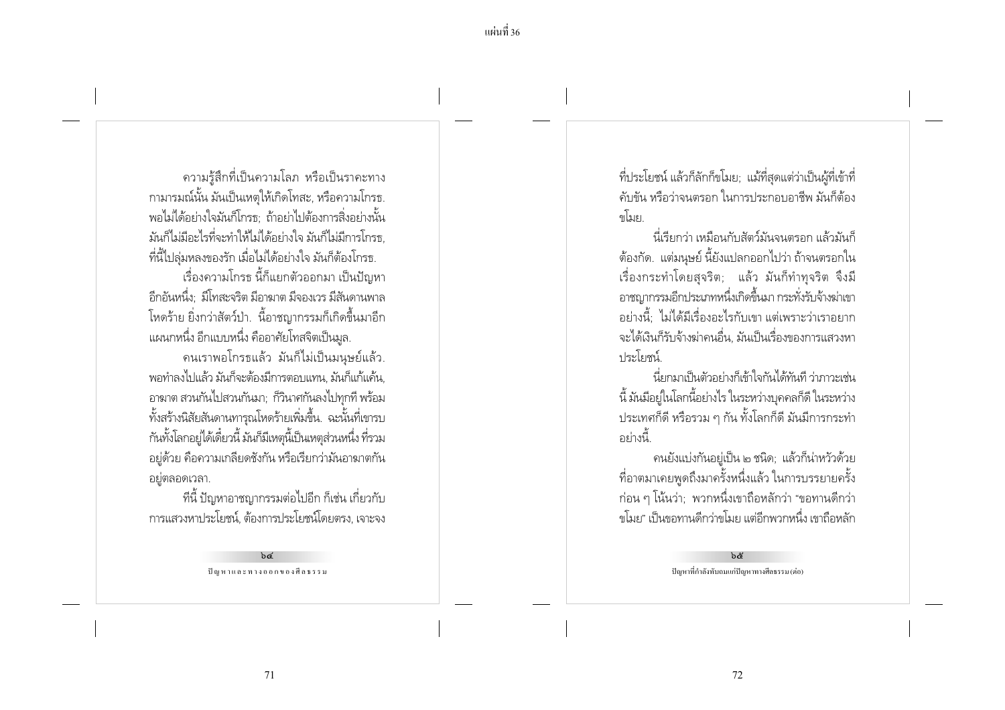้ความรู้สึกที่เป็นความโลภ หรือเป็นราคะทาง กามารมณ์นั้น มันเป็นเหตุให้เกิดโทสะ, หรือความโกรธ. พอไม่ได้อย่างใจมันก็โกรธ: ถ้าอย่าไปต้องการสิ่งอย่างนั้น มันก็ไม่มีอะไรที่จะทำให้ไม่ได้อย่างใจ มันก็ไม่มีการโกรธ ้ที่นี้ไปลุ่มหลงของรัก เมื่อไม่ได้อย่างใจ มันก็ต้องโกรธ. เรื่องความโกรธ นี้ก็แยกตัวออกมา เป็นปัญหา

้อีกอันหนึ่ง: มีโทสะจริต มีอาฆาต มีจองเวร มีสันดานพาล โหดร้าย ยิ่งกว่าสัตว์ป่า. นี้อาชฌากรรมก็เกิดขึ้นมาอีก ี แผนกหนึ่ง อีกแบบหนึ่ง คืออาศัยโทสจิตเป็นมูล.

้คนเราพอโกรธแล้ว มันก็ไม่เป็นมนษย์แล้ว. ้พอทำลงไปแล้ว มันก็จะต้องมีการตอบแทน. มันก็แก้แค้น ้อาฆาต สวนกันไปสวนกันมา; ก็วินาศกันลงไปทุกที่ พร้อม ทั้งสร้างนิสัยสันดานทารุณโหดร้ายเพิ่มขึ้น. ฉะนั้นที่เขารบ กันทั้งโลกอยู่ได้เดี๋ยวนี้ มันก็มีเหตุนี้เป็นเหตุส่วนหนึ่ง ที่รวม ้อยู่ด้วย คือความเกลียดชังกัน หรือเรียกว่ามันอาฆาตกัน ้อยู่ตลอดเวลา.

ที่นี้ ปัญหาอาชญากรรมต่อไปอีก ก็เช่น เกี่ยวกับ การแสวงหาประโยชน์ ต้องการประโยชน์โดยตรง, เจาะจง

> $hd$ ปัญหาและทางออกของศีลธรรม

ที่ประโยชน์ แล้วก็ลักก็ขโมย; แม้ที่สุดแต่ว่าเป็นผู้ที่เข้าที่ ้คับขัน หรือว่าจนตรอก ในการประกอบอาชีพ มันก็ต้อง ดโบย

้นี่เรียกว่า เหมือนกับสัตว์มันจนตรอก แล้วมันก็ ้ต้องกัด. แต่มนุษย์ นี้ยังแปลกออกไปว่า ถ้าจนตรอกใน เรื่องกระทำโดยสุจริต; แล้ว มันก็ทำทุจริต จึงมี อาชญากรรมอีกประเภทหนึ่งเกิดขึ้นมา กระทั่งรับจ้างฆ่าเขา ้อย่างนี้: ไม่ได้มีเรื่องอะไรกับเขา แต่เพราะว่าเราอยาก ้จะได้เงินก็รับจ้างฆ่าคนอื่น. มันเป็นเรื่องของการแสวงหา <u> 1 เระโยศน์</u>

นี่ยกมาเป็นตัวอย่างก็เข้าใจกันได้ทันที ว่าภาวะเช่น ้นี้ มันมีอยู่ในโลกนี้อย่างไร ในระหว่างบุคคลก็ดี ในระหว่าง ี ประเทศก็ดี หรือรวม ๆ กัน ทั้งโลกก็ดี มันมีการกระทำ ้อย่างนี้

คนยังแบ่งกันอยู่เป็น ๒ ชนิด; แล้วก็น่าหวัวด้วย ู้ที่อาตมาเคยพูดถึงมาครั้งหนึ่งแล้ว ในการบรรยายครั้ง ้ ก่อน ๆ โน้นว่า; พวกหนึ่งเขาถือหลักว่า "ขอทานดีกว่า ขโมย" เป็นขอทานดีกว่าขโมย แต่อีกพวกหนึ่ง เขาถือหลัก

> $b$ & ปัญหาที่กำลังทับถมแก่ปัญหาทางศีลธรรม (ต่อ)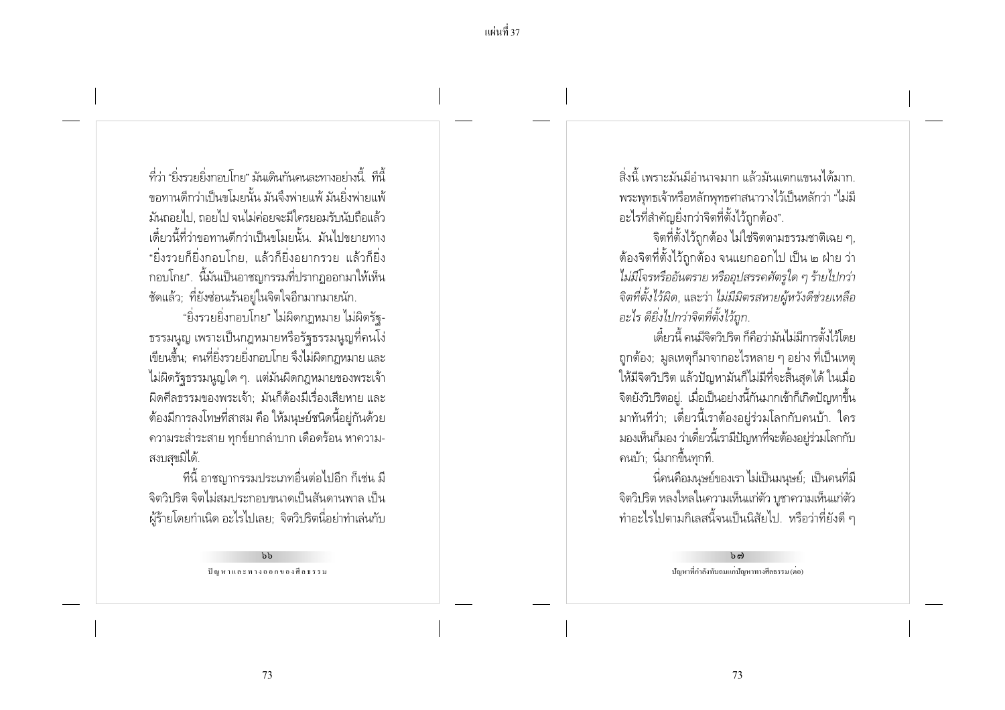ที่ว่า "ยิ่งรายยิ่งกลง ปกย" บังบดินกันดูนละทางละเ่างนี้ ที่นี้ ่ ขอทานดีกว่าเป็นขโมยนั้น มันจึงพ่ายแพ้ มันยิ่งพ่ายแพ้ ้มันถอยไป, ถอยไป จนไม่ค่อยจะมีใครยอมรับนับถือแล้ว ้เดี๋ยวนี้ที่ว่าขอทานดีกว่าเป็นขโมยนั้น มันไปขยายทาง "ยิ่งรวยก็ยิ่งกอบโกย. แล้วก็ยิ่งอยากรวย แล้วก็ยิ่ง ึกอบโกย". นี้มันเป็นอาชญกรรมที่ปรากภออกมาให้เห็น ชัดแล้ว; ที่ยังช่อนเร้นอยู่ในจิตใจอีกมากมายนัก.

"ยิ่งรวยยิ่งกอบโกย" ไม่ผิดกฎหมาย ไม่ผิดรัจ-่ ธรรมนูญ เพราะเป็นกฎหมายหรือรัฐธรรมนูญที่คนโง่ ้เขียนขึ้น: คนที่ยิ่งรวยยิ่งกอบโกย จึงไม่ผิดกฎหมาย และ ไม่ผิดรัฐธรรมนูญใด ๆ. แต่มันผิดกฎหมายของพระเจ้า ้ผิดศีลธรรมของพระเจ้า มันก็ต้องมีเรื่องเสียหาย และ ้ต้องมีการลงโทษที่สาสม คือ ให้มนุษย์ชนิดนี้อยู่กันด้วย ิ ความระส่ำระสาย ทุกข์ยากลำบาก เดือดร้อน หาความ-สงบสขมิได้.

ที่นี้ อาชญากรรมประเภทอื่นต่อไปอีก ก็เช่น มี ้จิตวิปริต จิตไม่สมประกอบขนาดเป็นสันดานพาล เป็น ้ผู้ร้ายโดยกำเนิด อะไรไปเลย; จิตวิปริตนี่อย่าทำเล่นกับ

> $h$ ปัญหาและทางออกของศีลธรรม

สิ่งนี้ เพราะมันมีอำนาจมาก แล้วมันแตกแขนงได้มาก ิพระพุทธเจ้าหรือหลักพุทธศาสนาวางไว้เป็นหลักว่า "ไม่มี ้อะไรที่สำคัญยิ่งกว่าจิตที่ตั้งไว้ถูกต้อง".

้จิตที่ตั้งไว้ถกต้อง ไม่ใช่จิตตามธรรมชาติเฉย ๆ. ้ต้องจิตที่ตั้งไว้ถูกต้อง จนแยกออกไป เป็น ๒ ฝ่าย ว่า ไม่มีโจรหรืออันตราย หรืออุปสรรคศัตรูใด ๆ ร้ายไปกว่า จิตที่ตั้งไว้ผิด, และว่า ไม่มีมิตรสหายผู้หวังดีช่วยเหลือ อะไร ดียิ่งไปกว่าจิตที่ตั้งไว้ถก.

เดี๋ยวนี้ คนมีจิตวิบริต ก็คือว่ามันไม่มีการตั้งไว้โดย ้ถูกต้อง; มูลเหตุก็มาจากอะไรหลาย ๆ อย่าง ที่เป็นเหตุ ให้มีจิตวิปริต แล้วปัญหามันก็ไม่มีที่จะสิ้นสุดได้ ในเมื่อ ์จิตยังวิปริตอยู่. เมื่อเป็นอย่างนี้กันมากเข้าก็เกิดปัญหาขึ้น มาทันทีว่า; เดี๋ยวนี้เราต้องอยู่ร่วมโลกกับคนบ้า. ใคร ้มองเห็นก็มอง ว่าเดี๋ยวนี้เรามีปัญหาที่จะต้องอยู่ร่วมโลกกับ ิคนบ้า: นี่มากขึ้นทกที่.

้นี่คนคือมนุษย์ของเรา ไม่เป็นมนุษย์; เป็นคนที่มี จิตวิปริต หลงใหลในความเห็นแก่ตัว บูชาความเห็นแก่ตัว ้ทำอะไรไปตามกิเลสนี้จนเป็นนิสัยไป. หรือว่าที่ยังดี ๆ

> $b$   $c$ .<br>ปัญหาที่กำลังทับถมแก่ปัญหาทางศีลธรรม (ตอ)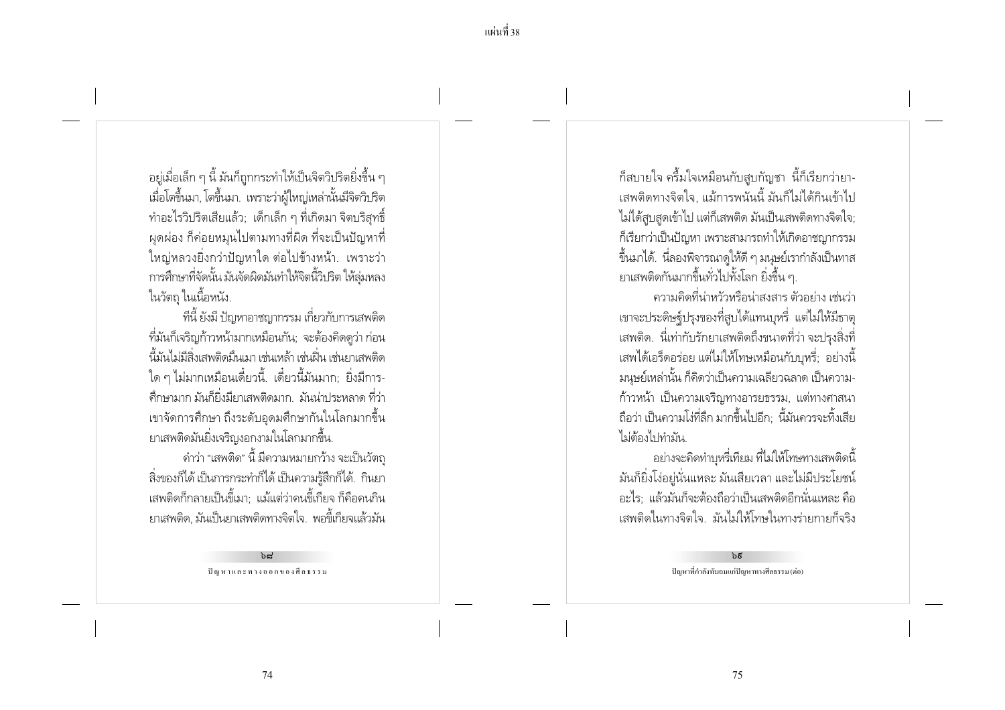้ อยู่เมื่อเล็ก ๆ นี้ มันก็ถูกกระทำให้เป็นจิตวิปริตยิ่งขึ้น ๆ เมื่อโตขึ้นมา, โตขึ้นมา. เพราะว่าผู้ใหญ่เหล่านั้นมีจิตวิปริต ทำอะไรวิปริตเสียแล้ว; เด็กเล็ก ๆ ที่เกิดมา จิตบริสุทธิ์ ่ ผดผ่อง ก็ค่อยหมนไปตามทางที่ผิด ที่จะเป็นปัญหาที่ ใหญ่หลวงยิ่งกว่าปัญหาใด ต่อไปข้างหน้า. เพราะว่า การศึกษาที่จัดนั้น มันจัดผิดมันทำให้จิตนี้วิปริต ให้ล่มหลง ในวัตถุ ในเนื้อหนัง.

ที่นี้ ยังมี ปัญหาอาชญากรรม เกี่ยวกับการเสพติด ้ที่มันก็เจริญก้าวหน้ามากเหมือนกัน; จะต้องคิดดูว่า ก่อน นี้มันไม่มีสิ่งเสพติดมิ่นเมา เช่นเหล้า เช่นฝิ่น เช่นยาเสพติด ใด ๆ ไม่มากเหมือนเดี๋ยวนี้. เดี๋ยวนี้มันมาก; ยิ่งมีการ-้ศึกษามาก มันก็ยิ่งมียาเสพติดมาก มันน่าประหลาด ที่ว่า ่ เขาจัดการศึกษา ถึงระดับอดมศึกษากันในโลกมากขึ้น ยาเสพติดมันยิ่งเจริญงอกงามในโลกมากขึ้น.

้ คำว่า "เสพติด" นี้ มีความหมายกว้าง จะเป็นวัตถ ้ สิ่งของก็ได้ เป็นการกระทำก็ได้ เป็นความรู้สึกก็ได้. กินยา ้ เสพติดก็กลายเป็นขี้เมา: แม้แต่ว่าคนขี้เกียจ ก็คือคนกิน ยาเสพติด มันเป็นยาเสพติดทางจิตใจ. พอขี้เกียจแล้วมัน

> $hd$ ปัญหาและทางออกของศีลธรรม

้ก็สบายใจ ครึ้มใจเหมือนกับสูบกัญชา นี้ก็เรียกว่ายา-้เสพติดทางจิตใจ. แม้การพนันนี้ มันก็ไม่ได้กินเข้าไป ไม่ได้สูบสุดเข้าไป แต่ก็เสพติด มันเป็นเสพติดทางจิตใจ; ก็เรียกว่าเป็นปัญหา เพราะสามารถทำให้เกิดอาชญากรรม ขึ้นมาได้. นี่ลองพิจารณาดูให้ดี ๆ มนุษย์เรากำลังเป็นทาส ยาเสพติดกันมากขึ้นทั่วไปทั้งโลก ยิ่งขึ้น ๆ.

้ ความคิดที่น่าหวัวหรือน่าสงสาร ตัวอย่าง เช่นว่า เขาจะประดิษฐ์ปรุงของที่สูบได้แทนบุหรี่ แต่ไม่ให้มีธาตุ ้ เสพติด. นี่เท่ากับรักยาเสพติดถึงขนาดที่ว่า จะปรุงสิ่งที่ ้เสพได้เอร็ดอร่อย แต่ไม่ให้โทษเหมือนกับบหรี่; อย่างนี้ ้มนุษย์เหล่านั้น ก็คิดว่าเป็นความเฉลี่ยวฉลาด เป็นความ-้ก้าวหน้า เป็นความเจริญทางอารยธรรม, แต่ทางศาสนา ้ถือว่า เป็นความโง่ที่ลึก มากขึ้นไปอีก: นี้มันควรจะทิ้งเสีย ไม่ต้องไปทำมัน

้อย่างจะคิดทำบหรี่เทียม ที่ไม่ให้โทษทางเสพติดนี้ ้มันก็ยิ่งโง่อยู่นั่นแหละ มันเสียเวลา และไม่มีประโยชน์ ้อะไร: แล้วมันก็จะต้องถือว่าเป็นเสพติดอีกนั่นแหละ คือ เสพติดในทางจิตใจ มันไม่ให้โทษในทางร่ายกายก็จริง

> $b\bar{g}$ ปัญหาที่กำลังทับถมแก่ปัญหาทางศีลธรรม (ต่อ)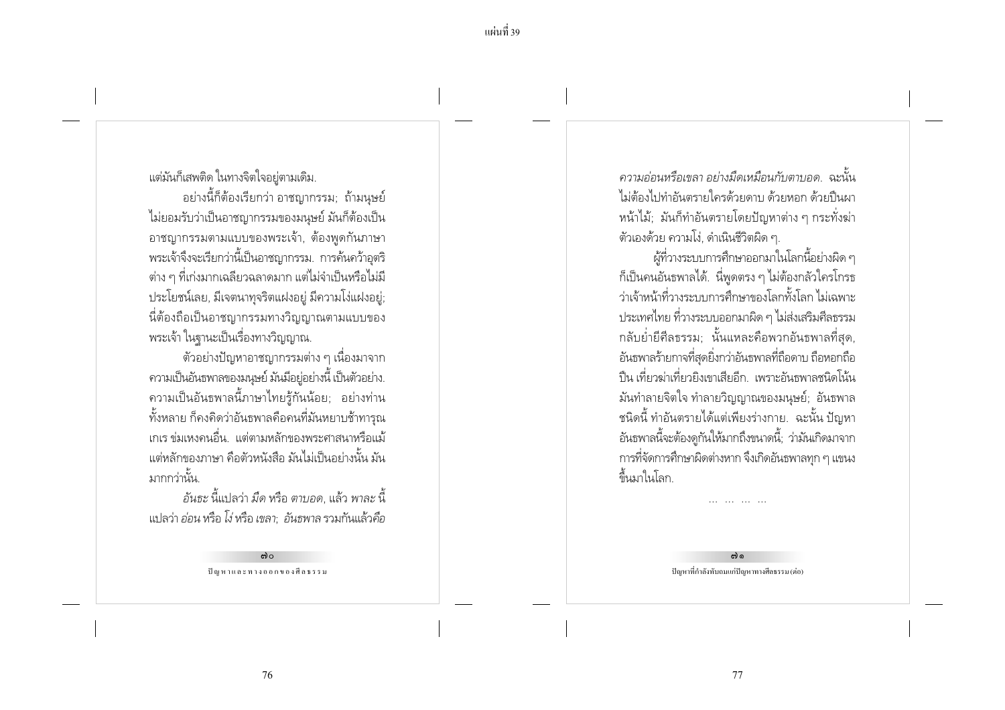แต่มันก็เสพติด ในทางจิตใจอยู่ตามเดิม.

้อย่างนี้ก็ต้องเรียกว่า อาชญากรรม; ถ้ามนุษย์ ไม่ยอมรับว่าเป็นอาชญากรรมของมนุษย์ มันก็ต้องเป็น ้อาชญากรรมตามแบบของพระเจ้า. ต้องพดกันภาษา พระเจ้าจึงจะเรียกว่านี้เป็นอาชญากรรม. การค้นคว้าอุตริ ์ ต่าง ๆ ที่เก่งมากเฉลียวฉลาดมาก แต่ไม่จำเป็นหรือไม่มี ประโยชน์เลย, มีเจตนาทุจริตแฝงอยู่ มีความโง่แฝงอยู่; นี่ต้องถือเป็นอาชญากรรมทางวิญญาณตามแบบของ พระเจ้า ในฐานะเป็นเรื่องทางวิญญาณ.

์ ตัวอย่างปัญหาอาชญากรรมต่าง ๆ เนื่องมาจาก ้ความเป็นอันธพาลของมนุษย์ มันมีอยู่อย่างนี้ เป็นตัวอย่าง. ้ ความเป็นอันธพาลนี้ภาษาไทยรู้กันน้อย; อย่างท่าน ทั้งหลาย ก็คงคิดว่าอันธพาลคือคนที่มันหยาบช้าทารุณ ู เกเร ข่มเหงคนอื่น. แต่ตามหลักของพระศาสนาหรือแม้ ้ แต่หลักของภาษา คือตัวหนังสือ มันไม่เป็นอย่างนั้น มัน มากกว่านั้น

้อันธะ นี้แปลว่า มืด หรือ ตาบอด แล้ว พาละ นี้ แปลว่า *อ่อน* หรือ โง่ หรือ เขลา: อันธพาล รวมกันแล้วคือ

> ຕ)  $\circ$ ปัญหาและทางออกของศีลธรรม

ิ ความอ่อนหรือเขลา อย่างมืดเหมือนกับตาบอด ฉะนั้น ไม่ต้องไปทำอันตรายใครด้วยดาบ ด้วยหอก ด้วยปืนผา หน้าไม้: มันก็ทำอันตรายโดยปัญหาต่าง ๆ กระทั่งฆ่า ์ตัวเองด้วย ความโง่. ดำเนินชีวิตผิด ๆ.

ผู้ที่วางระบบการศึกษาออกมาในโลกนี้อย่างผิด ๆ ้ก็เป็นคนอันธพาลได้. นี่พดตรง ๆ ไม่ต้องกลัวใครโกรธ ว่าเจ้าหน้าที่วางระบบการศึกษาของโลกทั้งโลก ไม่เฉพาะ ประเทศไทย ที่วางระบบออกมาผิด ๆ ไม่ส่งเสริมศีลธรรม ึกลับย่ำยี่ศีลธรรม; นั้นแหละคือพวกอันธพาลที่สุด, ้อันธพาลร้ายกาจที่สดยิ่งกว่าอันธพาลที่ถือดาบ ถือหอกถือ ้ ปืน เที่ยวฆ่าเที่ยวยิงเขาเสียอีก เพราะอันธพาลชนิดโน้น ้มันทำลายจิตใจ ทำลายวิญญาณของมนุษย์; อันธพาล ้ ชนิดนี้ ทำอันตรายได้แต่เพียงร่างกาย. ฉะนั้น ปัญหา ้อันธพาลนี้จะต้องดูกันให้มากถึงขนาดนี้; ว่ามันเกิดมาจาก ิการที่จัดการศึกษาผิดต่างหาก จึงเกิดอันธพาลทุก ๆ แขนง ์ขึ้นมาในโลก.

> ຕໄດ ปัญหาที่กำลังทับถมแก่ปัญหาทางศีลธรรม (ต่อ)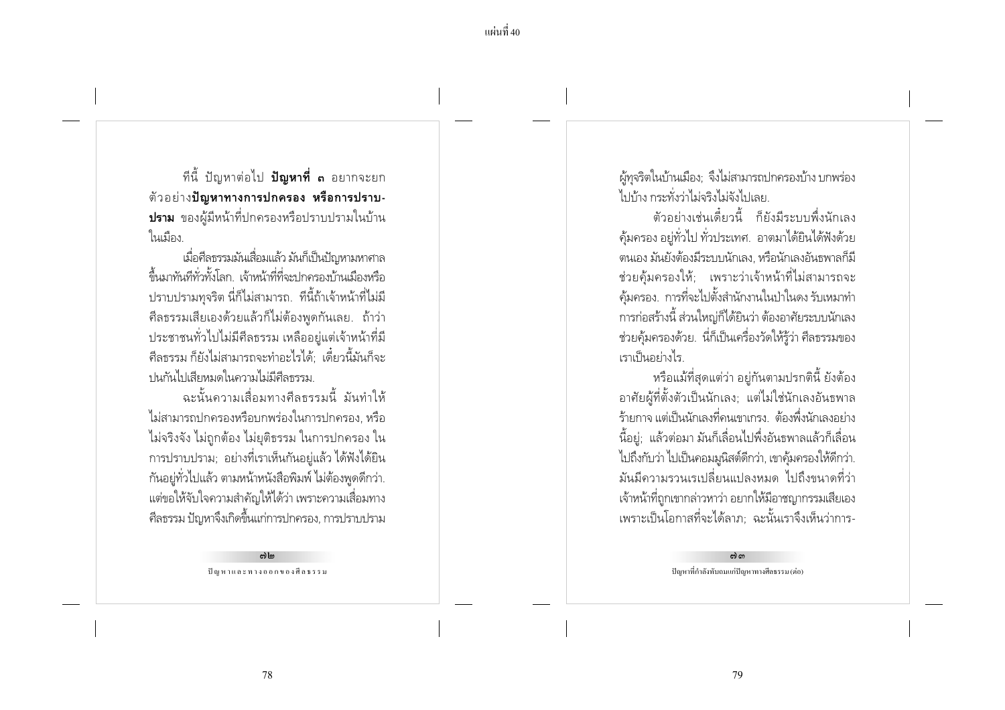ทีนี้ ปัญหาต่อไป **ปัญหาที่ ๓** อยากจะยก ตัวอย่าง**ปัญหาทางการปกครอง หรือการปราบ-ปราม** ของผู้มีหน้าที่ปกครองหรือปราบปรามในบ้าน ในเมือง

เมื่อศีลธรรมมันเสื่อมแล้ว มันก็เป็นปัญหามหาศาล ู้ขึ้นมาทันที่ทั่วทั้งโลก เจ้าหน้าที่ที่จะปกครองบ้านเมืองหรือ ้ ปราบปรามทุจริต นี่ก็ไม่สามารถ. ที่นี้ถ้าเจ้าหน้าที่ไม่มี ์ศีลธรรมเสียเองด้วยแล้วก็ไม่ต้องพดกันเลย. ถ้าว่า ประชาชนทั่วไปไม่มีศีลธรรม เหลืออยู่แต่เจ้าหน้าที่มี ้ศีลธรรม ก็ยังไม่สามารถจะทำอะไรได้ เดี๋ยวนี้มันก็จะ าในกันไปเสียหมดในความไม่มีศีลธรรม

ฉะนั้นความเสื่อมทางศีลธรรมนี้ มันทำให้ ไม่สามารถปกครองหรือบกพร่องในการปกครอง. หรือ ไม่จริงจัง ไม่ถูกต้อง ไม่ยุติธรรม ในการปกครอง ใน การปราบปราม; อย่างที่เราเห็นกันอยู่แล้ว ได้ฟังได้ยิน ้กันอยู่ทั่วไปแล้ว ตามหน้าหนังสือพิมพ์ ไม่ต้องพูดดีกว่า. แต่ขอให้จับใจความสำคัญให้ได้ว่า เพราะความเสื่อมทาง ์ศีลธรรม ปัญหาจึงเกิดขึ้นแก่การปกครอง, การปราบปราม

> $m \ln$ ปัญหาและทางออกของศีลธรรม

ผู้ทุจริตในบ้านเมือง; จึงไม่สามารถปกครองบ้าง บกพร่อง ไปบ้าง กระทั่งว่าไม่จริงไม่จังไปเลย

์ตัวอย่างเช่นเดี๋ยวนี้ ก็ยังมีระบบพึ่งนักเลง ้ค้มครอง อย่ทั่วไป ทั่วประเทศ. อาตมาได้ยินได้ฟังด้วย ิตนเอง มันยังต้องมีระบบนักเลง. หรือนักเลงอันธพาลก็มี ช่วยค้มครองให้: เพราะว่าเจ้าหน้าที่ไม่สามารถจะ ้คุ้มครอง. การที่จะไปตั้งสำนักงานในป่าในดง รับเหมาทำ การก่อสร้างนี้ ส่วนใหญ่ก็ได้ยินว่า ต้องอาศัยระบบนักเลง ้ช่วยคุ้มครองด้วย. นี่ก็เป็นเครื่องวัดให้รู้ว่า ศีลธรรมของ เราเป็นอย่างไร

หรือแม้ที่สุดแต่ว่า อยู่กันตามปรกตินี้ ยังต้อง อาศัยผู้ที่ตั้งตัวเป็นนักเลง; แต่ไม่ใช่นักเลงอันธพาล ้ร้ายกาจ แต่เป็นนักเลงที่คนเขาเกรง... ต้องพึ่งนักเลงอย่าง ้นี้อยู่; แล้วต่อมา มันก็เลื่อนไปพึ่งอันธพาลแล้วก็เลื่อน ไปถึงกับว่า ไปเป็นคอมมูนิสต์ดีกว่า, เขาคุ้มครองให้ดีกว่า. ้มันมีความรวนเรเปลี่ยนแปลงหมด ไปถึงขนาดที่ว่า เจ้าหน้าที่ถูกเขากล่าวหาว่า อยากให้มีอาชญากรรมเสียเอง เพราะเป็นโอกาสที่จะได้ลาภ: ฉะนั้นเราจึงเห็นว่าการ-

> ຕ) ຕ ปัญหาที่กำลังทับถมแก่ปัญหาทางศีลธรรม (ต่อ)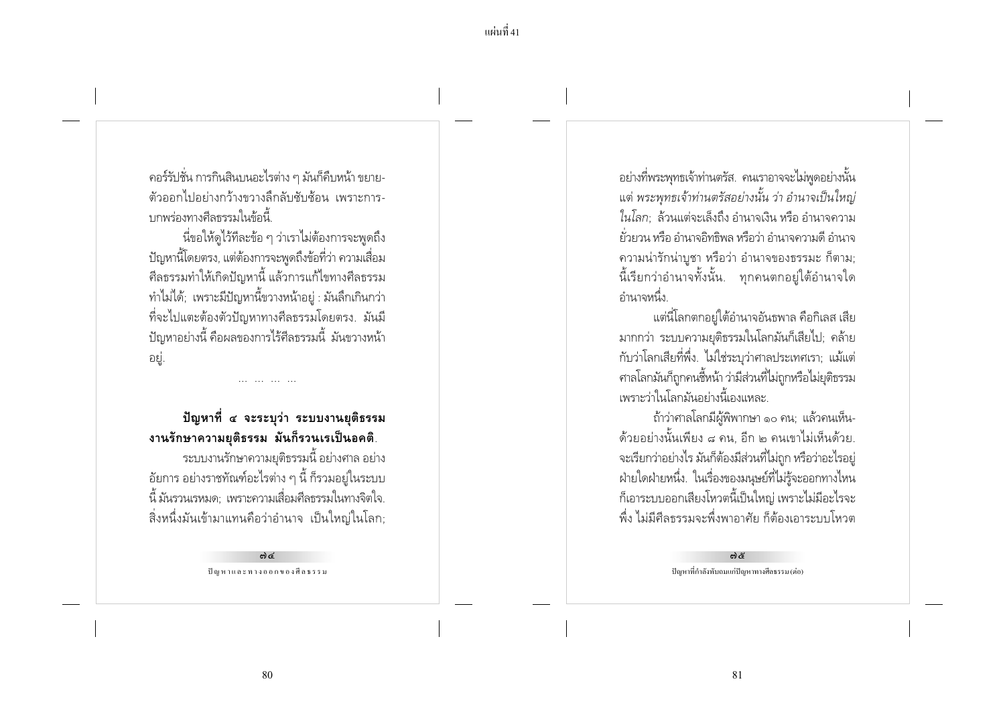ุ คอร์รัปชั่น การกินสินบนอะไรต่าง ๆ มันก็คืบหน้า ขยาย-้ตัวออกไปอย่างกว้างขวางลิกลับซับซ้อน เพราะการ-บกพร่องทางศีลธรรมในข้อนี้

นี่ขอให้ดไว้ทีละข้อ ๆ ว่าเราไม่ต้องการจะพดถึง ปัญหานี้โดยตรง, แต่ต้องการจะพูดถึงข้อที่ว่า ความเสื่อม ้ศีลธรรมทำให้เกิดปัญหานี้ แล้วการแก้ไขทางศีลธรรม ทำไม่ได้; เพราะมีปัญหานี้ขวางหน้าอยู่ : มันลึกเกินกว่า ้ ที่จะไปแตะต้องตัวปัญหาทางศีลธรรมโดยตรง. มันมี ้ ปัญหาอย่างนี้ คือผลของการไร้ศีลธรรมนี้ มันขวางหน้า ่อยู่.

## ปัญหาที่ ๔ จะระบุว่า ระบบงานยุติธรรม งานรักษาความยุติธรรม มันก็รวนเรเป็นอคติ.

ระบบงานรักษาความยุติธรรมนี้ อย่างศาล อย่าง ้อัยการ อย่างราชทัณฑ์อะไรต่าง ๆ นี้ ก็รวมอยู่ในระบบ ้นี้ มันรวนเรหมด: เพราะความเสื่อมศีลธรรมในทางจิตใจ. ้สิ่งหนึ่งมันเข้ามาแทนคือว่าอำนาจ เป็นใหญ่ในโลก;

> ශ්ර ปัญหาและทางออกของศีลธรรม

้อย่างที่พระพุทธเจ้าท่านตรัส. คนเราอาจจะไม่พูดอย่างนั้น ี แต่ พระพุทธเจ้าท่านตรัสอย่างนั้น ว่า อำนาจเป็นใหญ่ ในโลก: ล้วนแต่จะเล็งถึง อำนาจเงิน หรือ อำนาจความ ้ยั่วยวน หรือ อำนาจอิทธิพล หรือว่า อำนาจดวามดี อำนาจ ้ความน่ารักน่าบูชา หรือว่า อำนาจของธรรมะ ก็ตาม; ้นี้เรียกว่าอำนาจทั้งนั้น. ทกคนตกอย่ใต้อำนาจใด ้อำนาจหนึ่ง

ี แต่นี่โลกตกอย่ใต้อำนาจอันธพาล คือกิเลส เสีย มากกว่า ระบบความยุติธรรมในโลกมันก็เสียไป; คล้าย ้กับว่าโลกเสียที่พึ่ง. ไม่ใช่ระบุว่าศาลประเทศเรา; แม้แต่ ิศาลโลกมันก็ถูกคนชื้หน้า ว่ามีส่วนที่ไม่ถูกหรือไม่ยุติธรรม เพราะว่าในโลกมันอย่างนี้เองแหละ

ถ้าว่าศาลโลกมีผู้พิพากษา ๑๐ คน; แล้วคนเห็น-้ด้วยอย่างนั้นเพียง ๘ คน, อีก ๒ คนเขาไม่เห็นด้วย. จะเรียกว่าอย่างไร มันก็ต้องมีส่วนที่ไม่ถูก หรือว่าอะไรอยู่ ้ฝ่ายใดฝ่ายหนึ่ง. ในเรื่องของมนุษย์ที่ไม่รู้จะออกทางไหน ้ก็เอาระบบออกเสียงโหวตนี้เป็นใหญ่ เพราะไม่มีอะไรจะ ้พึ่ง ไม่มีศีลธรรมจะพึ่งพาอาศัย ก็ต้องเอาระบบโหวต

> ශ්රී ปัญหาที่กำลังทับถมแก่ปัญหาทางศีลธรรม (ต่อ)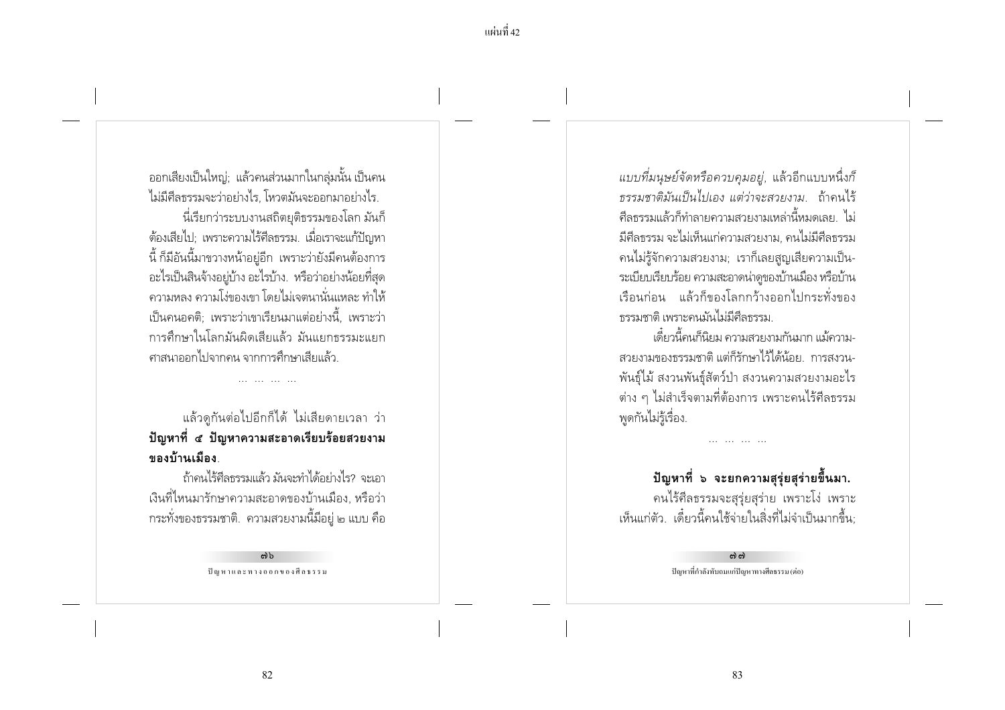้ออกเสียงเป็นใหญ่; แล้วคนส่วนมากในกลุ่มนั้น เป็นคน ไม่มีศีลธรรมจะว่าอย่างไร. โหวตมันจะออกมาอย่างไร. นี่เรียกว่าระบบงานสถิตยุติธรรมของโลก มันก็ ้ต้องเสียไป: เพราะความไร้ศึลธรรม. เมื่อเราจะแก้ปัญหา ้นี้ ก็มีอันนี้มาขวางหน้าอยู่อีก เพราะว่ายังมีคนต้องการ ้อะไรเป็นสินจ้างอยู่บ้าง อะไรบ้าง. หรือว่าอย่างน้อยที่สุด ้ ความหลง ความโง่ของเขา โดยไม่เจตนานั่นแหละ ทำให้ ้เป็นคนอคติ: เพราะว่าเขาเรียนมาแต่อย่างนี้. เพราะว่า การศึกษาในโลกมันผิดเสียแล้ว มันแยกธรรมะแยก ้ศาสนาออกไปจากคน จากการศึกษาเสียแล้ว

แล้วดูกันต่อไปอีกก็ได้ ไม่เสียดายเวลา ว่า ้ปัญหาที่ ๕ ปัญหาความสะอาดเรียบร้อยสวยงาม ของบ้านเมือง

ถ้าคนไร้ศีลธรรมแล้ว มันจะทำได้อย่างไร? จะเอา ้ เงินที่ไหนมารักษาความสะอาดของบ้านเมือง. หรือว่า ่ กระทั่งของธรรมชาติ. ความสวยงามนี้มีอยู่ ๒ แบบ คือ

> ຕໄນ ปัญหาและทางออกของศีลธรรม

ี แบบที่มนุษย์จัดหรือควบคุมอยู่, แล้วอีกแบบหนึ่งก็ ธรรมชาติมันเป็นไปเอง แต่ว่าจะสวยงาม. ถ้าคนไร้ ์ศีลธรรมแล้วก็ทำลายความสวยงามเหล่านี้หมดเลย ไม่ ้มีศีลธรรม จะไม่เห็นแก่ความสวยงาม, คนไม่มีศีลธรรม ึคนไม่รู้จักความสวยงาม; เราก็เลยสูญเสียความเป็น-ระเบียบเรียบร้อย ความสะอาดน่าดูของบ้านเมือง หรือบ้าน เรือนก่อน แล้วก็ของโลกกว้างออกไปกระทั่งของ ธรรมชาติ เพราะคนมันไม่มีศีลธรรม

เดี๋ยวนี้คนก็นิยม ความสวยงามกันมาก แม้ความ-สวยงามของธรรมชาติ แต่ก็รักษาไว้ได้น้อย การสงวน-พันธุ์ไม้ สงวนพันธุ์สัตว์ป่า สงวนความสวยงามอะไร ้ต่าง ๆ ไม่สำเร็จตามที่ต้องการ เพราะคนไร้ศีลธรรม พูดกันไม่รู้เรื่อง.

ปัญหาที่ ๖ จะยกความสุรุ่ยสุร่ายขึ้นมา. คนไร้ศีลธรรมจะสุรุ่ยสุร่าย เพราะโง่ เพราะ เห็นแก่ตัว เดี๋ยวนี้คนใช้จ่ายในสิ่งที่ไม่จำเป็นมากขึ้น

(၁) (၁)

ปัญหาที่กำลังทับถมแก่ปัญหาทางศีลธรรม (ต่อ)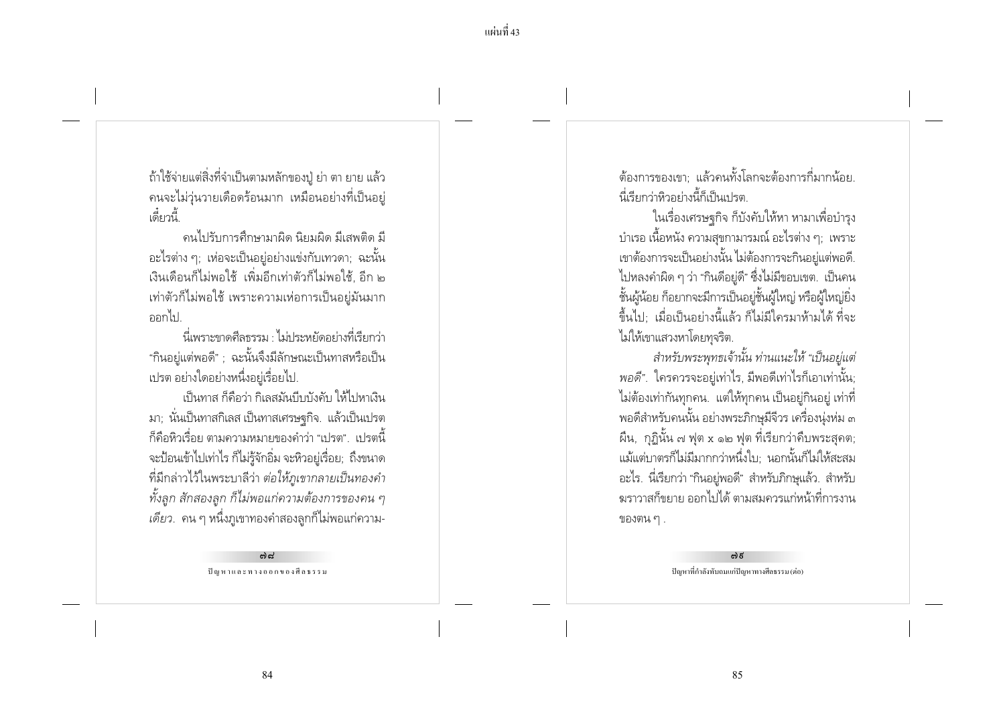ถ้าใช้จ่ายแต่สิ่งที่จำเป็นตามหลักของปู่ ย่า ตา ยาย แล้ว ิ คนจะไม่วุ่นวายเดือดร้อนมาก เหมือนอย่างที่เป็นอยู่ เดียกนี้

้ดนไปรับการศึกษามาผิด นิยมผิด มีเสพติด มี ้อะไรต่าง ๆ; เห่อจะเป็นอยู่อย่างแข่งกับเทวดา; ฉะนั้น เงินเดือนก็ไม่พอใช้ เพิ่มอีกเท่าตัวก็ไม่พอใช้ อีก ๒ ่ เท่าตัวก็ไม่พอใช้ เพราะความเห่อการเป็นอยู่มันมาก ออกไป

นี่เพราะขาดศีลธรรม ไม่ประหยัดอย่างที่เรียกว่า "กินอย่แต่พอดี" : ฉะนั้นจึงมีลักษณะเป็นทาสหรือเป็น เปรต อย่างใดอย่างหนึ่งอยู่เรื่อยไป.

เป็นทาส ก็คือว่า กิเลสมันบีบบังคับ ให้ไปหาเงิน ิมา; นั่นเป็นทาสกิเลส เป็นทาสเศรษฐกิจ. แล้วเป็นเปรต ้ ก็คือหิวเรื่อย ตามความหมายของคำว่า "เปรต". เปรตนี้ จะป้อนเข้าไปเท่าไร ก็ไม่รู้จักอิ่ม จะหิวอยู่เรื่อย; ถึงขนาด ที่มีกล่าวไว้ในพระบาลีว่า ต่อให้ภูเขากลายเป็นทองคำ ทั้งลูก สักสองลูก ก็ไม่พอแก่ความต้องการของคน ๆ ้ เ*ดียว.* คน ๆ หนึ่งภูเขาทองคำสองลูกก็ไม่พอแก่ความ-

> കിപ്പ് ปัญหาและทางออกของศีลธรรม

้ต้องการของเขา แล้วคนทั้งโลกจะต้องการกี่มากน้อย นี้เรียกว่าหิวอย่างนี้ก็เป็นเปรต

ในเรื่องเศรษฐกิจ ก็บังคับให้หา หามาเพื่อบำรุง ้ บำเรอ เนื้อหนัง ความสขกามารมณ์ อะไรต่าง ๆ: เพราะ เขาต้องการจะเป็นอย่างนั้น ไม่ต้องการจะกินอยู่แต่พอดี. ไปหลงคำผิด ๆ ว่า "กินดีอยู่ดี" ซึ่งไม่มีขอบเขต. เป็นคน ชั้นผู้น้อย ก็อยากจะมีการเป็นอยู่ชั้นผู้ใหญ่ หรือผู้ใหญ่ยิ่ง ้ขึ้นไป: เมื่อเป็นอย่างนี้แล้ว ก็ไม่มีใครมาห้ามได้ ที่จะ ไม่ให้เขาแสวงหาโดยทุจริต.

สำหรับพระพุทธเจ้านั้น ท่านแนะให้ "เป็นอยู่แต่ ี พอดี". ใครควรจะอยู่เท่าไร, มีพอดีเท่าไรก็เอาเท่านั้น; ไม่ต้องเท่ากันทุกคน. แต่ให้ทุกคน เป็นอยู่กินอยู่ เท่าที่ ี พอดีสำหรับคนนั้น อย่างพระภิกษุมีจีวร เครื่องนุ่งห่ม ๓ ผืน, กุฏินั้น ๗ ฟุต x ๑๒ ฟุต ที่เรียกว่าคืบพระสุคต; แม้แต่บาตรก็ไม่มีมากกว่าหนึ่งใบ: นอกนั้นก็ไม่ให้สะสม ้อะไร. นี่เรียกว่า "กินอยู่พอดี" สำหรับภิกษุแล้ว. สำหรับ ่ ฆราวาสก็ขยาย ออกไปได้ ตามสมควรแก่หน้าที่การงาน ของตน ๆ .

> <u>ຕ) ຮ</u> ปัญหาที่กำลังทับถมแก่ปัญหาทางศีลธรรม (ต่อ)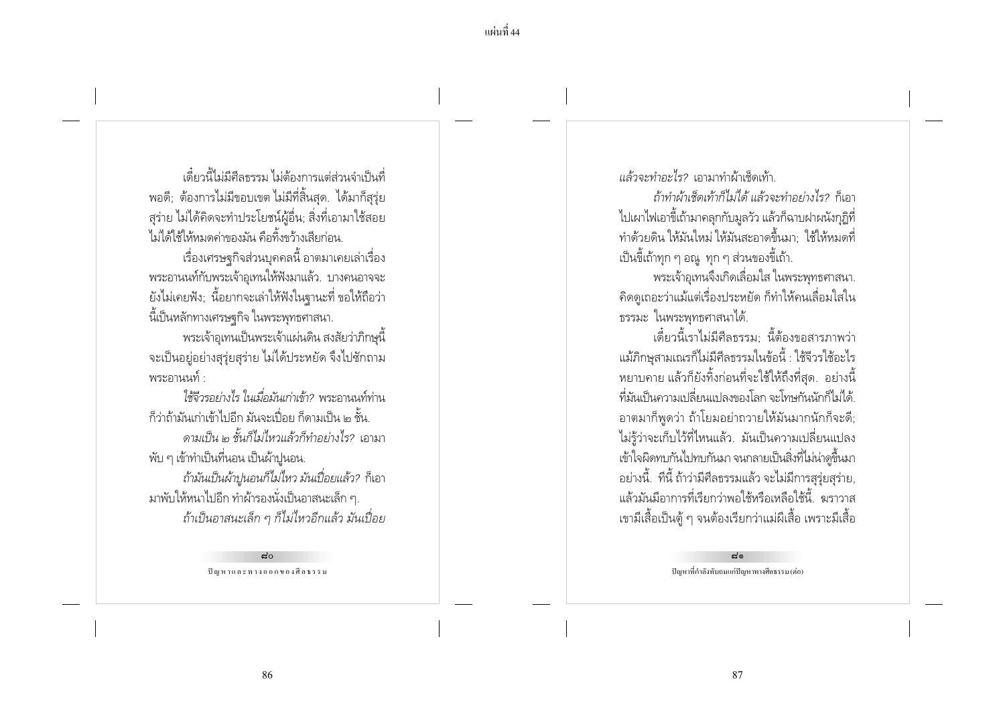้ ส้ำ เป็นสีลธรรม ไม่ต้องการแต่ส่านจำเป็นที่ พอดี; ต้องการไม่มีขอบเขต ไม่มีที่สิ้นสุด. ได้มาก็สุรุ่ย ้สุร่าย ไม่ได้คิดจะทำประโยชน์ผู้อื่น; สิ่งที่เอามาใช้สอย ไม่ได้ใช้ให้หมดด่าของมั่น คือทิ้งขว้างเสียก่อน

เรื่องเศรษฐกิจส่วนบุคคลนี้ อาตมาเคยเล่าเรื่อง พระอานนท์กับพระเจ้าอเทนให้ฟังมาแล้ว. บางคนอาจจะ ยังไม่เคยฟัง; นี้อยากจะเล่าให้ฟังในฐานะที่ ขอให้ถือว่า นี้เป็นหลักทางเศรษฐกิจ ในพระพุทธศาสนา.

้พระเจ้าอุเทนเป็นพระเจ้าแผ่นดิน สงสัยว่าภิกษุนี้ ้จะเป็นอยู่อย่างสุรุ่ยสุร่าย ไม่ได้ประหยัด จึงไปซักถาม พระกานนท์ ·

ใช้จีวรอย่างไร ในเมื่อมันเก่าเข้า? พระอานนท์ท่าน ้ก็ว่าถ้ามันเก่าเข้าไปอีก มันจะเปื่อย ก็ดามเป็น ๒ ชั้น ิดามเป็น ๒ ชั้นก็ไม่ไหวแล้วก็ทำอย่างไร? เอามา

้พับ ๆ เข้าทำเป็นที่นอน เป็นผ้าปูนอน.

้ถ้ามันเป็นผ้าปูนอนก็ไม่ไหว มันเปื่อยแล้ว? ก็เอา มาพับให้หนาไปอีก ทำผ้ารองนั่งเป็นอาสนะเล็ก ๆ. ถ้าเป็นอาสนะเล็ก ๆ ก็ไม่ไหวอีกแล้ว มันเปื่อย

> $d^{\circ}$ ปัญหาและทางออกของศีลธรรม

แล้วจะทำอะไร? เอามาทำผ้าเช็ดเท้า.

ถ้าทำผ้าเช็ดเท้าก็ไม่ได้ แล้วจะทำอย่างไร? ก็เลา ไปเผาไฟเอาขี้เถ้ามาคลุกกับมูลวัว แล้วก็ฉาบฝาผนังกุฏิที่ ทำด้วยดิน ให้มันใหม่ ให้มันสะอาดขึ้นมา ใช้ให้หมดที่ เป็นขี้เถ้าทุก ๆ อณู ทุก ๆ ส่วนของขี้เถ้า.

้พระเจ้าอุเทนจึงเกิดเลื่อมใส ในพระพุทธศาสนา. ้คิดดูเถอะว่าแม้แต่เรื่องประหยัด ก็ทำให้คนเลื่อมใสใน ธรรมะ ในพระพทธศาสนาได้.

เดี๋ยวนี้เราไม่มีศีลธรรม นี้ต้องขอสารภาพว่า แม้ภิกษสามเณรก็ไม่มีศีลธรรมในข้อนี้ : ใช้จีวรใช้อะไร หยาบคาย แล้วก็ยังทิ้งก่อนที่จะใช้ให้ถึงที่สุด. อย่างนี้ ้ที่มันเป็นความเปลี่ยนแปลงของโลก จะโทษกันนักก็ไม่ได้ ้อาตมาก็พูดว่า ถ้าโยมอย่าถวายให้มันมากนักก็จะดี; ไม่รู้ว่าจะเก็บไว้ที่ไหนแล้ว. มันเป็นความเปลี่ยนแปลง เข้าใจผิดทบกันไปทบกันมา จนกลายเป็นสิ่งที่ไม่น่าดขึ้นมา ้อย่างนี้. ทีนี้ ถ้าว่ามีศีลธรรมแล้ว จะไม่มีการสุรุ่ยสุร่าย, แล้วมันมีอาการที่เรียกว่าพอใช้หรือเหลือใช้นี้ ฆราวาส ่ เขามีเสื้อเป็นตู้ ๆ จนต้องเรียกว่าแม่ผีเสื้อ เพราะมีเสื้อ

> $\vec{a}$ ปัญหาที่กำลังทับถมแก่ปัญหาทางศีลธรรม (ต่อ)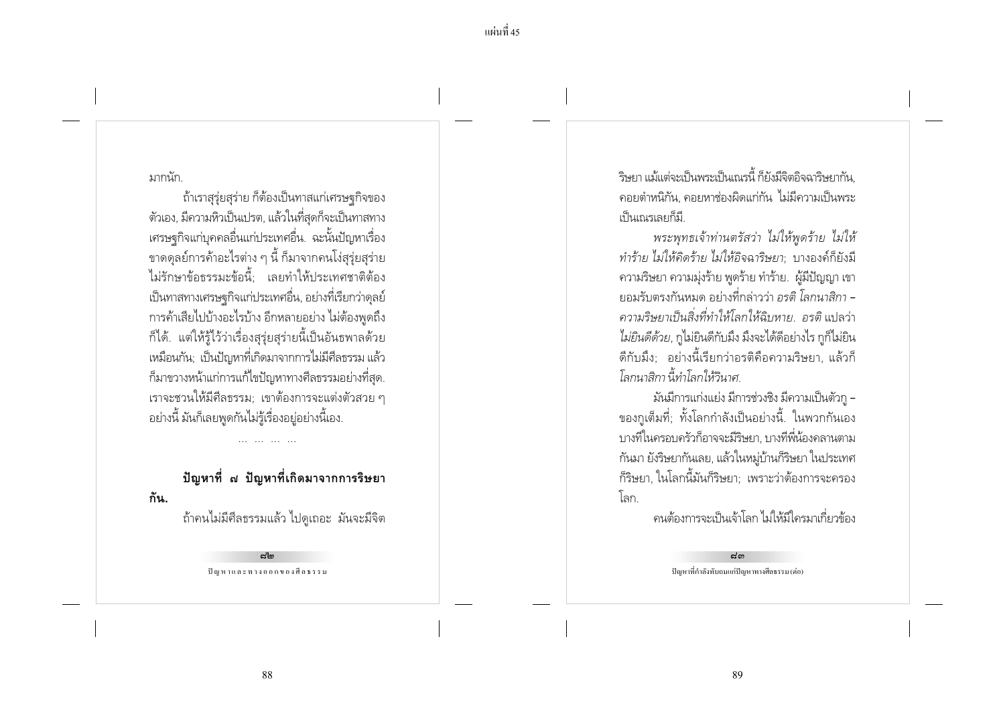#### มากนัก

กัน.

้ถ้าเราสุรุ่ยสุร่าย ก็ต้องเป็นทาสแก่เศรษฐกิจของ ตัวเอง, มีความหิวเป็นเปรต, แล้วในที่สุดก็จะเป็นทาสทาง เศรษฐกิจแก่บุคคลอื่นแก่ประเทศอื่น. ฉะนั้นปัญหาเรื่อง ขาดดุลย์การค้าอะไรต่าง ๆ นี้ ก็มาจากคนโง่สุรุ่ยสุร่าย ไม่รักษาข้อธรรมะข้อนี้: เลยทำให้ประเทศชาติต้อง เป็นทาสทางเศรษฐกิจแก่ประเทศอื่น, อย่างที่เรียกว่าดุลย์ การค้าเสียไปบ้างอะไรบ้าง อีกหลายอย่าง ไม่ต้องพดถึง ้ก็ได้. แต่ให้รู้ไว้ว่าเรื่องสุรุ่ยสุร่ายนี้เป็นอันธพาลด้วย เหมือนกัน: เป็นปัญหาที่เกิดมาจากการไม่มีศีลธรรม แล้ว ้ก็มาขวางหน้าแก่การแก้ไขปัญหาทางศีลธรรมอย่างที่สุด. เราจะชวนให้มีศีลธรรม; เขาต้องการจะแต่งตัวสวย ๆ ้อย่างนี้ มันก็เลยพูดกันไม่รู้เรื่องอยู่อย่างนี้เอง.

# ี ปัญหาที่ ๗ ปัญหาที่เกิดมาจากการริษยา

้ถ้าคนไม่มีศีลธรรมแล้ว ไปดูเถอะ มันจะมีจิต

പ്പിച ปัญหาและทางออกของศีลธรรม ์ริษยา แม้แต่จะเป็นพระเป็นเณรนี้ ก็ยังมีจิตอิจฉาริษยากัน ้ คอยตำหนิกัน. คอยหาช่องผิดแก่กัน ไม่มีความเป็นพระ เป็นเณรเลยก็มี

พระพุทธเจ้าท่านตรัสว่า ไม่ให้พูดร้าย ไม่ให้ ทำร้าย ไม่ให้คิดร้าย ไม่ให้อิจฉาริษยา; บางองค์ก็ยังมี ้ความริษยา ความมุ่งร้าย พูดร้าย ทำร้าย. ผู้มีปัญญา เขา ียอมรับตรงกันหมด อย่างที่กล่าวว่า อรติ โลกนาสิกา -้ ความริษยาเป็นสิ่งที่ทำให้โลกให้ฉิบหาย อรติ แปลว่า ไม่ยินดีด้วย, กูไม่ยินดีกับมึง มึงจะได้ดีอย่างไร กูก็ไม่ยิน ้ดีกับมึง: อย่างนี้เรียกว่าอรติคือความริษยา, แล้วก็ โลกนาสิกา นี้ทำโลกให้วินาศ

มันมีการแก่งแย่ง มีการช่วงชิง มีความเป็นตัวกู – ของกูเต็มที่; ทั้งโลกกำลังเป็นอย่างนี้. ในพวกกันเอง ้บางที่ในครอบครัวก็อาจจะมีริษยา. บางที่พี่น้องคลานตาม กันมา ยังริษยากันเลย, แล้วในหมู่บ้านก็ริษยา ในประเทศ ้ก็ริษยา, ในโลกนี้มันก็ริษยา; เพราะว่าต้องการจะครอง โลก

้ดนต้องการจะเป็นเจ้าโลก ไม่ให้มีใดรมาเกี่ยวข้อง

 $E<sub>0</sub>$ ปัญหาที่กำลังทับถมแก่ปัญหาทางศีลธรรม (ต่อ)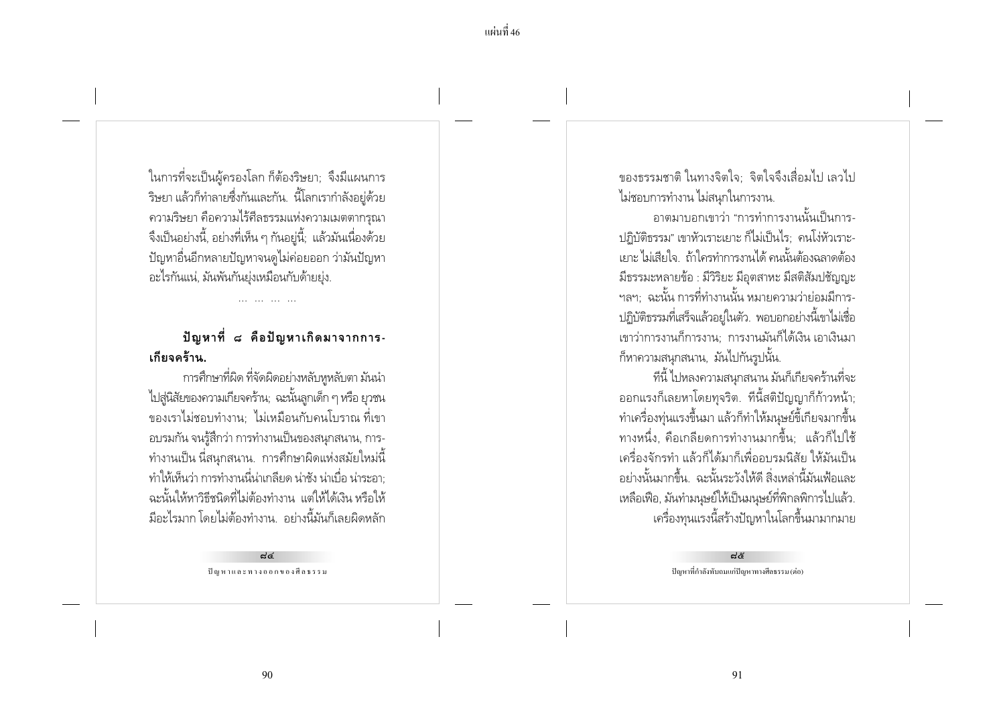ในการที่จะเป็นผู้ครองโลก ก็ต้องริษยา; จึงมีแผนการ ์ ริษยา แล้วก็ทำลายซึ่งกันและกัน. นี้โลกเรากำลังอยู่ด้วย ิ ความริษยา คือความไร้ศีลธรรมแห่งความเมตตากรุณา ้ จึงเป็นอย่างนี้. อย่างที่เห็น ๆ กันอย่นี้: แล้วมันเนื่องด้วย ้ ปัญหาอื่นอีกหลายปัญหาจนดูไม่ค่อยออก ว่ามันปัญหา อะไรกันแน่, มันพันกันย่งเหมือนกับด้ายย่ง.

## ปัญหาที่ ๘ คือปัญหาเกิดมาจากการ-เกียจคร้าน

การศึกษาที่ผิด ที่จัดผิดอย่างหลับหูหลับตา มันนำ ไปสู่นิสัยของความเกี่ยจคร้าน; ฉะนั้นลูกเด็ก ๆ หรือ ยุวชน ของเราไม่ชอบทำงาน: ไม่เหมือนกับคนโบราณ ที่เขา ้อบรมกัน จนรู้สึกว่า การทำงานเป็นของสนุกสนาน, การ-้ ทำงานเป็น นี่สนกสนาน. การศึกษาผิดแห่งสมัยใหม่นี้ ทำให้เห็นว่า การทำงานนี่น่าเกลียด น่าชัง น่าเบื่อ น่าระอา: ฉะนั้นให้หาวิธีชนิดที่ไม่ต้องทำงาน แต่ให้ได้เงิน หรือให้ ้มีอะไรมาก โดยไม่ต้องทำงาน อย่างนี้มันก็เลยผิดหลัก

> ದ್ದ ปัญหาและทางออกของศีลธรรม

ของธรรมชาติ ในทางจิตใจ· จิตใจจึงเสื่อมไป เลวไป ไม่ชอบการทำงาน ไม่สนุกในการงาน.

้อาตมาบอกเขาว่า "การทำการงานนั้นเป็นการ-ปภิบัติธรรม" เขาหัวเราะเยาะ ก็ไม่เป็นไร: คนโง่หัวเราะ-เยาะ ไม่เสียใจ. ถ้าใครทำการงานได้ คนนั้นต้องฉลาดต้อง มีธรรมะหลายข้อ : มีวิริยะ มือตสาหะ มีสติสัมปชัญญะ ้ฯลฯ: ฉะนั้น การที่ทำงานนั้น หมายความว่าย่อมมีการ-ปฏิบัติธรรมที่เสร็จแล้วอยู่ในตัว. พอบอกอย่างนี้เขาไม่เชื่อ เขาว่าการงานก็การงาน: การงานมันก็ได้เงิน เอาเงินมา ก็หาความสนุกสนาน, มันไปกันรูปนั้น.

้ที่นี้ ไปหลงความสนกสนาน มันก็เกียจคร้านที่จะ ออกแรงก็เลยหาโดยทุจริต. ที่นี้สติปัญญาก็ก้าวหน้า; ้ทำเครื่องทุ่นแรงขึ้นมา แล้วก็ทำให้มนุษย์ขี้เกียจมากขึ้น ้ทางหนึ่ง. คือเกลียดการทำงานมากขึ้น: แล้วก็ไปใช้ เครื่องจักรทำ แล้วก็ได้มาก็เพื่ออบรมนิสัย ให้มันเป็น ้อย่างนั้นมากขึ้น. ฉะนั้นระวังให้ดี สิ่งเหล่านี้มันเฟ้อและ เหลือเฟือ, มันทำมนุษย์ให้เป็นมนุษย์ที่พิกลพิการไปแล้ว. เครื่องทุนแรงนี้สร้างปัญหาในโลกขึ้นมามากมาย

> ನಹಿ ปัญหาที่กำลังทับถมแก่ปัญหาทางศีลธรรม (ต่อ)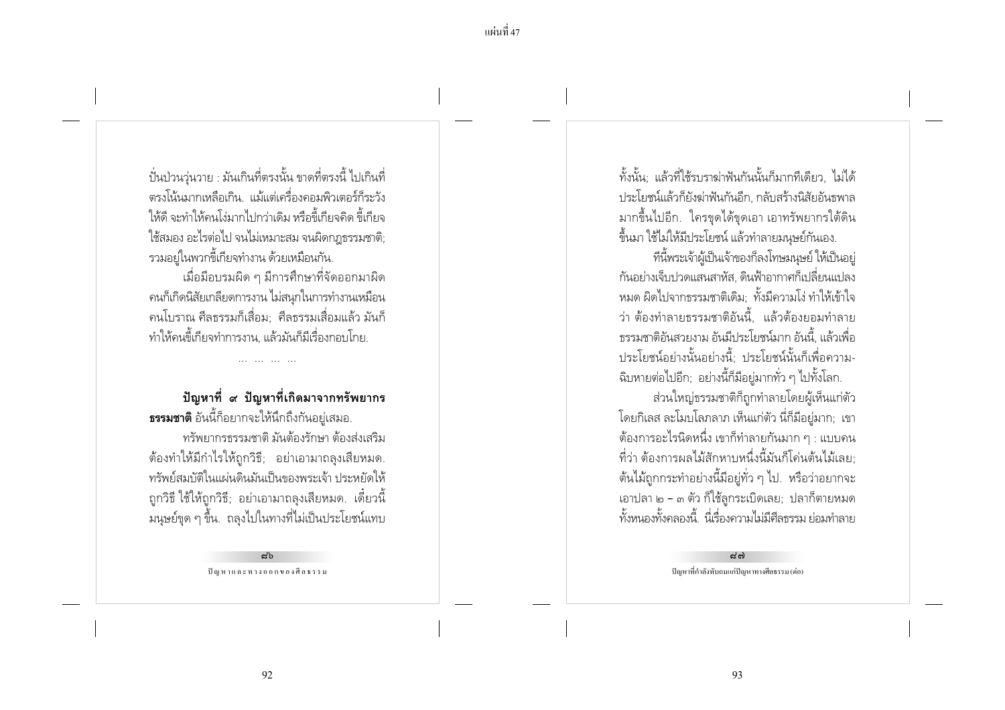ปั่นป่วนว่นวาย : มันเกินที่ตรงนั้น ขาดที่ตรงนี้ ไปเกินที่ ้ตรงโน้นมากเหลือเกิน แม้แต่เครื่องคอมพิวเตอร์ก็ระวัง ให้ดี จะทำให้คนโง่มากไปกว่าเดิม หรือขี้เกียจคิด ขี้เกียจ ใช้สมอง อะไรต่อไป จนไม่เหมาะสม จนผิดกภธรรมชาติ รวมอยู่ในพวกขี้เกียจทำงาน ด้วยเหมือนกัน.

เมื่อมีอบรมผิด ๆ มีการศึกษาที่จัดออกมาผิด ้ คนก็เกิดนิสัยเกลียดการงาน ไม่สนุกในการทำงานเหมือน ้ คนโบราณ ศีลธรรมก็เสื่อม: ศีลธรรมเสื่อมแล้ว มันก็ ทำให้คนขี้เกียจทำการงาน. แล้วมันก็มีเรื่องกอบโกย.

#### ปัญหาที่ ๙ ปัญหาที่เกิดมาจากทรัพยากร **ธรรมชาติ** อันนี้ก็อยากจะให้นึกถึงกันอยู่เสมอ.

and the side of

ทรัพยากรธรรมชาติ มันต้องรักษา ต้องส่งเสริม ้ต้องทำให้มีกำไรให้ถูกวิธี; อย่าเอามาถลงเสียหมด. ทรัพย์สมบัติในแผ่นดินมันเป็นของพระเจ้า ประหยัดให้ ้ถูกวิธี ใช้ให้ถูกวิธี; อย่าเอามาถลุงเสียหมด. เดี๋ยวนี้ ้มนุษย์ขุด ๆ ขึ้น. ถลุงไปในทางที่ไม่เป็นประโยชน์แทบ

> ಧ' ปัญหาและทางออกของศีลธรรม

้ทั้งนั้น: แล้วที่ใช้รบราฆ่าฟันกันนั้นก็มากทีเดียว, ไม่ได้ ประโยชน์แล้วก็ยังฆ่าฟันกันอีก. กลับสร้างนิสัยอันธพาล ้มากขึ้นไปอีก. ใครขุดได้ขุดเอา เอาทรัพยากรใต้ดิน ์ขึ้นมา ใช้ไม่ให้มีประโยชน์ แล้วทำลายมนษย์กันเอง.

ที่นี้พระเจ้าผู้เป็นเจ้าของก็ลงโทษมนุษย์ ให้เป็นอยู่ ้กันอย่างเจ็บปวดแสนสาหัส. ดินฟ้าอากาศก็เปลี่ยนแปลง ่ หมด ผิดไปจากธรรมชาติเดิม: ทั้งมีความโง่ ทำให้เข้าใจ ว่า ต้องทำลายธรรมชาติอันนี้ แล้วต้องยอมทำลาย ำรรมชาติอันสวยงาม อันมีประโยชน์มาก อันนี้ แล้วเพื่อ <u> ประโยชน์อย่างนั้นอย่างนี้ ประโยชน์นั้นก็เพื่อความ-</u> ้ฉิบหายต่อไปอีก; อย่างนี้ก็มีอยู่มากทั่ว ๆ ไปทั้งโลก.

ส่วนใหญ่ธรรมชาติก็ถูกทำลายโดยผู้เห็นแก่ตัว โดยกิเลส ละโมบโลภลาภ เห็นแก่ตัว นี่ก็มีอยู่มาก; เขา ้ต้องการอะไรนิดหนึ่ง เขาก็ทำลายกันมาก ๆ : แบบคน ้ที่ว่า ต้องการผลไม้สักหาบหนึ่งนี้มันก็โค่นต้นไม้เลย: ้ต้นไม้ถูกกระทำอย่างนี้มีอยู่ทั่ว ๆ ไป. หรือว่าอยากจะ เอาปลา ๒ – ๓ ตัว ก็ใช้ลูกระเบิดเลย; ปลาก็ตายหมด ้ทั้งหนองทั้งคลองนี้ นี่เรื่องความไม่มีศีลธรรม ย่อมทำลาย

> $\mathbf{a}^{\prime}$ ຕ່ ปัญหาที่กำลังทับถมแก่ปัญหาทางศีลธรรม (ต่อ)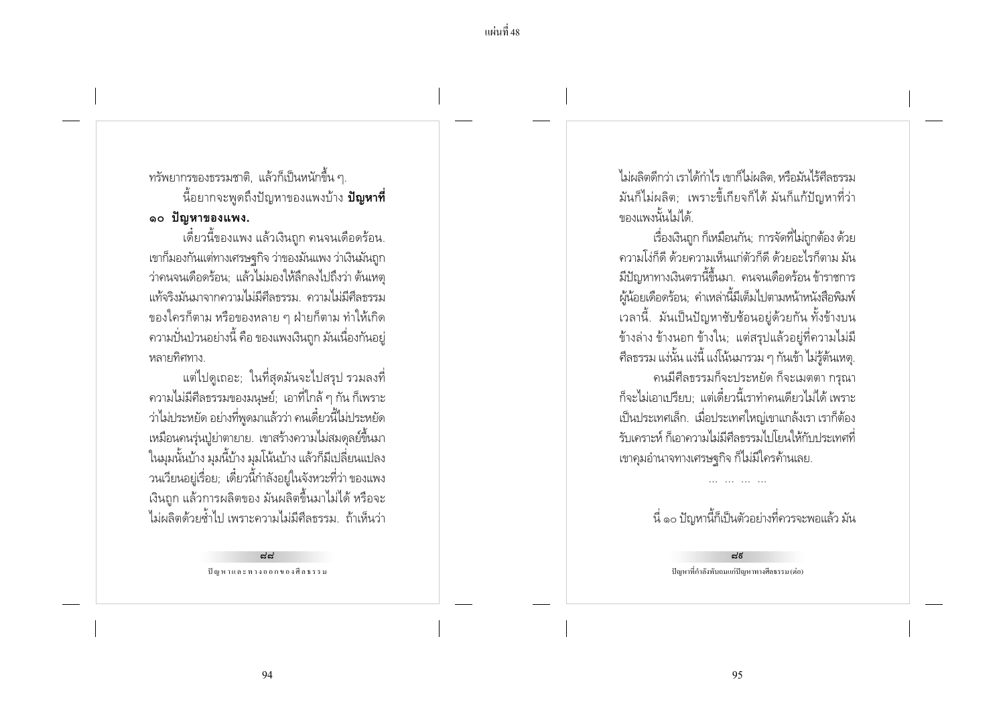## ทรัพยากรของธรรมชาติ, แล้วก็เป็นหนักขึ้น ๆ. ์ นี้อยากจะพูดถึงปัญหาของแพงบ้าง **ปัญหาที่** ๑๐ ปัญหาของแพง.

้เดี๋ยวนี้ของแพง แล้วเงินถก คนจนเดือดร้อน. เขาก็มองกันแต่ทางเศรษฐกิจ ว่าของมันแพง ว่าเงินมันถูก ว่าคนจนเดือดร้อน: แล้วไม่มองให้ลึกลงไปถึงว่า ต้นเหต แท้จริงมันมาจากความไม่มีศีลธรรม ความไม่มีศีลธรรม ของใครก็ตาม หรือของหลาย ๆ ฝ่ายก็ตาม ทำให้เกิด ่ ความปั่นป่วนอย่างนี้ คือ ของแพงเงินถูก มันเนื่องกันอยู่ หลายทิศทาง

้แต่ไปดูเถอะ; ในที่สุดมันจะไปสรุป รวมลงที่ ่ ความไม่มีศีลธรรมของมนุษย์; เอาที่ใกล้ ๆ กัน ก็เพราะ ว่าไม่ประหยัด อย่างที่พูดมาแล้วว่า คนเดี๋ยวนี้ไม่ประหยัด ่ เหมือนคนรุ่นปุ๋ย่าตายาย. เขาสร้างความไม่สมดุลย์ขึ้นมา ในมุมนั้นบ้าง มุมนี้บ้าง มุมโน้นบ้าง แล้วก็มีเปลี่ยนแปลง ้วนเวียนอยู่เรื่อย; เดี๋ยวนี้กำลังอยู่ในจังหวะที่ว่า ของแพง ้ เงินถูก แล้วการผลิตของ มันผลิตขึ้นมาไม่ได้ หรือจะ ไม่ผลิตด้วยต้ำไป เพราะความไม่มีศีลธรรม ถ้าเห็นว่า

> یہیے ปัญหาและทางออกของศีลธรรม

ไม่ผลิตดีกว่า เราได้กำไร เขาก็ไม่ผลิต หรือมันไร้ศีลธรรม ้มันก็ไม่ผลิต; เพราะขี้เกียจก็ได้ มันก็แก้ปัญหาที่ว่า จากงานน้ำไม่ได้

เรื่องเงินถก ก็เหมือนกัน: การจัดที่ไม่ถกต้อง ด้วย ้ความโง่ก็ดี ด้วยความเห็นแก่ตัวก็ดี ด้วยอะไรก็ตาม มัน ้มีปัญหาทางเงินตรานี้ขึ้นมา. คนจนเดือดร้อน ข้าราชการ ผู้น้อยเดือดร้อน; คำเหล่านี้มีเต็มไปตามหน้าหนังสือพิมพ์ เวลานี้. มันเป็นปัญหาซับซ้อนอย่ด้วยกัน ทั้งข้างบน ข้างล่าง ข้างนอก ข้างใน; แต่สรุปแล้วอยู่ที่ความไม่มี ้ศีลธรรม แง่นั้น แง่นี้ แง่โน้นมารวม ๆ กันเข้า ไม่ร้ต้นเหต. ้คนมีศีลธรรมก็จะประหยัด ก็จะเมตตา กรุณา ก็จะไม่เอาเปรียบ: แต่เดี๋ยวนี้เราทำคนเดียวไม่ได้ เพราะ เป็นประเทศเล็ก. เมื่อประเทศใหญ่เขาแกล้งเรา เราก็ต้อง ้รับเคราะห์ ก็เอาความไม่มีศีลธรรมไปโยนให้กับประเทศที่ เขาคุมอำนาจทางเศรษฐกิจ ก็ไม่มีใครค้านเลย.

ู้นี่ ๑๐ ปัญหานี้ก็เป็นตัวอย่างที่ควรจะพอแล้ว มัน

ನಕ ปัญหาที่กำลังทับถมแก่ปัญหาทางศีลธรรม (ต่อ)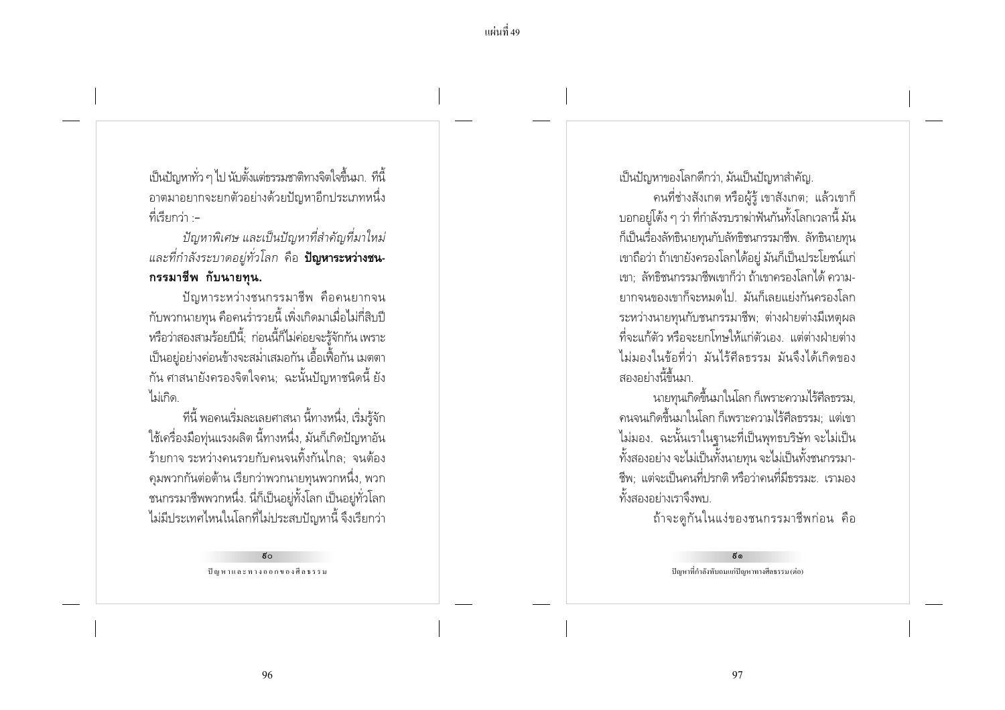เป็นปัญหาทั่ว ๆ ไป นับตั้งแต่ธรรมชาติทางจิตใจขึ้นมา. ที่นี้ ือาตมาอยากจะยกตัวอย่างด้วยปัญหาอีกประเภทหนึ่ง ที่เรียกว่า :−

ปัญหาพิเศษ และเป็นปัญหาที่สำคัญที่มาใหม่ ี และที่กำลังระบาดอยู่ทั่วโลก คือ **ปัญหาระหว่างชน-**กรรมาชีพ กับนายทน.

ปัญหาระหว่างชนกรรมาชีพ คือคนยากจน ้กับพวกนายทน คือคนร่ำรวยนี้ เพิ่งเกิดมาเมื่อไม่กี่สิบปี หรือว่าสองสามร้อยปีนี้; ก่อนนี้ก็ไม่ค่อยจะรู้จักกัน เพราะ ้เป็นอย่อย่างค่อนข้างจะสม่ำเสมอกัน เอื้อเฟื้อกัน เมตตา ้กัน ศาสนายังครองจิตใจคน: ฉะนั้นปัญหาชนิดนี้ ยัง ไม่เกิด

ทีนี้ พอคนเริ่มละเลยศาสนา นี้ทางหนึ่ง, เริ่มรู้จัก ใช้เครื่องมือทุ่นแรงผลิต นี้ทางหนึ่ง, มันก็เกิดปัญหาอัน ้ร้ายกาจ ระหว่างคนรวยกับคนจนทิ้งกันไกล: จนต้อง ้ คุมพวกกันต่อต้าน เรียกว่าพวกนายทุนพวกหนึ่ง, พวก ้ ชนกรรมาชีพพวกหนึ่ง. นี่ก็เป็นอยู่ทั้งโลก เป็นอยู่ทั่วโลก ไม่มีประเทศไหนในโลกที่ไม่ประสบปัญหานี้ จึงเรียกว่า

> $\approx$ ปัญหาและทางออกของศีลธรรม

เป็นปัญหาของโลกดีกว่า, มันเป็นปัญหาสำคัญ.

ึ คนที่ช่างสังเกต หรือผู้รู้ เขาสังเกต; แล้วเขาก็ ้บอกอย่โต้ง ๆ ว่า ที่กำลังรบราฆ่าฟันกันทั้งโลกเวลานี้ มัน ้ก็เป็นเรื่องลัทธินายทนกับลัทธิชนกรรมาชีพ. ลัทธินายทน เขาถือว่า ถ้าเขายังครองโลกได้อยู่ มันก็เป็นประโยชน์แก่ เขา: ลัทธิชนกรรมาชีพเขาก็ว่า ถ้าเขาครองโลกได้ ความ-ยากจนของเขาก็จะหมดไป. มันก็เลยแย่งกันครองโลก ระหว่างนายทนกับชนกรรมาชีพ: ต่างฝ่ายต่างมีเหตผล ้ที่จะแก้ตัว หรือจะยกโทษให้แก่ตัวเอง แต่ต่างฝ่ายต่าง ไม่มองในข้อที่ว่า มันไร้ศีลธรรม มันจึงได้เกิดของ สองอย่างนี้ขึ้นมา

้นายทุนเกิดขึ้นมาในโลก ก็เพราะความไร้ศีลธรรม, ้ คนจนเกิดขึ้นมาในโลก ก็เพราะความไร้ศีลธรรม: แต่เขา ไม่มอง. ฉะนั้นเราในฐานะที่เป็นพุทธบริษัท จะไม่เป็น ้ทั้งสองอย่าง จะไม่เป็นทั้งนายทุน จะไม่เป็นทั้งชนกรรมา-์ชีพ; แต่จะเป็นคนที่ปรกติ หรือว่าคนที่มีธรรมะ. เรามอง ทั้งสองอย่างเราจึงพบ

ถ้าจะดูกันในแง่ของชนกรรมาชีพก่อน คือ

ຮັ໑ ปัญหาที่กำลังทับถมแก่ปัญหาทางศีลธรรม (ต่อ)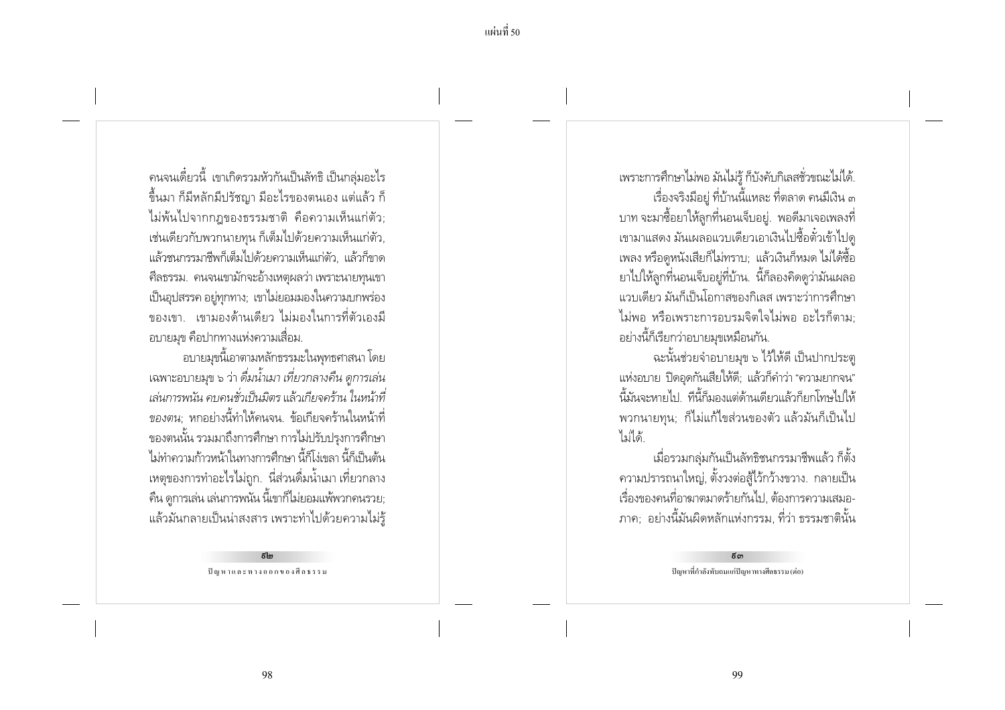ิ คนจนเดี๋ยวนี้ เขาเกิดรวมหัวกันเป็นลัทธิ เป็นกล่มอะไร ์ ขึ้นมา ก็มีหลักมีปรัชญา มีอะไรของตนเอง แต่แล้ว ก็ ไม่พ้นไปจากกฎของธรรมชาติ คือความเห็นแก่ตัว: เช่นเดียวกับพวกนายทน ก็เต็มไปด้วยความเห็นแก่ตัว. แล้วชนกรรมาชีพก็เต็มไปด้วยความเห็นแก่ตัว. แล้วก็ขาด ์ศีลธรรม. คนจนเขามักจะอ้างเหตุผลว่า เพราะนายทนเขา เป็นอุปสรรค อยู่ทุกทาง; เขาไม่ยอมมองในความบกพร่อง ่ ของเขา เขามองด้านเดียว ไม่มองในการที่ตัวเองมี ้อบายมุข คือปากทางแห่งความเสื่อม.

้อบายมขนี้เอาตามหลักธรรมะในพทธศาสนา โดย ้ เฉพาะอบายมุข ๖ ว่า ดื่มน้ำเมา เที่ยวกลางคืน ดูการเล่น เล่นการพนัน คบคนชั่วเป็นมิตร แล้วเกียจคร้าน ในหน้าที่ ้*ของตน*: หกอย่างนี้ทำให้คนจน. ข้อเกียจคร้านในหน้าที่ ี ของตนนั้น รวมมาถึงการศึกษา การไม่ปรับปรุงการศึกษา ไม่ทำความก้าวหน้าในทางการศึกษา นี้ก็โง่เขลา นี้ก็เป็นต้น ่ เหตุของการทำอะไรไม่ถูก. นี่ส่วนดื่มน้ำเมา เที่ยวกลาง ้คืน ดูการเล่น เล่นการพนัน นี้เขาก็ไม่ยอมแพ้พวกคนรวย; ้ แล้วมันกลายเป็นน่าสงสาร เพราะทำไปด้วยความไม่รู้

> $E_{\rm lm}$ ปัญหาและทางออกของศีลธรรม

เพราะการศึกษาไม่พอ มันไม่ร้ ก็บังคับกิเลสชั่วขณะไม่ได้. เรื่องจริงมีอยู่ ที่บ้านนี้แหละ ที่ตลาด คนมีเงิน ๓ ิบาท จะมาซื้อยาให้ลูกที่นอนเจ็บอยู่. พอดีมาเจอเพลงที่ ่ เขามาแสดง มันเผลอแวบเดียวเอาเงินไปซื้อตั๋วเข้าไปด เพลง หรือดูหนังเสียก็ไม่ทราบ; แล้วเงินก็หมด ไม่ได้ซื้อ ยาไปให้ลูกที่นอนเจ็บอยู่ที่บ้าน. นี้ก็ลองคิดดูว่ามันเผลอ แวบเดียว มันก็เป็นโอกาสของกิเลส เพราะว่าการศึกษา ไม่พอ หรือเพราะการอบรมจิตใจไม่พอ อะไรก็ตาม: ้อย่างนี้ก็เรียกว่าอบายมุขเหมือนกัน.

้ฉะนั้นช่วยจำอบายมข ๖ ไว้ให้ดี เป็นปากประต แห่งอบาย ปิดอุดกันเสียให้ดี; แล้วก็คำว่า "ความยากจน" ้นี้มันจะหายไป ที่นี้ก็มองแต่ด้านเดียวแล้วก็ยกโทษไปให้ ้พวกนายทุน; ก็ไม่แก้ไขส่วนของตัว แล้วมันก็เป็นไป ไม่ได้

เมื่อรวมกลุ่มกันเป็นลัทธิชนกรรมาชีพแล้ว ก็ตั้ง ิ ความปรารถนาใหญ่, ตั้งวงต่อสู้ไว้กว้างขวาง. กลายเป็น เรื่องของคนที่อาฆาตมาดร้ายกันไป. ต้องการความเสมอ-ุภาค; อย่างนี้มันผิดหลักแห่งกรรม, ที่ว่า ธรรมชาตินั้น

> $\epsilon$ ດາ ปัญหาที่กำลังทับถมแก่ปัญหาทางศีลธรรม (ต่อ)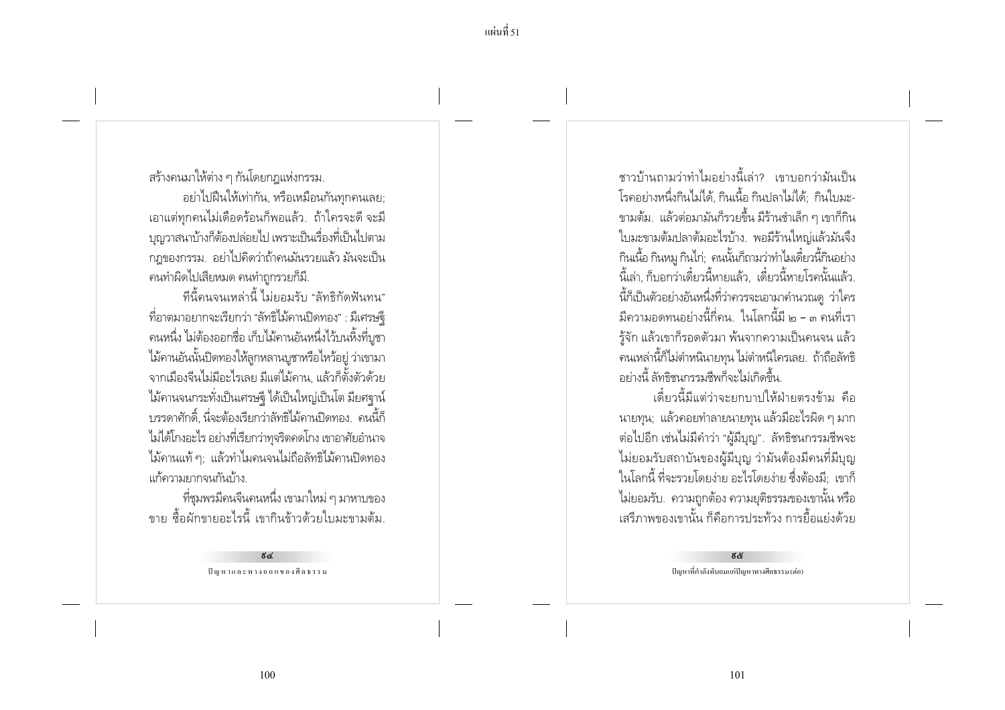สร้างคนมาให้ต่าง ๆ กันโดยกฎแห่งกรรม.

้อย่าไปฝืนให้เท่ากัน, หรือเหมือนกันทุกคนเลย; เอาแต่ทกคนไม่เดือดร้อนก็พอแล้ว. ถ้าใครจะดี จะมี ้ บณวาสนาบ้างก็ต้องปล่อยไป เพราะเป็นเรื่องที่เป็นไปตาม ึกฎของกรรม. อย่าไปคิดว่าถ้าคนมันรวยแล้ว มันจะเป็น ้คนทำผิดไปเสียหมด คนทำถกรวยก็มี.

้ที่นี้คนจนเหล่านี้ ไม่ยอมรับ "ลัทธิกัดฟันทน" ้ที่อาตมาอยากจะเรียกว่า "ลัทธิไม้คานปิดทอง" : มีเศรษจี ้ คนหนึ่ง ไม่ต้องออกชื่อ เก็บไม้คานอันหนึ่งไว้บนหิ้งที่บูชา ไม้คานอันนั้นปิดทองให้ลูกหลานบูชาหรือไหว้อยู่ ว่าเขามา ิจากเมืองจีนไม่มีอะไรเลย มีแต่ไม้คาน. แล้วก็ตั้งตัวด้วย ไม้คานจนกระทั่งเป็นเศรษฐี ได้เป็นใหญ่เป็นโต มียศฐาน์ ้ บรรดาศักดิ์ นี่จะต้องเรียกว่าลัทธิไม้คานปิดทอง. คนนี้ก็ ไม่ได้โกงอะไร อย่างที่เรียกว่าทุจริตคดโกง เขาอาศัยอำนาจ ไม้คานแท้ ๆ: แล้วทำไมคนจนไม่ถือลัทธิไม้คานปิดทอง แก้ความยากจนกันบ้าง

ที่ชุมพรมีคนจีนคนหนึ่ง เขามาใหม่ ๆ มาหาบของ ์ ขาย สื้อผักขายอะไรนี้ เขากินข้าวด้วยใบมะขามต้ม

> ಕಡ ปัญหาและทางออกของศีลธรรม

้ ชาวบ้านถามว่าทำไมอย่างนี้เล่า? เขาบอกว่ามันเป็น โรคอย่างหนึ่งกินไม่ได้. กินเนื้อ กินปลาไม่ได้: กินใบมะ-ขามต้ม. แล้วต่อมามันก็รวยขึ้น มีร้านชำเล็ก ๆ เขาก็กิน ใบมะขามต้มปลาต้มอะไรบ้าง. พอมีร้านใหญ่แล้วมันจึง กินเนื้อ กินหมู กินไก่; คนนั้นก็ถามว่าทำไมเดี๋ยวนี้กินอย่าง ้นี้เล่า ก็บอกว่าเดี๋ยวนี้หายแล้ว...เดี๋ยวนี้หายโรคนั้นแล้ว.. นี้ก็เป็นตัวอย่างอันหนึ่งที่ว่าควรจะเอามาคำนวณดู ว่าใคร ้มีความอดทนอย่างนี้กี่คน ในโลกนี้มี ๒ - ๓ คนที่เรา รู้จัก แล้วเขาก็รอดตัวมา พ้นจากความเป็นคนจน แล้ว ้ คนเหล่านี้ก็ไม่ตำหนินายทุน ไม่ตำหนิใครเลย. ถ้าถือลัทธิ ้อย่างนี้ ลัทธิชนกรรมซีพก็จะไม่เกิดขึ้น

เดี๋ยวนี้มีแต่ว่าจะยกบาปให้ฝ่ายตรงข้าม คือ ้นายทุน; แล้วคอยทำลายนายทุน แล้วมีอะไรผิด ๆ มาก ต่อไปอีก เช่นไม่มีคำว่า "ผู้มีบุญ". ลัทธิชนกรรมชีพจะ ไม่ยอมรับสถาบันของผู้มีบุญ ว่ามันต้องมีคนที่มีบุญ ในโลกนี้ ที่จะรวยโดยง่าย อะไรโดยง่าย ซึ่งต้องมี; เขาก็ ไม่ยอมรับ. ความถูกต้อง ความยุติธรรมของเขานั้น หรือ ้เสรีภาพของเขานั้น ก็คือการประท้วง การยื้อแย่งด้วย

> ಕ& ปัญหาที่กำลังทับถมแก่ปัญหาทางศีลธรรม (ต่อ)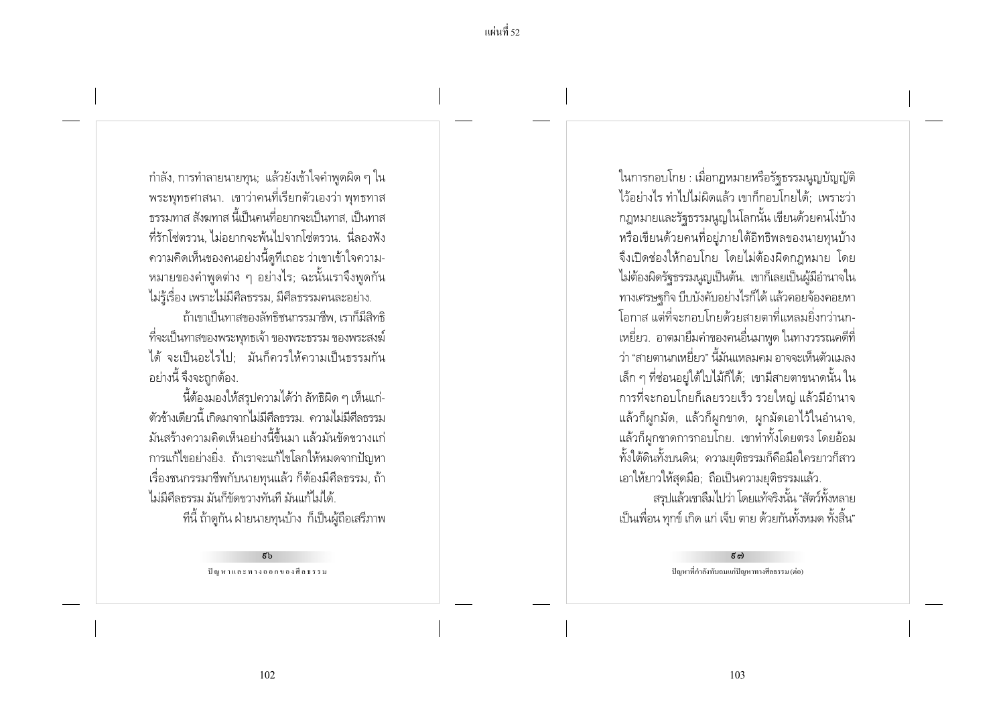้แผ่บที่ รว

้กำลัง, การทำลายนายทุน; แล้วยังเข้าใจคำพูดผิด ๆ ใน ้พระพุทธศาสนา. เขาว่าคนที่เรียกตัวเองว่า พุทธทาส ่ ธรรมทาส สังฆทาส นี้เป็นคนที่อยากจะเป็นทาส. เป็นทาส ้ที่รักโซ่ตรวน ไม่อยากจะพ้นไปจากโซ่ตรวน นี่ลองฟัง ้ ความคิดเห็นของคนอย่างนี้ดูที่เถอะ ว่าเขาเข้าใจความ-่ หมายของคำพูดต่าง ๆ อย่างไร; ฉะนั้นเราจึงพูดกัน ไม่รู้เรื่อง เพราะไม่มีศีลธรรม, มีศีลธรรมคนละอย่าง.

ถ้าเขาเป็นทาสของลัทธิชนกรรมาชีพ. เราก็มีสิทธิ ้ที่จะเป็นทาสของพระพุทธเจ้า ของพระธรรม ของพระสงฆ์ ได้ จะเป็นอะไรไป: มันก็ควรให้ความเป็นธรรมกัน ้อย่างนี้ จึงจะถกต้อง.

นี้ต้องมองให้สรุปความได้ว่า ลัทธิผิด ๆ เห็นแก่-ตัวข้างเดียวนี้ เกิดมาจากไม่มีศีลธรรม. ความไม่มีศีลธรรม ้มันสร้างความคิดเห็นอย่างนี้ขึ้นมา แล้วมันขัดขวางแก่ ้ การแก้ไขอย่างยิ่ง. ถ้าเราจะแก้ไขโลกให้หมดจากปัญหา ้เรื่องชนกรรมาชีพกับนายทุนแล้ว ก็ต้องมีศีลธรรม, ถ้า ไม่มีศีลธรรม มันก็ขัดขวางทันที มันแก้ไม่ได้

ทีนี้ ถ้าดูกัน ฝ่ายนายทุนบ้าง ก็เป็นผู้ถือเสริภาพ

 $\tilde{\kappa}$ ปัญหาและทางออกของศีลธรรม ในการกอบโกย : เมื่อกฎหมายหรือรัฐธรรมนูญบัญญัติ ไว้อย่างไร ทำไปไม่ผิดแล้ว เขาก็กอบโกยได้: เพราะว่า กฎหมายและรัฐธรรมนูญในโลกนั้น เขียนด้วยคนโง่บ้าง หรือเขียนด้วยคนที่อยู่ภายใต้อิทธิพลของนายทุนบ้าง จึงเปิดช่องให้กอบโกย โดยไม่ต้องผิดกฎหมาย โดย ไม่ต้องผิดรัฐธรรมนูญเป็นต้น. เขาก็เลยเป็นผู้มีอำนาจใน ทางเศรษฐกิจ บีบบังคับอย่างไรก็ได้ แล้วคอยจ้องคอยหา โอกาส แต่ที่จะกอบโกยด้วยสายตาที่แหลมยิ่งกว่านก-เหยี่ยว. อาตมายืมคำของคนอื่นมาพูด ในทางวรรณคดีที่ ว่า "สายตานกเหยี่ยว" นี้มันแหลมคม อาจจะเห็นตัวแมลง เล็ก ๆ ที่ช่อนอยู่ใต้ใบไม้ก็ได้; เขามีสายตาขนาดนั้น ใน ิการที่จะกอบโกยก็เลยรวยเร็ว รวยใหญ่ แล้วมีอำนาจ แล้วก็ผูกมัด, แล้วก็ผูกขาด, ผูกมัดเอาไว้ในอำนาจ, แล้วก็ผูกขาดการกอบโกย. เขาทำทั้งโดยตรง โดยอ้อม ้ทั้งใต้ดินทั้งบนดิน; ความยุติธรรมก็คือมือใครยาวก็สาว เอาให้ยาวให้สุดมือ; ถือเป็นความยุติธรรมแล้ว.

สรุปแล้วเขาลืมไปว่า โดยแท้จริงนั้น "สัตว์ทั้งหลาย เป็นเพื่อน ทุกข์ เกิด แก่ เจ็บ ตาย ด้วยกันทั้งหมด ทั้งสิ้น"

> $5c$ ปัญหาที่กำลังทับถมแก่ปัญหาทางศีลธรรม (ต่อ)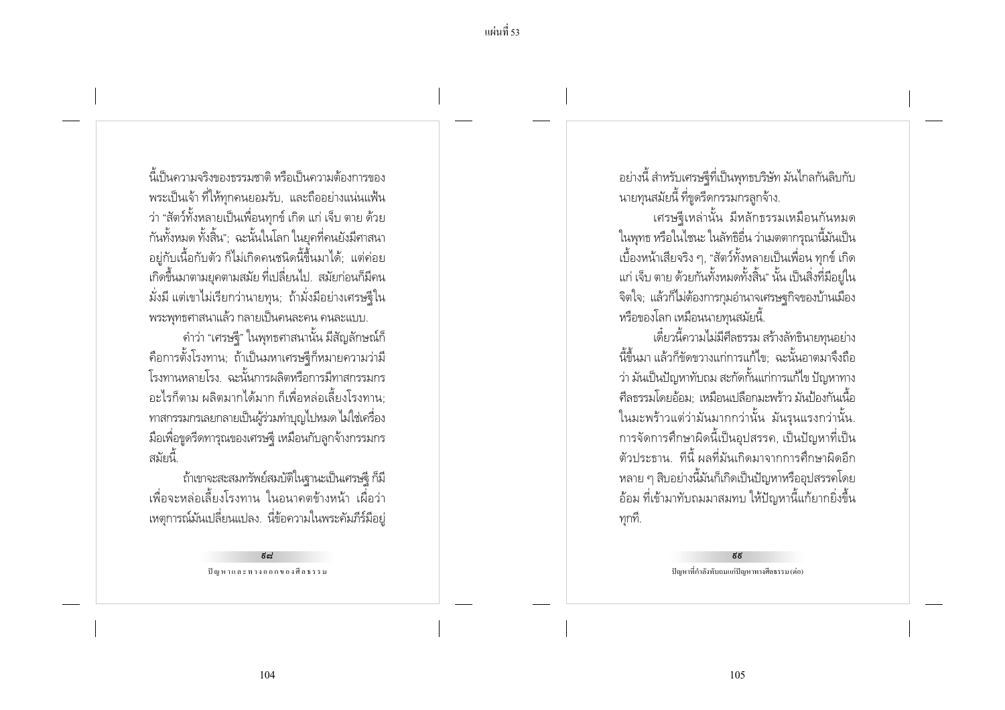้นี้เป็นดาาบลริงของธรรบชาติ หรือเป็นดาาบต้องการของ พระเป็นเจ้า ที่ให้ทุกคนยอมรับ, และถืออย่างแน่นแฟ้น ว่า "สัตว์ทั้งหลายเป็นเพื่อนทุกข์ เกิด แก่ เจ็บ ตาย ด้วย กันทั้งหมด ทั้งสิ้น"; ฉะนั้นในโลก ในยุคที่คนยังมีศาสนา ้อยู่กับเนื้อกับตัว ก็ไม่เกิดคนชนิดนี้ขึ้นมาได้; แต่ค่อย ้ เกิดขึ้นมาตามยคตามสมัย ที่เปลี่ยนไป. สมัยก่อนก็มีคน ้มั่งมี แต่เขาไม่เรียกว่านายทุน; ถ้ามั่งมีอย่างเศรษฐีใน ิพระพทธศาสนาแล้ว กลายเป็นคนละคน คนละแบบ.

้คำว่า "เศรษฐี" ในพุทธศาสนานั้น มีสัญลักษณ์ก็ ้คือการตั้งโรงทาน; ถ้าเป็นมหาเศรษฐีก็หมายความว่ามี โรงทานหลายโรง, ฉะนั้นการผลิตหรือการมีทาสกรรมกร ้อะไรก็ตาม ผลิตมากได้มาก ก็เพื่อหล่อเลี้ยงโรงทาน: ้ทาสกรรมกรเลยกลายเป็นผู้ร่วมทำบุญไปหมด ไม่ใช่เครื่อง ้ มือเพื่อขูดรีดทารุณของเศรษฐิ เหมือนกับลูกจ้างกรรมกร สมัยนี้

้ถ้าเขาจะสะสมทรัพย์สมบัติในฐานะเป็นเศรษฐิ ก็มี ้ เพื่อจะหล่อเลี้ยงโรงทาน ในอนาคตข้างหน้า เผื่อว่า ่ เหตุการณ์มันเปลี่ยนแปลง. นี่ข้อความในพระคัมภีร์มีอยู่

> لیے ปัญหาและทางออกของศีลธรรม

้อย่างนี้ สำหรับเศรษจุีที่เป็นพุทธบริษัท มันไกลกันลิบกับ ็นายทุนสมัยนี้ ที่ขูดรีดกรรมกรลูกจ้าง.

เศรษฐีเหล่านั้น มีหลักธรรมเหมือนกันหมด ในพทธ หรือในไชนะ ในลัทธิอื่น ว่าเมตตากรณานี้มันเป็น เบื้องหน้าเสียจริง ๆ, "สัตว์ทั้งหลายเป็นเพื่อน ทุกข์ เกิด แก่ เจ็บ ตาย ด้วยกันทั้งหมดทั้งสิ้น" นั้น เป็นสิ่งที่มีอย่ใน จิตใจ; แล้วก็ไม่ต้องการกุมอำนาจเศรษฐกิจของบ้านเมือง หรือของโลก เหมือนนายทนสมัยนี้.

เดี๋ยวนี้ความไม่มีศีลธรรม สร้างลัทธินายทุนอย่าง ้นี้ขึ้นมา แล้วก็ขัดขวางแก่การแก้ไข: ฉะนั้นอาตมาจึงถือ ว่า มันเป็นปัญหาทับถม สะกัดกั้นแก่การแก้ไข ปัญหาทาง ้ศีลธรรมโดยอ้อม: เหมือนเปลือกมะพร้าว มันป้องกันเนื้อ ในมะพร้าวแต่ว่ามันมากกว่านั้น มันรุนแรงกว่านั้น. ิการจัดการศึกษาผิดนี้เป็นอุปสรรค, เป็นปัญหาที่เป็น ้ตัวประธาน ที่นี้ ผลที่มันเกิดมาจากการศึกษาผิดอีก ่ หลาย ๆ สิบอย่างนี้มันก็เกิดเป็นปัญหาหรืออุปสรรคโดย ้อ้อม ที่เข้ามาทับถมมาสมทบ ให้ปัญหานี้แก้ยากยิ่งขึ้น ทกที.

> يربر ปัญหาที่กำลังทับถมแก่ปัญหาทางศีลธรรม (ต่อ)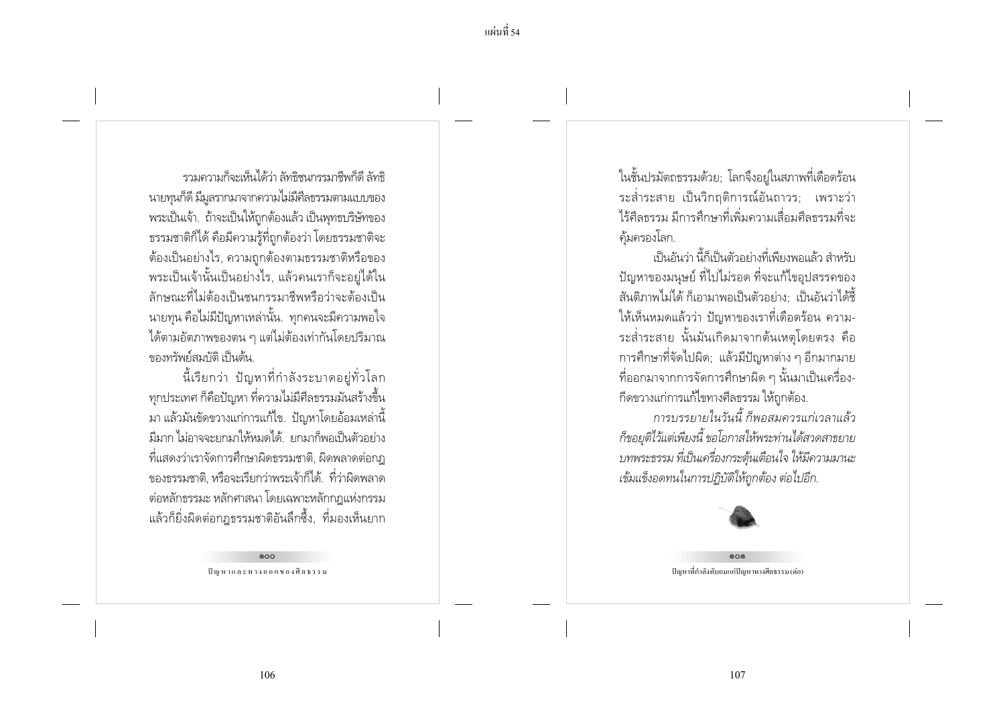้แผ่บที่ ร4

ราบดาาบก็จะเห็นได้ว่า ลัทธิชบกรรบาชีพก็ดี ลัทธิ นายทุนก็ดี มีมูลรากมาจากความไม่มีศีลธรรมตามแบบของ พระเป็นเจ้า. ถ้าจะเป็นให้ถูกต้องแล้ว เป็นพุทธบริษัทของ ธรรมชาติก็ได้ คือมีความรู้ที่ถูกต้องว่า โดยธรรมชาติจะ ้ต้องเป็นอย่างไร, ความถูกต้องตามธรรมชาติหรือของ ้ พระเป็นเจ้านั้นเป็นอย่างไร, แล้วคนเราก็จะอย่ได้ใน ลักษณะที่ไม่ต้องเป็นชนกรรมาชีพหรือว่าจะต้องเป็น ิ นายทน คือไม่มีปัญหาเหล่านั้น. ทกคนจะมีความพอใจ ได้ตามอัตภาพของตน ๆ แต่ไม่ต้องเท่ากันโดยปริมาณ ของทรัพย์สมบัติ เป็นต้น

นี้เรียกว่า ปัญหาที่กำลังระบาดอย่ทั่วโลก ้ทุกประเทศ ก็คือปัญหา ที่ความไม่มีศีลธรรมมันสร้างขึ้น ่ มา แล้วมันขัดขวางแก่การแก้ไข. ปัญหาโดยอ้อมเหล่านี้ ้มีมาก ไม่อาจจะยกมาให้หมดได้ ยกมาก็พอเป็นตัวอย่าง ีที่แสดงว่าเราจัดการศึกษาผิดธรรมชาติ, ผิดพลาดต่อกฎ ของธรรมชาติ, หรือจะเรียกว่าพระเจ้าก็ได้. ที่ว่าผิดพลาด ้ต่อหลักธรรมะ หลักศาสนา โดยเฉพาะหลักกฎแห่งกรรม แล้วก็ยิ่งผิดต่อกฎธรรมชาติอันลึกซึ้ง, ที่มองเห็นยาก

> 000 ปัญหาและทางออกของศีลธรรม

ในชั้นปรมัตถธรรมด้วย; โลกจึงอยู่ในสภาพที่เดือดร้อน ระส่ำระสาย เป็นวิกฤติการณ์อันถาวร; เพราะว่า ไร้ศีลธรรม มีการศึกษาที่เพิ่มความเสื่อมศีลธรรมที่จะ ค้มครองโลก.

้เป็นกันว่า นี้ก็เป็นตัวอย่างที่เพียงพอแล้ว สำหรับ ้ปัญหาของมนษย์ ที่ไปไม่รอด ที่จะแก้ไขอปสรรคของ ้สันติภาพไม่ได้ ก็เอามาพอเป็นตัวอย่าง: เป็นอันว่าได้ชื้ ให้เห็นหมดแล้วว่า ปัญหาของเราที่เดือดร้อน ความ-้ระส่ำระสาย นั้นมันเกิดมาจากต้นเหตุโดยตรง คือ ้การศึกษาที่จัดไปผิด: แล้วมีปัญหาต่าง ๆ อีกมากมาย ู้ที่ออกมาจากการจัดการศึกษาผิด ๆ นั้นมาเป็นเครื่อง-ก็ดขวางแก่การแก้ไขทางศีลธรรม ให้ถูกต้อง.

การบรรยายในวันนี้ ก็พอสมควรแก่เวลาแล้ว ก็ขอยุติไว้แต่เพียงนี้ ขอโอกาสให้พระท่านได้สวดสาธยาย บทพระธรรม ที่เป็นเครื่องกระตุ้นเตือนใจ ให้มีความมานะ เข้มแข็งอดทนในการปฏิบัติให้ถูกต้อง ต่อไปอีก.



 $000$ ปัญหาที่กำลังทับถมแก่ปัญหาทางศีลธรรม (ต่อ)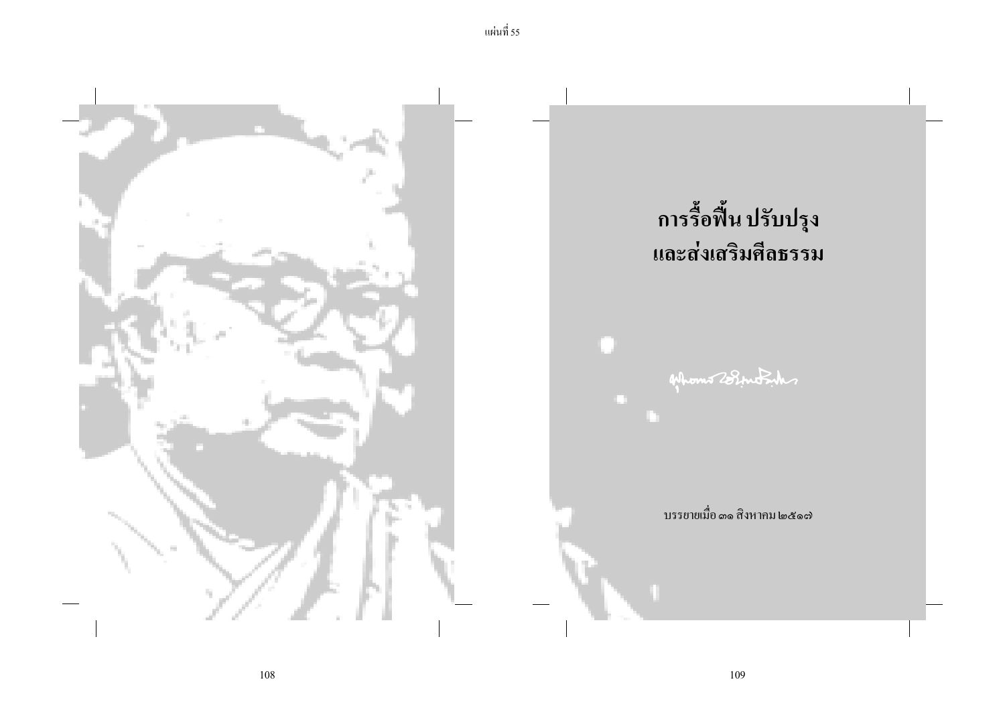

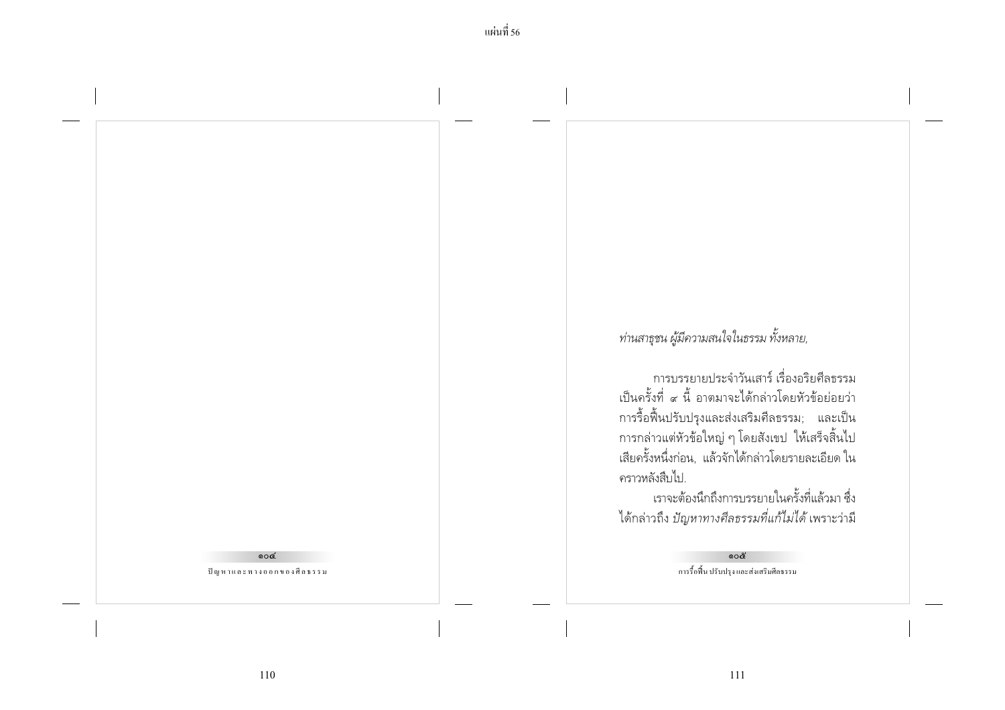$\circ$ ปัญหาและทางออกของศีลธรรม ท่านสาธุชน ผู้มีความสนใจในธรรม ทั้งหลาย,

การบรรยายประจำวันเสาร์ เรื่องอริยศีลธรรม เป็นครั้งที่ ๙ นี้ อาตมาจะได้กล่าวโดยหัวข้อย่อยว่า การรื้อฟื้นปรับปรุงและส่งเสริมศีลธรรม; และเป็น การกล่าวแต่หัวข้อใหญ่ ๆ โดยสังเขป ให้เสร็จสิ้นไป เสียครั้งหนึ่งก่อน, แล้วจักได้กล่าวโดยรายละเอียด ใน คราวหลังสืบไป.

เราจะต้องนึกถึงการบรรยายในครั้งที่แล้วมา ซึ่ง ้ได้กล่าวถึง *ปัญหาทางศีลธรรมที่แก้ไม่ได้* เพราะว่ามี

> റെ๕ การรื้อฟื้น ปรับปรุง และส่งเสริมศีลธรรม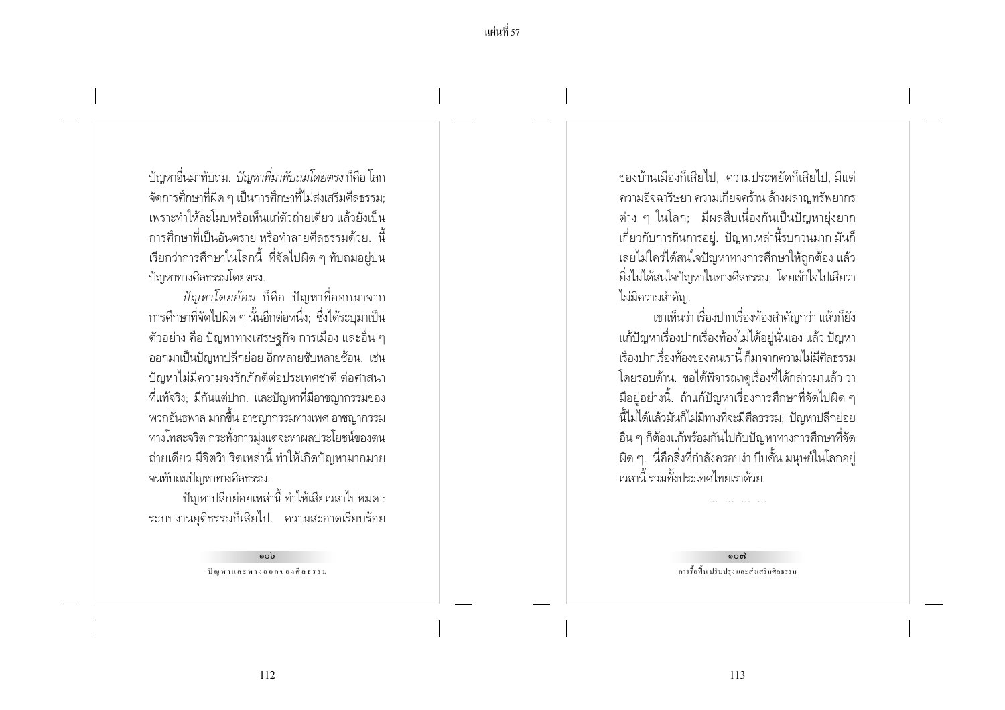้ปัญหาอื่นมาทับถม. *ปัญหาที่มาทับถมโดยตรง* ก็คือ โลก ี จัดการศึกษาที่ผิด ๆ เป็นการศึกษาที่ไม่ส่งเสริมศึลธรรม; เพราะทำให้ละโมบหรือเห็นแก่ตัวถ่ายเดียว แล้วยังเป็น ่ การศึกษาที่เป็นอันตราย หรือทำลายศีลธรรมด้วย - นี้ เรียกว่าการศึกษาในโลกนี้ ที่จัดไปผิด ๆ ทับถมอยู่บน ปัญหาทางศีลธรรมโดยตรง.

*ปัญหาโดยอ้อม* ก็คือ ปัญหาที่ออกมาจาก ่ การศึกษาที่จัดไปผิด ๆ นั้นอีกต่อหนึ่ง; ซึ่งได้ระบุมาเป็น ์ ตัวอย่าง คือ ปัญหาทางเศรษฐกิจ การเมือง และอื่น ๆ ้ออกมาเป็นปัญหาปลีกย่อย อีกหลายซับหลายซ้อน. เช่น ปัญหาไม่มีความจงรักภักดีต่อประเทศชาติ ต่อศาสนา ้ ที่แท้จริง; มีกันแต่ปาก. และปัญหาที่มีอาชญากรรมของ ี พวกอันธพาล มากขึ้น อาชญากรรมทางเพศ อาชญากรรม ทางโทสะจริต กระทั่งการมุ่งแต่จะหาผลประโยชน์ของตน ้ถ่ายเดียว มีจิตวิปริตเหล่านี้ ทำให้เกิดปัญหามากมาย จนทับถมปัญหาทางศีลธรรม.

ปัญหาปลีกย่อยเหล่านี้ ทำให้เสียเวลาไปหมด : ระบบงานยุติธรรมก็เสียไป. ความสะอาดเรียบร้อย

> റെ ปัญหาและทางออกของศีลธรรม

ของบ้านเมืองก็เสียไป. ความประหยัดก็เสียไป มีแต่ ้ความอิจฉาริษยา ความเกี่ยจคร้าน ล้างผลาญทรัพยากร ี่ ต่าง ๆ ในโลก; มีผลสืบเนื่องกันเป็นปัญหายุ่งยาก ้ เกี่ยวกับการกินการอย่. ปัญหาเหล่านี้รบกวนมาก มันก็ เลยไม่ใคร่ได้สนใจปัญหาทางการศึกษาให้ถูกต้อง แล้ว ยิ่งไม่ได้สนใจปัญหาในทางศีลธรรม: โดยเข้าใจไปเสียว่า ไม่มีความสำคัญ.

เขาเห็นว่า เรื่องปากเรื่องท้องสำคัญกว่า แล้วก็ยัง แก้ปัญหาเรื่องปากเรื่องท้องไม่ได้อยู่นั่นเอง แล้ว ปัญหา เรื่องปกครื่องท้องของคนเรานี้ ก็มาจากความไม่มีศีลธรรม โดยรอบด้าน. ขอได้พิจารณาดูเรื่องที่ได้กล่าวมาแล้ว ว่า ้มีอยู่อย่างนี้. ถ้าแก้ปัญหาเรื่องการศึกษาที่จัดไปผิด ๆ นี้ไม่ได้แล้วมันก็ไม่มีทางที่จะมีศีลธรรม; ปัญหาปลีกย่อย ้อื่น ๆ ก็ต้องแก้พร้อมกันไปกับปัญหาทางการศึกษาที่จัด ้ผิด ๆ. นี่คือสิ่งที่กำลังครอบงำ บีบดั้น มนษย์ในโลกอย่ เวลานี้ รวมทั้งประเทศไทยเราด้วย

> റെറ്റ การรื้อฟื้น ปรับปรุง และส่งเสริมศีลธรรม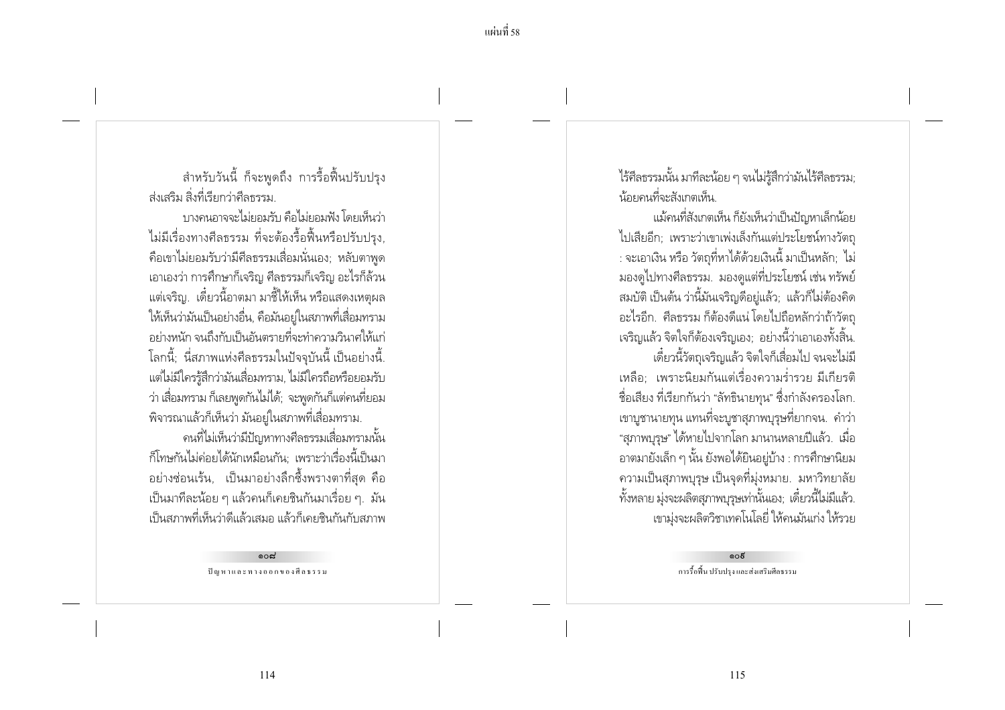สำหรับวันนี้ ก็จะพูดถึง การรื้อฟื้นปรับปรุง ส่งเสริม สิ่งที่เรียกว่าศีลธรรม

ำเางคนกาจจะไม่ยอมรับ คือไม่ยอมฟัง โดยเห็นว่า ไม่มีเรื่องทางศีลธรรม ที่จะต้องรื้อฟื้นหรือปรับปรง. ้ คือเขาไม่ยอมรับว่ามีศีลธรรมเสื่อมนั่นเอง; หลับตาพูด ้ เอาเองว่า การศึกษาก็เจริญ ศีลธรรมก็เจริญ อะไรก็ล้วน ี แต่เจริญ. เดี๋ยวนี้อาตมา มาชี้ให้เห็น หรือแสดงเหตุผล ให้เห็นว่ามันเป็นอย่างอื่น, คือมันอย์ในสภาพที่เสื่อมทราม ้อย่างหนัก จนถึงกับเป็นอันตรายที่จะทำความวินาศให้แก่ ์ โลกนี้: นี่สภาพแห่งศีลธรรมในปัจจบันนี้ เป็นอย่างนี้. แต่ไม่มีใครรู้สึกว่ามันเสื่อมทราม, ไม่มีใครถือหรือยอมรับ ว่า เสื่อมทราม ก็เลยพูดกันไม่ได้; จะพูดกันก็แต่คนที่ยอม ้พิจารณาแล้วก็เห็นว่า มันอยู่ในสภาพที่เสื่อมทราม.

ิคนที่ไม่เห็นว่ามีปัญหาทางศีลธรรมเสื่อมทรามนั้น ้ก็โทษกันไม่ค่อยได้นักเหมือนกัน: เพราะว่าเรื่องนี้เป็นมา ้อย่างช่อนเร้น, เป็นมาอย่างลึกซึ้งพรางตาที่สุด คือ ้เป็นมาที่ละน้อย ๆ แล้วคนก็เคยชินกันมาเรื่อย ๆ. มัน เป็นสภาพที่เห็นว่าดีแล้วเสมอ แล้วก็เคยชินกันกับสภาพ

> റെപ്പ ปัญหาและทางออกของศีลธรรม

ไร้ศีลธรรมนั้น มาทีละน้อย ๆ จนไม่รู้สึกว่ามันไร้ศีลธรรม; น้อยดนที่จะสังเกตเห็น

แม้คนที่สังเกตเห็น ก็ยังเห็นว่าเป็นปัญหาเล็กน้อย ไปเสียอีก: เพราะว่าเขาเพ่งเล็งกันแต่ประโยชน์ทางวัตถ : จะเอาเงิน หรือ วัตถุที่หาได้ด้วยเงินนี้ มาเป็นหลัก; ไม่ ้มองดูไปทางศีลธรรม. มองดูแต่ที่ประโยชน์ เช่น ทรัพย์ สมบัติ เป็นต้น ว่านี้มันเจริญดีอยู่แล้ว; แล้วก็ไม่ต้องคิด ้อะไรอีก. ศีลธรรม ก็ต้องดีแน่ โดยไปถือหลักว่าถ้าวัตถุ ้เจริญแล้ว จิตใจก็ต้องเจริญเอง; อย่างนี้ว่าเอาเองทั้งสิ้น. เดี๋ยวนี้วัตถเจริญแล้ว จิตใจก็เสื่อมไป จนจะไม่มี เหลือ: เพราะนิยมกันแต่เรื่องความร่ำรวย มีเกียรติ ์ ชื่อเสียง ที่เรียกกันว่า "ลัทธินายทน" ซึ่งกำลังครองโลก. ่ เขาบูชานายทุน แทนที่จะบูชาสุภาพบุรุษที่ยากจน. คำว่า "สภาพบุรุษ" ได้หายไปจากโลก มานานหลายปีแล้ว. เมื่อ ้อาตมายังเล็ก ๆ นั้น ยังพอได้ยินอยู่บ้าง : การศึกษานิยม ิ ความเป็นสุภาพบุรุษ เป็นจุดที่มุ่งหมาย. มหาวิทยาลัย ้ทั้งหลาย มุ่งจะผลิตสุภาพบุรุษเท่านั้นเอง; เดี๋ยวนี้ไม่มีแล้ว. เขามุ่งจะผลิตวิชาเทคโนโลยี่ ให้คนมันเก่ง ให้รวย

> െട് การรื้อฟื้น ปรับปรุง และส่งเสริมศีลธรรม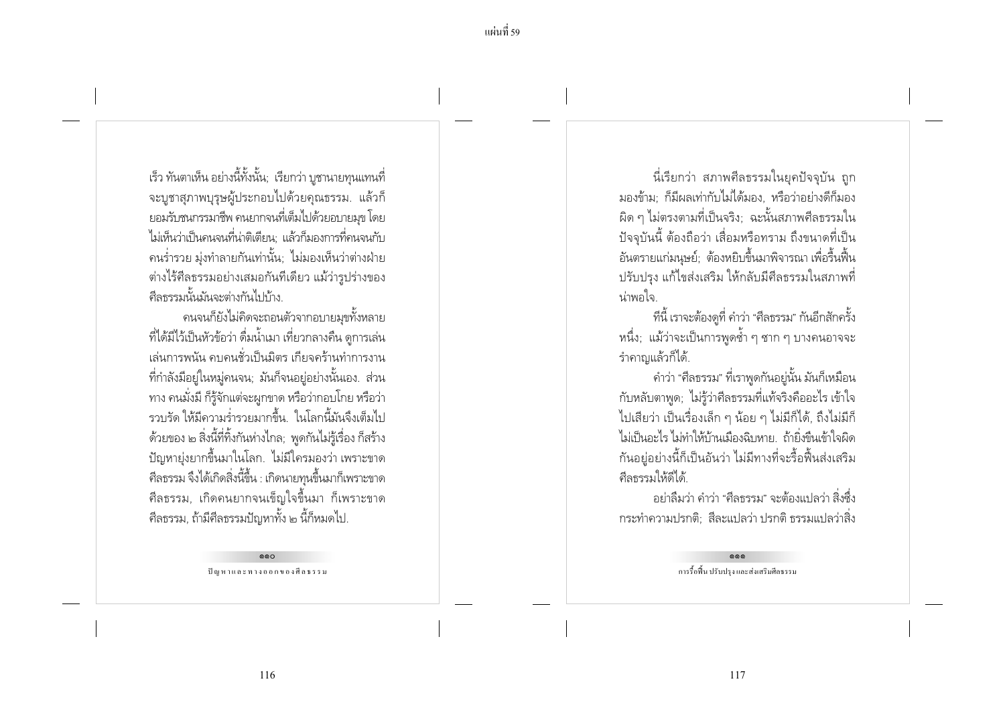เร็ว ทันตาเห็น อย่างนี้ทั้งนั้น; เรียกว่า บูชานายทุนแทนที่ จะบูชาสุภาพบุรุษผู้ประกอบไปด้วยคุณธรรม. แล้วก็ ยอมรับชนกรรมาชีพ คนยากจนที่เต็มไปด้วยอบายมข โดย ไม่เห็นว่าเป็นคนจนที่น่าติเตียน: แล้วก็มองการที่คนจนกับ ิ คนร่ำรวย มุ่งทำลายกันเท่านั้น; ไม่มองเห็นว่าต่างฝ่าย ้ต่างไร้ศีลธรรมอย่างเสมอกันทีเดียว แม้ว่ารปร่างของ ดีลธรรมนั้นมันจะต่างกันไปท้าง

ิดนจนก็ยังไม่คิดจะถอนตัวจากอบายมขทั้งหลาย ้ที่ได้มีไว้เป็นหัวข้อว่า ดื่มน้ำเมา เที่ยวกลางคืน ดูการเล่น ้เล่นการพนัน คบคนชั่วเป็นมิตร เกียจคร้านทำการงาน ้ที่กำลังมีอยู่ในหมู่คนจน; มันก็จนอยู่อย่างนั้นเอง. ส่วน ้ ทาง คนมั่งมี ก็รู้จักแต่จะผูกขาด หรือว่ากอบโกย หรือว่า ่<br>รวบรัด ให้มีความร่ำรวยมากขึ้น ในโลกนี้มันจึงเต็มไป ด้วยของ ๒ สิ่งนี้ที่ทิ้งกันห่างไกล; พูดกันไม่รู้เรื่อง ก็สร้าง ้ ปัญหายุ่งยากขึ้นมาในโลก. ไม่มีใครมองว่า เพราะขาด ้ ศีลธรรม จึงได้เกิดสิ่งนี้ขึ้น : เกิดนายทุนขึ้นมาก็เพราะขาด ี ศีลธรรม, เกิดคนยากจนเข็ญใจขึ้นมา ก็เพราะขาด ้ศีลธรรม, ถ้ามีศีลธรรมปัญหาทั้ง ๒ นี้ก็หมดไป.

> $000$ ปัญหาและทางออกของศีลธรรม

นี่เรียกว่า สภาพศีลธรรมในยุคปัจจุบัน ถูก มองข้าม: ก็มีผลเท่ากับไม่ได้มอง. หรือว่าอย่างดีก็มอง ้ผิด ๆ ไม่ตรงตามที่เป็นจริง: ฉะนั้นสภาพศีลธรรมใน ้ปัจจบันนี้ ต้องถือว่า เสื่อมหรือทราม ถึงขนาดที่เป็น ้อันตรายแก่มนุษย์; ต้องหยิบขึ้นมาพิจารณา เพื่อรื้นฟื้น ้ ปรับปรง แก้ไขส่งเสริม ให้กลับมีศีลธรรมในสภาพที่ น่าพกใจ

้ที่นี้ เราจะต้องดูที่ คำว่า "ศีลธรรม" กันอีกสักครั้ง หนึ่ง; แม้ว่าจะเป็นการพูดซ้ำ ๆ ซาก ๆ บางคนอาจจะ รำคาญแล้วก็ได้.

้ คำว่า "ศีลธรรม" ที่เราพูดกันอยู่นั้น มันก็เหมือน ้กับหลับตาพูด; ไม่รู้ว่าศีลธรรมที่แท้จริงคืออะไร เข้าใจ ไปเสียว่า เป็นเรื่องเล็ก ๆ น้อย ๆ ไม่มีก็ได้, ถึงไม่มีก็ ไม่เป็นอะไร ไม่ทำให้บ้านเมืองฉิบหาย ถ้ายิ่งขึ้นเข้าใจผิด ้กันอยู่อย่างนี้ก็เป็นอันว่า ไม่มีทางที่จะรื้อฟื้นส่งเสริม ศีลธรรมให้ดีได้

้อย่าลืมว่า คำว่า "ศีลธรรม" จะต้องแปลว่า สิ่งซึ่ง ้กระทำความปรกติ: สีละแปลว่า ปรกติ ธรรมแปลว่าสิ่ง

> $000$ การรื้อฟื้น ปรับปรง และส่งเสริมศีลธรรม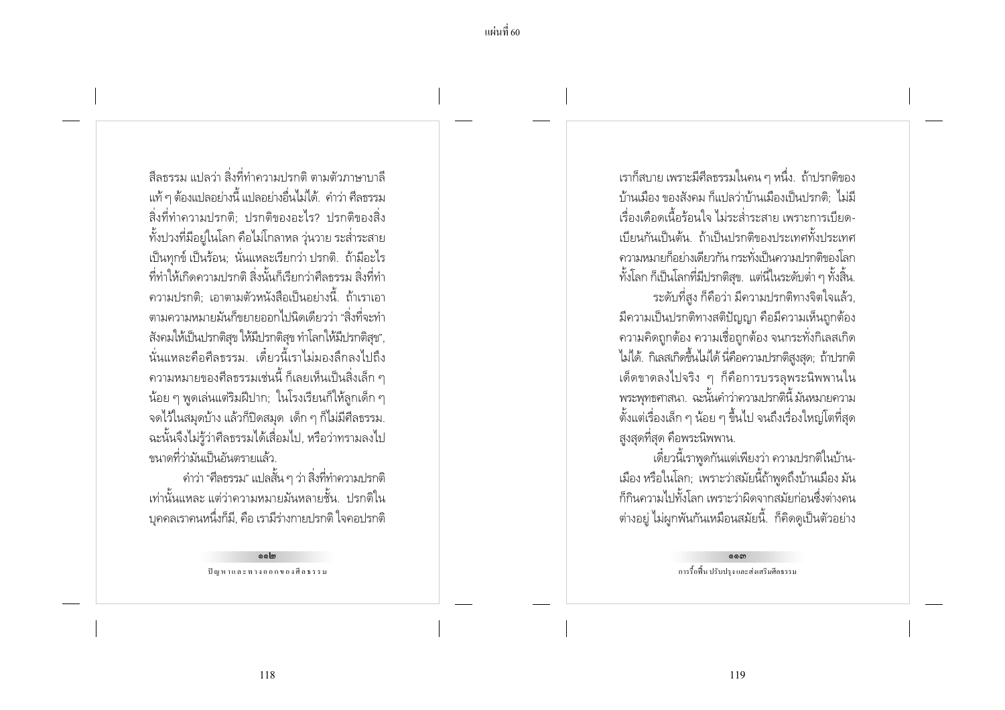้สีลธรรม แปลว่า สิ่งที่ทำความปรกติ ตามตัวภาษาบาลี ่ แท้ ๆ ต้องแปลอย่างนี้ แปลอย่างอื่นไม่ได้. คำว่า ศีลธรรม สิ่งที่ทำความปรกติ: ปรกติของอะไร? ปรกติของสิ่ง ้ทั้งปวงที่มีอย่ในโลก คือไม่โกลาหล ว่นวาย ระส่ำระสาย ้เป็นทุกข์ เป็นร้อน; นั่นแหละเรียกว่า ปรกติ. ถ้ามีอะไร ้ที่ทำให้เกิดความปรกติ สิ่งนั้นก็เรียกว่าศีลธรรม สิ่งที่ทำ ี ความปรกติ: เอาตามตัวหนังสือเป็นอย่างนี้. ถ้าเราเอา ิตามความหมายมันก็ขยายออกไปนิดเดียวว่า "สิ่งที่จะทำ ้สังคมให้เป็นปรกติสุข ให้มีปรกติสุข ทำโลกให้มีปรกติสุข", ้นั่นแหละคือศีลธรรม เดี๋ยวนี้เราไม่มองลึกลงไปถึง ่ ความหมายของศีลธรรมเช่นนี้ ก็เลยเห็นเป็นสิ่งเล็ก ๆ ้น้อย ๆ พูดเล่นแต่ริมฝีปาก; ในโรงเรียนก็ให้ลูกเด็ก ๆ ิจดไว้ในสมุดบ้าง แล้วก็ปิดสมุด เด็ก ๆ ก็ไม่มีศีลธรรม. ฉะนั้นจึงไม่รู้ว่าศีลธรรมได้เสื่อมไป, หรือว่าทรามลงไป ขนาดที่ว่ามันเป็นอันตรายแล้ว

คำว่า "ศีลธรรม" แปลสั้น ๆ ว่า สิ่งที่ทำความปรกติ เท่านั้นแหละ แต่ว่าความหมายมันหลายชั้น. ปรกติใน ิบุคคลเราคนหนึ่งก็มี, คือ เรามีร่างกายปรกติ ใจคอปรกติ

> Golo ปัญหาและทางออกของศีลธรรม

เราก็สบาย เพราะมีศีลธรรมในคน ๆ หนึ่ง.. ถ้าปรกติของ ้ำ้านเมือง ของสังคม ก็แปลว่าบ้านเมืองเป็นปรกติ ไม่มี เรื่องเดือดเนื้อร้อนใจ ไม่ระส่ำระสาย เพราะการเบียด-้เบียนกันเป็นต้น ถ้าเป็นปรกติของประเทศทั้งประเทศ ้ ความหมายก็อย่างเดี๋ยวกัน กระทั่งเป็นความปรกติของโลก ้ทั้งโลก ก็เป็นโลกที่มีปรกติสข. แต่นี่ในระดับต่ำ ๆ ทั้งสิ้น.

้ระดับที่สูง ก็คือว่า มีความปรกติทางจิตใจแล้ว, ้มีความเป็นปรกติทางสติปัญญา คือมีความเห็นถกต้อง ่ ความคิดถูกต้อง ความเชื่อถูกต้อง จนกระทั่งกิเลสเกิด ไม่ได้. กิเลสเกิดขึ้นไม่ได้ นี่คือความปรกติสงสด; ถ้าปรกติ เด็ดขาดลงไปจริง ๆ ก็คือการบรรลุพระนิพพานใน พระพุทธศาสนา. ฉะนั้นคำว่าความปรกตินี้ มันหมายความ ์ ตั้งแต่เรื่องเล็ก ๆ น้อย ๆ ขึ้นไป จนถึงเรื่องใหญ่โตที่สุด ้สูงสุดที่สุด คือพระนิพพาน.

เดี๋ยวนี้เราพูดกันแต่เพียงว่า ความปรกติในบ้าน-้เมือง หรือในโลก; เพราะว่าสมัยนี้ถ้าพูดถึงบ้านเมือง มัน ้ก็กินความไปทั้งโลก เพราะว่าผิดจากสมัยก่อนซึ่งต่างคน ้ต่างอยู่ ไม่ผูกพันกันเหมือนสมัยนี้. ก็คิดดูเป็นตัวอย่าง

> ෧෧෨ การรื้อฟื้น ปรับปรุง และส่งเสริมศีลธรรม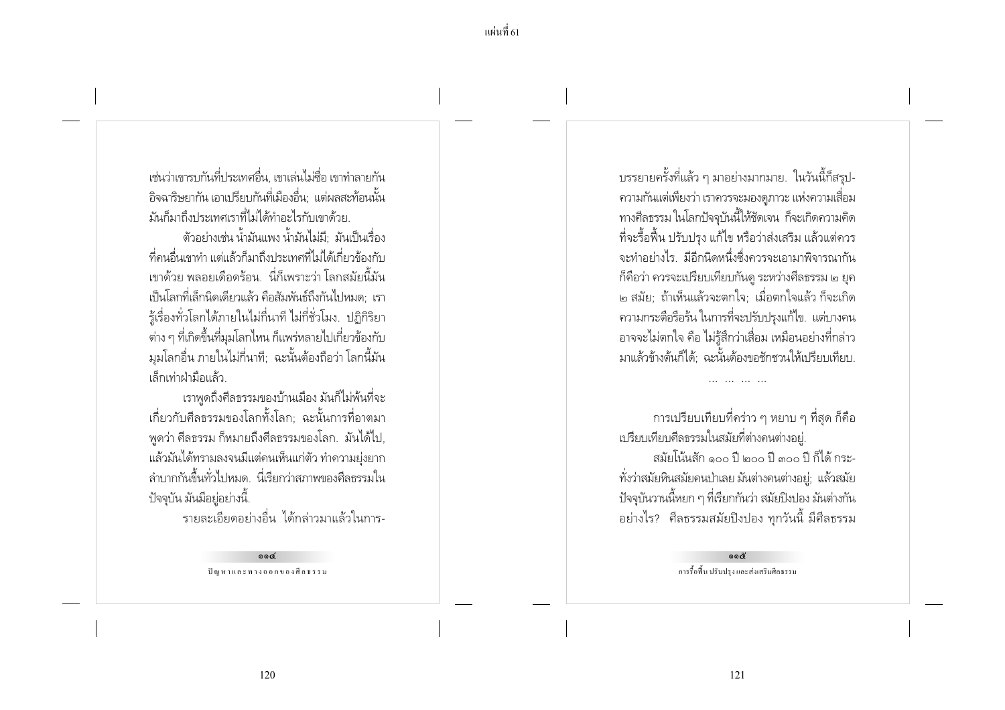เช่นว่าเขารบกันที่ประเทศอื่น เขาเล่นไม่ตื่อ เขาทำลายกัน ้ อิจฉาริษยากัน เอาเปรียบกันที่เมืองอื่น: แต่ผลสะท้อนนั้น มันก็มาถึงประเทศเราที่ไม่ได้ทำอะไรกับเขาด้วย

้ตัวอย่างเช่น น้ำมันแพง น้ำมันไม่มี มันเป็นเรื่อง ้ที่คนอื่นเขาทำ แต่แล้วก็มาถึงประเทศที่ไม่ได้เกี่ยวข้องกับ เขาด้วย พลอยเดือดร้อน -นี่ก็เพราะว่า โลกสมัยนี้มัน ้เป็นโลกที่เล็กนิดเดียวแล้ว คือสัมพันธ์ถึงกันไปหมด: เรา ้ร้เรื่องทั่วโลกได้ภายในไม่กี่นาที ไม่กี่ชั่วโมง. ปฏิกิริยา ้ ต่าง ๆ ที่เกิดขึ้นที่มุมโลกไหน ก็แพร่หลายไปเกี่ยวข้องกับ มุมโลกอื่น ภายในไม่กี่นาที; ฉะนั้นต้องถือว่า โลกนี้มัน เล็กเท่าฝ่ามือแล้ว

เราพูดถึงศีลธรรมของบ้านเมือง มันก็ไม่พ้นที่จะ เกี่ยวกับศีลธรรมของโลกทั้งโลก: ฉะนั้นการที่อาตมา ี พูดว่า ศีลธรรม ก็หมายถึงศีลธรรมของโลก. มันได้ไป, แล้วมันได้ทรามลงจนมีแต่คนเห็นแก่ตัว ทำความย่งยาก ้ลำบากกันขึ้นทั่วไปหมด. นี่เรียกว่าสภาพของศีลธรรมใน ปัจจุบัน มันมีอยู่อย่างนี้.

้รายละเอียดอย่างอื่น ได้กล่าวมาแล้วในการ-

 $00<sup>2</sup>$ ปัญหาและทางออกของศีลธรรม ้บรรยายครั้งที่แล้ว ๆ มาอย่างมากมาย. ในวันนี้ก็สรุป-ิ ความกันแต่เพียงว่า เราควรจะมองดูภาวะ แห่งความเสื่อม ทางศีลธรรม ในโลกปัจจุบันนี้ให้ชัดเจน ก็จะเกิดความคิด ้ ที่จะรื้อฟื้น ปรับปรง แก้ไข หรือว่าส่งเสริม แล้วแต่ควร ้จะทำอย่างไร. มีอีกนิดหนึ่งซึ่งควรจะเอามาพิจารณากัน ้ก็คือว่า ควรจะเปรียบเทียบกันดู ระหว่างศีลธรรม ๒ ยุค ิ ๒ สมัย; ถ้าเห็นแล้วจะตกใจ; เมื่อตกใจแล้ว ก็จะเกิด ้ความกระตือรือร้น ในการที่จะปรับปรุงแก้ไข. แต่บางคน ้อาจจะไม่ตกใจ คือ ไม่รู้สึกว่าเสื่อม เหมือนอย่างที่กล่าว มาแล้วข้างต้นก็ได้: ฉะนั้นต้องขอชักชวนให้เปรียบเทียบ.

การเปรียบเทียบที่คร่าว ๆ หยาบ ๆ ที่สุด ก็คือ เปรียบเทียบศีลธรรมในสมัยที่ต่างคนต่างอยู่. สมัยโน้นสัก ๑๐๐ ปี ๒๐๐ ปี ๓๐๐ ปี ก็ได้ กระ-้ทั่งว่าสมัยหินสมัยคนป่าเลย มันต่างคนต่างอยู่; แล้วสมัย ้ ปัจจุบันวานนี้หยก ๆ ที่เรียกกันว่า สมัยปิงปอง มันต่างกัน ้อย่างไร? ศีลธรรมสมัยปิงปอง ทุกวันนี้ มีศีลธรรม

> ෧෧๕ การรื้อฟื้น ปรับปรุง และส่งเสริมศีลธรรม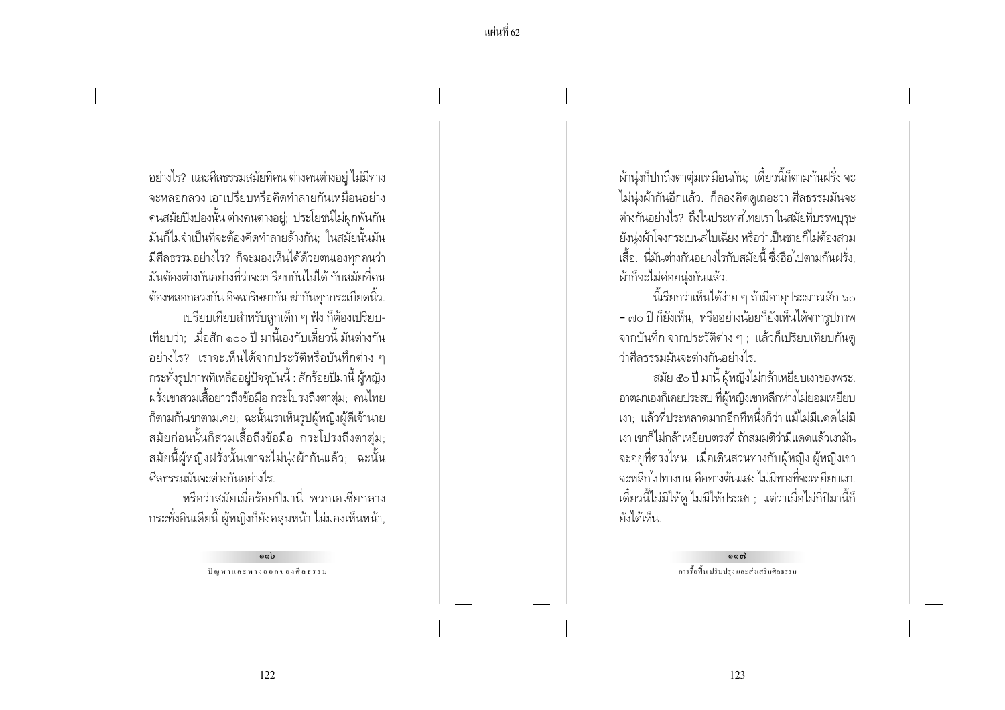้อย่างไร? และศีลธรรมสมัยที่คน ต่างคนต่างอยู่ ไม่มีทาง ้จะหลุกกลวง เกาเปรียบหรือคิดทำลายกันเหมือนอย่าง ้คนสมัยปิงปองนั้น ต่างคนต่างอยู่; ประโยชน์ไม่ผูกพันกัน มันก็ไม่จำเป็นที่จะต้องคิดทำลายล้างกัน: ในสมัยนั้นมัน ้มีศีลธรรมอย่างไร? ก็จะมองเห็นได้ด้วยตนเองทุกคนว่า มันต้องต่างกันอย่างที่ว่าจะเบรียบกันไม่ได้ กับสมัยที่คน ์ ต้องหลอกลวงกัน อิจฉาริษยากัน ฆ่ากันทุกกระเบียดนิ้ว. เปรียบเทียบสำหรับลกเด็ก ๆ ฟัง ก็ต้องเปรียบ-เทียบว่า: เมื่อสัก ๑๐๐ ปี มานี้เองกับเดี๋ยวนี้ มันต่างกัน ้อย่างไร? เราจะเห็นได้จากประวัติหรือบันทึกต่าง ๆ กระทั่งรูปภาพที่เหลืออยู่ปัจจุบันนี้ : สักร้อยปีมานี้ ผู้หญิง ้ ฝรั่งเขาสวมเสื้อยาวถึงข้อมือ กระโปรงถึงตาตุ่ม; คนไทย ก็ตามก้นเขาตามเคย; ฉะนั้นเราเห็นรูปผู้หญิงผู้ดีเจ้านาย สมัยก่อนนั้นก็สวมเสื้อถึงข้อมือ กระโปรงถึงตาตุ่ม; สมัยนี้ผู้หญิงฝรั่งนั้นเขาจะไม่นุ่งผ้ากันแล้ว; ฉะนั้น ดีลธรรมมันจะต่างกันอย่างไร.

หรือว่าสมัยเมื่อร้อยปีมานี่ พวกเอเซียกลาง กระทั่งอินเดียนี้ ผู้หญิงก็ยังคลุมหน้า ไม่มองเห็นหน้า,

> oob ปัญหาและทางออกของศีลธรรม

ผ้านุ่งก็ปกถึงตาตุ่มเหมือนกัน; เดี๋ยวนี้ก็ตามก้นฝรั่ง จะ ไม่นุ่งผ้ากันอีกแล้ว. ก็ลองคิดดูเถอะว่า ศีลธรรมมันจะ ้ต่างกันอย่างไร? ถึงในประเทศไทยเรา ในสมัยที่บรรพบุรุษ ย้งน่งผ้าโจงกระเบนสไบเฉียง หรือว่าเป็นชายก็ไม่ต้องสวม เสื้อ. นี่มันต่างกันอย่างไรกับสมัยนี้ ซึ่งฮือไปตามกันฝรั่ง. ผ้าก็จะไม่ค่อยน่งกันแล้ว.

นี้เรียกว่าเห็นได้ง่าย ๆ ถ้ามีอายุประมาณสัก ๖๐ - ๗๐ ปี ก็ยังเห็น, หรืออย่างน้อยก็ยังเห็นได้จากรปภาพ จากบันทึก จากประวัติต่าง ๆ ; แล้วก็เปรียบเทียบกันดู ว่าศีลธรรมมันจะต่างกันอย่างไร

สมัย ๕๐ ปี มานี้ ผู้หญิงไม่กล้าเหยี่ยบเงาของพระ. อาตมาเองก็เคยประสบ ที่ผู้หญิงเขาหลีกห่างไม่ยอมเหยี่ยบ เงา: แล้วที่ประหลาดมากอีกทีหนึ่งก็ว่า แม้ไม่มีแดดไม่มี เงา เขาก็ไม่กล้าเหยี่ยบตรงที่ ถ้าสมมติว่ามีแดดแล้วเงามัน ้ จะอยู่ที่ตรงไหน. เมื่อเดินสวนทางกับผู้หญิง ผู้หญิงเขา ้จะหลีกไปทางบน คือทางต้นแสง ไม่มีทางที่จะเหยียบเงา. ้เดี๋ยวนี้ไม่มีให้ดู ไม่มีให้ประสบ; แต่ว่าเมื่อไม่กี่ปีมานี้ก็ ยังได้เห็น

> ෧෧ඁ෯ การรื้อฟื้น ปรับปรุง และส่งเสริมศีลธรรม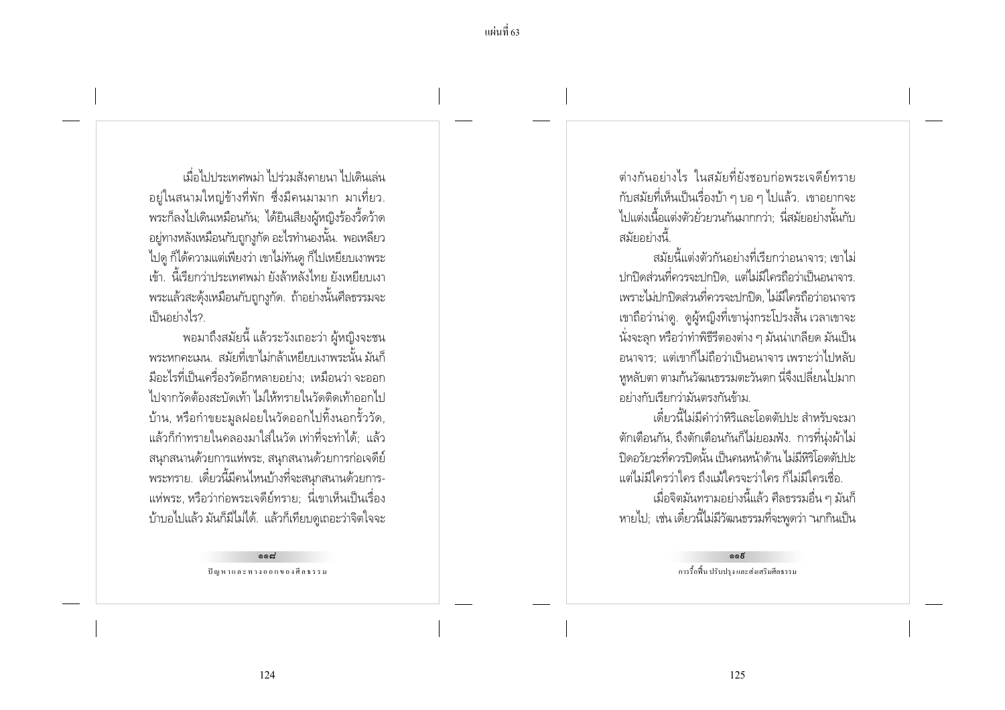้ แผ่บที่ 63

เมื่อไปประเทศพม่า ไปร่ามสังคายนา ไปเดินเล่น ้อยู่ในสนามใหญ่ข้างที่พัก ซึ่งมีคนมามาก มาเที่ยว. พระก็ลงไปเดินเหมือนกัน; ได้ยินเสียงผู้หญิงร้องวี้ดว้าด ้อยู่ทางหลังเหมือนกับถูกงูกัด อะไรทำนองนั้น. พอเหลี่ยว ไปดู ก็ได้ความแต่เพียงว่า เขาไม่ทันดู ก็ไปเหยียบเงาพระ เข้า. นี้เรียกว่าประเทศพม่า ยังล้าหลังไทย ยังเหยี่ยบเงา ่ พระแล้วสะดุ้งเหมือนกับถูกงูกัด. ถ้าอย่างนั้นศีลธรรมจะ เป็นอย่างไร?

พอมาถึงสมัยนี้ แล้วระวังเถอะว่า ผู้หญิงจะชน ิพระหกดะเมน สมัยที่เขาไม่กล้าเหยี่ยบเงาพระนั้น มันก็ ้มีอะไรที่เป็นเครื่องวัดอีกหลายอย่าง; เหมือนว่า จะออก ไปจากวัดต้องสะบัดเท้า ไม่ให้ทรายในวัดติดเท้าออกไป บ้าน, หรือกำขยะมูลฝอยในวัดออกไปทิ้งนอกรั้ววัด, ้ แล้วก็กำทรายในคลองมาใส่ในวัด เท่าที่จะทำได้: แล้ว ิสนุกสนานด้วยการแห่พระ, สนุกสนานด้วยการก่อเจดีย์ ้พระทราย. เดี๋ยวนี้มีคนไหนบ้างที่จะสนุกสนานด้วยการ-่ แห่พระ, หรือว่าก่อพระเจดีย์ทราย; นี่เขาเห็นเป็นเรื่อง บ้าบอไปแล้ว มันก็มีไม่ได้. แล้วก็เทียบดูเถอะว่าจิตใจจะ

> بممم ปัญหาและทางออกของศีลธรรม

ต่างกับอย่างไร ในสมัยที่ยังชอบก่อพระเจดีย์ทราย ้กับสมัยที่เห็นเป็นเรื่องบ้า ๆ บอ ๆ ไปแล้ว. เขาอยากจะ ไปแต่งเนื้อแต่งตัวย้วยวนกันมากกว่า: นี่สมัยอย่างนั้นกับ สมัยอย่างนี้

้สมัยนี้แต่งตัวกันอย่างที่เรียกว่าอนาจาร: เขาไม่ ปกปิดส่วนที่ควรจะปกปิด, แต่ไม่มีใครถือว่าเป็นอนาจาร. เพราะไม่ปกปิดส่วนที่ควรจะปกปิด. ไม่มีใครถือว่าอนาจาร ่ เขาถือว่าน่าด. ดผ้หญิงที่เขาน่งกระโปรงสั้น เวลาเขาจะ ้นั่งจะลุก หรือว่าทำพิธีรีตองต่าง ๆ มันน่าเกลียด มันเป็น ้อนาจาร: แต่เขาก็ไม่ถือว่าเป็นอนาจาร เพราะว่าไปหลับ หูหลับตา ตามก้นวัฒนธรรมตะวันตก นี่จึงเปลี่ยนไปมาก อย่างกับเรียกว่ามันตรงกันข้าม

เดี๋ยวนี้ไม่มีคำว่าหิริและโอตตัปปะ สำหรับจะมา ์ตักเตือนกัน, ถึงตักเตือนกันก็ไม่ยอมฟัง. การที่น่งผ้าไม่ ้ ปิดควัยวะที่ควรปิดนั้น เป็นคนหน้าด้าน ไม่มีหิริโอตตับไม่ แต่ไม่มีใครว่าใคร ถึงแม้ใครจะว่าใคร ก็ไม่มีใครเชื่อ. ้ เมื่อจิตมันทรามอย่างนี้แล้ว ศีลธรรมอื่น ๆ มันก็ หายไป; เช่น เดี๋ยวนี้ไม่มีวัฒนธรรมที่จะพูดว่า "นกกินเป็น

> $0.65$ การรื้อฟื้น ปรับปรง และส่งเสริมศีลธรรม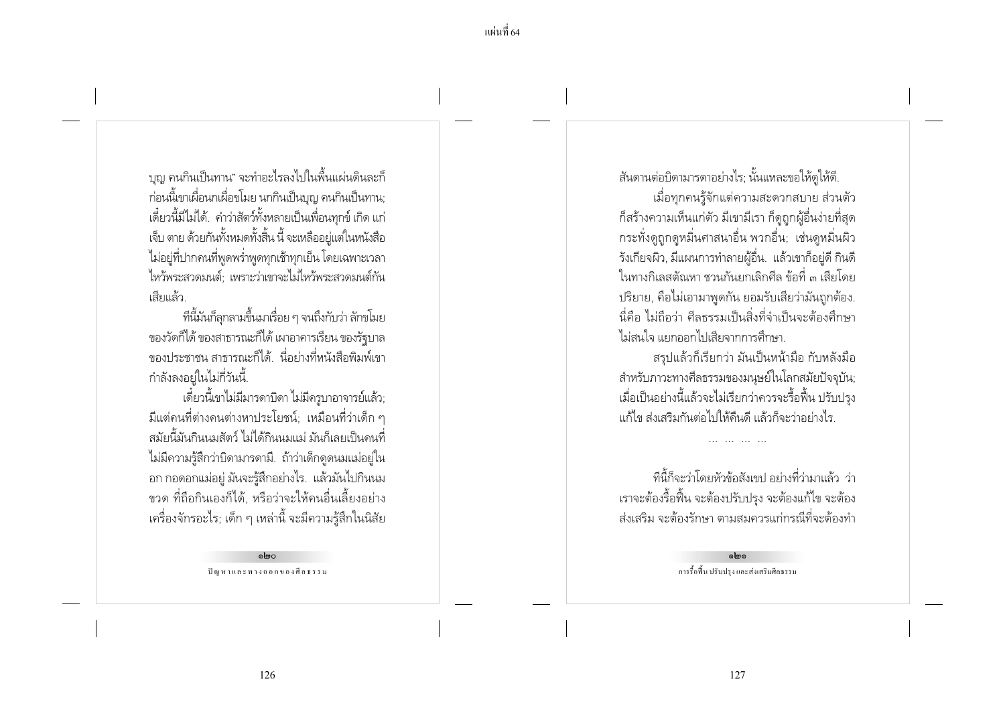้บุญ คนกินเป็นทาน" จะทำอะไรลงไปในพื้นแผ่นดินละก็ ้ ก่อนนี้เขาเผื่อนกเผื่อขโมย นกกินเป็นบุญ คนกินเป็นทาน; เดี๋ยวนี้มีไม่ได้. คำว่าสัตว์ทั้งหลายเป็นเพื่อนทุกข์ เกิด แก่ เจ็บ ตาย ด้วยกันทั้งหมดทั้งสิ้น นี้ จะเหลืออย่แต่ในหนังสือ ไม่อยู่ที่ปากคนที่พูดพร่ำพูดทุกเช้าทุกเย็น โดยเฉพาะเวลา ไหว้พระสวดมนต์ เพราะว่าเขาจะไม่ไหว้พระสวดมนต์กัน เสียแล้ว

ที่นี้มันก็ลกลามขึ้นมาเรื่อย ๆ จนถึงกับว่า ลักขโมย ของวัดก็ได้ ของสาธารณะก็ได้ เผาอาคารเรียน ของรัฐบาล ่ ของประชาชน สาธารณะก็ได้ นี่อย่างที่หนังสือพิมพ์เขา กำลังลงอย่ในไม่กี่วันนี้.

เดี๋ยวนี้เขาไม่มีมารดาบิดา ไม่มีครูบาอาจารย์แล้ว; ้ มีแต่คนที่ต่างคนต่างหาประโยชน์: เหมือนที่ว่าเด็ก ๆ ้สมัยนี้มันกินนมสัตว์ ไม่ได้กินนมแม่ มันก็เลยเป็นคนที่ ไม่มีความรู้สึกว่าบิดามารดามี. ถ้าว่าเด็กดูดนมแม่อยู่ใน ้อก กอดอกแม่อยู่ มันจะรู้สึกอย่างไร. แล้วมันไปกินนม ์ ขวด ที่ถือกินเองก็ได้. หรือว่าจะให้คนอื่นเลี้ยงอย่าง ้ เครื่องจักรอะไร; เด็ก ๆ เหล่านี้ จะมีความรู้สึกในนิสัย

> പ്രഹ ปัญหาและทางออกของศีลธรรม

้สันดานต่อบิดามารดาอย่างไร; นั้นแหละขอให้ดูให้ดี

้เมื่อทุกคนรู้จักแต่ความสะดวกสบาย ส่วนตัว ้ก็สร้างความเห็นแก่ตัว มีเขามีเรา ก็ดูถูกผู้อื่นง่ายที่สด ้ กระทั่งดูถูกดูหมิ่นศาสนาอื่น พวกอื่น; เช่นดูหมิ่นผิว ้รังเกียจผิว, มีแผนการทำลายผู้อื่น. แล้วเขาก็อยู่ดี กินดี ในทางกิเลสตัณหา ชวนกันยกเลิกศีล ข้อที่ ๓ เสียโดย ปริยาย, คือไม่เอามาพูดกัน ยอมรับเสียว่ามันถูกต้อง. ้นี่คือ ไม่ถือว่า ศีลธรรมเป็นสิ่งที่จำเป็นจะต้องศึกษา ไม่สนใจ แยกออกไปเสียจากการศึกษา

สรปแล้วก็เรียกว่า มันเป็นหน้ามือ กับหลังมือ สำหรับภาวะทางศีลธรรมของมนุษย์ในโลกสมัยปัจจุบัน; เมื่อเป็นอย่างนี้แล้วจะไม่เรียกว่าควรจะรื้อฟื้น ปรับปรง แก้ไข ส่งเสริมกันต่อไปให้คืนดี แล้วก็จะว่าอย่างไร

้ที่นี้ก็จะว่าโดยหัวข้อสังเขป อย่างที่ว่ามาแล้ว ว่า เราจะต้องรื้อฟื้น จะต้องปรับปรุง จะต้องแก้ไข จะต้อง ้ส่งเสริม จะต้องรักษา ตามสมควรแก่กรณีที่จะต้องทำ

> elme การรื้อฟื้น ปรับปรุง และส่งเสริมศีลธรรม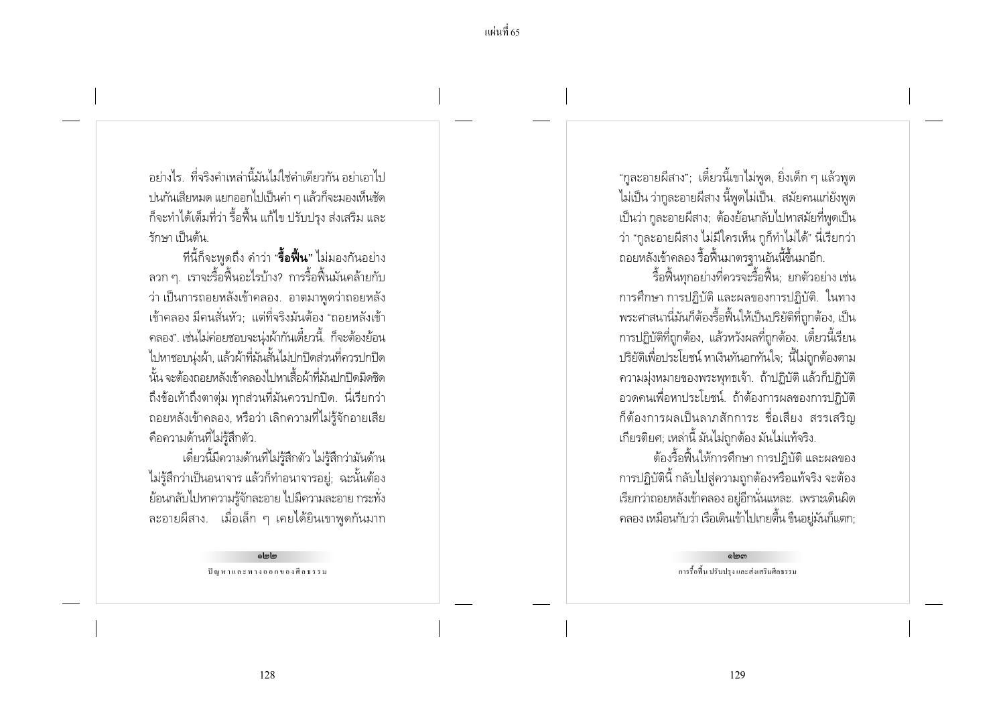อย่างไร ที่จริงดำเหล่านี้มันไม่ใช่ดำเดียากัน อย่าเอาไป ปนกันเสียหมด แยกออกไปเป็นคำ ๆ แล้วก็จะมองเห็นชัด ก็จะทำได้เต็มที่ว่า รื้อฟื้น แก้ไข ปรับปรุง ส่งเสริม และ รักษา เป็นต้น

้ที่นี้ก็จะพูดถึง คำว่า "**รื้อฟื้น**" ไม่มองกันอย่าง ิลวก ๆ. เราจะรื้อฟื้นอะไรบ้าง? การรื้อฟื้นมันคล้ายกับ ว่า เป็นการถอยหลังเข้าคลอง. อาตมาพูดว่าถอยหลัง ้เข้าคลอง มีคนสั่นหัว: แต่ที่จริงมันต้อง "ถอยหลังเข้า คลอง". เช่นไม่ค่อยชอบจะนุ่งผ้ากันเดี๋ยวนี้. ก็จะต้องย้อน ไปหาชอบน่งผ้า, แล้วผ้าที่มันสั้นไม่ปกปิดส่วนที่ควรปกปิด นั้น จะต้องถอยหลังเข้าคลองไปหาเสื้อผ้าที่มันปกปิดมิดชิด ้ถึงข้อเท้าถึงตาตุ่ม ทุกส่วนที่มันควรปกปิด. นี่เรียกว่า ้ถอยหลังเข้าคลอง, หรือว่า เลิกความที่ไม่รู้จักอายเสีย คือความด้านที่ไม่รู้สึกตัว.

เดี๋ยวนี้มีความด้านที่ไม่ร้สึกตัว ไม่ร้สึกว่ามันด้าน ไม่รู้สึกว่าเป็นอนาจาร แล้วก็ทำอนาจารอยู่; ฉะนั้นต้อง ้ย้อนกลับไปหาความรู้จักละอาย ไปมีความละอาย กระทั่ง ละอายผีสาง. เมื่อเล็ก ๆ เคยได้ยินเขาพูดกันมาก

> olmlm ปัญหาและทางออกของศีลธรรม

"กูละอายผีสาง"; เดี๋ยวนี้เขาไม่พูด, ยิ่งเด็ก ๆ แล้วพูด ไม่เป็น ว่ากูละอายผีสาง นี้พูดไม่เป็น. สมัยคนแก่ยังพูด เป็นว่า กูละอายผีสาง; ต้องย้อนกลับไปหาสมัยที่พูดเป็น ว่า "กละอายผีสาง ไม่มีใครเห็น กก็ทำไม่ได้" นี่เรียกว่า ้ถอยหลังเข้าคลอง รื้อฟื้นมาตรฐานอันนี้ขึ้นมาอีก.

รื้อฟื้นทกอย่างที่ควรจะรื้อฟื้น: ยกตัวอย่าง เช่น การศึกษา การปฏิบัติ และผลของการปฏิบัติ. ในทาง ้พระศาสนานี่มันก็ต้องรื้อฟื้นให้เป็นปริยัติที่ถกต้อง, เป็น การปฏิบัติที่ถูกต้อง, แล้วหวังผลที่ถูกต้อง. เดี๋ยวนี้เรียน ปริยัติเพื่อประโยชน์ หาเงินทันอกทันใจ: นี้ไม่ถกต้องตาม ความมุ่งหมายของพระพุทธเจ้า. ถ้าปฏิบัติ แล้วก็ปฏิบัติ ้อวดคนเพื่อหาประโยชน์. ถ้าต้องการผลของการปฏิบัติ ก็ต้องการผลเป็นลาภสักการะ ชื่อเสียง สรรเสริญ เกียรติยศ; เหล่านี้ มันไม่ถูกต้อง มันไม่แท้จริง.

ต้องรื้อฟื้นให้การศึกษา การปฏิบัติ และผลของ ่ การปฏิบัตินี้ กลับไปสู่ความถูกต้องหรือแท้จริง จะต้อง เรียกว่าถอยหลังเข้าคลอง อยู่อีกนั่นแหละ. เพราะเดินผิด ิ คลอง เหมือนกับว่า เรือเดินเข้าไปเกยตื้น ขืนอยู่มันก็แตก;

> elmon การรื้อฟื้น ปรับปรุง และส่งเสริมศีลธรรม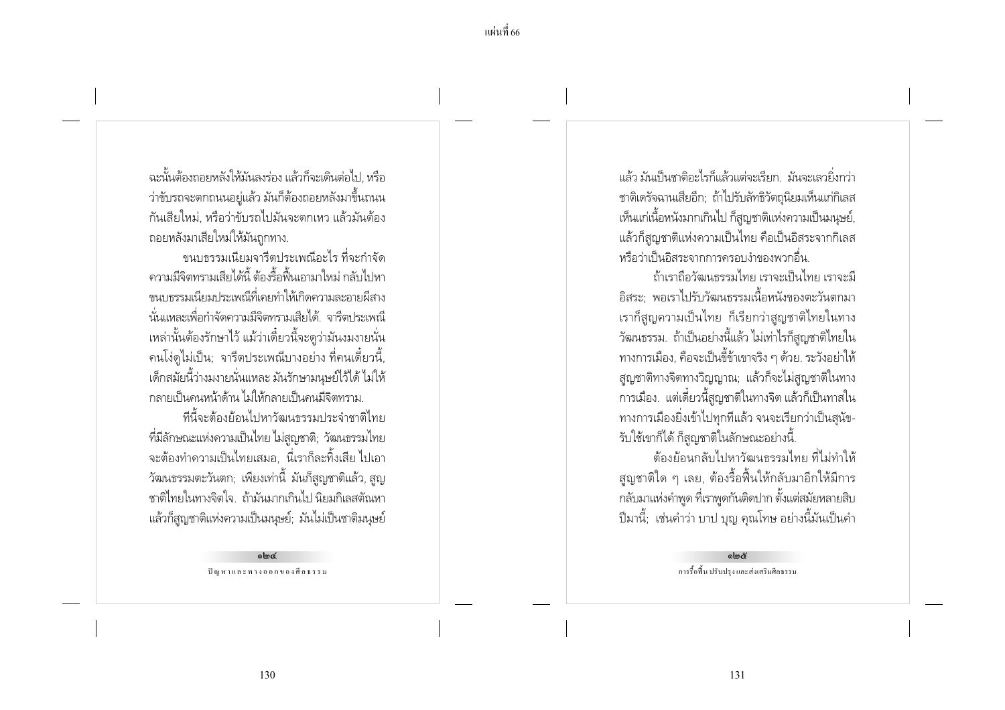้ฉะนั้นต้องถอยหลังให้มันลงร่อง แล้วก็จะเดินต่อไป หรือ ว่าขับรถจะตกถนนอยู่แล้ว มันก็ต้องถอยหลังมาขึ้นถนน กันเสียใหม่, หรือว่าขับรถไปมันจะตกเหว แล้วมันต้อง ถอยหลังมาเสียใหม่ให้มันถกทาง.

ขนบธรรมเนียมจารีตประเพณีอะไร ที่จะกำจัด ้ ความมีจิตทรามเสียได้นี้ ต้องรื้อฟื้นเอามาใหม่ กลับไปหา ่ ขนบกรรมเนียมประเพณีที่เคยทำให้เกิดความละอายผีสาง นั่นแหละเพื่อกำจัดความมีจิตทรามเสียได้. จารีตประเพณี เหล่านั้นต้องรักษาไว้ แม้ว่าเดี๋ยวนี้จะดูว่ามันงมงายนั่น ิ คนโง่ดไม่เป็น: จารีตประเพณีบางอย่าง ที่คนเดี๋ยวนี้. เด็กสมัยนี้ว่างมงายนั่นแหละ มันรักษามนุษย์ไว้ได้ ไม่ให้ ้กลายเป็นคนหน้าด้าน ไม่ให้กลายเป็นคนมีจิตทราม

ที่นี้จะต้องย้อนไปหาวัฒนธรรมประจำชาติไทย ที่มีลักษณะแห่งความเป็นไทย ไม่สูญชาติ; วัฒนธรรมไทย ้จะต้องทำความเป็นไทยเสมอ. นี่เราก็ละทิ้งเสีย ไปเอา ้ วัฒนธรรมตะวันตก; เพียงเท่านี้ มันก็สูญชาติแล้ว, สูญ ชาติไทยในทางจิตใจ. ถ้ามันมากเกินไป นิยมกิเลสตัณหา แล้วก็สูญชาติแห่งความเป็นมนุษย์; มันไม่เป็นชาติมนุษย์

> alma ปัญหาและทางออกของศีลธรรม

้แล้ว มันเป็นชาติอะไรก็แล้วแต่จะเรียก มันจะเลายิ่งกา่า ชาติเดรัจฉานเสียอีก; ถ้าไปรับลัทธิวัตถุนิยมเห็นแก่กิเลส เห็นแก่เนื้อหนังมากเกินไป ก็สูญชาติแห่งความเป็นมนุษย์, แล้วก็สญชาติแห่งความเป็นไทย คือเป็นอิสระจากกิเลส หรือว่าเป็นอิสระจากการครอบงำของพวกอื่น

ถ้าเราถือวัฒนธรรมไทย เราจะเป็นไทย เราจะมี ้อิสระ: พอเราไปรับวัฒนธรรมเนื้อหนังของตะวันตกมา เราก็สญความเป็นไทย ก็เรียกว่าสญชาติไทยในทาง วัฒนธรรม. ถ้าเป็นอย่างนี้แล้ว ไม่เท่าไรก็สูญชาติไทยใน ทางการเมือง, คือจะเป็นขี้ข้าเขาจริง ๆ ด้วย. ระวังอย่าให้ สูญชาติทางจิตทางวิญญาณ; แล้วก็จะไม่สูญชาติในทาง ิการเมือง. แต่เดี๋ยวนี้สูญชาติในทางจิต แล้วก็เป็นทาสใน ้ทางการเมืองยิ่งเข้าไปทุกทีแล้ว จนจะเรียกว่าเป็นสุนัข-รับใช้เขาก็ได้ ก็สูญชาติในลักษณะอย่างนี้.

้ต้องย้อนกลับไปหาวัฒนธรรมไทย ที่ไม่ทำให้ ้สูญชาติใด ๆ เลย, ต้องรื้อฟื้นให้กลับมาอีกให้มีการ ึกลับมาแห่งคำพูด ที่เราพูดกันติดปาก ตั้งแต่สมัยหลายสิบ ปีมานี้; เช่นคำว่า บาป บุญ คุณโทษ อย่างนี้มันเป็นคำ

> $\sin\theta$ การรื้อฟื้น ปรับปรุง และส่งเสริมศีลธรรม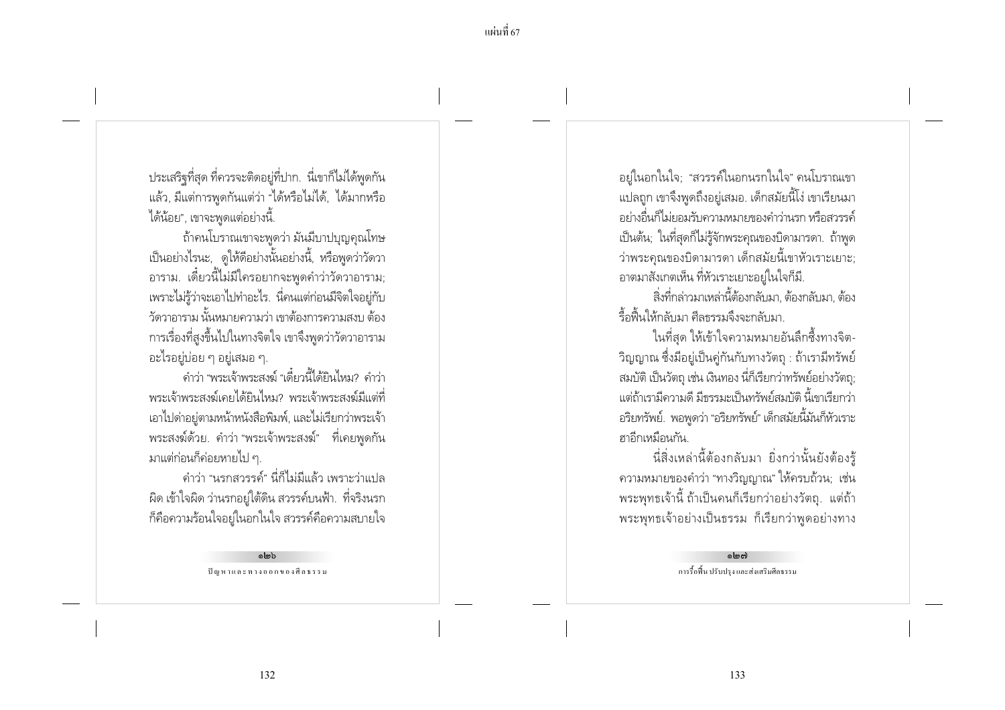ประเสริฐที่สุด ที่ควรจะติดอยู่ที่ปาก. นี่เขาก็ไม่ได้พูดกัน แล้ว, มีแต่การพูดกันแต่ว่า "ได้หรือไม่ได้, ได้มากหรือ ได้น้อย", เขาจะพูดแต่อย่างนี้.

ถ้าคนโบราณเขาจะพูดว่า มันมีบาปบุญคุณโทษ เป็นอย่างไรนะ, ดูให้ดีอย่างนั้นอย่างนี้, หรือพูดว่าวัดวา ้อาราม. เดี๋ยวนี้ไม่มีใครอยากจะพูดคำว่าวัดวาอาราม; เพราะไม่รู้ว่าจะเอาไปทำอะไร. นี่คนแต่ก่อนมีจิตใจอยู่กับ ้ วัดวาการาม นั้นหมายความว่า เขาต้องการความสงบ ต้อง การเรื่องที่สูงขึ้นไปในทางจิตใจ เขาจึงพูดว่าวัดวาอาราม ้อะไรอยู่บ่อย ๆ อยู่เสมอ ๆ.

-<br>- คำว่า "พระเจ้าพระสงฆ์ "เดี๋ยวนี้ได้ยินไหม? คำว่า ้พระเจ้าพระสงฆ์เคยได้ยินไหม? พระเจ้าพระสงฆ์มีแต่ที่ เอาไปด่าอยู่ตามหน้าหนังสือพิมพ์, และไม่เรียกว่าพระเจ้า พระสงฆ์ด้วย. คำว่า "พระเจ้าพระสงฆ์" ที่เคยพูดกัน ้มาแต่ก่อนก็ค่อยหายไป ๆ

้คำว่า "นรกสวรรค์" นี่ก็ไม่มีแล้ว เพราะว่าแปล ่ ผิด เข้าใจผิด ว่านรกอยู่ใต้ดิน สวรรค์บนฟ้า. ที่จริงนรก ้ก็คือความร้อนใจอยู่ในอกในใจ สวรรค์คือความสบายใจ

> almh ปัญหาและทางออกของศีลธรรม

้อยู่ในอกในใจ; "สวรรค์ในอกนรกในใจ" คนโบราณเขา ่ แปลถูก เขาจึงพูดถึงอยู่เสมอ. เด็กสมัยนี้โง่ เขาเรียนมา ้อย่างอื่นก็ไม่ยอมรับความหมายของคำว่านรก หรือสวรรค์ เป็นต้น: ในที่สดก็ไม่ร้จักพระคณของบิดามารดา. ถ้าพด ว่าพระคุณของบิดามารดา เด็กสมัยนี้เขาหัวเราะเยาะ; อาตมาสังเกตเห็น ที่หัวเราะเยาะอย่ในใจก็มี.

สิ่งที่กล่าวมาเหล่านี้ต้องกลับมา, ต้องกลับมา, ต้อง รื้อฟื้นให้กลับมา ศีลธรรมจึงจะกลับมา.

ในที่สุด ให้เข้าใจความหมายอันลึกซึ้งทางจิต-วิญญาณ ซึ่งมีอยู่เป็นคู่กันกับทางวัตถุ : ถ้าเรามีทรัพย์ สมบัติ เป็นวัตถุ เช่น เงินทอง นี่ก็เรียกว่าทรัพย์อย่างวัตถุ; แต่ถ้าเรามีความดี มีกรรมะเป็นทรัพย์สมบัติ นี้เขาเรียกว่า ้อริยทรัพย์. พอพูดว่า "อริยทรัพย์" เด็กสมัยนี้มันก็หัวเราะ ุ<br>ศาคิกเหมือนกัน

นี่สิ่งเหล่านี้ต้องกลับมา ยิ่งกว่านั้นยังต้องร้ ้ความหมายของคำว่า "ทางวิญญาณ" ให้ครบถ้วน; เช่น ี พระพุทธเจ้านี้ ถ้าเป็นคนก็เรียกว่าอย่างวัตถุ. แต่ถ้า พระพุทธเจ้าอย่างเป็นธรรม ก็เรียกว่าพูดอย่างทาง

> പ്രക<sup>1</sup> การรื้อฟื้น ปรับปรุง และส่งเสริมศีลธรรม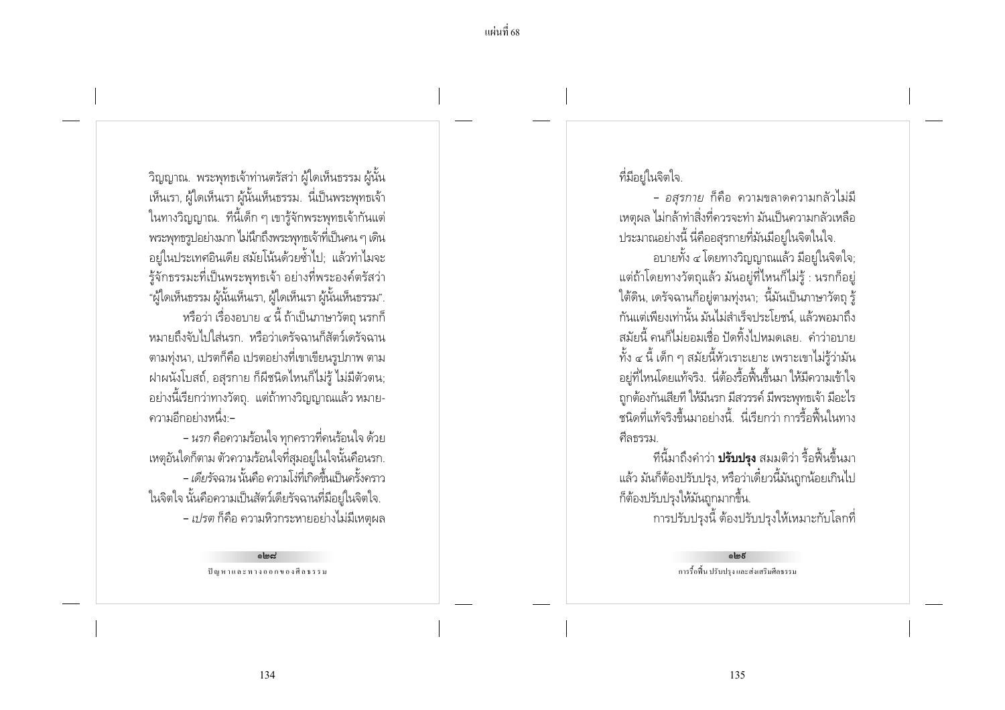ี วิญญาณ. พระพุทธเจ้าท่านตรัสว่า ผู้ใดเห็นธรรม ผู้นั้น เห็นเรา, ผู้ใดเห็นเรา ผู้นั้นเห็นธรรม. นี่เป็นพระพุทธเจ้า ในทางวิญญาณ. ที่นี้เด็ก ๆ เขารู้จักพระพุทธเจ้ากันแต่ ิ พระพุทธรูปอย่างมาก ไม่นึกถึงพระพุทธเจ้าที่เป็นคน ๆ เดิน ้อยู่ในประเทศอินเดีย สมัยโน้นด้วยช้ำไป; แล้วทำไมจะ ้รู้จักธรรมะที่เป็นพระพุทธเจ้า อย่างที่พระองค์ตรัสว่า "ผู้ใดเห็นธรรม ผู้นั้นเห็นเรา, ผู้ใดเห็นเรา ผู้นั้นเห็นธรรม". หรือว่า เรื่องอบาย ๔ นี้ ถ้าเป็นภาษาวัตถ นรกก็ หมายถึงจับไปใส่นรก หรือว่าเดรัจฉานก็สัตว์เดรัจฉาน ิ ตามท่งนา, เปรตก็คือ เปรตอย่างที่เขาเขียนรปภาพ ตาม ฝาผนังโบสถ์, อสุรกาย ก็ผีชนิดไหนก็ไม่รู้ ไม่มีตัวตน; ้อย่างนี้เรียกว่าทางวัตถุ. แต่ถ้าทางวิญญาณแล้ว หมาย-้ ความอีกอย่างหนึ่ง -

- นรก คือความร้อนใจ ทุกคราวที่คนร้อนใจ ด้วย เหตุอันใดก็ตาม ตัวความร้อนใจที่สมอยู่ในใจนั้นคือนรก. - เดียรัจฉาน นั้นคือ ความโง่ที่เกิดขึ้นเป็นครั้งคราว ในจิตใจ นั้นคือความเป็นสัตว์เดียรัจฉานที่มีอยู่ในจิตใจ. - เปรต ก็คือ ความหิวกระหายอย่างไม่มีเหตุผล

> بماهاه ปัญหาและทางออกของศีลธรรม

ที่มีอย่ในจิตใจ.

- *อสรกาย* ก็คือ ความขลาดความกลัวไม่มี ่ เหตผล ไม่กล้าทำสิ่งที่ควรจะทำ มันเป็นความกลัวเหลือ ่ ประมาณอย่างนี้ นี่คืออสรกายที่มันมีอย่ในจิตในใจ.

้อบายทั้ง ๔ โดยทางวิญญาณแล้ว มีอยู่ในจิตใจ; ้ แต่ถ้าโดยทางวัตถุแล้ว มันอยู่ที่ไหนก็ไม่รู้ : นรกก็อยู่ ใต้ดิน, เดรัจฉานก็อยู่ตามทุ่งนา; นี้มันเป็นภาษาวัตถุ รู้ ้กันแต่เพียงเท่านั้น มันไม่สำเร็จประโยชน์, แล้วพอมาถึง ้สมัยนี้ คนก็ไม่ยอมเชื่อ ปัดทิ้งไปหมดเลย คำว่าอบาย ้ทั้ง ๔ นี้ เด็ก ๆ สมัยนี้หัวเราะเยาะ เพราะเขาไม่รั่ว่ามัน ้อยู่ที่ไหนโดยแท้จริง. นี่ต้องรื้อฟื้นขึ้นมา ให้มีความเข้าใจ ถูกต้องกันเสียที ให้มีนรก มีสวรรค์ มีพระพุทธเจ้า มีอะไร ้ ชนิดที่แท้จริงขึ้นมาอย่างนี้ นี่เรียกว่า การรื้อฟื้นในทาง คีลธรรม.

้ที่นี้มาถึงคำว่า **ปรับปรุง** สมมติว่า รื้อฟื้นขึ้นมา แล้ว มันก็ต้องปรับปรุง, หรือว่าเดี๋ยวนี้มันถูกน้อยเกินไป ก็ต้องปรับปรุงให้มันถูกมากขึ้น. การปรับปรุงนี้ ต้องปรับปรุงให้เหมาะกับโลกที่

> ெக் การรื้อฟื้น ปรับปรุง และส่งเสริมศีลธรรม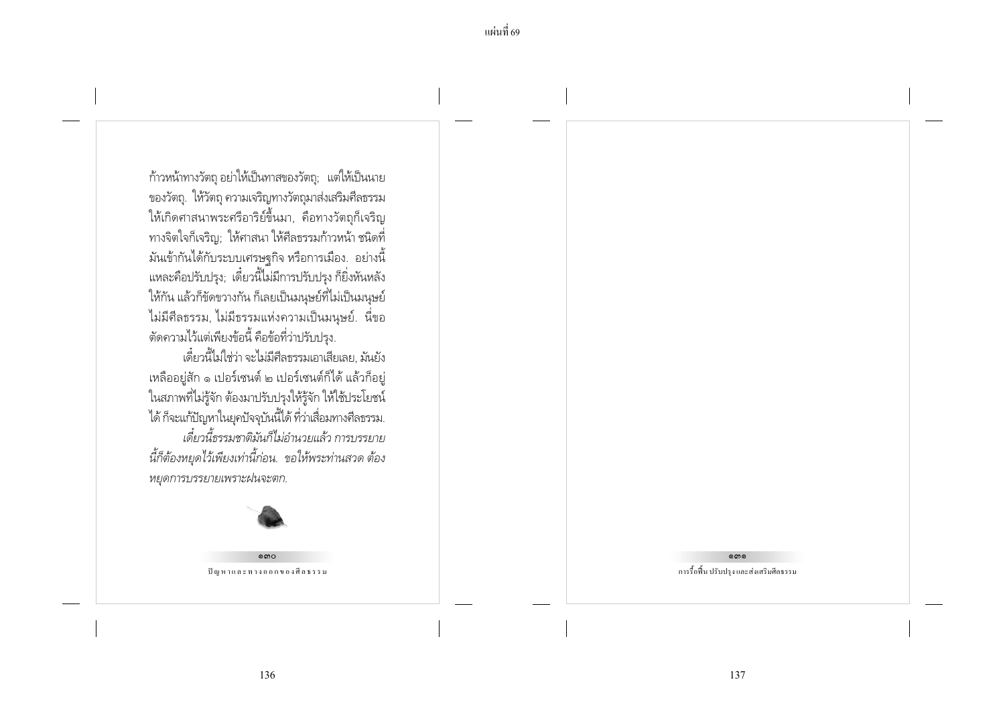ก้าวหน้าทางวัตถุ อย่าให้เป็นทาสของวัตถุ; แต่ให้เป็นนาย ของวัตถุ. ให้วัตถุ ความเจริญทางวัตถุมาส่งเสริมศีลธรรม ให้เกิดศาสนาพระศรีอาริย์ขึ้นมา, คือทางวัตถุก็เจริญ ทางจิตใจก็เจริญ; ให้ศาสนา ให้ศีลธรรมก้าวหน้า ชนิดที่ มันเข้ากันได้กับระบบเศรษฐกิจ หรือการเมือง. อย่างนี้ แหละคือปรับปรุง; เดี๋ยวนี้ไม่มีการปรับปรุง ก็ยิ่งหันหลัง ให้กัน แล้วก็ขัดขวางกัน ก็เลยเป็นมนุษย์ที่ไม่เป็นมนุษย์ ไม่มีศีลธรรม, ไม่มีธรรมแห่งความเป็นมนุษย์. นี่ขอ ตัดความไว้แต่เพียงข้อนี้ คือข้อที่ว่าปรับปรุง.

เดี๋ยวนี้ไม่ใช่ว่า จะไม่มีศีลธรรมเอาเสียเลย. มันยัง เหลืออยู่สัก ๑ เปอร์เชนต์ ๒ เปอร์เชนต์ก็ได้ แล้วก็อยู่ ในสภาพที่ไม่รู้จัก ต้องมาปรับปรุงให้รู้จัก ให้ใช้ประโยชน์ ได้ ก็จะแก้ปัญหาในยุคปัจจุบันนี้ได้ ที่ว่าเสื่อมทางศีลธรรม. เดี๋ยวนี้ธรรมชาติมันก็ไม่อำนวยแล้ว การบรรยาย นี้ก็ต้องหยุดไว้เพียงเท่านี้ก่อน. ขอให้พระท่านสวด ต้อง หยุดการบรรยายเพราะฝนจะตก.



 $\circ \circ$ ปัญหาและทางออกของศีลธรรม ෧෨෧

การรื้อฟื้น ปรับปรุง และส่งเสริมศีลธรรม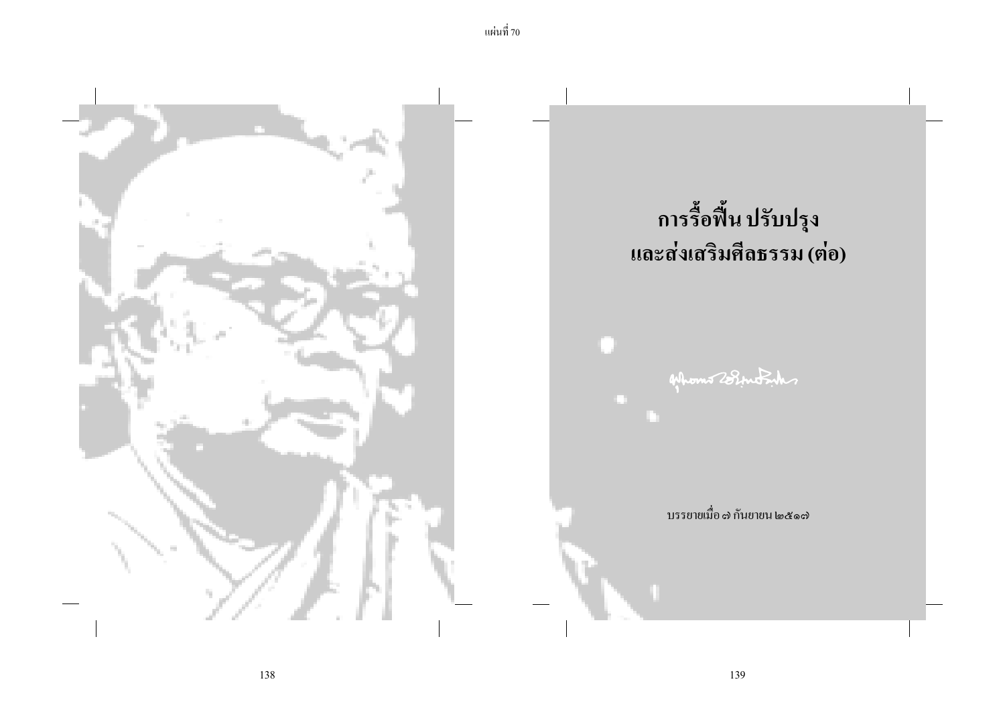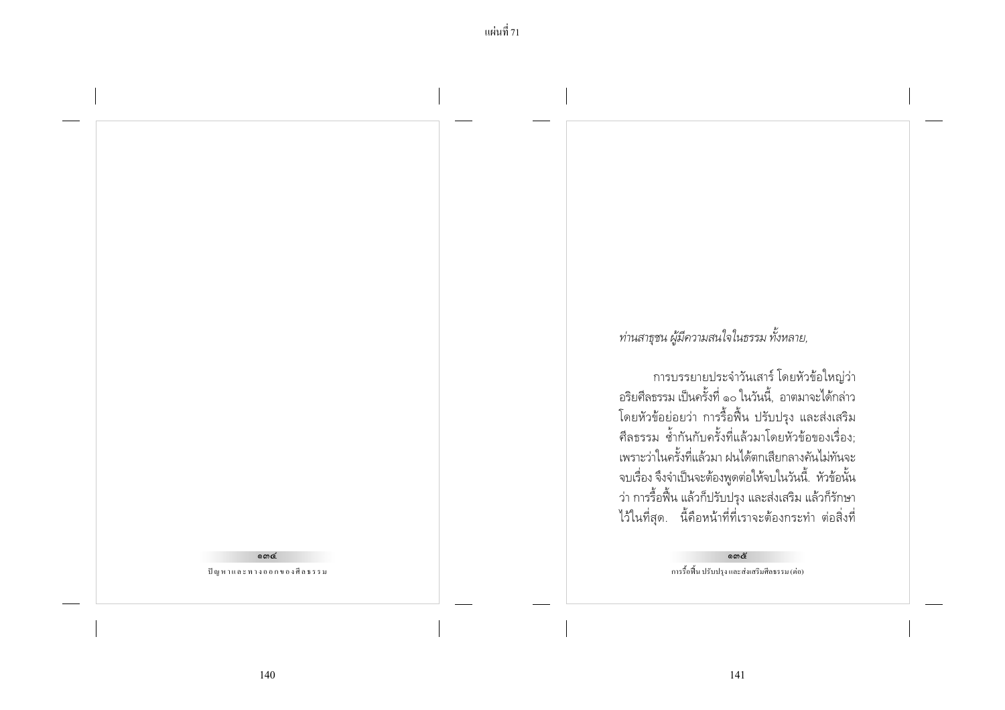## $\omega$

ปัญหาและทางออกของศีลธรรม

ท่านสาธุชน ผู้มีความสนใจในธรรม ทั้งหลาย,

การบรรยายประจำวันเสาร์ โดยหัวข้อใหญ่ว่า อริยศีลธรรม เป็นครั้งที่ ๑๐ ในวันนี้, อาตมาจะได้กล่าว โดยหัวข้อย่อยว่า การรื้อฟื้น ปรับปรุง และส่งเสริม<br>ศีลธรรม ซ้ำกันกับครั้งที่แล้วมาโดยหัวข้อของเรื่อง; เพราะว่าในครั้งที่แล้วมา ฝนได้ตกเสียกลางคันไม่ทันจะ จบเรื่อง จึงจำเป็นจะต้องพูดต่อให้จบในวันนี้. หัวข้อนั้น ว่า การรื้อฟื้น แล้วก็ปรับปรุง และส่งเสริม แล้วก็รักษา ไว้ในที่สุด. นี้คือหน้าที่ที่เราจะต้องกระทำ ต่อสิ่งที่

> ഩെര് การรื้อฟื้น ปรับปรุง และส่งเสริมศีลธรรม (ต่อ)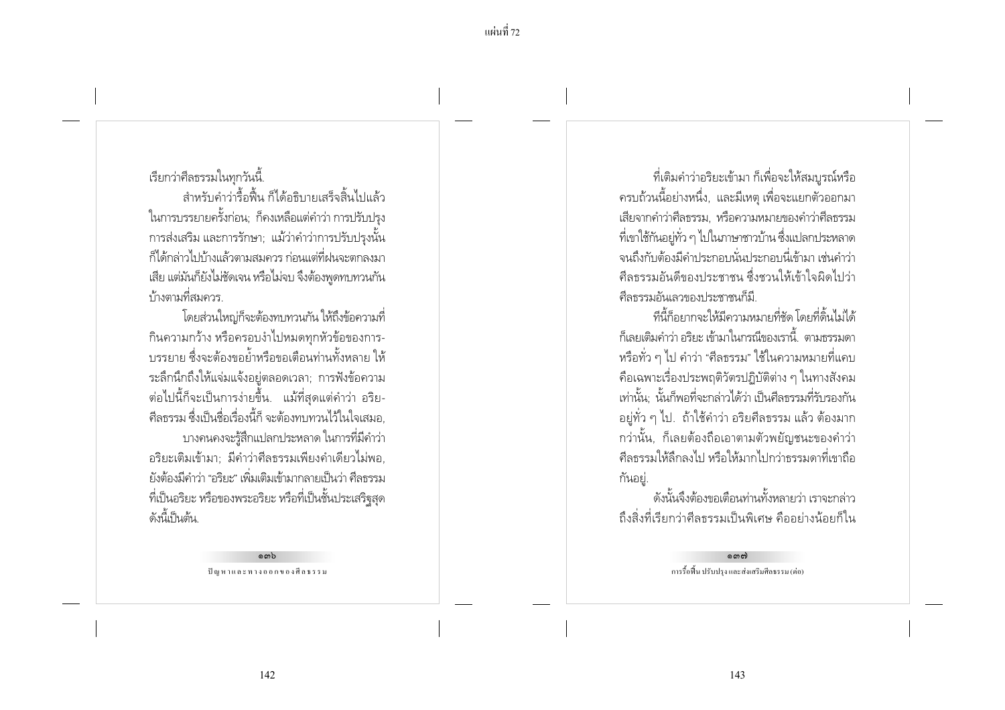#### เรียกว่าศีลธรรมในทุกวันนี้.

้สำหรับคำว่ารื้อฟื้น ก็ได้อธิบายเสร็จสิ้นไปแล้ว ในการบรรยายครั้งก่อน; ก็คงเหลือแต่คำว่า การปรับปรุง ่ การส่งเสริม และการรักษา: แม้ว่าคำว่าการปรับปรงนั้น ก็ได้กล่าวไปบ้างแล้วตามสมควร ก่อนแต่ที่ฝนจะตกลงมา เสีย แต่มันก็ยังไม่ชัดเจน หรือไม่จบ จึงต้องพดทบทวนกัน บ้างตามที่สมควร

โดยส่วนใหญ่ก็จะต้องทบทวนกัน ให้ถึงข้อความที่ กินความกว้าง หรือครอบงำไปหมดทุกหัวข้อของการ-ำเรรยาย ซึ่งจะต้องขอย้ำหรือขอเตือนท่านทั้งหลาย ให้ ระลึกนึกถึงให้แจ่มแจ้งอย่ตลอดเวลา: การฟังข้อความ ้ต่อไปนี้ก็จะเป็นการง่ายขึ้น. แม้ที่สุดแต่คำว่า อริย-้ศีลธรรม ซึ่งเป็นชื่อเรื่องนี้ก็ จะต้องทบทวนไว้ในใจเสมอ. ้บางคนคงจะรู้สึกแปลกประหลาด ในการที่มีคำว่า ้อริยะเติมเข้ามา: มีคำว่าศีลธรรมเพียงคำเดียวไม่พอ. ยังต้องมีคำว่า "อริยะ" เพิ่มเติมเข้ามากลายเป็นว่า ศีลธรรม ้ที่เป็นอริยะ หรือของพระอริยะ หรือที่เป็นชั้นประเสริฐสุด ดังนี้เป็นต้น

> ര സം ปัญหาและทางออกของศีลธรรม

้ที่เติมคำว่าอริยะเข้ามา ก็เพื่อจะให้สมบูรณ์หรือ ิ ครบถ้วนนี้อย่างหนึ่ง, และมีเหตุ เพื่อจะแยกตัวออกมา เสียจากคำว่าศีลธรรม. หรือความหมายของคำว่าศีลธรรม ้ ที่เขาใช้กันอย่ทั่ว ๆ ไปในภาษาชาวบ้าน ซึ่งแปลกประหลาด ้จนถึงกับต้องมีคำประกอบนั่นประกอบนี่เข้ามา เช่นคำว่า ้ศีลธรรมอันดีของประชาชน ซึ่งชวนให้เข้าใจผิดไปว่า ดีลธรรมอันเลวของประชาชนก็มี

ทีนี้ก็อยากจะให้มีความหมายที่ชัด โดยที่ดิ้นไม่ได้ ้ก็เลยเติมคำว่า อริยะ เข้ามาในกรณีของเรานี้ ตามกรรมดา หรือทั่ว ๆ ไป คำว่า "ศีลธรรม" ใช้ในความหมายที่แคบ ้คือเฉพาะเรื่องประพฤติวัตรปฏิบัติต่าง ๆ ในทางสังคม เท่านั้น นั้นก็พอที่จะกล่าวได้ว่า เป็นศีลธรรมที่รับรองกัน ้อยู่ทั่ว ๆ ไป. ถ้าใช้คำว่า อริยศีลธรรม แล้ว ต้องมาก ึกว่านั้น, ก็เลยต้องถือเอาตามตัวพยัญชนะของคำว่า ้ศีลธรรมให้ลึกลงไป หรือให้มากไปกว่าธรรมดาที่เขาถือ กันอยู่.

้ ดังนั้นจึงต้องขอเตือนท่านทั้งหลายว่า เราจะกล่าว ถึงสิ่งที่เรียกว่าศีลธรรมเป็นพิเศษ คืออย่างน้อยก็ใน

> നൈസ് การรื้อพื้น ปรับปรุง และส่งเสริมศีลธรรม (ต่อ)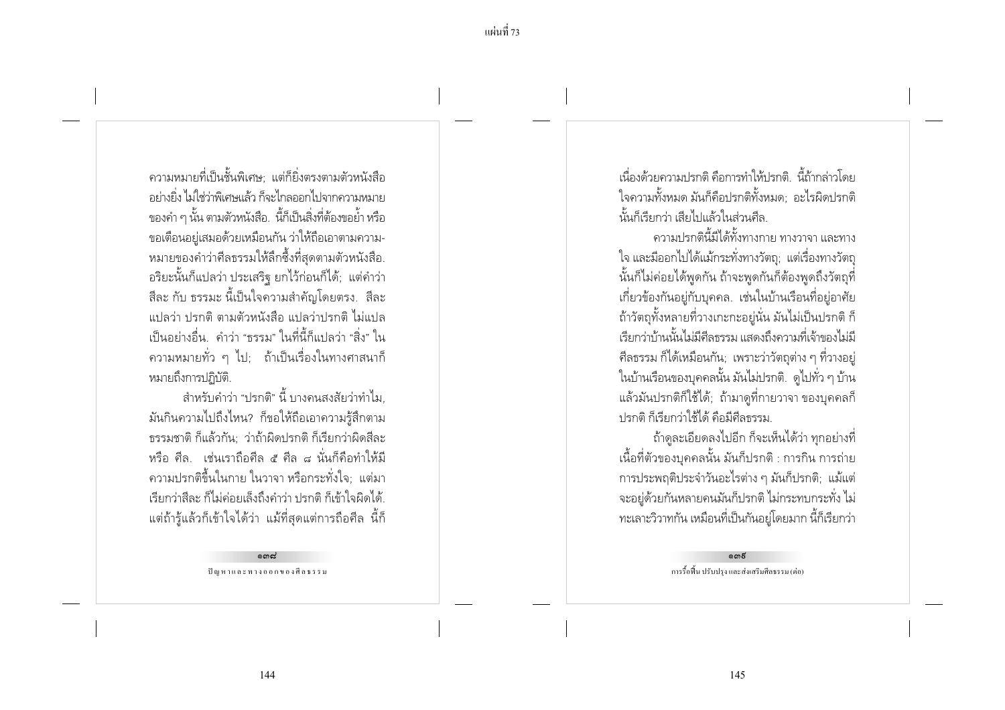้ ความหมายที่เป็นชั้นพิเศษ: แต่ก็ยิ่งตรงตามตัวหนังสือ ้อย่างยิ่ง ไม่ให่ว่าพิเศษแล้ว ก็จะไกลออกไปจากความหมาย -<br>ของคำ ๆ นั้น ตามตัวหนังสือ...นี้ก็เป็นสิ่งที่ต้องขอย้ำ หรือ ขอเตือนอยู่เสมอด้วยเหมือนกัน ว่าให้ถือเอาตามความ-หมายของคำว่าศีลธรรมให้ลึกซึ้งที่สุดตามตัวหนังสือ. ้อริยะนั้นก็แปลว่า ประเสริฐ ยกไว้ก่อนก็ได้; แต่คำว่า ้สีละ กับ ธรรมะ นี้เป็นใจความสำคัญโดยตรง. สีละ แปลว่า ปรกติ ตามตัวหนังสือ แปลว่าปรกติ ไม่แปล ้เป็นอย่างอื่น คำว่า "ธรรม" ในที่นี้ก็แปลว่า "สิ่ง" ใน ่ ความหมายทั่ว ๆ ไป: ถ้าเป็นเรื่องในทางศาสนาก็ หมายถึงการปฏิบัติ.

้สำหรับคำว่า "ปรกติ" นี้ บางคนสงสัยว่าทำไม ้มันกินความไปถึงไหน? ก็ขอให้ถือเอาความรู้สึกตาม ารรมชาติ ก็แล้วกัน · ว่าถ้าผิดปรกติ ก็เรียกว่าผิดสีละ หรือ ศีล. เช่นเราถือศีล ๕ ศีล ๘ นั่นก็คือทำให้มี ่ ความปรกติขึ้นในกาย ในวาจา หรือกระทั่งใจ; แต่มา เรียกว่าสีละ ก็ไม่ค่อยเล็งถึงคำว่า ปรกติ ก็เข้าใจผิดได้ ้ แต่ถ้ารู้แล้วก็เข้าใจได้ว่า แม้ที่สุดแต่การถือศีล นี้ก็

> $\sim$ ปัญหาและทางออกของศีลธรรม

เนื่องด้ายดาาบปรกติ คือการทำให้ปรกติ -นี้ก้ากล่าาโดย ใจความทั้งหมด มันก็คือปรกติทั้งหมด: อะไรผิดปรกติ นั้นก็เรียกว่า เสียไปแล้วในส่วนศีล

์ ดาาบุปรกตินี้มีได้ทั้งทางกาย ทางวาจา และทาง ใจ และมีออกไปได้แม้กระทั่งทางวัตถ; แต่เรื่องทางวัตถุ นั้นก็ไม่ค่อยได้พดกัน ถ้าจะพดกันก็ต้องพดถึงวัตถที่ เกี่ยวข้องกันอยู่กับบุคคล. เช่นในบ้านเรือนที่อยู่อาศัย ถ้าวัตถุทั้งหลายที่วางเกะกะอยู่นั่น มันไม่เป็นปรกติ ก็ เรียกว่าบ้านนั้นไม่มีศีลธรรม แสดงถึงความที่เจ้าของไม่มี ้ศีลธรรม ก็ได้เหมือนกัน: เพราะว่าวัตถต่าง ๆ ที่วางอย่ ในบ้านเรือนของบุคคลนั้น มันไม่ปรกติ. ดูไปทั่ว ๆ บ้าน แล้วมันปรกติก็ใช้ได้; ถ้ามาดูที่กายวาจา ของบุคคลก็ ปรกติ ก็เรียกว่าใช้ได้ คือมีศีลธรรม

้ถ้าดูละเอียดลงไปอีก ก็จะเห็นได้ว่า ทุกอย่างที่ ้ เนื้อที่ตัวของบคคลนั้น มันก็ปรกติ : การกิน การถ่าย ิการประพฤติประจำวันอะไรต่าง ๆ มันก็ปรกติ; แม้แต่ ้ จะอยู่ด้วยกันหลายคนมันก็ปรกติ ไม่กระทบกระทั่ง ไม่ ้ ทะเลาะวิวาทกัน เหมือนที่เป็นกันอยู่โดยมาก นี้ก็เรียกว่า

> ൈറ്റ് การรื้อฟื้น ปรับปรง และส่งเสริมศีลธรรม (ต่อ)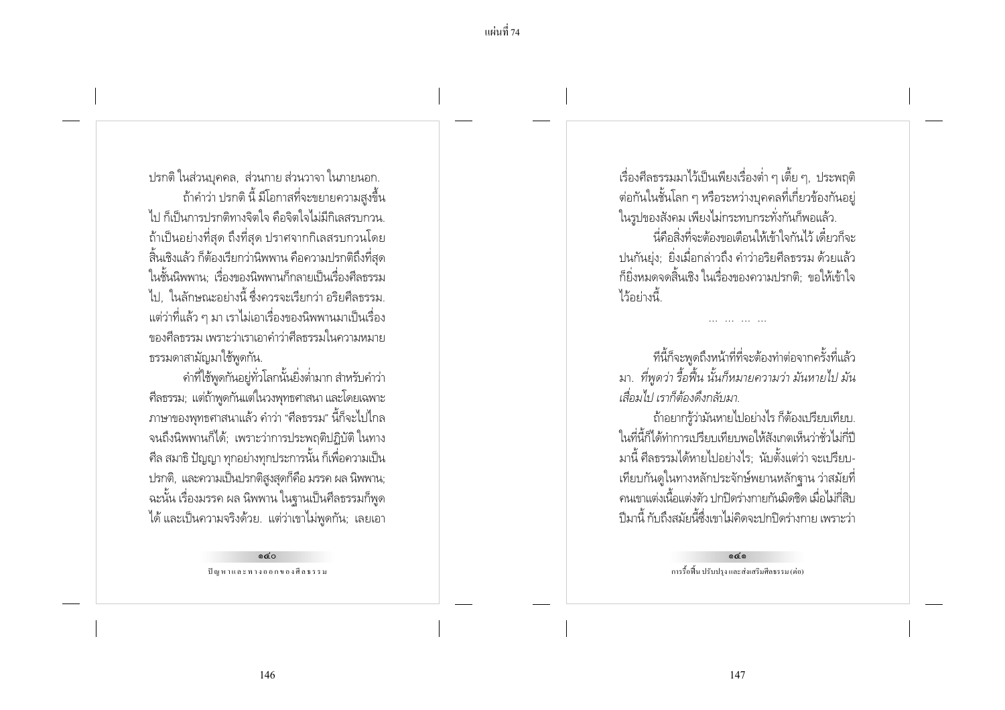ี แผ่นที่ 74

ปรกติ ในส่วนบุคคล, ส่วนกาย ส่วนวาจา ในภายนอก. ้ถ้าคำว่า ปรกติ นี้ มีโอกาสที่จะขยายความสูงขึ้น ไป ก็เป็นการปรกติทางจิตใจ คือจิตใจไม่มีกิเลสรบกวน. ้ถ้าเป็นอย่างที่สด ถึงที่สด ปราศจากกิเลสรบกวนโดย ้สิ้นเชิงแล้ว ก็ต้องเรียกว่านิพพาน คือความปรกติถึงที่สุด ในชั้นนิพพาน: เรื่องของนิพพานก็กลายเป็นเรื่องศีลธรรม ไป. ในลักษณะอย่างนี้ ซึ่งควรจะเรียกว่า อริยศีลธรรม. ่ แต่ว่าที่แล้ว ๆ มา เราไม่เอาเรื่องของนิพพานมาเป็นเรื่อง ์ ของศีลธรรม เพราะว่าเราเอาดำว่าศีลธรรมในความหมาย ธรรมดาสามัญมาใช้พูดกัน.

คำที่ใช้พูดกันอยู่ทั่วโลกนั้นยิ่งต่ำมาก สำหรับคำว่า ้ศีลธรรม; แต่ถ้าพูดกันแต่ในวงพุทธศาสนา และโดยเฉพาะ ่ ภาษาของพุทธศาสนาแล้ว คำว่า "ศีลธรรม" นี้ก็จะไปไกล จนถึงนิพพานก็ได้; เพราะว่าการประพฤติปฏิบัติ ในทาง ์ ศีล สมาธิ ปัญญา ทุกอย่างทุกประการนั้น ก็เพื่อความเป็น ปรกติ, และความเป็นปรกติสูงสุดก็คือ มรรค ผล นิพพาน; ้ฉะนั้น เรื่องมรรค ผล นิพพาน ในฐานเป็นศีลธรรมก็พูด ได้ และเป็นความจริงด้วย. แต่ว่าเขาไม่พูดกัน; เลยเอา

> $oc$ ปัญหาและทางออกของศีลธรรม

เรื่องศีลธรรมมาไว้เป็นเพียงเรื่องต่ำ ๆ เตี้ย ๆ, ประพฤติ ้ต่อกันในชั้นโลก ๆ หรือระหว่างบุคคลที่เกี่ยวข้องกันอยู่ ในรปของสังคม เพียงไม่กระทบกระทั่งกันก็พอแล้ว. ้นี่คือสิ่งที่จะต้องขอเตือนให้เข้าใจกันไว้ เดี๋ยวก็จะ ปนกันย่ง: ยิ่งเมื่อกล่าวถึง คำว่าอริยศีลธรรม ด้วยแล้ว ้ก็ยิ่งหมดจดสิ้นเชิง ในเรื่องของความปรกติ: ขอให้เข้าใจ ไว้อย่างนี้

ทีนี้ก็จะพูดถึงหน้าที่ที่จะต้องทำต่อจากครั้งที่แล้ว มา. ที่พูดว่า รื้อฟื้น นั้นก็หมายความว่า มันหายไป มัน เสื่อมไป เราก็ต้องดึงกลับมา

้ถ้าอยากรู้ว่ามันหายไปอย่างไร ก็ต้องเปรียบเทียบ. ในที่นี้ก็ได้ทำการเปรียบเทียบพอให้สังเกตเห็นว่าชั่วไม่กี่ปี มานี้ ศีลธรรมได้หายไปอย่างไร: นับตั้งแต่ว่า จะเปรียบ-เทียบกันดูในทางหลักประจักษ์พยานหลักจาน ว่าสมัยที่ ้ คนเขาแต่งเนื้อแต่งตัว ปกปิดร่างกายกันมิดชิด เมื่อไม่กี่สิบ ้ ปีมานี้ กับถึงสมัยนี้ซึ่งเขาไม่คิดจะปกปิดร่างกาย เพราะว่า

> $oc<sub>o</sub>$ การรื้อฟื้น ปรับปรง และส่งเสริมศีลธรรม (ต่อ)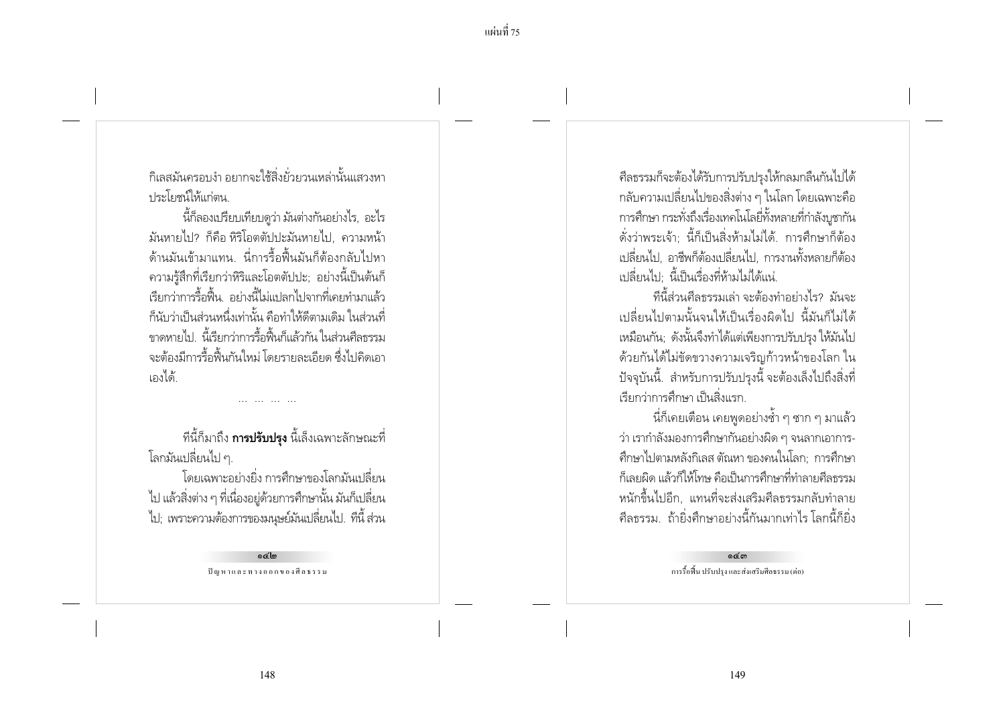้กิเลสมันครอบงำ อยากจะใช้สิ่งยั่วยวนเหล่านั้นแสวงหา <u>ง |ระโยศน์ให้แก่ตน</u>

้นี้ก็ลองเปรียบเทียบดูว่า มันต่างกันอย่างไร, อะไร ้มันหายไป? ก็คือ หิริโอตตัปปะมันหายไป ความหน้า ้ด้านมันเข้ามาแทน. นี่การรื้อฟื้นมันก็ต้องกลับไปหา ้ ความร้สึกที่เรียกว่าหิริและโอตตัปปะ; อย่างนี้เป็นต้นก็ เรียกว่าการรื้อฟื้น. อย่างนี้ไม่แปลกไปจากที่เคยทำมาแล้ว ้ก็นับว่าเป็นส่วนหนึ่งเท่านั้น คือทำให้ดีตามเดิม ในส่วนที่ ์<br>ขาดหายไป นี้เรียกว่าการรื้อฟื้นก็แล้วกัน ในส่วนศีลธรรม ้จะต้องมีการรื้อฟื้นกันใหม่ โดยรายละเอียด ซึ่งไปคิดเอา เองได้

ู้ที่นี้ก็มาถึง **การปรับปรุง** นี้เล็งเฉพาะลักษณะที่ โลกมันเปลี่ยนไป ๆ.

โดยเฉพาะอย่างยิ่ง การศึกษาของโลกมันเปลี่ยน ไป แล้วสิ่งต่าง ๆ ที่เนื่องอยู่ด้วยการศึกษานั้น มันก็เปลี่ยน ไป; เพราะความต้องการของมนุษย์มันเปลี่ยนไป. ทีนี้ ส่วน

> arc'lon ปัญหาและทางออกของศีลธรรม

์ ศีลธรรมก็จะต้องได้รับการปรับปรุงให้กลมกลืนกันไปได้ ้ กลับความเปลี่ยนไปของสิ่งต่าง ๆ ในโลก โดยเฉพาะคือ การศึกษา กระทั่งถึงเรื่องเทคโนโลยี่ทั้งหลายที่กำลังบูชากัน ดั่งว่าพระเจ้า: นี้ก็เป็นสิ่งห้ามไม่ได้. การศึกษาก็ต้อง ่ เปลี่ยนไป. อาชีพก็ต้องเปลี่ยนไป. การงานทั้งหลายก็ต้อง เปลี่ยนไป นี้เป็นเรื่องที่ห้ามไม่ได้แน่

้ที่นี้ส่วนศีลธรรมเล่า จะต้องทำอย่างไร? มันจะ เปลี่ยนไปตามนั้นจนให้เป็นเรื่องผิดไป นี้มันก็ไม่ได้ เหมือนกัน; ดังนั้นจึงทำได้แต่เพียงการปรับปรุง ให้มันไป ้ด้วยกันได้ไม่ขัดขวางความเจริญก้าวหน้าของโลก ใน ้ปัจจุบันนี้. สำหรับการปรับปรุงนี้ จะต้องเล็งไปถึงสิ่งที่ เรียกว่าการศึกษา เป็นสิ่งแรก

้ นี่ก็เคยเตือน เคยพูดอย่างซ้ำ ๆ ซาก ๆ มาแล้ว ว่า เรากำลังมองการศึกษากันอย่างผิด ๆ จนลากเอาการ-้ศึกษาไปตามหลังกิเลส ตัณหา ของคนในโลก: การศึกษา ้ก็เลยผิด แล้วก็ให้โทษ คือเป็นการศึกษาที่ทำลายศีลธรรม หนักขึ้นไปอีก. แทนที่จะส่งเสริมศีลธรรมกลับทำลาย ้ศีลธรรม ถ้ายิ่งศึกษาอย่างนี้กันมากเท่าไรโลกนี้ก็ยิ่ง

> ക്കെ การรื้อฟื้น ปรับปรง และส่งเสริมศีลธรรม (ต่อ)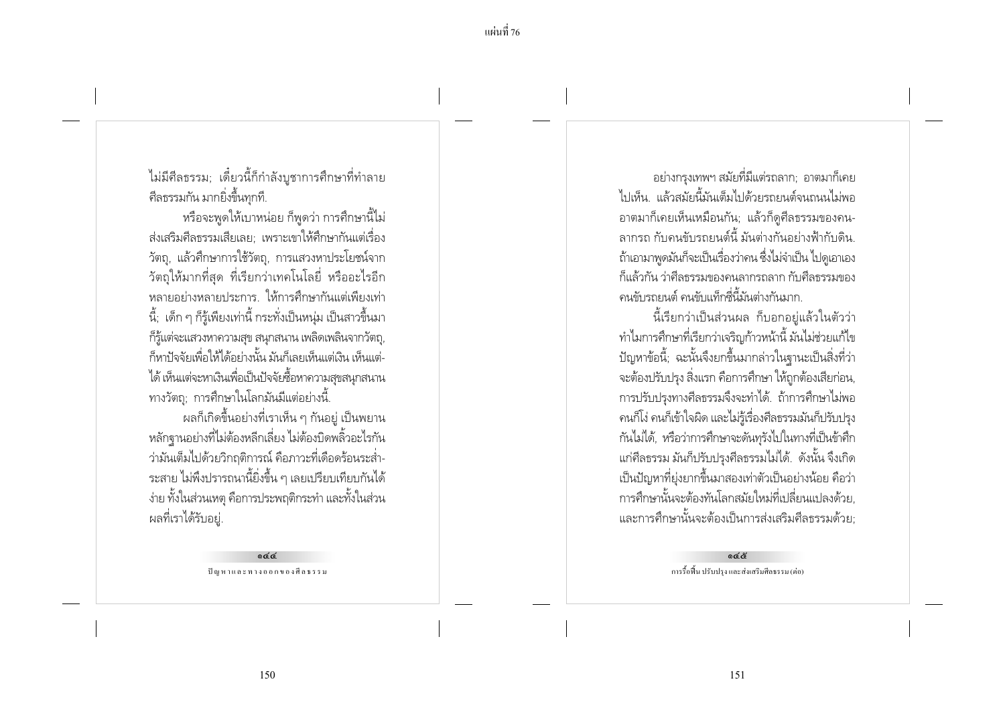ไม่มีศีลธรรม; เดี๋ยวนี้ก็กำลังบูชาการศึกษาที่ทำลาย ์ศีลธรรมกัน มากยิ่งขึ้นทุกที.

หรือจะพูดให้เบาหน่อย ก็พูดว่า การศึกษานี้ไม่ ส่งเสริมศีลธรรมเสียเลย เพราะเขาให้ศึกษากันแต่เรื่อง วัตถุ, แล้วศึกษาการใช้วัตถุ, การแสวงหาประโยชน์จาก ้ วัตถุให้มากที่สุด ที่เรียกว่าเทคโนโลยี่ หรืออะไรอีก หลายอย่างหลายประการ. ให้การศึกษากันแต่เพียงเท่า ้ นี้: เด็ก ๆ ก็ร้เพียงเท่านี้ กระทั่งเป็นหน่ม เป็นสาวขึ้นมา ก็รู้แต่จะแสวงหาความสุข สนุกสนาน เพลิดเพลินจากวัตถุ, ้ก็หาปัจจัยเพื่อให้ได้อย่างนั้น มันก็เลยเห็นแต่เงิน เห็นแต่-ได้ เห็นแต่จะหาเงินเพื่อเป็นปัจจัยซื้อหาความสุขสนุกสนาน ทางวัตถุ; การศึกษาในโลกมันมีแต่อย่างนี้.

่ ผลก็เกิดขึ้นอย่างที่เราเห็น ๆ กันอยู่ เป็นพยาน หลักฐานอย่างที่ไม่ต้องหลีกเลี่ยง ไม่ต้องบิดพลิ้วอะไรกัน ว่ามันเต็มไปด้วยวิกฤติการณ์ คือภาวะที่เดือดร้อนระส่ำ-้ ระสาย ไม่พึงปรารถนานี้ยิ่งขึ้น ๆ เลยเปรียบเทียบกันได้ ง่าย ทั้งในส่วนเหตุ คือการประพฤติกระทำ และทั้งในส่วน ผลที่เราได้รับอยู่.

> ock ปัญหาและทางออกของศีลธรรม

้อย่างกรุงเทพฯ สมัยที่มีแต่รถลาก; อาตมาก็เคย ไปเห็น แล้วสมัยนี้มันเต็มไปด้วยรถยนต์จนถนนไม่พอ อาตมาก็เคยเห็นเหมือนกัน; แล้วก็ดูศีลธรรมของคน-ลากรถ กับคนขับรถยนต์นี้ มันต่างกันอย่างฟ้ากับดิน ถ้าเอามาพูดมันก็จะเป็นเรื่องว่าคน ซึ่งไม่จำเป็น ไปดูเอาเอง ก็แล้วกัน ว่าศีลธรรมของคนลากรถลาก กับศีลธรรมของ ้คนขับรถยนต์ คนขับแท็กซี่นี้มันต่างกันมาก

นี้เรียกว่าเป็นส่วนผล ก็บอกอย่แล้วในตัวว่า ทำไมการศึกษาที่เรียกว่าเจริญก้าวหน้านี้ มันไม่ช่วยแก้ไข ้ปัญหาข้อนี้: ฉะนั้นจึงยกขึ้นมากล่าวในจานะเป็นสิ่งที่ว่า ้จะต้องปรับปรุง สิ่งแรก คือการศึกษา ให้ถูกต้องเสียก่อน, การปรับปรุงทางศีลธรรมจึงจะทำได้. ถ้าการศึกษาไม่พอ ้ คนก็โง่ คนก็เข้าใจผิด และไม่รู้เรื่องศีลธรรมมันก็ปรับปรุง ้กันไม่ได้, หรือว่าการศึกษาจะดันทรังไปในทางที่เป็นข้าศึก แก่ศีลธรรม มันก็ปรับปรงศีลธรรมไม่ได้. ดังนั้น จึงเกิด เป็นปัญหาที่ยุ่งยากขึ้นมาสองเท่าตัวเป็นอย่างน้อย คือว่า การศึกษานั้นจะต้องทันโลกสมัยใหม่ที่เปลี่ยนแปลงด้วย และการศึกษานั้นจะต้องเป็นการส่งเสริมศีลธรรมด้วย:

> දෙදි การรื้อฟื้น ปรับปรง และส่งเสริมศีลธรรม (ต่อ)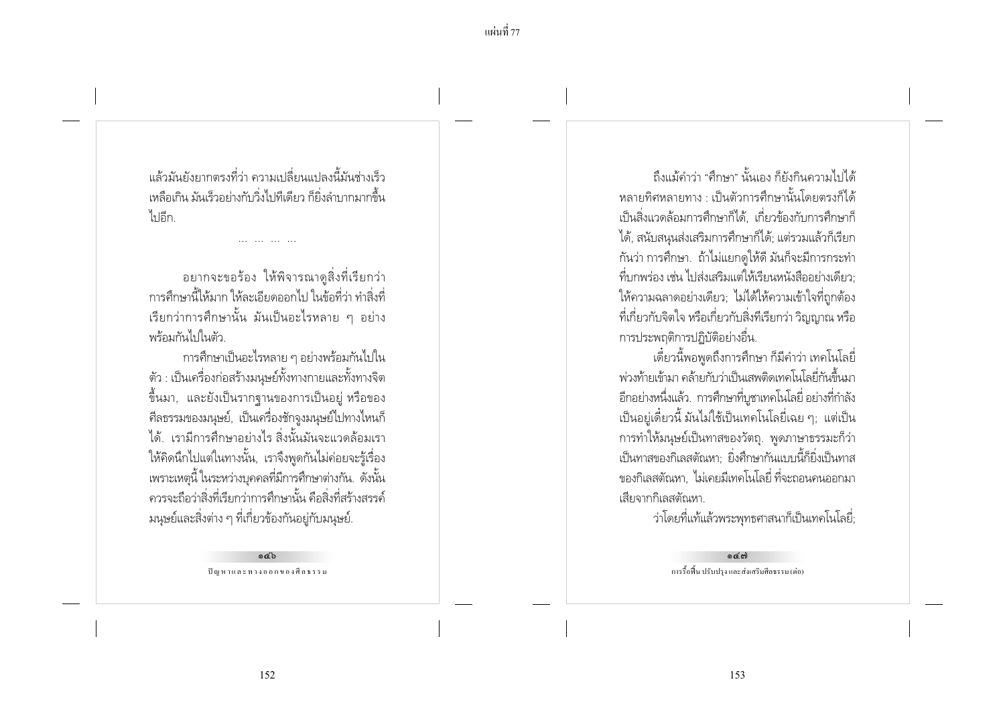แล้วบันยังยากตรงที่ว่า ดาวบเปลี่ยนแปลงนี้บันช่างเร็ว เหลือเกิน มันเร็วอย่างกับวิ่งไปทีเดียว ก็ยิ่งลำบากมากขึ้น ไขอีก

้อยากจะขอร้อง ให้พิจารณาดูสิ่งที่เรียกว่า ้ การศึกษานี้ให้มาก ให้ละเอียดออกไป ในข้อที่ว่า ทำสิ่งที่ เรียกว่าการศึกษานั้น มันเป็นอะไรหลาย ๆ อย่าง พร้อมกันไปในตัว

การศึกษาเป็นอะไรหลาย ๆ อย่างพร้อมกันไปใน ตัว : เป็นเครื่องก่อสร้างมนุษย์ทั้งทางกายและทั้งทางจิต ู้ ขึ้นมา, และยังเป็นรากจานของการเป็นอยู่ หรือของ ้ศีลธรรมของมนุษย์, เป็นเครื่องชักจูงมนุษย์ไปทางไหนก็ ได้ เรามีการศึกษาอย่างไร สิ่งนั้นมันจะแวดล้อมเรา ให้คิดนึกไปแต่ในทางนั้น, เราจึงพูดกันไม่ค่อยจะรู้เรื่อง เพราะเหตุนี้ ในระหว่างบุคคลที่มีการศึกษาต่างกัน. ดังนั้น ้ ควรจะถือว่าสิ่งที่เรียกว่าการศึกษานั้น คือสิ่งที่สร้างสรรค์ ้ มนุษย์และสิ่งต่าง ๆ ที่เกี่ยวข้องกันอยู่กับมนุษย์.

> $\circ$ cb ปัญหาและทางออกของศีลธรรม

ก็งูแม้คำว่า "ศึกษา" นั้นเลง ก็ยังกินความไปได้ หลายทิศหลายทาง เป็นตัวการศึกษานั้นโดยตรงก็ได้ เป็นสิ่งแวดล้อมการศึกษาก็ได้. เกี่ยวข้องกับการศึกษาก็ ได้. สนับสนนส่งเสริมการศึกษาก็ได้: แต่รวมแล้วก็เรียก ้กันว่า การศึกษา. ถ้าไม่แยกดูให้ดี มันก็จะมีการกระทำ ้ที่บกพร่อง เช่น ไปส่งเสริมแต่ให้เรียนหนังสืออย่างเดียว: ให้ความฉลาดอย่างเดียว; ไม่ได้ให้ความเข้าใจที่ถูกต้อง ้ ที่เกี่ยวกับจิตใจ หรือเกี่ยวกับสิ่งทีเรียกว่า วิญญาณ หรือ การประพฤติการปฏิบัติอย่างอื่น.

เดี๋ยวนี้พอพูดถึงการศึกษา ก็มีคำว่า เทคโนโลยี่ ้พ่วงท้ายเข้ามา คล้ายกับว่าเป็นเสพติดเทคโนโลยี่กันขึ้นมา ้อีกอย่างหนึ่งแล้ว. การศึกษาที่บูชาเทคโนโลยี่ อย่างที่กำลัง ้เป็นอยู่เดี๋ยวนี้ มันไม่ใช้เป็นเทคโนโลยี่เฉย ๆ; แต่เป็น การทำให้มนุษย์เป็นทาสของวัตถุ. พูดภาษาธรรมะก็ว่า เป็นทาสของกิเลสตัณหา: ยิ่งศึกษากันแบบนี้ก็ยิ่งเป็นทาส ี ของกิเลสตัณหา, ไม่เคยมีเทคโนโลยี่ ที่จะถอนคนออกมา เสียจากกิเลสตัณหา

ว่าโดยที่แท้แล้วพระพุทธศาสนาก็เป็นเทคโนโลยี่;

 $C$ การรื้อฟื้น ปรับปรง และส่งเสริมศีลธรรม (ต่อ)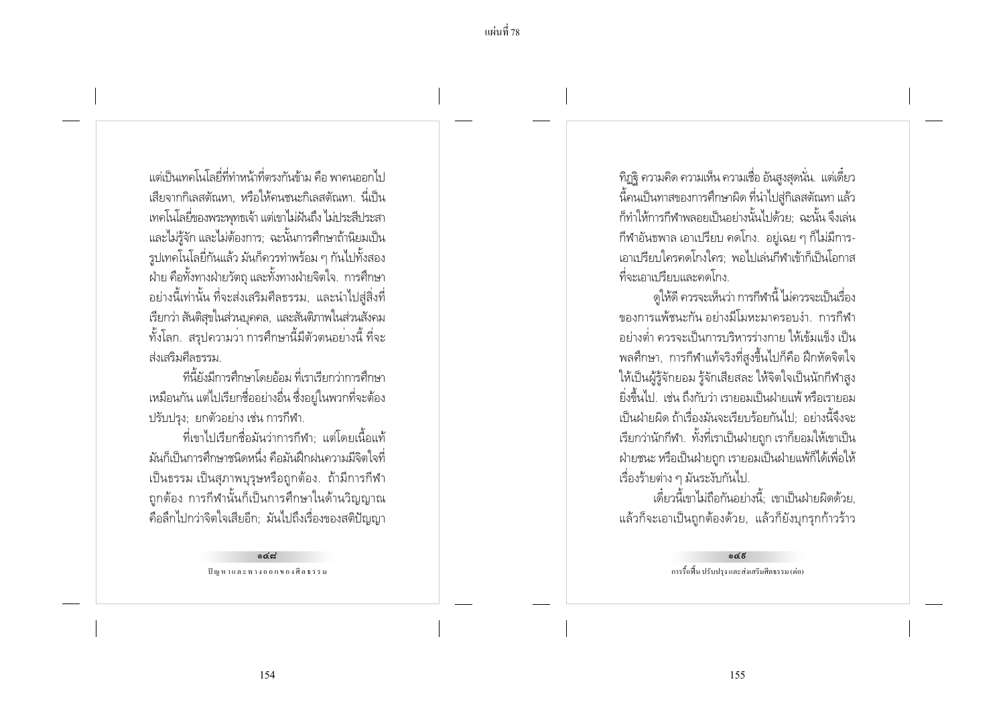้ แต่เป็นเทคโนโลยี่ที่ทำหน้าที่ตรงกันข้าม คือ พาคนออกไป ้เสียจากกิเลสตัณหา, หรือให้คนชนะกิเลสตัณหา. นี่เป็น เทคโนโลยี่ของพระพทธเจ้า แต่เขาไม่ฝันถึง ไม่ประสีประสา และไม่รู้จัก และไม่ต้องการ: ฉะนั้นการศึกษาถ้านิยมเป็น รูปเทคโนโลยี่กันแล้ว มันก็ควรทำพร้อม ๆ กันไปทั้งสอง ฝ่าย คือทั้งทางฝ่ายวัตถุ และทั้งทางฝ่ายจิตใจ. การศึกษา ้อย่างนี้เท่านั้น ที่จะส่งเสริมศีลธรรม, และนำไปสู่สิ่งที่ เรียกว่า สันติสขในส่วนบคคล, และสันติภาพในส่วนสังคม ้ทั้งโลก. สรุปความว่า การศึกษานี้มีตัวตนอย่างนี้ ที่จะ ส่งเสริมศีลธรรม

้ที่นี้ยังมีการศึกษาโดยอ้อม ที่เราเรียกว่าการศึกษา เหมือนกัน แต่ไปเรียกชื่ออย่างอื่น ซึ่งอยู่ในพวกที่จะต้อง ปรับปรง: ยกตัวอย่าง เช่น การกีฬา.

ที่เขาไปเรียกชื่อมันว่าการกีฬา: แต่โดยเนื้อแท้ ้มันก็เป็นการศึกษาชนิดหนึ่ง คือมันฝึกฝนความมีจิตใจที่ ้เป็นธรรม เป็นสุภาพบุรุษหรือถูกต้อง. ถ้ามีการกีฬา ้ถูกต้อง การกีฬานั้นก็เป็นการศึกษาในด้านวิญญาณ ้คือลึกไปกว่าจิตใจเสียอีก; มันไปถึงเรื่องของสติปัญญา

> بہ ہہ ปัญหาและทางออกของศีลธรรม

้ทิฏจิ ความคิด ความเห็น ความเชื่อ อันสูงสุดนั่น. แต่เดี๋ยว ้ นี้คนเป็นทาสของการศึกษาผิด ที่นำไปสู่กิเลสตัณหา แล้ว ้ก็ทำให้การกีฬาพลอยเป็นอย่างนั้นไปด้วย: ฉะนั้น จึงเล่น ้กีฬาอันธพาล เอาเปรียบ คดโกง. อย่เฉย ๆ ก็ไม่มีการ-้เอาเปรียบใครคดโกงใคร: พอไปเล่นกีฬาเข้าก็เป็นโอกาส ที่จะเอาเปรียบและคดโกง

้ดูให้ดี ควรจะเห็นว่า การกีฬานี้ ไม่ควรจะเป็นเรื่อง ของการแพ้ชนะกัน อย่างมีโมหะมาครอบง่ำ การกีฬา ้อย่างต่ำ ควรจะเป็นการบริหารร่างกาย ให้เข้มแข็ง เป็น ้ พลศึกษา, การกีฬาแท้จริงที่สงขึ้นไปก็คือ ฝึกหัดจิตใจ ให้เป็นผู้รู้จักยอม รู้จักเสียสละ ให้จิตใจเป็นนักกีฬาสูง ยิ่งขึ้นไป...เช่น ถึงกับว่า เรายอมเป็นฝ่ายแพ้ หรือเรายอม เป็นฝ่ายผิด ถ้าเรื่องมันจะเรียบร้อยกันไป: อย่างนี้จึงจะ เรียกว่านักกีฬา. ทั้งที่เราเป็นฝ่ายถูก เราก็ยอมให้เขาเป็น ฝ่ายชนะ หรือเป็นฝ่ายถูก เรายอมเป็นฝ่ายแพ้ก็ได้เพื่อให้ เรื่องร้ายต่าง ๆ มันระงับกันไป.

เดี๋ยวนี้เขาไม่ถือกันอย่างนี้: เขาเป็นฝ่ายผิดด้วย. แล้วก็จะเอาเป็นถูกต้องด้วย, แล้วก็ยังบุกรุกก้าวร้าว

> $665$ การรื้อฟื้น ปรับปรง และส่งเสริมศีลธรรม (ต่อ)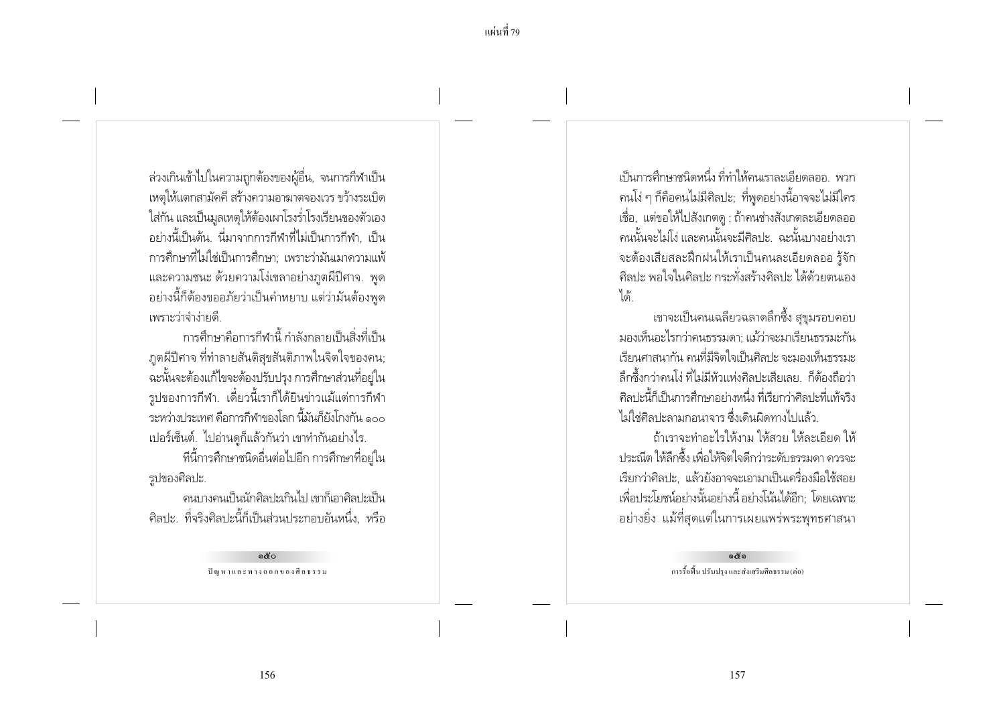้ล่วงเกินเข้าไปในความถูกต้องของผู้อื่น, จนการกีฬาเป็น เหตุให้แตกสามัคคี สร้างความอาฆาตจองเวร ขว้างระเบิด ใส่กัน และเป็นมูลเหตุให้ต้องเผาโรงร่ำโรงเรียนของตัวเอง ้อย่างนี้เป็นต้น นี่มาจากการกีฬาที่ไม่เป็นการกีฬา เป็น ่ การศึกษาที่ไม่ใช่เป็นการศึกษา: เพราะว่ามันเมาความแพ้ ้ และความชนะ ด้วยความโง่เขลาอย่างภูตผีปีศาจ. พูด ้อย่างนี้ก็ต้องขออภัยว่าเป็นคำหยาบ แต่ว่ามันต้องพูด เพราะว่าจำง่ายดี

การศึกษาคือการกีฬานี้ กำลังกลายเป็นสิ่งที่เป็น ภูตผีปีศาจ ที่ทำลายสันติสุขสันติภาพในจิตใจของคน; ุฉะนั้นจะต้องแก้ไขจะต้องปรับปรุง การศึกษาส่วนที่อยู่ใน รูปของการกีฬา. เดี๋ยวนี้เราก็ได้ยินข่าวแม้แต่การกีฬา ้ระหว่าง โระเทศ คือการกีฬาของโลก นี้มันก็ยังโกงกัน ๑๐๐ เปอร์เซ็นต์. ไปอ่านดูก็แล้วกันว่า เขาทำกันอย่างไร.

ที่นี้การศึกษาชนิดอื่นต่อไปอีก การศึกษาที่อยู่ใน รูปของศิลปะ.

้ดนบางคนเป็นนักศิลปะเกินไป เขาก็เอาศิลปะเป็น ้ศิลปะ ที่จริงศิลปะนี้ก็เป็นส่วนประกอบอันหนึ่ง, หรือ

> ക്ര ปัญหาและทางออกของศีลธรรม

้เป็นการศึกษาชนิดหนึ่ง ที่ทำให้ดนเราละเลียดลอล พาก ิ คนโง่ ๆ ก็คือคนไม่มีศิลปะ; ที่พูดอย่างนี้อาจจะไม่มีใคร ้เชื้อ, แต่ขอให้ไปสังเกตดู : ถ้าคนช่างสังเกตละเอียดลออ ้ คนนั้นจะไม่โง่ และคนนั้นจะมีศิลปะ. ฉะนั้นบางอย่างเรา ้จะต้องเสียสละฝึกฝนให้เราเป็นคนละเอียดลออ รู้จัก ้ศิลปะ พอใจในศิลปะ กระทั่งสร้างศิลปะ ได้ด้วยตนเอง ได้

่ เขาจะเป็นคนเฉลี่ยวฉลาดลิ้กซึ้ง สขมรอบคอบ มองเห็นอะไรกว่าคนธรรมดา: แม้ว่าจะมาเรียนธรรมะกัน เรียนศาสนากัน คนที่มีจิตใจเป็นศิลปะ จะมองเห็นธรรมะ ล็กซึ้งกว่าคนโง่ ที่ไม่มีหัวแห่งศิลปะเสียเลย ก็ต้องถือว่า ้ศิลปะนี้ก็เป็นการศึกษาอย่างหนึ่ง ที่เรียกว่าศิลปะที่แท้จริง ไม่ใช่ศิลปะลามกอนาจาร ซึ่งเดินผิดทางไปแล้ว

ถ้าเราจะทำอะไรให้งาม ให้สวย ให้ละเอียด ให้ ้ ประณีต ให้ลึกซึ้ง เพื่อให้จิตใจดีกว่าระดับธรรมดา ควรจะ ้เรียกว่าศิลปะ, แล้วยังอาจจะเอามาเป็นเครื่องมือใช้สอย เพื่อประโยชน์อย่างนั้นอย่างนี้ อย่างโน้นได้อีก: โดยเฉพาะ ้อย่างยิ่ง แม้ที่สุดแต่ในการเผยแพร่พระพุทธศาสนา

> දේශ การรื้อฟื้น ปรับปรง และส่งเสริมศีลธรรม (ต่อ)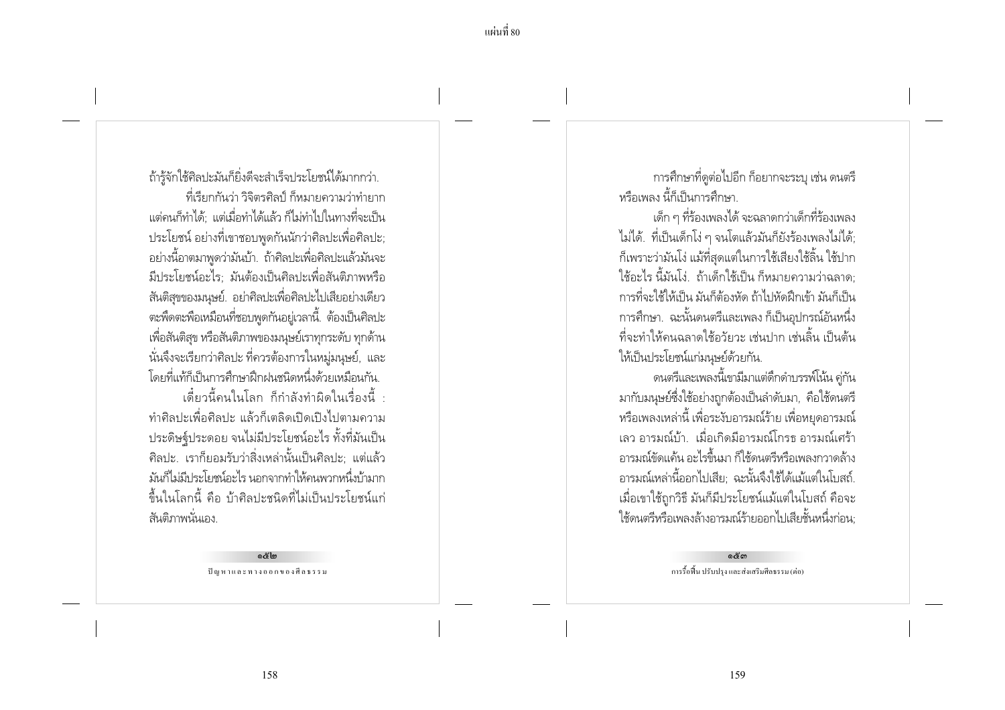ถ้ารู้จักใช้ศิลปะมันก็ยิ่งดีจะสำเร็จประโยชน์ได้มากกว่า. ู ที่เรียกกันว่า วิจิตรศิลป์ ก็หมายความว่าทำยาก แต่คนก็ทำได้: แต่เมื่อทำได้แล้ว ก็ไม่ทำไปในทางที่จะเป็น ประโยชน์ อย่างที่เขาชอบพดกันนักว่าศิลปะเพื่อศิลปะ: ้อย่างนี้อาตมาพูดว่ามันบ้า. ถ้าศิลปะเพื่อศิลปะแล้วมันจะ มีประโยชน์อะไร: มันต้องเป็นศิลปะเพื่อสันติภาพหรือ ้สันติสุขของมนุษย์. อย่าศิลปะเพื่อศิลปะไปเสียอย่างเดียว ิตะพิดตะพือเหมือนที่ชอบพูดกันอยู่เวลานี้. ต้องเป็นศิลปะ เพื่อสันติสุข หรือสันติภาพของมนุษย์เราทุกระดับ ทุกด้าน นั่นจึงจะเรียกว่าศิลปะ ที่ควรต้องการในหมู่มนุษย์, และ โดยที่แท้ก็เป็นการศึกษาฝึกฝนชนิดหนึ่งด้วยเหมือนกัน

เดี๋ยวนี้คนในโลก ก็กำลังทำผิดในเรื่องนี้ ทำศิลปะเพื่อศิลปะ แล้วก็เตลิดเปิดเปิงไปตามความ ประดิษฐ์ประดอย จนไม่มีประโยชน์อะไร ทั้งที่มันเป็น ู้ศิลปะ. เราก็ยอมรับว่าสิ่งเหล่านั้นเป็นศิลปะ: แต่แล้ว ้มันก็ไม่มีประโยชน์อะไร นอกจากทำให้คนพวกหนึ่งบ้ามาก ้ขึ้นในโลกนี้ คือ บ้าศิลปะชนิดที่ไม่เป็นประโยชน์แก่ สันติกาพนั่นเอง

> ດ X ໄຕ ปัญหาและทางออกของศีลธรรม

การศึกษาที่ดูต่อไปอีก ก็อยากจะระบุ เช่น ดนตรี หรือเพลง นี้ก็เป็นการศึกษา

เด็ก ๆ ที่ร้องเพลงได้ จะฉลาดกว่าเด็กที่ร้องเพลง ไม่ได้. ที่เป็นเด็กโง่ ๆ จนโตแล้วมันก็ยังร้องเพลงไม่ได้: ้ก็เพราะว่ามันโง่ แม้ที่สุดแต่ในการใช้เสียงใช้ลิ้น ใช้ปาก ใช้อะไร นี้มันโง่...ถ้าเด็กใช้เป็น ก็หมายความว่าฉลาด: การที่จะใช้ให้เป็น มันก็ต้องหัด ถ้าไปหัดฝึกเข้า มันก็เป็น ิการศึกษา. ฉะนั้นดนตรีและเพลง ก็เป็นอปกรณ์อันหนึ่ง ้ที่จะทำให้คนฉลาดใช้กวัยวะ เช่นปาก เช่นลิ้น เป็นต้น ให้เป็นประโยชน์แก่มนษย์ด้วยกัน.

ิดนตรีและเพลงนี้เขามีมาแต่ดึกดำบรรพ์โน้น คู่กัน มากับมนุษย์ซึ่งใช้อย่างถูกต้องเป็นลำดับมา, คือใช้ดนตรี หรือเพลงเหล่านี้ เพื่อระงับอารมณ์ร้าย เพื่อหยุดอารมณ์ ้เลว อารมณ์บ้ำ เมื่อเกิดมีอารมณ์โกรธ อารมณ์เศร้า ้อารมณ์ขัดแค้น อะไรขึ้นมา ก็ใช้ดนตรีหรือเพลงกวาดล้าง ้อารมณ์เหล่านี้ออกไปเสีย; ฉะนั้นจึงใช้ได้แม้แต่ในโบสถ์. เมื่อเขาใช้ถูกวิธี มันก็มีประโยชน์แม้แต่ในโบสถ์ คือจะ ใช้ดนตรีหรือเพลงล้างอารมณ์ร้ายออกไปเสียชั้นหนึ่งก่อน:

> දේශ การรื้อฟื้น ปรับปรง และส่งเสริมศีลธรรม (ต่อ)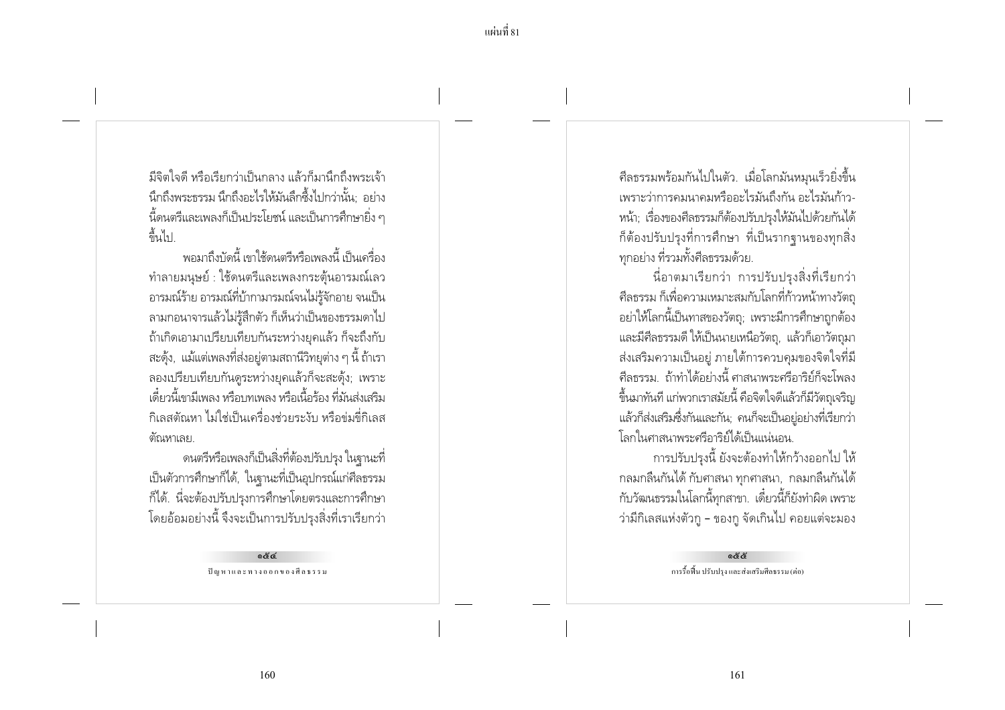้มีจิตใจดี หรือเรียกว่าเป็นกลาง แล้วก็มานี้กกึ่งพระเจ้า นึกถึงพระธรรม นึกถึงอะไรให้มันลึกซึ้งไปกว่านั้น: อย่าง ้ นี้ดนตรีและเพลงก็เป็นประโยชน์ และเป็นการศึกษายิ่ง ๆ ล้มไป

้พอมาถึงบัดนี้ เขาใช้ดนตรีหรือเพลงนี้ เป็นเครื่อง ้ทำลายมนษย์ : ใช้ดนตรีและเพลงกระต้นอารมณ์เลว ้อารมณ์ร้าย อารมณ์ที่บ้ากามารมณ์จนไม่รู้จักอาย จนเป็น ลามกอนาจารแล้วไม่ร้สึกตัว ก็เห็นว่าเป็นของธรรมดาไป ถ้าเกิดเอามาเปรียบเทียบกันระหว่างยุคแล้ว ก็จะถึงกับ ิสะดั้ง, แม้แต่เพลงที่ส่งอย่ตามสถานีวิทยต่าง ๆ นี้ ถ้าเรา ลองเปรียบเทียบกันดูระหว่างยุคแล้วก็จะสะดุ้ง; เพราะ เดี๋ยวนี้เขามีเพลง หรือบทเพลง หรือเนื้อร้อง ที่มันส่งเสริม ้กิเลสตัณหา ไม่ใช่เป็นเครื่องช่วยระงับ หรือข่มขี่กิเลส ต้ณหาเลย

ดนตรีหรือเพลงก็เป็นสิ่งที่ต้องปรับปรุง ในฐานะที่ เป็นตัวการศึกษาก็ได้, ในฐานะที่เป็นอุปกรณ์แก่ศีลธรรม ้ก็ได้. นี่จะต้องปรับปรุงการศึกษาโดยตรงและการศึกษา โดยอ้อมอย่างนี้ จึงจะเป็นการปรับปรุงสิ่งที่เราเรียกว่า

> $86$ ปัญหาและทางออกของศีลธรรม

ี ศีลธรรมพร้อมกันไปในตัว. เมื่อโลกมันหมุนเร็วยิ่งขึ้น เพราะว่าการคมนาคมหรืออะไรมันถึงกัน อะไรมันก้าว-หน้า: เรื่องของศีลธรรมก็ต้องปรับปรงให้มันไปด้วยกันได้ ้ก็ต้องปรับปรุงที่การศึกษา ที่เป็นรากจานของทุกสิ่ง ทุกอย่าง ที่รวมทั้งศีลธรรมด้วย.

นื่อาตมาเรียกว่า การปรับปรุงสิ่งที่เรียกว่า ้ศีลธรรม ก็เพื่อความเหมาะสมกับโลกที่ก้าวหน้าทางวัตถุ ้อย่าให้โลกนี้เป็นทาสของวัตถ; เพราะมีการศึกษาถกต้อง และมีศีลธรรมดี ให้เป็นนายเหนือวัตถุ, แล้วก็เอาวัตถุมา ้ส่งเสริมความเป็นอยู่ ภายใต้การควบคุมของจิตใจที่มี ้ศีลธรรม ถ้าทำได้อย่างนี้ ศาสนาพระศรีอาริย์ก็จะโพลง ์ขึ้นมาทันที แก่พวกเราสมัยนี้ คือจิตใจดีแล้วก็มีวัตถุเจริญ แล้วก็ส่งเสริมซึ่งกันและกัน: คนก็จะเป็นอย่อย่างที่เรียกว่า โลกในศาสนาพระศรีการิย์ได้เป็นแน่นอน

การปรับปรงนี้ ยังจะต้องทำให้กว้างออกไป ให้ ึกลมกลืนกันได้ กับศาสนา ทุกศาสนา, กลมกลืนกันได้ ้กับวัฒนธรรมในโลกนี้ทุกสาขา. เดี๋ยวนี้ก็ยังทำผิด เพราะ ว่ามีกิเลสแห่งตัวกู - ของกู จัดเกินไป คอยแต่จะมอง

> රේරී การรื้อฟื้น ปรับปรง และส่งเสริมศีลธรรม (ต่อ)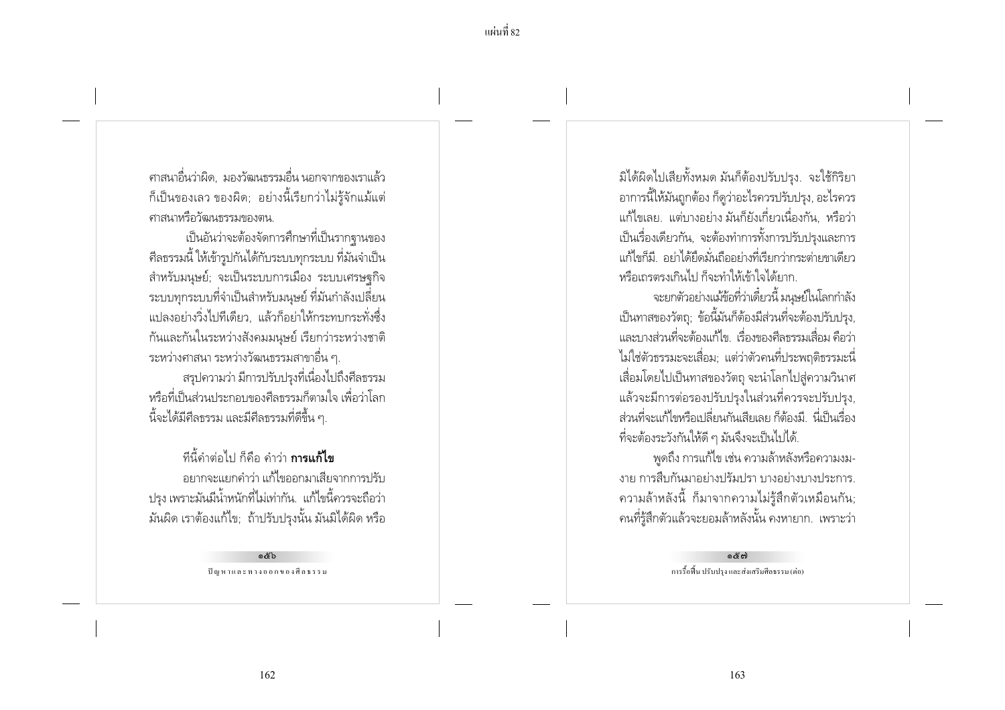แผ่บที่ 82

้ศาสนาอื่นว่าผิด มองวัฒนธรรมอื่น นอกจากของเราแล้ว ้ก็เป็นของเลว ของผิด; อย่างนี้เรียกว่าไม่รู้จักแม้แต่ ศาสนาหรือวัฒนธรรมของตน

เป็นอันว่าจะต้องจัดการศึกษาที่เป็นรากจานของ ้ศีลธรรมนี้ ให้เข้ารูปกันได้กับระบบทุกระบบ ที่มันจำเป็น ้สำหรับมนษย์: จะเป็นระบบการเมือง ระบบเศรษจกิจ ระบบทุกระบบที่จำเป็นสำหรับมนุษย์ ที่มันกำลังเปลี่ยน แปลงอย่างวิ่งไปทีเดียว. แล้วก็อย่าให้กระทบกระทั่งซึ่ง กันและกันในระหว่างสังคมมนุษย์ เรียกว่าระหว่างชาติ ี ระหว่างศาสนา ระหว่างวัฒนธรรมสาขาอื่น ๆ. ้สรุปความว่า มีการปรับปรุงที่เนื่องไปถึงศีลธรรม หรือที่เป็นส่วนประกอบของศีลธรรมก็ตามใจ เพื่อว่าโลก นี้จะได้มีศีลธรรม และมีศีลธรรมที่ดีขึ้น ๆ.

ทีนี้คำต่อไป ก็คือ คำว่า **การแก้ไข** ้อยากจะแยกคำว่า แก้ไขออกมาเสียจากการปรับ ปรง เพราะมันมีน้ำหนักที่ไม่เท่ากัน.. แก้ไขนี้ควรจะถือว่า มันผิด เราต้องแก้ไข; ถ้าปรับปรุงนั้น มันมิได้ผิด หรือ

> a&h ปัญหาและทางออกของศีลธรรม

มิได้ผิดไปเสียทั้งหมด มันก็ต้องปรับปรุง. จะใช้กิริยา ้อาการนี้ให้มันถูกต้อง ก็ดูว่าอะไรควรปรับปรุง, อะไรควร แก้ไขเลย. แต่บางอย่าง มันก็ยังเกี่ยวเนื่องกัน. หรือว่า เป็นเรื่องเดียวกัน, จะต้องทำการทั้งการปรับปรงและการ แก้ไขก็มี อย่าได้ยึดมั่นถืออย่างที่เรียกว่ากระต่ายขาเดียว หรือเถรตรงเกินไป ก็จะทำให้เข้าใจได้ยาก

จะยกตัวอย่างแม้ข้อที่ว่าเดี๋ยวนี้ มนุษย์ในโลกกำลัง เป็นทาสของวัตถ: ข้อนี้มันก็ต้องมีส่วนที่จะต้องปรับปรง. และบางส่วนที่จะต้องแก้ไข เรื่องของศีลธรรมเสื่อม คือว่า ไม่ใช่ตัวธรรมะจะเสื่อม; แต่ว่าตัวคนที่ประพฤติธรรมะนี่ เสื่อมโดยไปเป็นทาสของวัตถุ จะนำโลกไปสู่ความวินาศ แล้วจะมีการต่อรองปรับปรุงในส่วนที่ควรจะปรับปรุง, ส่วนที่จะแก้ไขหรือเปลี่ยนกันเสียเลย ก็ต้องมี นี่เป็นเรื่อง ้ที่จะต้องระวังกันให้ดี ๆ มันจึงจะเป็นไปได้.

พดถึง การแก้ไข เช่น ความล้าหลังหรือความงม-งาย การสืบกันมาอย่างปรัมปรา บางอย่างบางประการ. ้ ความล้าหลังนี้ ก็มาจากความไม่รู้สึกตัวเหมือนกัน; ุคนที่รู้สึกตัวแล้วจะยอมล้าหลังนั้น คงหายาก. เพราะว่า

> දේශ การรื้อฟื้น ปรับปรง และส่งเสริมศีลธรรม (ต่อ)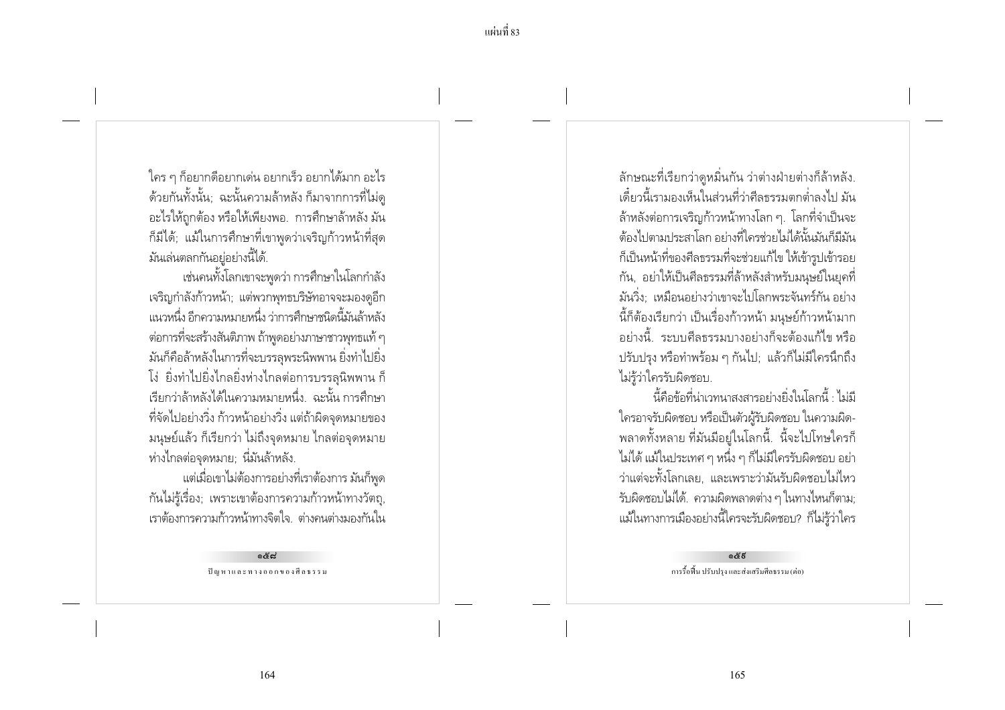ใคร ๆ ก็อยากดีอยากเด่น อยากเร็ว อยากได้มาก อะไร ้ด้วยกันทั้งนั้น; ฉะนั้นความล้าหลัง ก็มาจากการที่ไม่ดู ้อะไรให้ถกต้อง หรือให้เพียงพอ. การศึกษาล้าหลัง มัน ก็มีได้; แม้ในการศึกษาที่เขาพูดว่าเจริญก้าวหน้าที่สุด มันเล่นตลกกันอยู่อย่างนี้ได้.

เช่นคนทั้งโลกเขาจะพดว่า การศึกษาในโลกกำลัง เจริญกำลังก้าวหน้า; แต่พวกพุทธบริษัทอาจจะมองดูอีก แนวหนึ่ง อีกความหมายหนึ่ง ว่าการศึกษาชนิดนี้มันล้าหลัง ่ ต่อการที่จะสร้างสันติภาพ ถ้าพูดอย่างภาษาชาวพุทธแท้ ๆ มันก็คือล้าหลังในการที่จะบรรลพระนิพพาน ยิ่งทำไปยิ่ง โง่ ยิ่งทำไปยิ่งไกลยิ่งห่างไกลต่อการบรรลุนิพพาน ก็ เรียกว่าล้าหลังได้ในความหมายหนึ่ง ฉะนั้น การศึกษา ที่จัดไปอย่างวิ่ง ก้าวหน้าอย่างวิ่ง แต่ถ้าผิดจุดหมายของ ่ มนุษย์แล้ว ก็เรียกว่า ไม่ถึงจุดหมาย ไกลต่อจุดหมาย ห่างไกลต่อจดหมาย: นี่มันล้าหลัง.

แต่เมื่อเขาไม่ต้องการอย่างที่เราต้องการ มันก็พูด กันไม่รู้เรื่อง; เพราะเขาต้องการความก้าวหน้าทางวัตถุ, เราต้องการความก้าวหน้าทางจิตใจ ต่างคนต่างมองกันใน

> දෙයි ปัญหาและทางออกของศีลธรรม

้ลักษณะที่เรียกว่าดูหมิ่นกัน ว่าต่างฝ่ายต่างก็ล้าหลัง. ้เดี๋ยวนี้เรามองเห็นในส่วนที่ว่าศีลธรรมตกต่ำลงไป มัน ้ล้าหลังต่อการเจริญก้าวหน้าทางโลก ๆ. โลกที่จำเป็นจะ ้ต้องไปตามประสาโลก อย่างที่ใครช่วยไม่ได้นั้นมันก็มีมัน ก็เป็นหน้าที่ของศีลธรรมที่จะช่วยแก้ไข ให้เข้ารูปเข้ารอย ้กัน, อย่าให้เป็นศีลธรรมที่ล้าหลังสำหรับมนษย์ในยคที่ ้มันวิ่ง: เหมือนอย่างว่าเขาจะไปโลกพระจันทร์กัน อย่าง ้นี้ก็ต้องเรียกว่า เป็นเรื่องก้าวหน้า มนษย์ก้าวหน้ามาก ้อย่างนี้ ระบบศีลธรรมบางอย่างก็จะต้องแก้ไข หรือ ปรับปรุง หรือทำพร้อม ๆ กันไป; แล้วก็ไม่มีใครนึกถึง ไม่ร้ว่าใครรับผิดชอบ.

้นี้คือข้อที่น่าเวทนาสงสารอย่างยิ่งในโลกนี้ : ไม่มี ใครอาจรับผิดชอบ หรือเป็นตัวผู้รับผิดชอบ ในความผิด-้พลาดทั้งหลาย ที่มันมีอยู่ในโลกนี้. นี้จะไปโทษใครก็ ไม่ได้ แม้ในประเทศ ๆ หนึ่ง ๆ ก็ไม่มีใครรับผิดชอบ อย่า ว่าแต่จะทั้งโลกเลย, และเพราะว่ามันรับผิดชอบไม่ไหว รับผิดชอบไม่ได้. ความผิดพลาดต่าง ๆ ในทางไหนก็ตาม; แม้ในทางการเมืองอย่างนี้ใครจะรับผิดชอบ? ก็ไม่รู้ว่าใคร

> දේදි การรื้อพื้น ปรับปรุง และส่งเสริมศีลธรรม (ต่อ)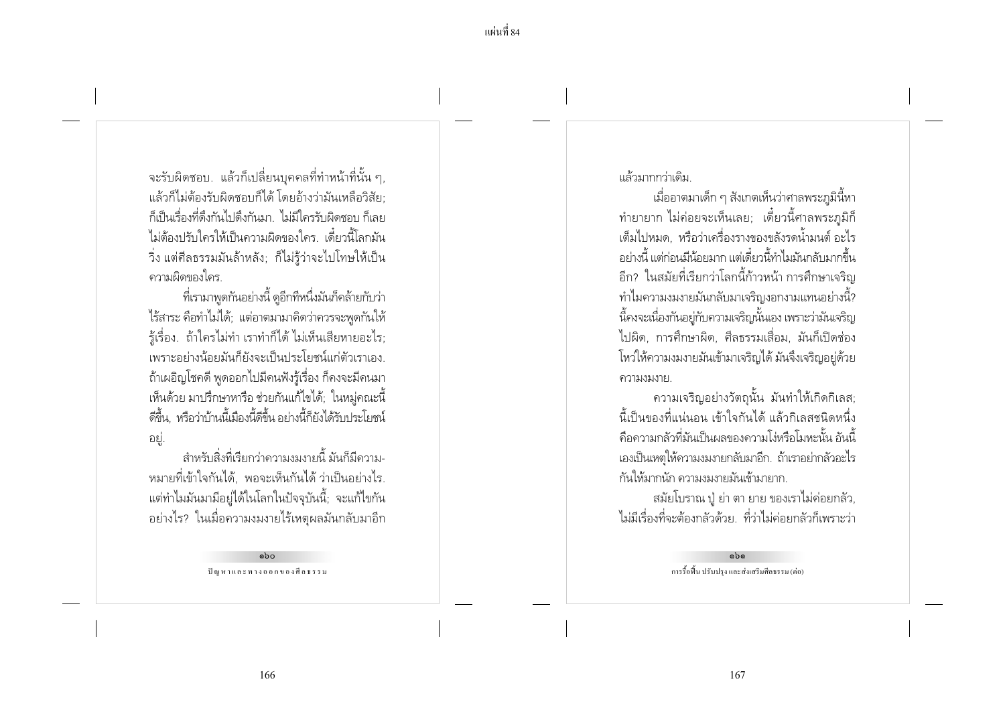ี แผ่นที่ 84

้<br>จะรับผิดชอบ. แล้วก็เปลี่ยนบุคคลที่ทำหน้าที่นั้น ๆ, แล้วก็ไม่ต้องรับผิดชอบก็ได้ โดยอ้างว่ามันเหลือวิสัย: ้ก็เป็นเรื่องที่ดึงกันไปดึงกันมา ไม่มีใครรับผิดชอบก็เลย ไม่ต้องปรับใครให้เป็นความผิดของใคร เดี๋ยวนี้โลกมัน วิ่ง แต่ศีลธรรมมันล้าหลัง; ก็ไม่รู้ว่าจะไปโทษให้เป็น ความผิดของใคร

ที่เรามาพูดกันอย่างนี้ ดูอีกทีหนึ่งมันก็คล้ายกับว่า ไร้สาระ คือทำไม่ได้: แต่อาตมามาคิดว่าควรจะพดกันให้ ้รู้เรื่อง. ถ้าใครไม่ทำ เราทำก็ได้ ไม่เห็นเสียหายอะไร; เพราะอย่างน้อยมันก็ยังจะเป็นประโยชน์แก่ตัวเราเอง ้ถ้าเผอิญโชคดี พูดออกไปมีคนฟังรู้เรื่อง ก็คงจะมีคนมา ้ เห็นด้วย มาปรึกษาหารือ ช่วยกันแก้ไขได้; ในหมู่คณะนี้ ดีขึ้น, หรือว่าบ้านนี้เมืองนี้ดีขึ้น อย่างนี้ก็ยังได้รับประโยชน์ ่อยู่.

้สำหรับสิ่งที่เรียกว่าความงมงายนี้ มันก็มีความ-หมายที่เข้าใจกันได้, พอจะเห็นกันได้ ว่าเป็นอย่างไร. ้ แต่ทำไมมันมามีอยู่ได้ในโลกในปัจจุบันนี้; จะแก้ไขกัน ้อย่างไร? ในเมื่อความงมงายไร้เหตุผลมันกลับมาอีก

> abo ปัญหาและทางออกของศีลธรรม

แล้วมากกว่าเดิม

เมื่ออาตมาเด็ก ๆ สังเกตเห็นว่าศาลพระภูมินี้หา ้ทำยายาก ไม่ค่อยจะเห็นเลย; เดี๋ยวนี้ศาลพระภูมิก็ เต็มไปหมด หรือว่าเครื่องรางของขลังรดน้ำมนต์ อะไร ้อย่างนี้ แต่ก่อนมีน้อยมาก แต่เดี๋ยวนี้ทำไมมันกลับมากขึ้น ้อีก? ในสมัยที่เรียกว่าโลกนี้ก้าวหน้า การศึกษาเจริญ ้ทำไมความงมงายมันกลับมาเจริญงอกงามแทนอย่างนี้? ้นี้คงจะเนื่องกันอย่กับความเจริญนั้นเอง เพราะว่ามันเจริญ ไปผิด, การศึกษาผิด, ศีลธรรมเสื่อม, มันก็เปิดช่อง โหว่ให้ความงมงายมันเข้ามาเจริญได้ มันจึงเจริญอย่ด้วย ความงมงาย

้ความเจริญอย่างวัตถุนั้น มันทำให้เกิดกิเลส; ้นี้เป็นของที่แน่นอน เข้าใจกันได้ แล้วกิเลสชนิดหนึ่ง ้คือความกลัวที่มันเป็นผลของความโง่หรือโมหะนั้น อันนี้ เองเป็นเหตให้ความงมงายกลับมาอีก. ถ้าเราอย่ากลัวอะไร กันให้มากนัก ความงมงายมันเข้ามายาก.

้สมัยโบราณ ปุ๋ ย่า ตา ยาย ของเราไม่ค่อยกลัว, ไม่มีเรื่องที่จะต้องกลัวด้วย. ที่ว่าไม่ค่อยกลัวก็เพราะว่า

> aha การรื้อฟื้น ปรับปรง และส่งเสริมศีลธรรม (ต่อ)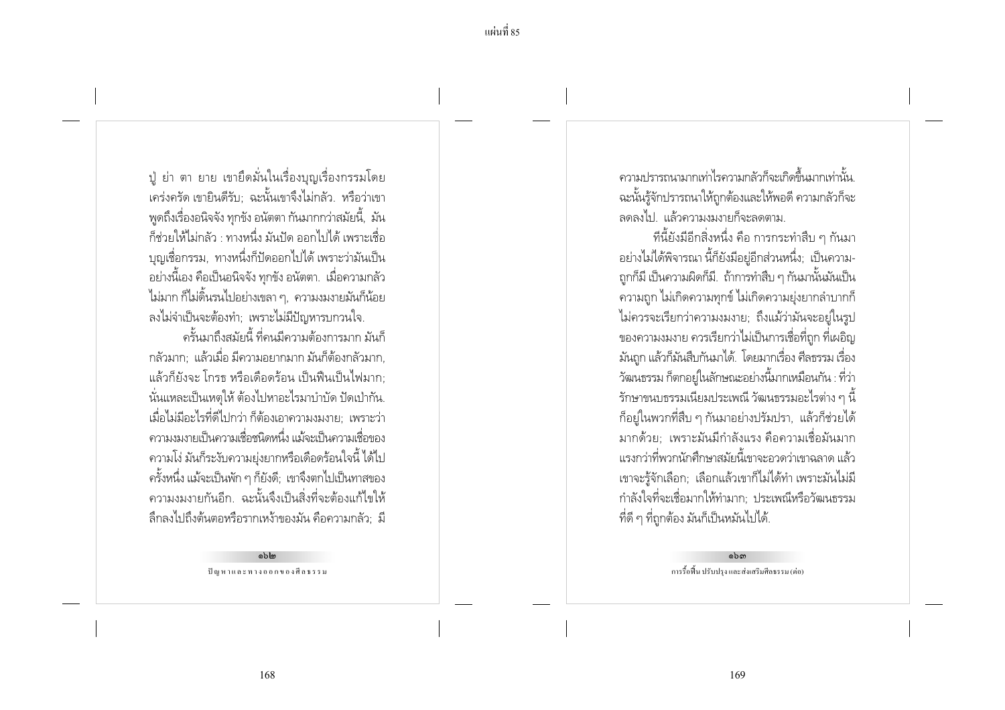้ แผ่บที่ 85

ปู ย่า ตา ยาย เขายึดมั่นในเรื่องบุญเรื่องกรรมโดย ้ เคร่งครัด เขายินดีรับ: ฉะนั้นเขาจึงไม่กลัว. หรือว่าเขา พดถึงเรื่องอนิจจัง ทกขัง อนัตตา กันมากกว่าสมัยนี้, มัน .<br>ก็ช่วยให้ไม่กลัว · ทางหนึ่ง มันปัด ออกไปได้ เพราะเชื่อ ้ บฌเชื่อกรรม. ทางหนึ่งก็ปัดออกไปได้ เพราะว่ามันเป็น ้อย่างนี้เอง คือเป็นอนิจจัง ทุกขัง อนัตตา. เมื่อความกลัว ไม่มาก ก็ไม่ดิ้นรนไปอย่างเขลา ๆ, ความงมงายมันก็น้อย ลงไม่จำเป็นจะต้องทำ; เพราะไม่มีปัญหารบกวนใจ.

้ครั้นมาถึงสมัยนี้ ที่คนมีความต้องการมาก มันก็ ้กลัวมาก: แล้วเมื่อ มีความอยากมาก มันก็ต้องกลัวมาก แล้วก็ยังจะ โกรธ หรือเดือดร้อน เป็นฟื้นเป็นไฟมาก: นั่นแหละเป็นเหตุให้ ต้องไปหาอะไรมาบำบัด ปัดเป่ากัน. เมื่อไม่มีอะไรที่ดีไปกว่า ก็ต้องเอาความงมงาย: เพราะว่า ้ ความงมงายเป็นความเชื่อชนิดหนึ่ง แม้จะเป็นความเชื่อของ ่ ความโง่ มันก็ระงับความย่งยากหรือเดือดร้อนใจนี้ ได้ไป ิ ครั้งหนึ่ง แม้จะเป็นพัก ๆ ก็ยังดี; เขาจึงตกไปเป็นทาสของ ้ความงมงายกันอีก, ฉะนั้นจึงเป็นสิ่งที่จะต้องแก้ไขให้ ้ลึกลงไปถึงต้นตอหรือรากเหง้าของมัน คือความกลัว; มี

> ຈີວໄສ ปัญหาและทางออกของศีลธรรม

ิ์ ความปรารถนามากเท่าไรความกลัวก็จะเกิดขึ้นมากเท่านั้น ฉะนั้นรู้จักปรารถนาให้ถูกต้องและให้พอดี ความกลัวก็จะ ลดลงไป. แล้วความงมงายก็จะลดตาม.

ทีนี้ยังมีอีกสิ่งหนึ่ง คือ การกระทำสืบ ๆ กันมา ้อย่างไม่ได้พิจารณา นี้ก็ยังมีอยู่อีกส่วนหนึ่ง; เป็นความ-ุถกก็มี เป็นความผิดก็มี.. ถ้าการทำสืบ ๆ กันมานั้นมันเป็น ้ ความถูก ไม่เกิดความทุกข์ ไม่เกิดความยุ่งยากลำบากก็ ไม่ควรจะเรียกว่าความงมงาย: ถึงแม้ว่ามันจะอย่ในรป ของความงมงาย ควรเรียกว่าไม่เป็นการเชื่อที่ถูก ที่เผอิญ ้มันถก แล้วก็มันสืบกันมาได้. โดยมากเรื่อง ศีลธรรม เรื่อง วัฒนธรรม ก็ตกอยู่ในลักษณะอย่างนี้มากเหมือนกัน : ที่ว่า รักษาขนบธรรมเนียมประเพณี วัฒนธรรมอะไรต่าง ๆ นี้ ้ก็อยู่ในพวกที่สืบ ๆ กันมาอย่างปรัมปรา, แล้วก็ช่วยได้ ้มากด้วย: เพราะมันมีกำลังแรง คือความเชื่อมันมาก ้ แรงกว่าที่พวกนักศึกษาสมัยนี้เขาจะอวดว่าเขาฉลาด แล้ว ่ เขาจะรู้จักเลือก; เลือกแล้วเขาก็ไม่ได้ทำ เพราะมันไม่มี ้กำลังใจที่จะเชื่อมากให้ทำมาก: ประเพณีหรือวัฒนธรรม ที่ดี ๆ ที่ถูกต้อง มันก็เป็นหมันไปได้.

> ໑៦ຓ การรื้อฟื้น ปรับปรง และส่งเสริมศีลธรรม (ต่อ)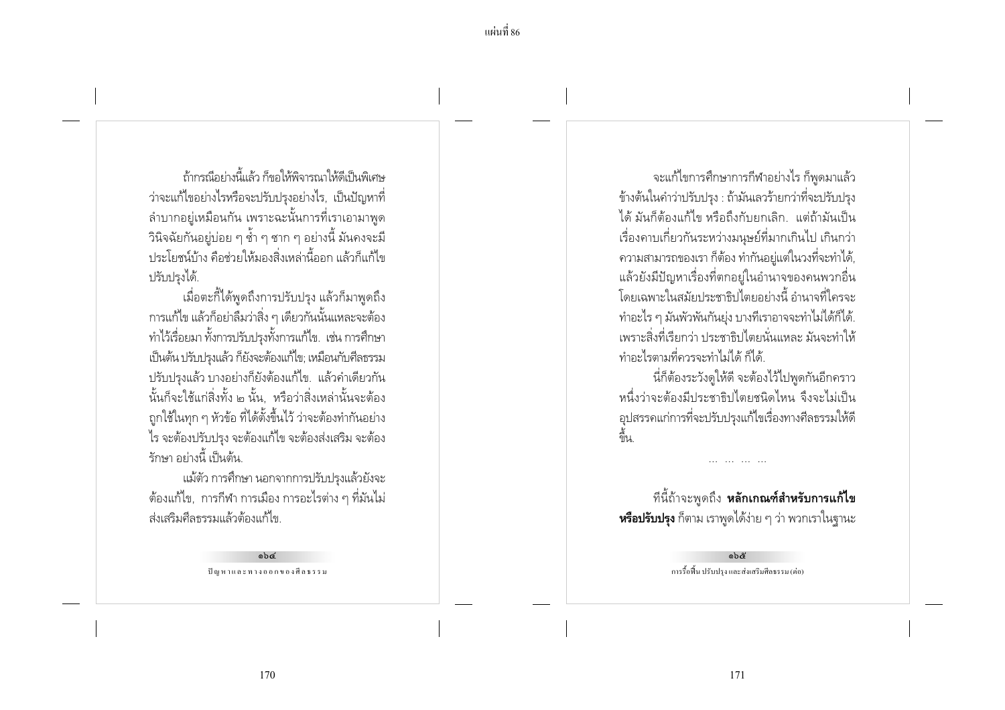ู้ก้ากรก็โลย่างนี้แล้ว ก็ขลให้พิลารกเาให้ดีเป็นพิเศษ ว่าจะแก้ไขอย่างไรหรือจะปรับปรุงอย่างไร, เป็นปัญหาที่ ้ลำบากอยู่เหมือนกัน เพราะฉะนั้นการที่เราเอามาพูด ์ วินิจฉัยกันอยู่บ่อย ๆ ช้ำ ๆ ซาก ๆ อย่างนี้ มันคงจะมี่ ้ ประโยชน์บ้าง คือช่วยให้มองสิ่งเหล่านี้ออก แล้วก็แก้ไข ปรับปรงได้.

้ เมื่อตะกี้ได้พูดถึงการปรับปรุง แล้วก็มาพูดถึง การแก้ไข แล้วก็อย่าลืมว่าสิ่ง ๆ เดียวกันนั้นแหละจะต้อง ทำไว้เรื่อยมา ทั้งการปรับปรุงทั้งการแก้ไข. เช่น การศึกษา เป็นต้น ปรับปรงแล้ว ก็ยังจะต้องแก้ไข: เหมือนกับศีลธรรม ปรับปรุงแล้ว บางอย่างก็ยังต้องแก้ไข. แล้วคำเดียวกัน นั้นก็จะใช้แก่สิ่งทั้ง ๒ นั้น หรือว่าสิ่งเหล่านั้นจะต้อง ถูกใช้ในทุก ๆ หัวข้อ ที่ได้ตั้งขึ้นไว้ ว่าจะต้องทำกันอย่าง ไร จะต้องปรับปรุง จะต้องแก้ไข จะต้องส่งเสริม จะต้อง รักษา อย่างนี้ เป็นต้น

แม้ตัว การศึกษา นอกจากการปรับปรุงแล้วยังจะ ้ต้องแก้ไข, การกีฬา การเมือง การอะไรต่าง ๆ ที่มันไม่ ส่งเสริมศีลธรรมแล้วต้องแก้ไข

> obd ปัญหาและทางออกของศีลธรรม

้จะแก้ไขการศึกษาการกีฬาอย่างไร ก็พูดมาแล้ว ข้างต้นในคำว่าปรับปรุง : ถ้ามันเลวร้ายกว่าที่จะปรับปรุง ได้ มันก็ต้องแก้ไข หรือถึงกับยกเลิก.. แต่ถ้ามันเป็น เรื่องคาบเกี่ยวกันระหว่างมนษย์ที่มากเกินไป เกินกว่า ้ ความสามารถของเรา ก็ต้อง ทำกันอยู่แต่ในวงที่จะทำได้, แล้วยังมีปัญหาเรื่องที่ตกอย่ในอำนาจของคนพวกอื่น โดยเฉพาะในสมัยประชาธิปไตยอย่างนี้ อำนาจที่ใครจะ ้ ทำอะไร ๆ มันพัวพันกันย่ง บางที่เราอาจจะทำไม่ได้ก็ได้. เพราะสิ่งที่เรียกว่า ประชาธิปไตยนั่นแหละ มันจะทำให้ ทำอะไรตามที่ควรจะทำไม่ได้ ก็ได้

นี่ก็ต้องระวังดูให้ดี จะต้องไว้ไปพูดกันอีกคราว หนึ่งว่าจะต้องมีประชาธิปไตยชนิดไหน จึงจะไม่เป็น ้อุปสรรคแก่การที่จะปรับปรุงแก้ไขเรื่องทางศีลธรรมให้ดี ส์<br>ขืน

้ที่นี้ถ้าจะพูดถึง **หลักเกณฑ์สำหรับการแก้ไข หรือปรับปรุง** ก็ตาม เราพูดได้ง่าย ๆ ว่า พวกเราในฐานะ

> බාරි การรื้อฟื้น ปรับปรง และส่งเสริมศีลธรรม (ต่อ)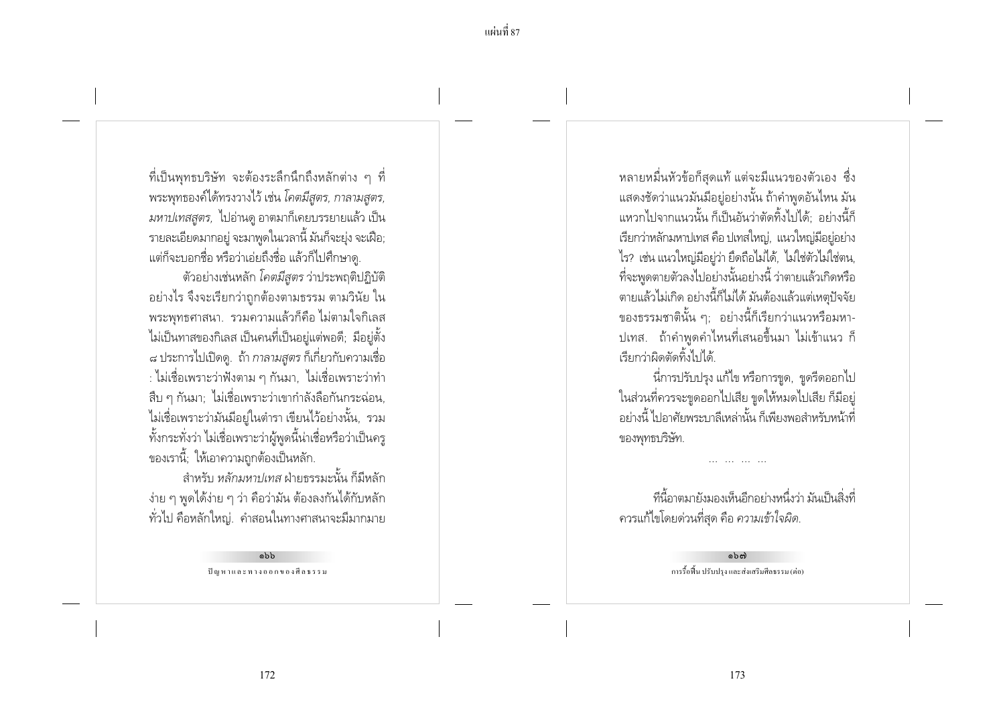้ ที่เป็นพุทธบริษัท จะต้องระลึกนึกถึงหลักต่าง ๆ ที่ พระพุทธองค์ได้ทรงวางไว้ เช่น *โคตมีสูตร, กาลามสูตร, มหาปเทสสูตร,* ไปอ่านดู อาตมาก็เคยบรรยายแล้ว เป็น รายละเอียดมากอยู่ จะมาพูดในเวลานี้ มันก็จะยุ่ง จะเฝือ; แต่ก็จะบอกชื่อ หรือว่าเอ่ยถึงชื่อ แล้วก็ไปศึกษาดู.

์ ตัวอย่างเช่นหลัก *โคตมีสตร* ว่าประพฤติปฏิบัติ ้อย่างไร จึงจะเรียกว่าถูกต้องตามธรรม ตามวินัย ใน ้พระพทธศาสนา. รวมความแล้วก็คือ ไม่ตามใจกิเลส ไม่เป็นทาสของกิเลส เป็นคนที่เป็นอยู่แต่พอดี; มีอยู่ตั้ง ี ๘ ประการไปเปิดดู. ถ้า *กาลามสูตร* ก็เกี่ยวกับความเชื่อ : ไม่เชื่อเพราะว่าฟังตาม ๆ กันมา, ไม่เชื่อเพราะว่าทำ ้สืบ ๆ กันมา; ไม่เชื่อเพราะว่าเขากำลังลือกันกระฉ่อน, ไม่เชื่อเพราะว่ามันมีอยู่ในตำรา เขียนไว้อย่างนั้น, รวม ้ทั้งกระทั่งว่า ไม่เชื่อเพราะว่าผู้พูดนี้น่าเชื่อหรือว่าเป็นครู ของเรานี้: ให้เอาความถกต้องเป็นหลัก.

้สำหรับ *หลักมหาปเทส* ฝ่ายธรรมะนั้น ก็มีหลัก ง่าย ๆ พูดได้ง่าย ๆ ว่า คือว่ามัน ต้องลงกันได้กับหลัก ้ทั่วไป คือหลักใหญ่. คำสอนในทางศาสนาจะมีมากมาย

> ahh ปัญหาและทางออกของศีลธรรม

หลายหมื่นหัวข้อก็สุดแท้ แต่จะมีแนวของตัวเอง ซึ่ง ่ แสดงชัดว่าแนวมันมีอยู่อย่างนั้น ถ้าคำพูดอันไหน มัน แหวกไปจากแนวนั้น ก็เป็นอันว่าตัดทิ้งไปได้: อย่างนี้ก็ เรียกว่าหลักมหาปเทส คือ ปเทสใหญ่. แนวใหญ่มีอย่อย่าง ไร? เช่น แนวใหญ่มีอยู่ว่า ยึดถือไม่ได้, ไม่ใช่ตัวไม่ใช่ตน, ที่จะพูดตายตัวลงไปอย่างนั้นอย่างนี้ ว่าตายแล้วเกิดหรือ ตายแล้วไม่เกิด อย่างนี้ก็ไม่ได้ มันต้องแล้วแต่เหตุปัจจัย ของธรรมชาตินั้น ๆ; อย่างนี้ก็เรียกว่าแนวหรือมหา-ีปเทส. ถ้าคำพูดคำไหนที่เสนอขึ้นมา ไม่เข้าแนว ก็ เรียกว่าผิดตัดทิ้งไงได้

นี่การปรับปรุง แก้ไข หรือการขูด, ขูดรีดออกไป ในส่วนที่ควรจะขูดออกไปเสีย ขูดให้หมดไปเสีย ก็มีอยู่ ้อย่างนี้ ไปอาศัยพระบาลีเหล่านั้น ก็เพียงพอสำหรับหน้าที่ ของพุทธบริษัท.

้ที่นี้อาตมายังมองเห็นอีกอย่างหนึ่งว่า มันเป็นสิ่งที่ ้ควรแก้ไขโดยด่วนที่สุด คือ *ความเข้าใจผิด.* 

> බො การรื้อฟื้น ปรับปรง และส่งเสริมศีลธรรม (ต่อ)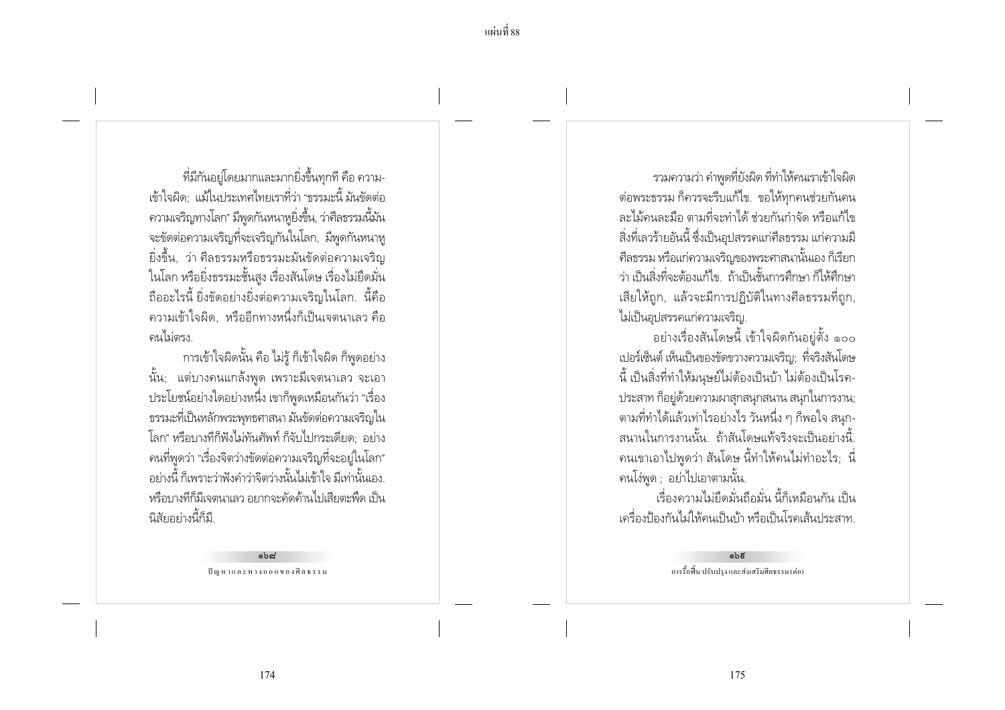ที่มีกันอยู่โดยมากและมากยิ่งขึ้นทุกที คือ ความ-เข้าใจผิด: แม้ในประเทศไทยเราที่ว่า "ธรรมะนี้ มันขัดต่อ ความเจริญทางโลก" มีพูดกันหนาหูยิ่งขึ้น, ว่าศีลธรรมนี้มัน ้ จะขัดต่อความเจริญที่จะเจริญกันในโลก, มีพูดกันหนาหู ยิ่งขึ้น, ว่า ศีลธรรมหรือธรรมะมันขัดต่อความเจริญ ในโลก หรือยิ่งธรรมะชั้นสง เรื่องสันโดษ เรื่องไม่ยึดมั่น ู ถืออะไรนี้ ยิ่งขัดอย่างยิ่งต่อความเจริญในโลก. นี้คือ ้ ความเข้าใจผิด. หรืออีกทางหนึ่งก็เป็นเจตนาเลว คือ คนไม่ตรง

การเข้าใจผิดนั้น คือ ไม่รู้ ก็เข้าใจผิด ก็พูดอย่าง ้นั้น; แต่บางคนแกล้งพูด เพราะมีเจตนาเลว จะเอา ประโยชน์อย่างใดอย่างหนึ่ง เขาก็พูดเหมือนกันว่า "เรื่อง ิธรรมะที่เป็นหลักพระพุทธศาสนา มันขัดต่อความเจริญใน โลก" หรือบางทีก็ฟังไม่ทันศัพท์ ก็จับไปกระเดียด อย่าง ิ คนที่พูดว่า "เรื่องจิตว่างขัดต่อความเจริญที่จะอยู่ในโลก" ้อย่างนี้ ก็เพราะว่าฟังคำว่าจิตว่างนั้นไม่เข้าใจ มีเท่านั้นเอง. หรือบางที่ก็มีเจตนาเลว อยากจะคัดค้านไปเสียตะพืด เป็น นิสัยอย่างนี้ธุ์ถี

> $aba$ ปัญหาและทางออกของศีลธรรม

รวมความว่า คำพูดที่ยังผิด ที่ทำให้คนเราเข้าใจผิด ต่อพระธรรม ก็ควรจะรีบแก้ไข. ขอให้ทุกคนช่วยกันคน ิละไม้คนละมือ ตามที่จะทำได้ ช่วยกันกำจัด หรือแก้ไข ้สิ่งที่เลวร้ายอันนี้ ซึ่งเป็นอปสรรคแก่ศีลธรรม แก่ความมื ์ศีลธรรม หรือแก่ความเจริญของพระศาสนานั้นเอง ก็เรียก ว่า เป็นสิ่งที่จะต้องแก้ไข ถ้าเป็นชั้นการศึกษา ก็ให้ศึกษา ้เสียให้ถูก, แล้วจะมีการปฏิบัติในทางศีลธรรมที่ถูก, ไม่เป็นอปสรรคแก่ความเจริญ.

้อย่างเรื่องสันโดษนี้ เข้าใจผิดกันอยู่ตั้ง ๑๐๐ เปอร์เซ็นต์ เห็นเป็นของขัดขวางความเจริญ; ที่จริงสันโดษ ้นี้ เป็นสิ่งที่ทำให้มนุษย์ไม่ต้องเป็นบ้า ไม่ต้องเป็นโรค-ประสาท ก็อยู่ด้วยความผาสุกสนุกสนาน สนุกในการงาน; ้ตามที่ทำได้แล้วเท่าไรอย่างไร วันหนึ่ง ๆ ก็พอใจ สนุก-สนานในการงานนั้น ถ้าสันโดษแท้จริงจะเป็นอย่างนี้ ้ คนเขาเอาไปพูดว่า สันโดษ นี้ทำให้คนไม่ทำอะไร; นี่ คนโง่พูด ; อย่าไปเอาตามนั้น.

เรื่องความไม่ยึดมั่นถือมั่น นี้ก็เหมือนกัน เป็น เครื่องป้องกันไม่ให้คนเป็นบ้า หรือเป็นโรคเส้นประสาท

> බෙරි การรื้อฟื้น ปรับปรง และส่งเสริมศีลธรรม (ต่อ)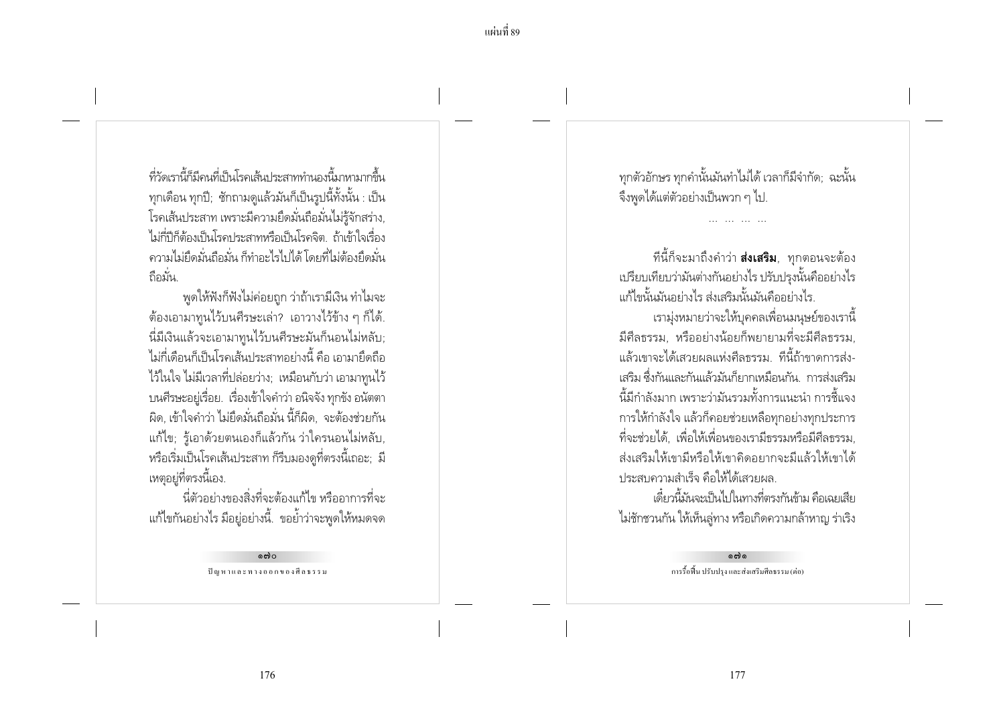ที่วัดเรานี้ก็นี้ดูนที่เป็นโรดเส้นประสาททำนองนี้มาหามากขึ้น ทุกเดือน ทุกปี; ชักถามดูแล้วมันก็เป็นรูปนี้ทั้งนั้น : เป็น โรคเส้นประสาท เพราะมีความยึดมั่นถือมั่นไม่รู้จักสร่าง, ไม่กี่ปีก็ต้องเป็นโรคประสาทหรือเป็นโรคจิต ถ้าเข้าใจเรื่อง ้ ความไม่ยึดมั่นถือมั่น ก็ทำอะไรไปได้ โดยที่ไม่ต้องยึดมั่น ถือมั่น

้ พูดให้ฟังก็ฟังไม่ค่อยถูก ว่าถ้าเรามีเงิน ทำไมจะ ้ต้องเอามาทนไว้บนศีรษะเล่า? เอาวางไว้ข้าง ๆ ก็ได้. นี่มีเงินแล้วจะเอามาทูนไว้บนศีรษะมันก็นอนไม่หลับ; ไม่กี่เดือนก็เป็นโรคเส้นประสาทอย่างนี้ คือ เอามายึดถือ ไว้ในใจ ไม่มีเวลาที่ปล่อยว่าง; เหมือนกับว่า เอามาทูนไว้ ้ บนศีรษะอยู่เรื่อย. เรื่องเข้าใจคำว่า อนิจจัง ทุกขัง อนัตตา ้ผิด, เข้าใจคำว่า ไม่ยึดมั่นถือมั่น นี้ก็ผิด, จะต้องช่วยกัน ้แก้ไข; รู้เอาด้วยตนเองก็แล้วกัน ว่าใครนอนไม่หลับ, หรือเริ่มเป็นโรคเส้นประสาท ก็รีบมองดูที่ตรงนี้เถอะ; มี เหตุอยู่ที่ตรงนี้เอง.

นี่ตัวอย่างของสิ่งที่จะต้องแก้ไข หรืออาการที่จะ แก้ไขกันอย่างไร มีอยู่อย่างนี้. ขอย้ำว่าจะพูดให้หมดจด

> ക്ര ปัญหาและทางออกของศีลธรรม

ทุกตัวอักษร ทุกคำนั้นมันทำไม่ได้ เวลาก็มีจำกัด; ฉะนั้น จึงพูดได้แต่ตัวอย่างเป็นพวก ๆ ไป.

ู้ที่นี้ก็จะมาถึงคำว่า **ส่งเสริม**, ทุกตอนจะต้อง เปรียบเทียบว่ามันต่างกันอย่างไร ปรับปรงนั้นคืออย่างไร แก้ไขนั้นมันอย่างไร ส่งเสริมนั้นมันคืออย่างไร

ู<br>เราม่งหมายว่าจะให้บคคลเพื่อนมนษย์ของเรานี้ มีศีลธรรม. หรืออย่างน้อยก็พยายามที่จะมีศีลธรรม, แล้วเขาจะได้เสวยผลแห่งศีลธรรม ที่นี้ถ้าขาดการส่ง-เสริม ซึ่งกันและกันแล้วมันก็ยากเหมือนกัน การส่งเสริม ้นี้มีกำลังมาก เพราะว่ามันรวมทั้งการแนะนำ การชี้แจง การให้กำลังใจ แล้วก็คอยช่วยเหลือทุกอย่างทุกประการ ้ที่จะช่วยได้ เพื่อให้เพื่อนของเรามีกรรมหรือมีศีลกรรม ส่งเสริมให้เขามีหรือให้เขาคิดอยากจะมีแล้วให้เขาได้ ประสบความสำเร็จ คือให้ได้เสวยผล.

เดี๋ยวนี้มันจะเป็นไปในทางที่ตรงกันข้าม คือเฉยเสีย ไม่ชักชวนกัน ให้เห็นลู่ทาง หรือเกิดความกล้าหาญ ร่าเริง

> പ്പ การรื้อฟื้น ปรับปรง และส่งเสริมศีลธรรม (ต่อ)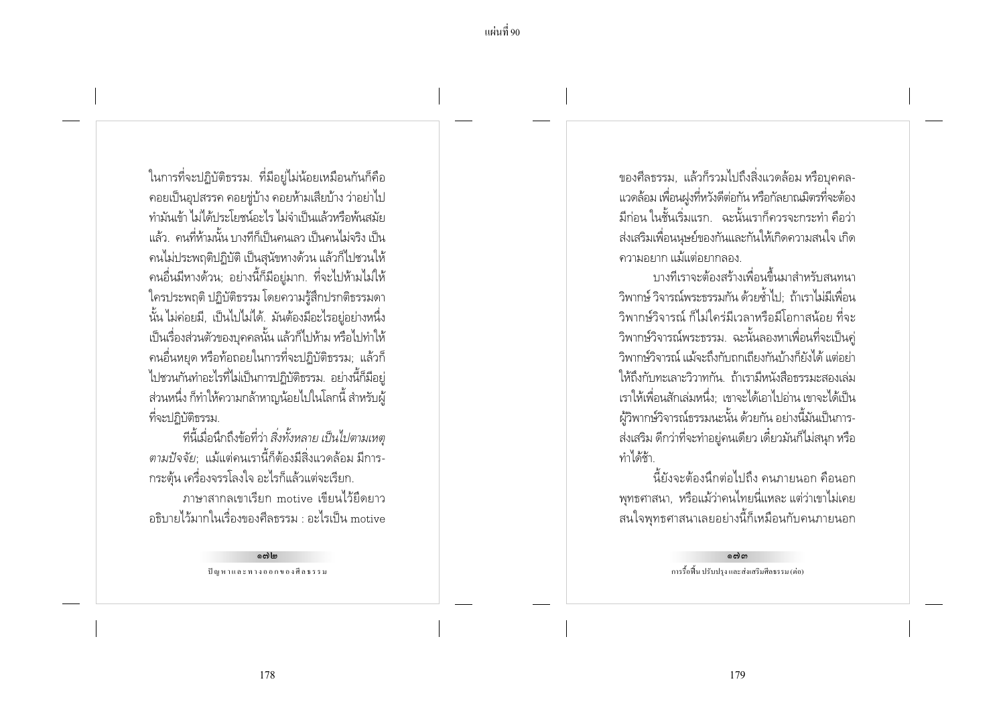ในการที่จะปฏิบัติธรรม. ที่มีอยู่ไม่น้อยเหมือนกันก็คือ ้คอยเป็นอุปสรรค คอยขู่บ้าง คอยห้ามเสียบ้าง ว่าอย่าไป ทำมันเข้า ไม่ได้ประโยชน์อะไร ไม่จำเป็นแล้วหรือพ้นสมัย แล้ว คนที่ห้ามนั้น บางทีก็เป็นคนเลว เป็นคนไม่จริง เป็น ้คนไม่ประพฤติปฏิบัติ เป็นสุนัขหางด้วน แล้วก็ไปชวนให้ ้ คนอื่นมีหางด้วน; อย่างนี้ก็มีอยู่มาก. ที่จะไปห้ามไม่ให้ ใครประพฤติ ปฏิบัติธรรม โดยความรู้สึกปรกติธรรมดา นั้น ไม่ค่อยมี. เป็นไปไม่ได้. มันต้องมีอะไรอย่อย่างหนึ่ง เป็นเรื่องส่วนตัวของบุคคลนั้น แล้วก็ไปห้าม หรือไปทำให้ ิ คนอื่นหยด หรือท้อถอยในการที่จะปฏิบัติธรรม; แล้วก็ ไปชวนกันทำอะไรที่ไม่เป็นการปฏิบัติธรรม. อย่างนี้ก็มีอยู่ ้ส่วนหนึ่ง ก็ทำให้ความกล้าหาญน้อยไปในโลกนี้ สำหรับผู้ ที่จะปฏิบัติธรรม.

์ ทีนี้เมื่อนึกถึงข้อที่ว่า *สิ่งทั้งหลาย เป็นไปตามเหตุ* ้ตามปัจจัย: แม้แต่คนเรานี้ก็ต้องมีสิ่งแวดล้อม มีการ-้ กระตุ้น เครื่องจรรโลงใจ อะไรก็แล้วแต่จะเรียก.

ภาษาสากลเขาเรียก motive เขียนไว้ยืดยาว ้ คริบายไว้มากในเรื่องของศีลธรรม : อะไรเป็น motive

> പ്പം<br>മരി ปัญหาและทางออกของศีลธรรม

ของศีลธรรม, แล้วก็รวมไปถึงสิ่งแวดล้อม หรือบุคคล-แวดล้อม เพื่อนฝูงที่หวังดีต่อกัน หรือกัลยาณมิตรที่จะต้อง ้มีก่อน ในชั้นเริ่มแรก. ฉะนั้นเราก็ควรจะกระทำ คือว่า ส่งเสริมเพื่อนนษย์ของกันและกันให้เกิดความสนใจ เกิด ้ความอยาก แม้แต่อยากลอง

ำเางที่เราจะต้องสร้างเพื่อนขึ้นมาสำหรับสนทนา ้วิพากษ์ วิจารณ์พระธรรมกัน ด้วยต้ำไป ถ้าเราไม่มีเพื่อน วิพากษ์วิจารณ์ ก็ไม่ใคร่มีเวลาหรือมีโอกาสน้อย ที่จะ วิพากษ์วิจารณ์พระธรรม. ฉะนั้นลองหาเพื่อนที่จะเป็นคู่ วิพากษ์วิจารณ์ แม้จะถึงกับถกเถียงกันบ้างก็ยังได้ แต่อย่า ให้ถึงกับทะเลาะวิวาทกัน ถ้าเรามีหนังสือธรรมะสองเล่ม เราให้เพื่อนสักเล่มหนึ่ง: เขาจะได้เอาไปอ่าน เขาจะได้เป็น ้ผ้วิพากษ์วิจารณ์ธรรมนะนั้น ด้วยกัน อย่างนี้มันเป็นการ-้ ส่งเสริม ดีกว่าที่จะทำอยู่คนเดียว เดี๋ยวมันก็ไม่สนุก หรือ ทำได้ช้า

้นี้ยังจะต้องนึกต่อไปถึง คนภายนอก คือนอก ้พุทธศาสนา, หรือแม้ว่าคนไทยนี่แหละ แต่ว่าเขาไม่เคย ิสนใจพุทธศาสนาเลยอย่างนี้ก็เหมือนกับคนภายนอก

> െന്ന การรื้อฟื้น ปรับปรง และส่งเสริมศีลธรรม (ต่อ)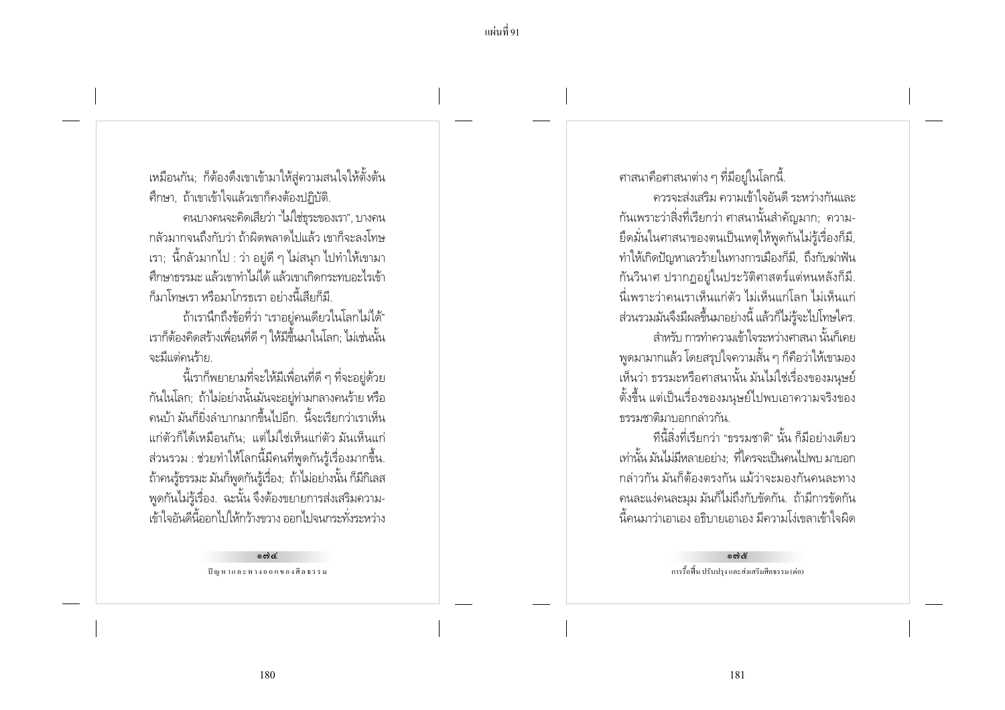เหมือนกัน; ก็ต้องดึงเขาเข้ามาให้สู่ความสนใจให้ตั้งต้น ้ศึกษา, ถ้าเขาเข้าใจแล้วเขาก็คงต้องปภิบัติ.

ุคนบางคนจะคิดเสียว่า "ไม่ใช่ธระของเรา", บางคน ้กล้วมากจนถึงกับว่า ถ้าผิดพลาดไปแล้ว เขาก็จะลงโทษ ี เรา; นี้กลัวมากไป : ว่า อยู่ดี ๆ ไม่สนุก ไปทำให้เขามา ้ศึกษาธรรมะ แล้วเขาทำไม่ได้ แล้วเขาเกิดกระทบอะไรเข้า ก็มาโทพรา หรือมาโกรธเรา อย่างนี้เสียก็มี

ถ้าเรานึกถึงข้อที่ว่า "เราอยู่คนเดียวในโลกไม่ได้" เราก็ต้องคิดสร้างเพื่อนที่ดี ๆ ให้มีขึ้นมาในโลก; ไม่เช่นนั้น จะมีแต่คนร้าย

นี้เราก็พยายามที่จะให้มีเพื่อนที่ดี ๆ ที่จะอยู่ด้วย กันในโลก; ถ้าไม่อย่างนั้นมันจะอยู่ท่ามกลางคนร้าย หรือ ่ คนบ้า มันก็ยิ่งลำบากมากขึ้นไปคีก -นี้จะเรียกว่าเราเห็น แก่ตัวก็ได้เหมือนกัน: แต่ไม่ใช่เห็นแก่ตัว มันเห็นแก่ ้ ส่วนรวม : ช่วยทำให้โลกนี้มีคนที่พูดกันรู้เรื่องมากขึ้น. ้ถ้าคนรู้ธรรมะ มันก็พูดกันรู้เรื่อง; ถ้าไม่อย่างนั้น ก็มีกิเลส ้พูดกันไม่รู้เรื่อง. ฉะนั้น จึงต้องขยายการส่งเสริมความ-เข้าใจอันดีนี้ออกไปให้กว้างขวาง ออกไปจนกระทั่งระหว่าง

> 6md ปัญหาและทางออกของศีลธรรม

ิศาสนาคือศาสนาต่าง ๆ ที่มีอยู่ในโลกนี้

้ควรจะส่งเสริม ความเข้าใจอันดี ระหว่างกันและ ้กันเพราะว่าสิ่งที่เรียกว่า ศาสนานั้นสำคัญมาก; ความ-้ยึดมั่นในศาสนาของตนเป็นเหตุให้พูดกันไม่รู้เรื่องก็มี ทำให้เกิดปัญหาเลวร้ายในทางการเมืองก็มี, ถึงกับฆ่าฟัน ้กันวินาศ ปรากฏอย่ในประวัติศาสตร์แต่หนหลังก็มี. นี่เพราะว่าคนเราเห็นแก่ตัว ไม่เห็นแก่โลก ไม่เห็นแก่ ส่วนรวมมันจึงมีผลขึ้นมาอย่างนี้ แล้วก็ไม่ร้จะไปโทษใคร. ้สำหรับ การทำความเข้าใจระหว่างศาสนา นั้นก็เคย ี พดมามากแล้ว โดยสรปใจความสั้น ๆ ก็คือว่าให้เขามอง เห็นว่า ธรรมะหรือศาสนานั้น มันไม่ใช่เรื่องของมนุษย์ ้ตั้งขึ้น แต่เป็นเรื่องของมนุษย์ไปพบเอาความจริงของ ธรรมชาติมาบอกกล่าวกัน

ทีนี้สิ่งที่เรียกว่า "ธรรมชาติ" นั้น ก็มีอย่างเดียว เท่านั้น มันไม่มีหลายอย่าง: ที่ใครจะเป็นคนไปพบ มาบอก ึกล่าวกัน มันก็ต้องตรงกัน แม้ว่าจะมองกันคนละทาง ้ คนละแง่คนละมุม มันก็ไม่ถึงกับขัดกัน. ถ้ามีการขัดกัน ้นี้คนมาว่าเอาเอง อธิบายเอาเอง มีความโง่เขลาเข้าใจผิด

> බෝරි การรื้อฟื้น ปรับปรง และส่งเสริมศีลธรรม (ต่อ)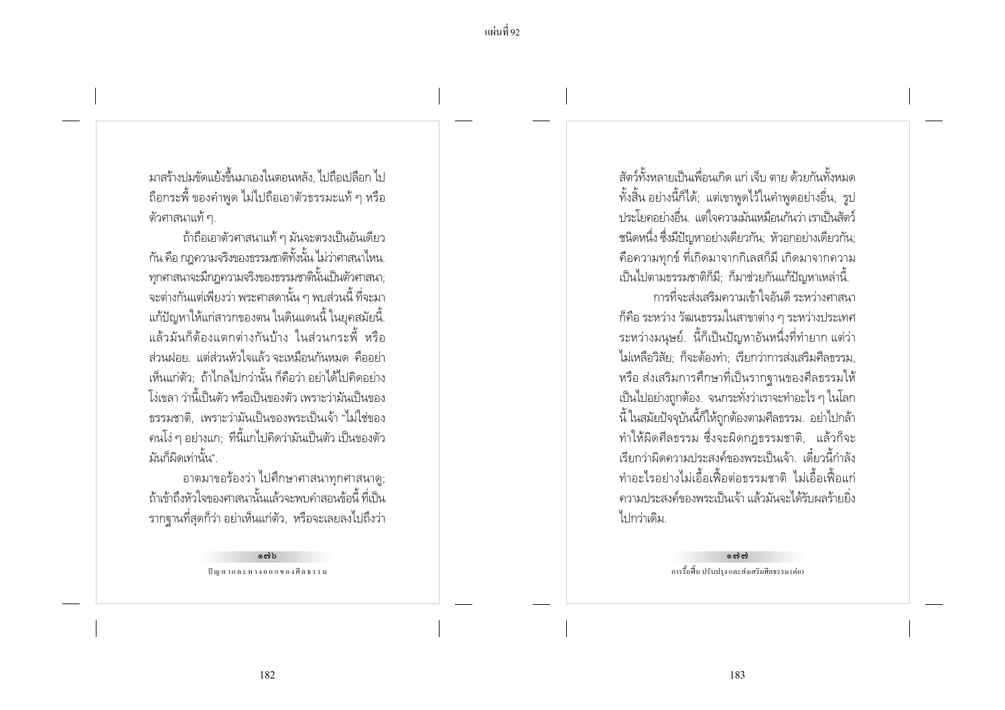้แผ่บที่ 92

่ มาสร้างปมขัดแย้งขึ้นมาเองในตอนหลัง ไปถือเปลือก ไป ้ถือกระพี้ ของคำพูด ไม่ไปถือเอาตัวธรรมะแท้ ๆ หรือ ตัวศาสนาแท้ ๆ.

ถ้าถือเอาตัวศาสนาแท้ ๆ มันจะตรงเป็นอันเดียว ้กัน คือ กฎความจริงของธรรมชาติทั้งนั้น ไม่ว่าศาสนาไหน. ิทกศาสนาจะมีกฎความจริงของธรรมชาตินั้นเป็นตัวศาสนา; ิจะต่างกันแต่เพียงว่า พระศาสดานั้น ๆ พบส่วนนี้ ที่จะมา แก้ปัญหาให้แก่สาวกของตน ในดินแดนนี้ ในยุคสมัยนี้. ี แล้วมันก็ต้องแตกต่างกันบ้าง ในส่วนกระพื้ หรือ ้ส่วนฝอย แต่ส่วนหัวใจแล้ว จะเหมือนกันหมด คืออย่า เห็นแก่ตัว: ถ้าไกลไปกว่านั้น ก็คือว่า อย่าได้ไปคิดอย่าง โง่เขลา ว่านี้เป็นตัว หรือเป็นของตัว เพราะว่ามันเป็นของ ้ธรรมชาติ, เพราะว่ามันเป็นของพระเป็นเจ้า "ไม่ใช่ของ ิ คนโง่ ๆ อย่างแก; ที่นี้แกไปคิดว่ามันเป็นตัว เป็นของตัว บั๊ง เก็ผิดเท่านั้ง !"

อาตมาขอร้องว่า ไปศึกษาศาสนาทุกศาสนาดู; ถ้าเข้าถึงหัวใจของศาสนานั้นแล้วจะพบคำสอนข้อนี้ ที่เป็น ี รากฐานที่สุดก็ว่า อย่าเห็นแก่ตัว, หรือจะเลยลงไปถึงว่า

> ດຕ່ີວ ปัญหาและทางออกของศีลธรรม

้ สัตว์ทั้งหลายเป็นเพื่อนเกิด แก่ เจ็บ ตาย ด้ายกับทั้งหบด ้ทั้งสิ้น อย่างนี้ก็ได้; แต่เขาพูดไว้ในคำพูดอย่างอื่น, รูป ประโยคอย่างอื่น. แต่ใจความมันเหมือนกันว่า เราเป็นสัตว์ ชนิดหนึ่ง ซึ่งมีปัญหาอย่างเดียวกัน: หัวอกอย่างเดียวกัน: ้คือความทุกข์ ที่เกิดมาจากกิเลสก็มี เกิดมาจากความ เป็นไปตามธรรมชาติก็มี: ก็มาช่วยกันแก้ปัญหาเหล่านี้.

การที่จะส่งเสริมความเข้าใจอันดี ระหว่างศาสนา ้ก็คือ ระหว่าง วัฒนธรรมในสาขาต่าง ๆ ระหว่างประเทศ ระหว่างมนุษย์. นี้ก็เป็นปัญหาอันหนึ่งที่ทำยาก แต่ว่า ไม่เหลือวิสัย: ก็จะต้องทำ: เรียกว่าการส่งเสริมศีลธรรม หรือ ส่งเสริมการศึกษาที่เป็นรากจานของศีลธรรมให้ เป็นไปอย่างถูกต้อง. จนกระทั่งว่าเราจะทำอะไร ๆ ในโลก ้นี้ ในสมัยปัจจุบันนี้ก็ให้ถูกต้องตามศีลธรรม. อย่าไปกล้า ทำให้ผิดศีลธรรม ซึ่งจะผิดกฎธรรมชาติ, แล้วก็จะ เรียกว่าผิดความประสงค์ของพระเป็นเจ้า เดี๋ยวนี้กำลัง ้ ทำอะไรอย่างไม่เอื้อเฟื้อต่อธรรมชาติ ไม่เอื้อเฟื้อแก่ ้ความประสงค์ของพระเป็นเจ้า แล้วมันจะได้รับผลร้ายยิ่ง ไปกว่าเดิม

> പ്പി การรื้อฟื้น ปรับปรง และส่งเสริมศีลธรรม (ต่อ)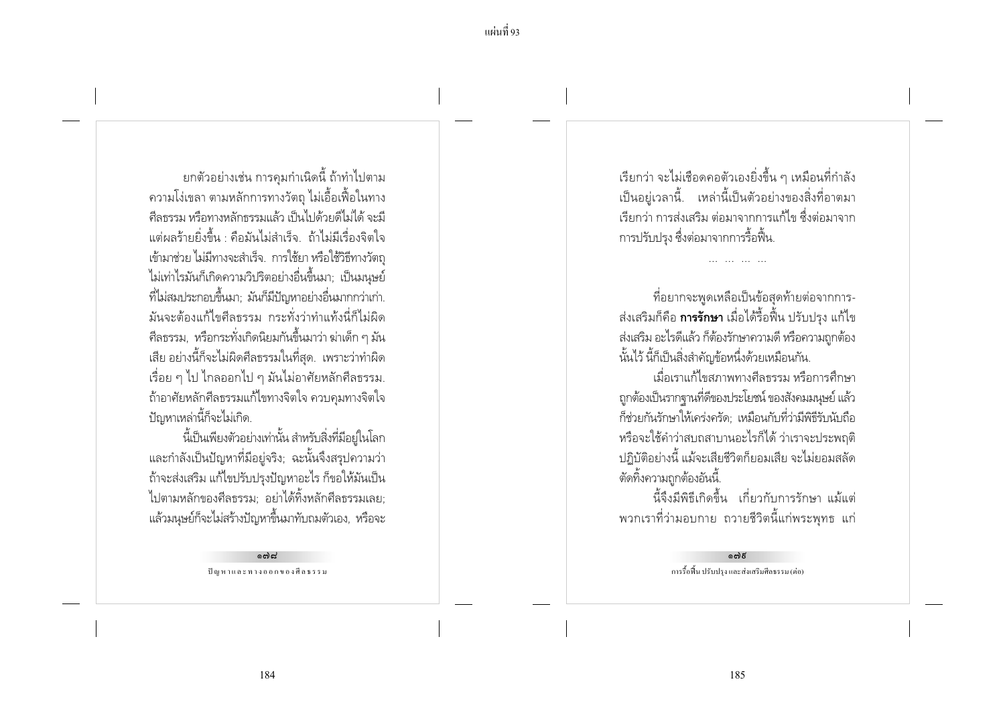้ยกตัวอย่างเช่น การคุมกำเนิดนี้ ถ้าทำไปตาม ้ ความโง่เขลา ตามหลักการทางวัตถุ ไม่เอื้อเฟื้อในทาง ้ศีลธรรม หรือทางหลักธรรมแล้ว เป็นไปด้วยดีไม่ได้ จะมี แต่ผลร้ายยิ่งขึ้น คือมันไม่สำเร็จ ถ้าไม่มีเรื่องจิตใจ เข้ามาช่วย ไม่มีทางจะสำเร็จ. การใช้ยา หรือใช้วิธีทางวัตถุ ไม่เท่าไรมันก็เกิดความวิปริตอย่างอื่นขึ้นมา; เป็นมนุษย์ ้ที่ไม่สมประกอบขึ้นมา; มันก็มีปัญหาอย่างอื่นมากกว่าเก่า. มันจะต้องแก้ไขศีลธรรม กระทั่งว่าทำแท้งนี่ก็ไม่ผิด ี ศีลธรรม, หรือกระทั่งเกิดนิยมกันขึ้นมาว่า ฆ่าเด็ก ๆ มัน ้เสีย อย่างนี้ก็จะไม่ผิดศีลธรรมในที่สด. เพราะว่าทำผิด เรื่อย ๆ ไป ไกลออกไป ๆ มันไม่อาศัยหลักศีลธรรม. ้ถ้าอาศัยหลักศีลธรรมแก้ไขทางจิตใจ ควบคุมทางจิตใจ ปัญหาเหล่านี้ก็จะไม่เกิด.

นี้เป็นเพียงตัวอย่างเท่านั้น สำหรับสิ่งที่มีอยู่ในโลก ้ และกำลังเป็นปัญหาที่มีอยู่จริง; ฉะนั้นจึงสรุปความว่า ้ถ้าจะส่งเสริม แก้ไขปรับปรุงปัญหาอะไร ก็ขอให้มันเป็น ไปตามหลักของศีลธรรม; อย่าได้ทิ้งหลักศีลธรรมเลย; แล้วมนุษย์ก็จะไม่สร้างปัญหาขึ้นมาทับถมตัวเอง, หรือจะ

> പ്രെ ปัญหาและทางออกของศีลธรรม

เรียกว่า จะไม่เชือดคอตัวเองยิ่งขึ้น ๆ เหมือนที่กำลัง ้เป็นอยู่เวลานี้. เหล่านี้เป็นตัวอย่างของสิ่งที่อาตมา เรียกว่า การส่งเสริม ต่อมาจากการแก้ไข ซึ่งต่อมาจาก การปรับปรง ซึ่งต่อมาจากการรื้อฟื้น.

้ที่อยากจะพูดเหลือเป็นข้อสุดท้ายต่อจากการ-้ส่งเสริมก็คือ **การรักษา** เมื่อได้รื้อฟื้น ปรับปรง แก้ไข ส่งเสริม อะไรดีแล้ว ก็ต้องรักษาความดี หรือความถูกต้อง นั้นไว้ นี้ก็เป็นสิ่งสำคัญข้อหนึ่งด้วยเหมือนกัน.

้เมื่อเราแก้ไขสภาพทางศีลธรรม หรือการศึกษา ถูกต้องเป็นรากฐานที่ดีของประโยชน์ ของสังคมมนุษย์ แล้ว ก็ช่วยกันรักษาให้เคร่งครัด: เหมือนกับที่ว่ามีพิธีรับนับถือ หรือจะใช้คำว่าสบถสาบานอะไรก็ได้ ว่าเราจะประพฤติ ปฏิบัติอย่างนี้ แม้จะเสียชีวิตก็ยอมเสีย จะไม่ยอมสลัด ตัดทิ้งความถูกต้องอันนี้.

นี้จึงมีพิธีเกิดขึ้น เกี่ยวกับการรักษา แม้แต่ ี พวกเราที่ว่ามอบกาย ถวายชีวิตนี้แก่พระพุทธ แก่

> ക്ക് การรื้อพื้น ปรับปรุง และส่งเสริมศีลธรรม (ต่อ)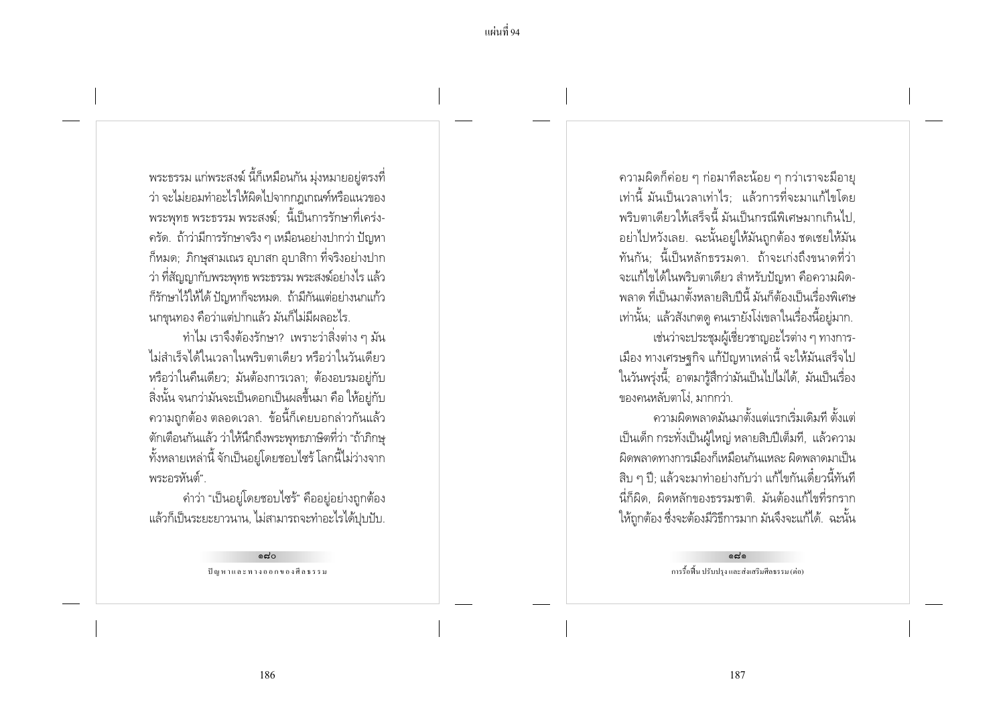ี แผ่นที่ 94

พระธรรม แก่พระสงฆ์ นี้ก็เหมือนกัน มุ่งหมายอยู่ตรงที่ ว่า จะไม่ยอมทำอะไรให้ผิดไปจากกภเกณฑ์หรือแนวของ พระพทธ พระธรรม พระสงฆ์: นี้เป็นการรักษาที่เคร่ง-ิ ครัด. ถ้าว่ามีการรักษาจริง ๆ เหมือนอย่างปากว่า ปัญหา ้ก็หมด; ภิกษุสามเณร อุบาสก อุบาสิกา ที่จริงอย่างปาก ว่า ที่สัญญากับพระพทธ พระธรรม พระสงฆ์อย่างไร แล้ว ้ก็รักษาไว้ให้ได้ ปัญหาก็จะหมด. ถ้ามีกันแต่อย่างนกแก้ว นกขนทอง คือว่าแต่ปากแล้ว มันก็ไม่มีผลอะไร.

้ทำไม เราจึงต้องรักษา? เพราะว่าสิ่งต่าง ๆ มัน ไม่สำเร็จได้ในเวลาในพริบตาเดียว หรือว่าในวันเดียว หรือว่าในคืนเดียว; มันต้องการเวลา; ต้องอบรมอยู่กับ ้สิ่งนั้น จนกว่ามันจะเป็นดอกเป็นผลขึ้นมา คือ ให้อยู่กับ ่ ความถูกต้อง ตลอดเวลา. ข้อนี้ก็เคยบอกล่าวกันแล้ว ้ตักเตือนกันแล้ว ว่าให้นึกถึงพระพุทธภาษิตที่ว่า "ถ้าภิกษุ ้ทั้งหลายเหล่านี้ จักเป็นอยู่โดยชอบไซร้ โลกนี้ไม่ว่างจาก พระอรหันต์".

้คำว่า "เป็นอยู่โดยชอบไซร้" คืออยู่อย่างถูกต้อง แล้วก็เป็นระยะยาวนาน, ไม่สามารถจะทำอะไรได้ปุบปับ.

> പെറ ปัญหาและทางออกของศีลธรรม

้ ความผิดก็ค่อย ๆ ก่อมาทีละน้อย ๆ กว่าเราจะมีอายุ ่ เท่านี้ มันเป็นเวลาเท่าไร: แล้วการที่จะมาแก้ไขโดย ้พริบตาเดียวให้เสร็จนี้ มันเป็นกรณีพิเศษมากเกินไป. ้อย่าไปหวังเลย. ฉะนั้นอย่ให้มันถกต้อง ชดเชยให้มัน ทันกัน: นี้เป็นหลักธรรมดา. ถ้าจะเก่งถึงขนาดที่ว่า ้จะแก้ไขได้ในพริบตาเดียว สำหรับปัญหา คือความผิด-ี พลาด ที่เป็นมาตั้งหลายสิบปีนี้ มันก็ต้องเป็นเรื่องพิเศษ เท่านั้น; แล้วสังเกตดู คนเรายังโง่เขลาในเรื่องนี้อยู่มาก. เช่นว่าจะประชุมผู้เชี่ยวชาญอะไรต่าง ๆ ทางการ-้เมือง ทางเศรษจกิจ แก้ปัญหาเหล่านี้ จะให้มันเสร็จไป ในวันพรุ่งนี้; อาตมารู้สึกว่ามันเป็นไปไม่ได้, มันเป็นเรื่อง ของคนหลับตาโง่. มากกว่า.

้ความผิดพลาดมันมาตั้งแต่แรกเริ่มเดิมที ตั้งแต่ เป็นเด็ก กระทั่งเป็นผู้ใหญ่ หลายสิบปีเต็มที, แล้วความ ้ผิดพลาดทางการเมืองก็เหมือนกันแหละ ผิดพลาดมาเป็น ้สิบ ๆ ปี; แล้วจะมาทำอย่างกับว่า แก้ไขกันเดี๋ยวนี้ทันที ้ นี่ก็ผิด, ผิดหลักของธรรมชาติ. มันต้องแก้ไขที่รกราก ให้ถูกต้อง ซึ่งจะต้องมีวิธีการมาก มันจึงจะแก้ได้. ฉะนั้น

> പ്പ การรื้อฟื้น ปรับปรง และส่งเสริมศีลธรรม (ต่อ)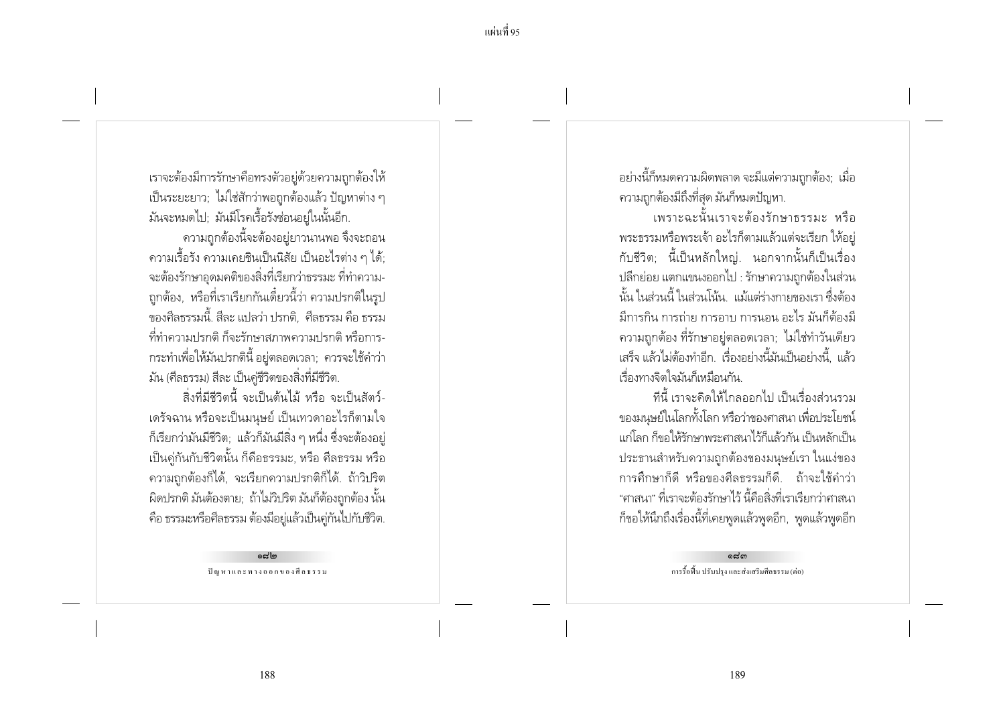้ แผ่บที่ 95

เราจะต้องมีการรักษาคือทรงตัวอยู่ด้วยความถูกต้องให้ ้เป็นระยะยาว; ไม่ใช่สักว่าพอถูกต้องแล้ว ปัญหาต่าง ๆ มันจะหมดไป; มันมีโรคเรื้อรังซ่อนอยู่ในนั้นอีก.

้ความถูกต้องนี้จะต้องอยู่ยาวนานพอ จึงจะถอน ้ ความเรื้อรัง ความเคยชินเป็นนิสัย เป็นอะไรต่าง ๆ ได้; ้จะต้องรักษาอดมคติของสิ่งที่เรียกว่าธรรมะ ที่ทำความ-้ถูกต้อง, หรือที่เราเรียกกันเดี๋ยวนี้ว่า ความปรกติในรูป ของศีลธรรมนี้. สีละ แปลว่า ปรกติ.. ศีลธรรม คือ ธรรม ู้ที่ทำความปรกติ ก็จะรักษาสภาพความปรกติ หรือการ-้ กระทำเพื่อให้มันปรกตินี้ อย่ตลอดเวลา: ควรจะใช้คำว่า มัน (ศีลธรรม) สีละ เป็นคู่ชีวิตของสิ่งที่มีชีวิต.

สิ่งที่มีชีวิตนี้ จะเป็นต้นไม้ หรือ จะเป็นสัตว์-เดรัจฉาน หรือจะเป็นมนุษย์ เป็นเทวดาอะไรก็ตามใจ ้ก็เรียกว่ามันมีชีวิต; แล้วก็มันมีสิ่ง ๆ หนึ่ง ซึ่งจะต้องอยู่ เป็นค่กันกับชีวิตนั้น ก็คือธรรมะ, หรือ ศีลธรรม หรือ ้ ความถูกต้องก็ได้, จะเรียกความปรกติก็ได้. ถ้าวิปริต ้ผิดปรกติ มันต้องตาย; ถ้าไม่วิปริต มันก็ต้องถูกต้อง นั้น ้คือ ธรรมะหรือศีลธรรม ต้องมีอยู่แล้วเป็นคู่กันไปกับชีวิต.

> **പ്രി**ബ ปัญหาและทางออกของศีลธรรม

้อย่างนี้ก็หมดความผิดพลาด จะมีแต่ความถูกต้อง; เมื่อ ความถูกต้องมีถึงที่สุด มันก็หมดปัญหา.

เพราะฉะนั้นเราจะต้องรักษาธรรมะ หรือ ้พระธรรมหรือพระเจ้า อะไรก็ตามแล้วแต่จะเรียก ให้อย่ ้กับชีวิต; นี้เป็นหลักใหญ่. นอกจากนั้นก็เป็นเรื่อง ปลีกย่อย แตกแขนงออกไป : รักษาความถกต้องในส่วน นั้น ในส่วนนี้ ในส่วนโน้น แม้แต่ร่างกายของเรา ซึ่งต้อง ้มีการกิน การถ่าย การอาบ การนอน อะไร มันก็ต้องมี ิ ความถูกต้อง ที่รักษาอยู่ตลอดเวลา; ไม่ใช่ทำวันเดียว เสร็จ แล้วไม่ต้องทำอีก เรื่องอย่างนี้มันเป็นอย่างนี้ แล้ว เรื่องทางจิตใจมันก็เหมือนกัน

ู้ที่นี้ เราจะคิดให้ไกลออกไป เป็นเรื่องส่วนรวม ของมนุษย์ในโลกทั้งโลก หรือว่าของศาสนา เพื่อประโยชน์ แก่โลก ก็ขอให้รักษาพระศาสนาไว้ก็แล้วกัน เป็นหลักเป็น ประธานสำหรับความถูกต้องของมนุษย์เรา ในแง่ของ การศึกษาก็ดี หรือของศีลธรรมก็ดี... ถ้าจะใช้คำว่า "ศาสนา" ที่เราจะต้องรักษาไว้ นี้คือสิ่งที่เราเรียกว่าศาสนา ้ก็ขอให้นึกถึงเรื่องนี้ที่เคยพูดแล้วพูดอีก, พูดแล้วพูดอีก

> പ്പെ การรื้อฟื้น ปรับปรง และส่งเสริมศีลธรรม (ต่อ)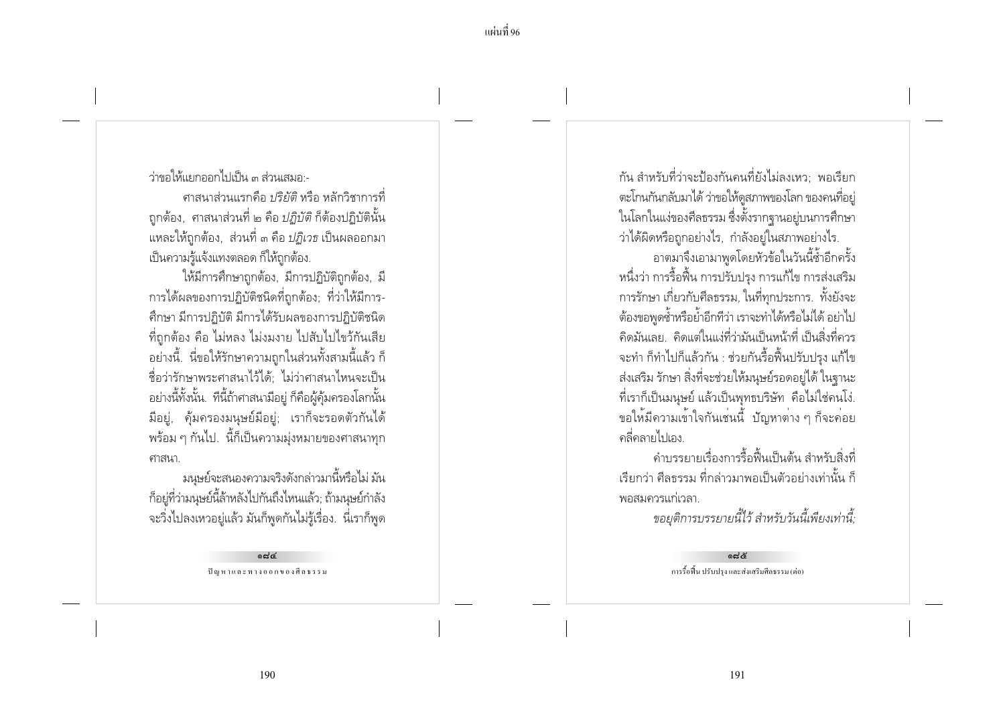ว่าขอให้แยกออกไปเป็น ๓ ส่านเสมอ -

ิศาสนาส่วนแรกคือ *ปริยัติ* หรือ หลักวิชาการที่ ี ถูกต้อง, ศาสนาส่วนที่ ๒ คือ *ปฏิบัติ* ก็ต้องปฏิบัตินั้น ี แหละให้ถกต้อง. ส่วนที่ ๓ คือ *ปภิเวธ* เป็นผลออกมา เป็นความรู้แจ้งแทงตลอด ก็ให้ถูกต้อง.

ให้มีการศึกษาถูกต้อง, มีการปฏิบัติถูกต้อง, มี การได้ผลของการปฏิบัติชนิดที่ถูกต้อง; ที่ว่าให้มีการ-้ศึกษา มีการปฏิบัติ มีการได้รับผลของการปฏิบัติชนิด ้ ที่ถูกต้อง คือ ไม่หลง ไม่งมงาย ไปสับไปไขว้กันเสีย ้อย่างนี้. นี่ขอให้รักษาความถูกในส่วนทั้งสามนี้แล้ว ก็ ู้ ชื่อว่ารักษาพระศาสนาไว้ได้ ไม่ว่าศาสนาไหนจะเป็น ้อย่างนี้ทั้งนั้น. ที่นี้ถ้าศาสนามีอยู่ ก็คือผู้คุ้มครองโลกนั้น มือยู่, คุ้มครองมนุษย์มือยู่; เราก็จะรอดตัวกันได้ ้ พร้อม ๆ กันไป. นี้ก็เป็นความมุ่งหมายของศาสนาทุก ศาสนา.

มนุษย์จะสนองความจริงดังกล่าวมานี้หรือไม่ มัน ก็อยู่ที่ว่ามนุษย์นี้ล้าหลังไปกันถึงไหนแล้ว; ถ้ามนุษย์กำลัง ึ่จะวิ่งไปลงเหวอยู่แล้ว มันก็พูดกันไม่รู้เรื่อง. นี่เราก็พูด

> ی بہ ہ ปัญหาและทางออกของศีลธรรม

้กัน สำหรับที่ว่าจะป้องกันคนที่ยังไม่ลงเหว· พอเรียก ่ ตะโกนกันกลับมาได้ ว่าขอให้ดูสภาพของโลก ของคนที่อยู่ ในโลกในแง่ของศีลธรรม ซึ่งตั้งรากฐานอยู่บนการศึกษา ว่าได้ผิดหรือถกอย่างไร. กำลังอย่ในสภาพอย่างไร.

อาตมาจึงเอามาพูดโดยหัวข้อในวันนี้ซ้ำอีกครั้ง หนึ่งว่า การรื้อฟื้น การปรับปรง การแก้ไข การส่งเสริม การรักษา เกี่ยวกับศีลธรรม, ในที่ทุกประการ. ทั้งยังจะ ้ต้องขอพดซ้ำหรือย้ำอีกทีว่า เราจะทำได้หรือไม่ได้ อย่าไป ้คิดมันเลย คิดแต่ในแง่ที่ว่ามันเป็นหน้าที่ เป็นสิ่งที่ควร จะทำ ก็ทำไปก็แล้วกัน : ช่วยกันรื้อฟื้นปรับปรง แก้ไข ส่งเสริม รักษา สิ่งที่จะช่วยให้มนุษย์รอดอยู่ได้ ในจานะ ้ที่เราก็เป็นมนุษย์ แล้วเป็นพุทธบริษัท คือไม่ใช่คนโง่. ขอให้มีความเข้าใจกันเช่นนี้ ปัญหาต่าง ๆ ก็จะค่อย ้คลี่คลายไปเอง.

้คำบรรยายเรื่องการรื้อฟื้นเป็นต้น สำหรับสิ่งที่ เรียกว่า ศีลธรรม ที่กล่าวมาพอเป็นตัวอย่างเท่านั้น ก็ พอสมควรแก่เวลา

ขอยุติการบรรยายนี้ไว้ สำหรับวันนี้เพียงเท่านี้;

يوبيهم การรื้อฟื้น ปรับปรง และส่งเสริมศีลธรรม (ต่อ)